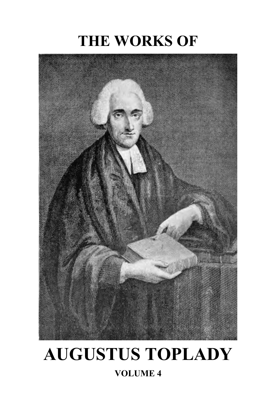# **THE WORKS OF**



# **AUGUSTUS TOPLADY**

#### **VOLUME 4**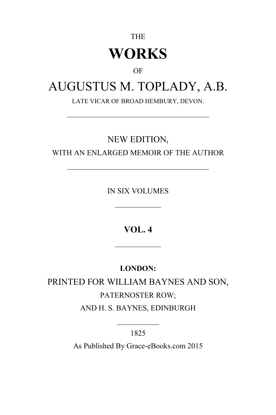## THE **WORKS**

#### OF

### AUGUSTUS M. TOPLADY, A.B.

LATE VICAR OF BROAD HEMBURY, DEVON.

 $\mathcal{L}_\text{max}$  , and the set of the set of the set of the set of the set of the set of the set of the set of the set of the set of the set of the set of the set of the set of the set of the set of the set of the set of the

#### NEW EDITION,

WITH AN ENLARGED MEMOIR OF THE AUTHOR

 $\mathcal{L}_\text{max}$ 

IN SIX VOLUMES

 $\mathcal{L}_\text{max}$ 

**VOL. 4**

 $\mathcal{L}_\text{max}$ 

#### **LONDON:**

PRINTED FOR WILLIAM BAYNES AND SON, PATERNOSTER ROW; AND H. S. BAYNES, EDINBURGH

> $\mathcal{L}_\text{max}$ 1825

As Published By Grace-eBooks.com 2015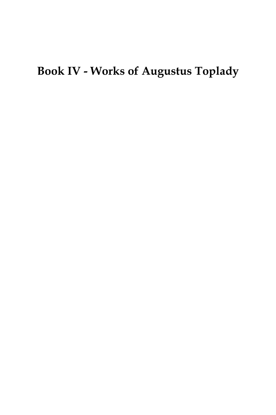## **Book IV - Works of Augustus Toplady**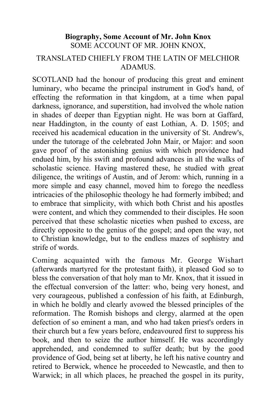#### **Biography, Some Account of Mr. John Knox** SOME ACCOUNT OF MR. JOHN KNOX, TRANSLATED CHIEFLY FROM THE LATIN OF MELCHIOR ADAMUS.

SCOTLAND had the honour of producing this great and eminent luminary, who became the principal instrument in God's hand, of effecting the reformation in that kingdom, at a time when papal darkness, ignorance, and superstition, had involved the whole nation in shades of deeper than Egyptian night. He was born at Gaffard, near Haddington, in the county of east Lothian, A. D. 1505; and received his academical education in the university of St. Andrew's, under the tutorage of the celebrated John Mair, or Major: and soon gave proof of the astonishing genius with which providence had endued him, by his swift and profound advances in all the walks of scholastic science. Having mastered these, he studied with great diligence, the writings of Austin, and of Jerom: which, running in a more simple and easy channel, moved him to forego the needless intricacies of the philosophic theology he had formerly imbibed; and to embrace that simplicity, with which both Christ and his apostles were content, and which they commended to their disciples. He soon perceived that these scholastic niceties when pushed to excess, are directly opposite to the genius of the gospel; and open the way, not to Christian knowledge, but to the endless mazes of sophistry and strife of words.

Coming acquainted with the famous Mr. George Wishart (afterwards martyred for the protestant faith), it pleased God so to bless the conversation of that holy man to Mr. Knox, that it issued in the effectual conversion of the latter: who, being very honest, and very courageous, published a confession of his faith, at Edinburgh, in which he boldly and clearly avowed the blessed principles of the reformation. The Romish bishops and clergy, alarmed at the open defection of so eminent a man, and who had taken priest's orders in their church but a few years before, endeavoured first to suppress his book, and then to seize the author himself. He was accordingly apprehended, and condemned to suffer death; but by the good providence of God, being set at liberty, he left his native country and retired to Berwick, whence he proceeded to Newcastle, and then to Warwick; in all which places, he preached the gospel in its purity,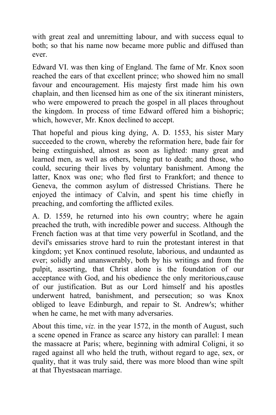with great zeal and unremitting labour, and with success equal to both; so that his name now became more public and diffused than ever.

Edward VI. was then king of England. The fame of Mr. Knox soon reached the ears of that excellent prince; who showed him no small favour and encouragement. His majesty first made him his own chaplain, and then licensed him as one of the six itinerant ministers, who were empowered to preach the gospel in all places throughout the kingdom. In process of time Edward offered him a bishopric; which, however, Mr. Knox declined to accept.

That hopeful and pious king dying, A. D. 1553, his sister Mary succeeded to the crown, whereby the reformation here, bade fair for being extinguished, almost as soon as lighted: many great and learned men, as well as others, being put to death; and those, who could, securing their lives by voluntary banishment. Among the latter, Knox was one; who fled first to Frankfort; and thence to Geneva, the common asylum of distressed Christians. There he enjoyed the intimacy of Calvin, and spent his time chiefly in preaching, and comforting the afflicted exiles.

A. D. 1559, he returned into his own country; where he again preached the truth, with incredible power and success. Although the French faction was at that time very powerful in Scotland, and the devil's emissaries strove hard to ruin the protestant interest in that kingdom; yet Knox continued resolute, laborious, and undaunted as ever; solidly and unanswerably, both by his writings and from the pulpit, asserting, that Christ alone is the foundation of our acceptance with God, and his obedience the only meritorious,cause of our justification. But as our Lord himself and his apostles underwent hatred, banishment, and persecution; so was Knox obliged to leave Edinburgh, and repair to St. Andrew's; whither when he came, he met with many adversaries.

About this time, *viz.* in the year 1572, in the month of August, such a scene opened in France as scarce any history can parallel: I mean the massacre at Paris; where, beginning with admiral Coligni, it so raged against all who held the truth, without regard to age, sex, or quality, that it was truly said, there was more blood than wine spilt at that Thyestsaean marriage.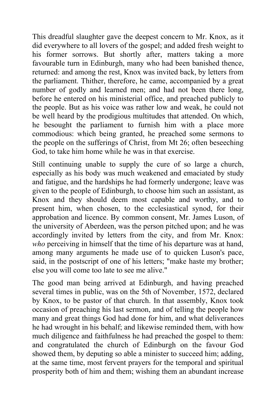This dreadful slaughter gave the deepest concern to Mr. Knox, as it did everywhere to all lovers of the gospel; and added fresh weight to his former sorrows. But shortly after, matters taking a more favourable turn in Edinburgh, many who had been banished thence, returned: and among the rest, Knox was invited back, by letters from the parliament. Thither, therefore, he came, accompanied by a great number of godly and learned men; and had not been there long, before he entered on his ministerial office, and preached publicly to the people. But as his voice was rather low and weak, he could not be well heard by the prodigious multitudes that attended. On which, he besought the parliament to furnish him with a place more commodious: which being granted, he preached some sermons to the people on the sufferings of Christ, from Mt 26; often beseeching God, to take him home while he was in that exercise.

Still continuing unable to supply the cure of so large a church, especially as his body was much weakened and emaciated by study and fatigue, and the hardships he had formerly undergone; leave was given to the people of Edinburgh, to choose him such an assistant, as Knox and they should deem most capable and worthy, and to present him, when chosen, to the ecclesiastical synod, for their approbation and licence. By common consent, Mr. James Luson, of the university of Aberdeen, was the person pitched upon; and he was accordingly invited by letters from the city, and from Mr. Knox: *who* perceiving in himself that the time of his departure was at hand, among many arguments he made use of to quicken Luson's pace, said, in the postscript of one of his letters; "make haste my brother; else you will come too late to see me alive."

The good man being arrived at Edinburgh, and having preached several times in public, was on the 5th of November, 1572, declared by Knox, to be pastor of that church. In that assembly, Knox took occasion of preaching his last sermon, and of telling the people how many and great things God had done for him, and what deliverances he had wrought in his behalf; and likewise reminded them, with how much diligence and faithfulness he had preached the gospel to them: and congratulated the church of Edinburgh on the favour God showed them, by deputing so able a minister to succeed him; adding, at the same time, most fervent prayers for the temporal and spiritual prosperity both of him and them; wishing them an abundant increase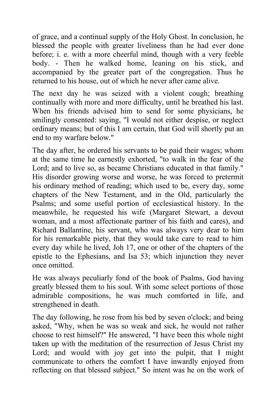of grace, and a continual supply of the Holy Ghost. In conclusion, he blessed the people with greater liveliness than he had ever done before; i. e. with a more cheerful mind, though with a very feeble body. - Then he walked home, leaning on his stick, and accompanied by the greater part of the congregation. Thus he returned to his house, out of which he never after came alive.

The next day he was seized with a violent cough; breathing continually with more and more difficulty, until he breathed his last. When his friends advised him to send for some physicians, he smilingly consented: saying, "I would not either despise, or neglect ordinary means; but of this I am certain, that God will shortly put an end to my warfare below."

The day after, he ordered his servants to be paid their wages; whom at the same time he earnestly exhorted, "to walk in the fear of the Lord; and to live so, as became Christians educated in that family." His disorder growing worse and worse, he was forced to pretermit his ordinary method of reading; which used to be, every day, some chapters of the New Testament, and in the Old, particularly the Psalms; and some useful portion of ecclesiastical history. In the meanwhile, he requested his wife (Margaret Stewart, a devout woman, and a most affectionate partner of his faith and cares), and Richard Ballantine, his servant, who was always very dear to him for his remarkable piety, that they would take care to read to him every day while he lived, Joh 17, one or other of the chapters of the epistle to the Ephesians, and Isa 53; which injunction they never once omitted.

He was always peculiarly fond of the book of Psalms, God having greatly blessed them to his soul. With some select portions of those admirable compositions, he was much comforted in life, and strengthened in death.

The day following, he rose from his bed by seven o'clock; and being asked, "Why, when he was so weak and sick, he would not rather choose to rest himself?" He answered, "I have been this whole night taken up with the meditation of the resurrection of Jesus Christ my Lord; and would with joy get into the pulpit, that I might communicate to others the comfort I have inwardly enjoyed from reflecting on that blessed subject." So intent was he on the work of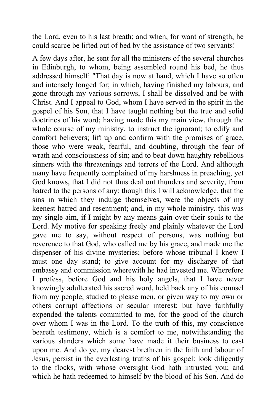the Lord, even to his last breath; and when, for want of strength, he could scarce be lifted out of bed by the assistance of two servants!

A few days after, he sent for all the ministers of the several churches in Edinburgh, to whom, being assembled round his bed, he thus addressed himself: "That day is now at hand, which I have so often and intensely longed for; in which, having finished my labours, and gone through my various sorrows, I shall be dissolved and be with Christ. And I appeal to God, whom I have served in the spirit in the gospel of his Son, that I have taught nothing but the true and solid doctrines of his word; having made this my main view, through the whole course of my ministry, to instruct the ignorant; to edify and comfort believers; lift up and confirm with the promises of grace, those who were weak, fearful, and doubting, through the fear of wrath and consciousness of sin; and to beat down haughty rebellious sinners with the threatenings and terrors of the Lord. And although many have frequently complained of my harshness in preaching, yet God knows, that I did not thus deal out thunders and severity, from hatred to the persons of any: though this I will acknowledge, that the sins in which they indulge themselves, were the objects of my keenest hatred and resentment; and, in my whole ministry, this was my single aim, if I might by any means gain over their souls to the Lord. My motive for speaking freely and plainly whatever the Lord gave me to say, without respect of persons, was nothing but reverence to that God, who called me by his grace, and made me the dispenser of his divine mysteries; before whose tribunal I knew I must one day stand; to give account for my discharge of that embassy and commission wherewith he had invested me. Wherefore I profess, before God and his holy angels, that I have never knowingly adulterated his sacred word, held back any of his counsel from my people, studied to please men, or given way to my own or others corrupt affections or secular interest; but have faithfully expended the talents committed to me, for the good of the church over whom I was in the Lord. To the truth of this, my conscience beareth testimony, which is a comfort to me, notwithstanding the various slanders which some have made it their business to cast upon me. And do ye, my dearest brethren in the faith and labour of Jesus, persist in the everlasting truths of his gospel: look diligently to the flocks, with whose oversight God hath intrusted you; and which he hath redeemed to himself by the blood of his Son. And do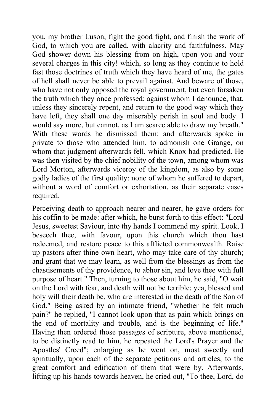you, my brother Luson, fight the good fight, and finish the work of God, to which you are called, with alacrity and faithfulness. May God shower down his blessing from on high, upon you and your several charges in this city! which, so long as they continue to hold fast those doctrines of truth which they have heard of me, the gates of hell shall never be able to prevail against. And beware of those, who have not only opposed the royal government, but even forsaken the truth which they once professed: against whom I denounce, that, unless they sincerely repent, and return to the good way which they have left, they shall one day miserably perish in soul and body. I would say more, but cannot, as I am scarce able to draw my breath." With these words he dismissed them: and afterwards spoke in private to those who attended him, to admonish one Grange, on whom that judgment afterwards fell, which Knox had predicted. He was then visited by the chief nobility of the town, among whom was Lord Morton, afterwards viceroy of the kingdom, as also by some godly ladies of the first quality: none of whom he suffered to depart, without a word of comfort or exhortation, as their separate cases required.

Perceiving death to approach nearer and nearer, he gave orders for his coffin to be made: after which, he burst forth to this effect: "Lord Jesus, sweetest Saviour, into thy hands I commend my spirit. Look, I beseech thee, with favour, upon this church which thou hast redeemed, and restore peace to this afflicted commonwealth. Raise up pastors after thine own heart, who may take care of thy church; and grant that we may learn, as well from the blessings as from the chastisements of thy providence, to abhor sin, and love thee with full purpose of heart." Then, turning to those about him, he said, "O wait on the Lord with fear, and death will not be terrible: yea, blessed and holy will their death be, who are interested in the death of the Son of God." Being asked by an intimate friend, "whether he felt much pain?" he replied, "I cannot look upon that as pain which brings on the end of mortality and trouble, and is the beginning of life." Having then ordered those passages of scripture, above mentioned, to be distinctly read to him, he repeated the Lord's Prayer and the Apostles' Creed"; enlarging as he went on, most sweetly and spiritually, upon each of the separate petitions and articles, to the great comfort and edification of them that were by. Afterwards, lifting up his hands towards heaven, he cried out, "To thee, Lord, do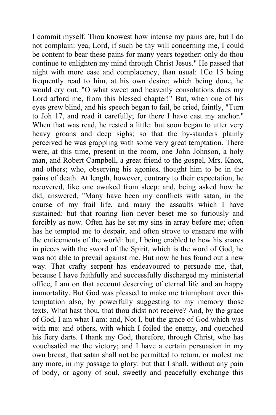I commit myself. Thou knowest how intense my pains are, but I do not complain: yea, Lord, if such be thy will concerning me, I could be content to bear these pains for many years together: only do thou continue to enlighten my mind through Christ Jesus." He passed that night with more ease and complacency, than usual: 1Co 15 being frequently read to him, at his own desire: which being done, he would cry out, "O what sweet and heavenly consolations does my Lord afford me, from this blessed chapter!" But, when one of his eyes grew blind, and his speech began to fail, be cried, faintly, "Turn to Joh 17, and read it carefully; for there I have cast my anchor." When that was read, he rested a little: but soon began to utter very heavy groans and deep sighs; so that the by-standers plainly perceived he was grappling with some very great temptation. There were, at this time, present in the room, one John Johnson, a holy man, and Robert Campbell, a great friend to the gospel, Mrs. Knox, and others; who, observing his agonies, thought him to be in the pains of death. At length, however, contrary to their expectation, he recovered, like one awaked from sleep: and, being asked how he did, answered, "Many have been my conflicts with satan, in the course of my frail life, and many the assaults which I have sustained: but that roaring lion never beset me so furiously and forcibly as now. Often has he set my sins in array before me; often has he tempted me to despair, and often strove to ensnare me with the enticements of the world: but, I being enabled to hew his snares in pieces with the sword of the Spirit, which is the word of God, he was not able to prevail against me. But now he has found out a new way. That crafty serpent has endeavoured to persuade me, that, because I have faithfully and successfully discharged my ministerial office, I am on that account deserving of eternal life and an happy immortality. But God was pleased to make me triumphant over this temptation also, by powerfully suggesting to my memory those texts, What hast thou, that thou didst not receive? And, by the grace of God, I am what I am: and, Not I, but the grace of God which was with me: and others, with which I foiled the enemy, and quenched his fiery darts. I thank my God, therefore, through Christ, who has vouchsafed me the victory; and I have a certain persuasion in my own breast, that satan shall not be permitted to return, or molest me any more, in my passage to glory: but that I shall, without any pain of body, or agony of soul, sweetly and peacefully exchange this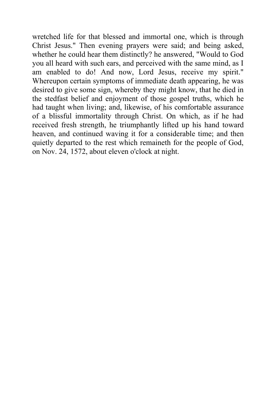wretched life for that blessed and immortal one, which is through Christ Jesus." Then evening prayers were said; and being asked, whether he could hear them distinctly? he answered, "Would to God you all heard with such ears, and perceived with the same mind, as I am enabled to do! And now, Lord Jesus, receive my spirit." Whereupon certain symptoms of immediate death appearing, he was desired to give some sign, whereby they might know, that he died in the stedfast belief and enjoyment of those gospel truths, which he had taught when living; and, likewise, of his comfortable assurance of a blissful immortality through Christ. On which, as if he had received fresh strength, he triumphantly lifted up his hand toward heaven, and continued waving it for a considerable time; and then quietly departed to the rest which remaineth for the people of God, on Nov. 24, 1572, about eleven o'clock at night.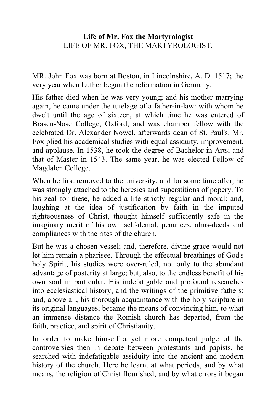#### **Life of Mr. Fox the Martyrologist** LIFE OF MR. FOX, THE MARTYROLOGIST.

MR. John Fox was born at Boston, in Lincolnshire, A. D. 1517; the very year when Luther began the reformation in Germany.

His father died when he was very young; and his mother marrying again, he came under the tutelage of a father-in-law: with whom he dwelt until the age of sixteen, at which time he was entered of Brasen-Nose College, Oxford; and was chamber fellow with the celebrated Dr. Alexander Nowel, afterwards dean of St. Paul's. Mr. Fox plied his academical studies with equal assiduity, improvement, and applause. In 1538, he took the degree of Bachelor in Arts; and that of Master in 1543. The same year, he was elected Fellow of Magdalen College.

When he first removed to the university, and for some time after, he was strongly attached to the heresies and superstitions of popery. To his zeal for these, he added a life strictly regular and moral: and, laughing at the idea of justification by faith in the imputed righteousness of Christ, thought himself sufficiently safe in the imaginary merit of his own self-denial, penances, alms-deeds and compliances with the rites of the church.

But he was a chosen vessel; and, therefore, divine grace would not let him remain a pharisee. Through the effectual breathings of God's holy Spirit, his studies were over-ruled, not only to the abundant advantage of posterity at large; but, also, to the endless benefit of his own soul in particular. His indefatigable and profound researches into ecclesiastical history, and the writings of the primitive fathers; and, above all, his thorough acquaintance with the holy scripture in its original languages; became the means of convincing him, to what an immense distance the Romish church has departed, from the faith, practice, and spirit of Christianity.

In order to make himself a yet more competent judge of the controversies then in debate between protestants and papists, he searched with indefatigable assiduity into the ancient and modern history of the church. Here he learnt at what periods, and by what means, the religion of Christ flourished; and by what errors it began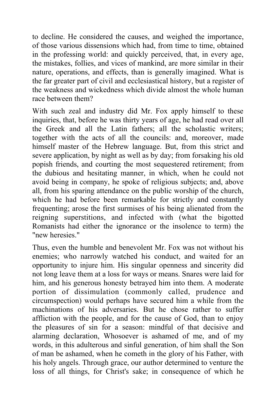to decline. He considered the causes, and weighed the importance, of those various dissensions which had, from time to time, obtained in the professing world: and quickly perceived, that, in every age, the mistakes, follies, and vices of mankind, are more similar in their nature, operations, and effects, than is generally imagined. What is the far greater part of civil and ecclesiastical history, but a register of the weakness and wickedness which divide almost the whole human race between them?

With such zeal and industry did Mr. Fox apply himself to these inquiries, that, before he was thirty years of age, he had read over all the Greek and all the Latin fathers; all the scholastic writers; together with the acts of all the councils: and, moreover, made himself master of the Hebrew language. But, from this strict and severe application, by night as well as by day; from forsaking his old popish friends, and courting the most sequestered retirement; from the dubious and hesitating manner, in which, when he could not avoid being in company, he spoke of religious subjects; and, above all, from his sparing attendance on the public worship of the church, which he had before been remarkable for strictly and constantly frequenting; arose the first surmises of his being alienated from the reigning superstitions, and infected with (what the bigotted Romanists had either the ignorance or the insolence to term) the "new heresies."

Thus, even the humble and benevolent Mr. Fox was not without his enemies; who narrowly watched his conduct, and waited for an opportunity to injure him. His singular openness and sincerity did not long leave them at a loss for ways or means. Snares were laid for him, and his generous honesty betrayed him into them. A moderate portion of dissimulation (commonly called, prudence and circumspection) would perhaps have secured him a while from the machinations of his adversaries. But he chose rather to suffer affliction with the people, and for the cause of God, than to enjoy the pleasures of sin for a season: mindful of that decisive and alarming declaration, Whosoever is ashamed of me, and of my words, in this adulterous and sinful generation, of him shall the Son of man be ashamed, when he cometh in the glory of his Father, with his holy angels. Through grace, our author determined to venture the loss of all things, for Christ's sake; in consequence of which he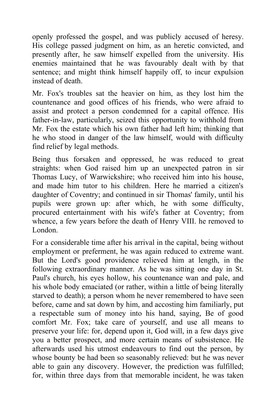openly professed the gospel, and was publicly accused of heresy. His college passed judgment on him, as an heretic convicted, and presently after, he saw himself expelled from the university. His enemies maintained that he was favourably dealt with by that sentence; and might think himself happily off, to incur expulsion instead of death.

Mr. Fox's troubles sat the heavier on him, as they lost him the countenance and good offices of his friends, who were afraid to assist and protect a person condemned for a capital offence. His father-in-law, particularly, seized this opportunity to withhold from Mr. Fox the estate which his own father had left him; thinking that he who stood in danger of the law himself, would with difficulty find relief by legal methods.

Being thus forsaken and oppressed, he was reduced to great straights: when God raised him up an unexpected patron in sir Thomas Lucy, of Warwickshire; who received him into his house, and made him tutor to his children. Here he married a citizen's daughter of Coventry; and continued in sir Thomas' family, until his pupils were grown up: after which, he with some difficulty, procured entertainment with his wife's father at Coventry; from whence, a few years before the death of Henry VIII. he removed to London.

For a considerable time after his arrival in the capital, being without employment or preferment, he was again reduced to extreme want. But the Lord's good providence relieved him at length, in the following extraordinary manner. As he was sitting one day in St. Paul's church, his eyes hollow, his countenance wan and pale, and his whole body emaciated (or rather, within a little of being literally starved to death); a person whom he never remembered to have seen before, came and sat down by him, and accosting him familiarly, put a respectable sum of money into his hand, saying, Be of good comfort Mr. Fox; take care of yourself, and use all means to preserve your life: for, depend upon it, God will, in a few days give you a better prospect, and more certain means of subsistence. He afterwards used his utmost endeavours to find out the person, by whose bounty be had been so seasonably relieved: but he was never able to gain any discovery. However, the prediction was fulfilled; for, within three days from that memorable incident, he was taken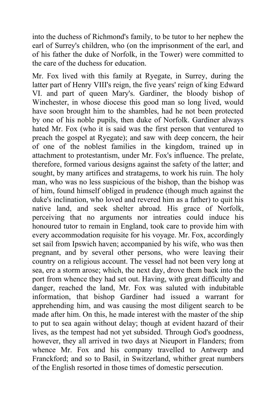into the duchess of Richmond's family, to be tutor to her nephew the earl of Surrey's children, who (on the imprisonment of the earl, and of his father the duke of Norfolk, in the Tower) were committed to the care of the duchess for education.

Mr. Fox lived with this family at Ryegate, in Surrey, during the latter part of Henry VIII's reign, the five years' reign of king Edward VI. and part of queen Mary's. Gardiner, the bloody bishop of Winchester, in whose diocese this good man so long lived, would have soon brought him to the shambles, had he not been protected by one of his noble pupils, then duke of Norfolk. Gardiner always hated Mr. Fox (who it is said was the first person that ventured to preach the gospel at Ryegate); and saw with deep concern, the heir of one of the noblest families in the kingdom, trained up in attachment to protestantism, under Mr. Fox's influence. The prelate, therefore, formed various designs against the safety of the latter; and sought, by many artifices and stratagems, to work his ruin. The holy man, who was no less suspicious of the bishop, than the bishop was of him, found himself obliged in prudence (though much against the duke's inclination, who loved and revered him as a father) to quit his native land, and seek shelter abroad. His grace of Norfolk, perceiving that no arguments nor intreaties could induce his honoured tutor to remain in England, took care to provide him with every accommodation requisite for his voyage. Mr. Fox, accordingly set sail from Ipswich haven; accompanied by his wife, who was then pregnant, and by several other persons, who were leaving their country on a religious account. The vessel had not been very long at sea, ere a storm arose; which, the next day, drove them back into the port from whence they had set out. Having, with great difficulty and danger, reached the land, Mr. Fox was saluted with indubitable information, that bishop Gardiner had issued a warrant for apprehending him, and was causing the most diligent search to be made after him. On this, he made interest with the master of the ship to put to sea again without delay; though at evident hazard of their lives, as the tempest had not yet subsided. Through God's goodness, however, they all arrived in two days at Nieuport in Flanders; from whence Mr. Fox and his company travelled to Antwerp and Franckford; and so to Basil, in Switzerland, whither great numbers of the English resorted in those times of domestic persecution.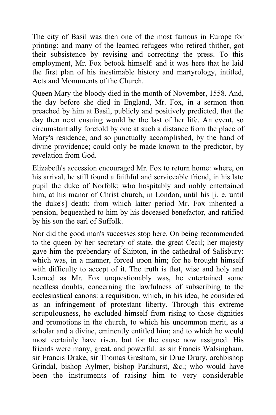The city of Basil was then one of the most famous in Europe for printing: and many of the learned refugees who retired thither, got their subsistence by revising and correcting the press. To this employment, Mr. Fox betook himself: and it was here that he laid the first plan of his inestimable history and martyrology, intitled, Acts and Monuments of the Church.

Queen Mary the bloody died in the month of November, 1558. And, the day before she died in England, Mr. Fox, in a sermon then preached by him at Basil, publicly and positively predicted, that the day then next ensuing would be the last of her life. An event, so circumstantially foretold by one at such a distance from the place of Mary's residence; and so punctually accomplished, by the hand of divine providence; could only be made known to the predictor, by revelation from God.

Elizabeth's accession encouraged Mr. Fox to return home: where, on his arrival, he still found a faithful and serviceable friend, in his late pupil the duke of Norfolk; who hospitably and nobly entertained him, at his manor of Christ church, in London, until his [i. e. until the duke's] death; from which latter period Mr. Fox inherited a pension, bequeathed to him by his deceased benefactor, and ratified by his son the earl of Suffolk.

Nor did the good man's successes stop here. On being recommended to the queen by her secretary of state, the great Cecil; her majesty gave him the prebendary of Shipton, in the cathedral of Salisbury: which was, in a manner, forced upon him; for he brought himself with difficulty to accept of it. The truth is that, wise and holy and learned as Mr. Fox unquestionably was, he entertained some needless doubts, concerning the lawfulness of subscribing to the ecclesiastical canons: a requisition, which, in his idea, he considered as an infringement of protestant liberty. Through this extreme scrupulousness, he excluded himself from rising to those dignities and promotions in the church, to which his uncommon merit, as a scholar and a divine, eminently entitled him; and to which he would most certainly have risen, but for the cause now assigned. His friends were many, great, and powerful: as sir Francis Walsingham, sir Francis Drake, sir Thomas Gresham, sir Drue Drury, archbishop Grindal, bishop Aylmer, bishop Parkhurst, &c.; who would have been the instruments of raising him to very considerable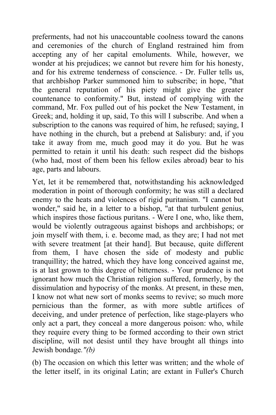preferments, had not his unaccountable coolness toward the canons and ceremonies of the church of England restrained him from accepting any of her capital emoluments. While, however, we wonder at his prejudices; we cannot but revere him for his honesty, and for his extreme tenderness of conscience. - Dr. Fuller tells us, that archbishop Parker summoned him to subscribe; in hope, "that the general reputation of his piety might give the greater countenance to conformity." But, instead of complying with the command, Mr. Fox pulled out of his pocket the New Testament, in Greek; and, holding it up, said, To this will I subscribe. And when a subscription to the canons was required of him, he refused; saying, I have nothing in the church, but a prebend at Salisbury: and, if you take it away from me, much good may it do you. But he was permitted to retain it until his death: such respect did the bishops (who had, most of them been his fellow exiles abroad) bear to his age, parts and labours.

Yet, let it be remembered that, notwithstanding his acknowledged moderation in point of thorough conformity; he was still a declared enemy to the heats and violences of rigid puritanism. "I cannot but wonder," said he, in a letter to a bishop, "at that turbulent genius, which inspires those factious puritans. - Were I one, who, like them, would be violently outrageous against bishops and archbishops; or join myself with them, i. e. become mad, as they are; I had not met with severe treatment [at their hand]. But because, quite different from them, I have chosen the side of modesty and public tranquillity; the hatred, which they have long conceived against me, is at last grown to this degree of bitterness. - Your prudence is not ignorant how much the Christian religion suffered, formerly, by the dissimulation and hypocrisy of the monks. At present, in these men, I know not what new sort of monks seems to revive; so much more pernicious than the former, as with more subtle artifices of deceiving, and under pretence of perfection, like stage-players who only act a part, they conceal a more dangerous poison: who, while they require every thing to be formed according to their own strict discipline, will not desist until they have brought all things into Jewish bondage*."(b)*

(b) The occasion on which this letter was written; and the whole of the letter itself, in its original Latin; are extant in Fuller's Church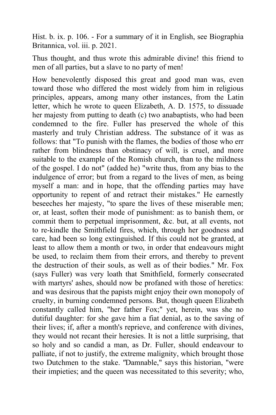Hist. b. ix. p. 106. - For a summary of it in English, see Biographia Britannica, vol. iii. p. 2021.

Thus thought, and thus wrote this admirable divine! this friend to men of all parties, but a slave to no party of men!

How benevolently disposed this great and good man was, even toward those who differed the most widely from him in religious principles, appears, among many other instances, from the Latin letter, which he wrote to queen Elizabeth, A. D. 1575, to dissuade her majesty from putting to death (c) two anabaptists, who had been condemned to the fire. Fuller has preserved the whole of this masterly and truly Christian address. The substance of it was as follows: that "To punish with the flames, the bodies of those who err rather from blindness than obstinacy of will, is cruel, and more suitable to the example of the Romish church, than to the mildness of the gospel. I do not" (added he) "write thus, from any bias to the indulgence of error; but from a regard to the lives of men, as being myself a man: and in hope, that the offending parties may have opportunity to repent of and retract their mistakes." He earnestly beseeches her majesty, "to spare the lives of these miserable men; or, at least, soften their mode of punishment: as to banish them, or commit them to perpetual imprisonment, &c. but, at all events, not to re-kindle the Smithfield fires, which, through her goodness and care, had been so long extinguished. If this could not be granted, at least to allow them a month or two, in order that endeavours might be used, to reclaim them from their errors, and thereby to prevent the destruction of their souls, as well as of their bodies." Mr. Fox (says Fuller) was very loath that Smithfield, formerly consecrated with martyrs' ashes, should now be profaned with those of heretics: and was desirous that the papists might enjoy their own monopoly of cruelty, in burning condemned persons. But, though queen Elizabeth constantly called him, "her father Fox;" yet, herein, was she no dutiful daughter: for she gave him a fiat denial, as to the saving of their lives; if, after a month's reprieve, and conference with divines, they would not recant their heresies. It is not a little surprising, that so holy and so candid a man, as Dr. Fuller, should endeavour to palliate, if not to justify, the extreme malignity, which brought those two Dutchmen to the stake. *"*Damnable," says this historian, "were their impieties; and the queen was necessitated to this severity; who,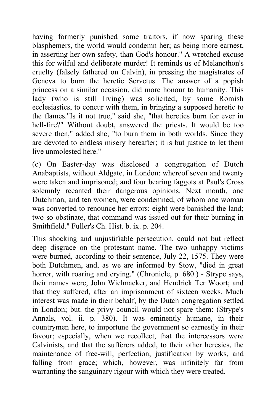having formerly punished some traitors, if now sparing these blasphemers, the world would condemn her; as being more earnest, in asserting her own safety, than God's honour." A wretched excuse this for wilful and deliberate murder! It reminds us of Melancthon's cruelty (falsely fathered on Calvin), in pressing the magistrates of Geneva to burn the heretic Servetus. The answer of a popish princess on a similar occasion, did more honour to humanity. This lady (who is still living) was solicited, by some Romish ecclesiastics, to concur with them, in bringing a supposed heretic to the flames."Is it not true," said she, "that heretics burn for ever in hell-fire?" Without doubt, answered the priests. It would be too severe then," added she, "to burn them in both worlds. Since they are devoted to endless misery hereafter; it is but justice to let them live unmolested here."

(c) On Easter-day was disclosed a congregation of Dutch Anabaptists, without Aldgate, in London: whereof seven and twenty were taken and imprisoned; and four bearing faggots at Paul's Cross solemnly recanted their dangerous opinions. Next month, one Dutchman, and ten women, were condemned, of whom one woman was converted to renounce her errors; eight were banished the land; two so obstinate, that command was issued out for their burning in Smithfield." Fuller's Ch. Hist. b. ix. p. 204.

This shocking and unjustifiable persecution, could not but reflect deep disgrace on the protestant name. The two unhappy victims were burned, according to their sentence, July 22, 1575. They were both Dutchmen, and, as we are informed by Stow, "died in great horror, with roaring and crying." (Chronicle, p. 680.) - Strype says, their names were, John Wielmacker, and Hendrick Ter Woort; and that they suffered, after an imprisonment of sixteen weeks. Much interest was made in their behalf, by the Dutch congregation settled in London; but. the privy council would not spare them: (Strype's Annals, vol. ii. p. 380). It was eminently humane, in their countrymen here, to importune the government so earnestly in their favour; especially, when we recollect, that the intercessors were Calvinists, and that the sufferers added, to their other heresies, the maintenance of free-will, perfection, justification by works, and falling from grace; which, however, was infinitely far from warranting the sanguinary rigour with which they were treated.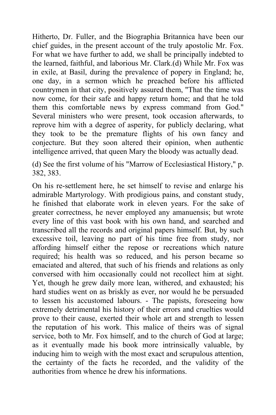Hitherto, Dr. Fuller, and the Biographia Britannica have been our chief guides, in the present account of the truly apostolic Mr. Fox. For what we have further to add, we shall be principally indebted to the learned, faithful, and laborious Mr. Clark.(d) While Mr. Fox was in exile, at Basil, during the prevalence of popery in England; he, one day, in a sermon which he preached before his afflicted countrymen in that city, positively assured them, "That the time was now come, for their safe and happy return home; and that he told them this comfortable news by express command from God." Several ministers who were present, took occasion afterwards, to reprove him with a degree of asperity, for publicly declaring, what they took to be the premature flights of his own fancy and conjecture. But they soon altered their opinion, when authentic intelligence arrived, that queen Mary the bloody was actually dead.

(d) See the first volume of his "Marrow of Ecclesiastical History," p. 382, 383.

On his re-settlement here, he set himself to revise and enlarge his admirable Martyrology. With prodigious pains, and constant study, he finished that elaborate work in eleven years. For the sake of greater correctness, he never employed any amanuensis; but wrote every line of this vast book with his own hand, and searched and transcribed all the records and original papers himself. But, by such excessive toil, leaving no part of his time free from study, nor affording himself either the repose or recreations which nature required; his health was so reduced, and his person became so emaciated and altered, that such of his friends and relations as only conversed with him occasionally could not recollect him at sight. Yet, though he grew daily more lean, withered, and exhausted; his hard studies went on as briskly as ever, nor would he be persuaded to lessen his accustomed labours. - The papists, foreseeing how extremely detrimental his history of their errors and cruelties would prove to their cause, exerted their whole art and strength to lessen the reputation of his work. This malice of theirs was of signal service, both to Mr. Fox himself, and to the church of God at large; as it eventually made his book more intrinsically valuable, by inducing him to weigh with the most exact and scrupulous attention, the certainty of the facts he recorded, and the validity of the authorities from whence he drew his informations.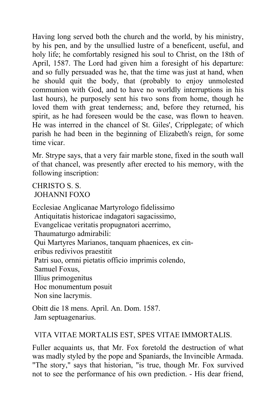Having long served both the church and the world, by his ministry, by his pen, and by the unsullied lustre of a beneficent, useful, and holy life; he comfortably resigned his soul to Christ, on the 18th of April, 1587. The Lord had given him a foresight of his departure: and so fully persuaded was he, that the time was just at hand, when he should quit the body, that (probably to enjoy unmolested communion with God, and to have no worldly interruptions in his last hours), he purposely sent his two sons from home, though he loved them with great tenderness; and, before they returned, his spirit, as he had foreseen would be the case, was flown to heaven. He was interred in the chancel of St. Giles', Cripplegate; of which parish he had been in the beginning of Elizabeth's reign, for some time vicar.

Mr. Strype says, that a very fair marble stone, fixed in the south wall of that chancel, was presently after erected to his memory, with the following inscription:

#### CHRISTO S. S. JOHANNI FOXO

Ecclesiae Anglicanae Martyrologo fidelissimo Antiquitatis historicae indagatori sagacissimo, Evangelicae veritatis propugnatori acerrimo, Thaumaturgo admirabili: Qui Martyres Marianos, tanquam phaenices, ex cin eribus redivivos praestitit Patri suo, ornni pietatis officio imprimis colendo, Samuel Foxus, Illius primogenitus Hoc monumentum posuit Non sine lacrymis.

Obitt die 18 mens. April. An. Dom. 1587. Jam septuagenarius.

#### VlTA VITAE MORTALIS EST, SPES VITAE IMMORTALIS.

Fuller acquaints us, that Mr. Fox foretold the destruction of what was madly styled by the pope and Spaniards, the Invincible Armada. "The story," says that historian, "is true, though Mr. Fox survived not to see the performance of his own prediction. - His dear friend,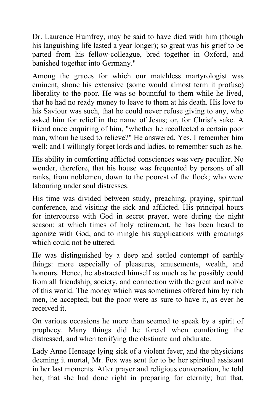Dr. Laurence Humfrey, may be said to have died with him (though his languishing life lasted a year longer); so great was his grief to be parted from his fellow-colleague, bred together in Oxford, and banished together into Germany."

Among the graces for which our matchless martyrologist was eminent, shone his extensive (some would almost term it profuse) liberality to the poor. He was so bountiful to them while he lived, that he had no ready money to leave to them at his death. His love to his Saviour was such, that he could never refuse giving to any, who asked him for relief in the name of Jesus; or, for Christ's sake. A friend once enquiring of him, "whether he recollected a certain poor man, whom he used to relieve?" He answered, Yes, I remember him well: and I willingly forget lords and ladies, to remember such as he.

His ability in comforting afflicted consciences was very peculiar. No wonder, therefore, that his house was frequented by persons of all ranks, from noblemen, down to the poorest of the flock; who were labouring under soul distresses.

His time was divided between study, preaching, praying, spiritual conference, and visiting the sick and afflicted. His principal hours for intercourse with God in secret prayer, were during the night season: at which times of holy retirement, he has been heard to agonize with God, and to mingle his supplications with groanings which could not be uttered.

He was distinguished by a deep and settled contempt of earthly things: more especially of pleasures, amusements, wealth, and honours. Hence, he abstracted himself as much as he possibly could from all friendship, society, and connection with the great and noble of this world. The money which was sometimes offered him by rich men, he accepted; but the poor were as sure to have it, as ever he received it.

On various occasions he more than seemed to speak by a spirit of prophecy. Many things did he foretel when comforting the distressed, and when terrifying the obstinate and obdurate.

Lady Anne Heneage lying sick of a violent fever, and the physicians deeming it mortal, Mr. Fox was sent for to be her spiritual assistant in her last moments. After prayer and religious conversation, he told her, that she had done right in preparing for eternity; but that,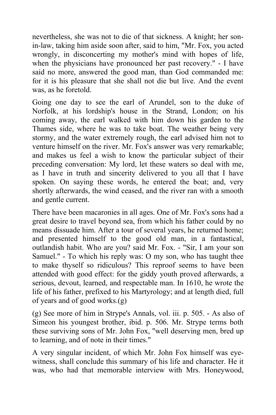nevertheless, she was not to die of that sickness. A knight; her sonin-law, taking him aside soon after, said to him, "Mr. Fox, you acted wrongly, in disconcerting my mother's mind with hopes of life, when the physicians have pronounced her past recovery." - I have said no more, answered the good man, than God commanded me: for it is his pleasure that she shall not die but live. And the event was, as he foretold.

Going one day to see the earl of Arundel, son to the duke of Norfolk, at his lordship's house in the Strand, London; on his coming away, the earl walked with him down his garden to the Thames side, where he was to take boat. The weather being very stormy, and the water extremely rough, the earl advised him not to venture himself on the river. Mr. Fox's answer was very remarkable; and makes us feel a wish to know the particular subject of their preceding conversation: My lord, let these waters so deal with me, as I have in truth and sincerity delivered to you all that I have spoken. On saying these words, he entered the boat; and, very shortly afterwards, the wind ceased, and the river ran with a smooth and gentle current.

There have been macaronies in all ages. One of Mr. Fox's sons had a great desire to travel beyond sea, from which his father could by no means dissuade him. After a tour of several years, he returned home; and presented himself to the good old man, in a fantastical, outlandish habit. Who are you? said Mr. Fox. - "Sir, I am your son Samuel." - To which his reply was: O my son, who has taught thee to make thyself so ridiculous? This reproof seems to have been attended with good effect: for the giddy youth proved afterwards, a serious, devout, learned, and respectable man. In 1610, he wrote the life of his father, prefixed to his Martyrology; and at length died, full of years and of good works.(g)

(g) See more of him in Strype's Annals, vol. iii. p. 505. - As also of Simeon his youngest brother, ibid. p. 506. Mr. Strype terms both these surviving sons of Mr. John Fox, "well deserving men, bred up to learning, and of note in their times."

A very singular incident, of which Mr. John Fox himself was eyewitness, shall conclude this summary of his life and character. He it was, who had that memorable interview with Mrs. Honeywood,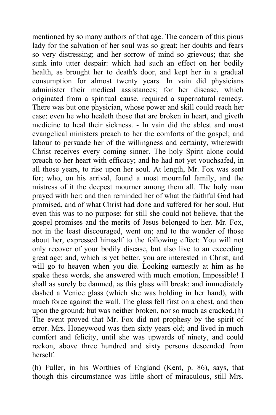mentioned by so many authors of that age. The concern of this pious lady for the salvation of her soul was so great; her doubts and fears so very distressing; and her sorrow of mind so grievous; that she sunk into utter despair: which had such an effect on her bodily health, as brought her to death's door, and kept her in a gradual consumption for almost twenty years. In vain did physicians administer their medical assistances; for her disease, which originated from a spiritual cause, required a supernatural remedy. There was but one physician, whose power and skill could reach her case: even he who healeth those that are broken in heart, and giveth medicine to heal their sickness. - In vain did the ablest and most evangelical ministers preach to her the comforts of the gospel; and labour to persuade her of the willingness and certainty, wherewith Christ receives every coming sinner. The holy Spirit alone could preach to her heart with efficacy; and he had not yet vouchsafed, in all those years, to rise upon her soul. At length, Mr. Fox was sent for; who, on his arrival, found a most mournful family, and the mistress of it the deepest mourner among them all. The holy man prayed with her; and then reminded her of what the faithful God had promised, and of what Christ had done and suffered for her soul. But even this was to no purpose: for still she could not believe, that the gospel promises and the merits of Jesus belonged to her. Mr. Fox, not in the least discouraged, went on; and to the wonder of those about her, expressed himself to the following effect: You will not only recover of your bodily disease, but also live to an exceeding great age; and, which is yet better, you are interested in Christ, and will go to heaven when you die. Looking earnestly at him as he spake these words, she answered with much emotion, Impossible! I shall as surely be damned, as this glass will break: and immediately dashed a Venice glass (which she was holding in her hand), with much force against the wall. The glass fell first on a chest, and then upon the ground; but was neither broken, nor so much as cracked.(h) The event proved that Mr. Fox did not prophesy by the spirit of error. Mrs. Honeywood was then sixty years old; and lived in much comfort and felicity, until she was upwards of ninety, and could reckon, above three hundred and sixty persons descended from herself.

(h) Fuller, in his Worthies of England (Kent, p. 86), says, that though this circumstance was little short of miraculous, still Mrs.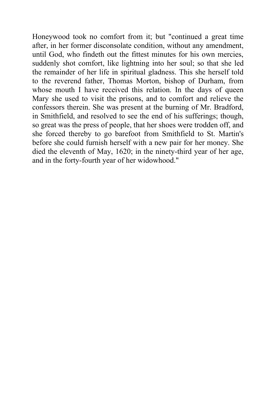Honeywood took no comfort from it; but "continued a great time after, in her former disconsolate condition, without any amendment, until God, who findeth out the fittest minutes for his own mercies, suddenly shot comfort, like lightning into her soul; so that she led the remainder of her life in spiritual gladness. This she herself told to the reverend father, Thomas Morton, bishop of Durham, from whose mouth I have received this relation. In the days of queen Mary she used to visit the prisons, and to comfort and relieve the confessors therein. She was present at the burning of Mr. Bradford, in Smithfield, and resolved to see the end of his sufferings; though, so great was the press of people, that her shoes were trodden off, and she forced thereby to go barefoot from Smithfield to St. Martin's before she could furnish herself with a new pair for her money. She died the eleventh of May, 1620; in the ninety-third year of her age, and in the forty-fourth year of her widowhood."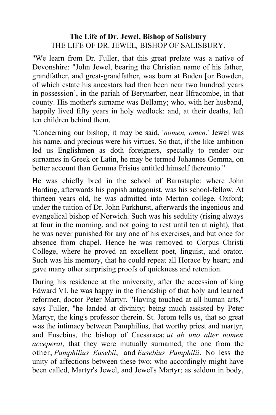#### **The Life of Dr. Jewel, Bishop of Salisbury** THE LIFE OF DR. JEWEL*,* BISHOP OF SALISBURY.

"We learn from Dr. Fuller, that this great prelate was a native of Devonshire: "John Jewel, bearing the Christian name of his father, grandfather, and great-grandfather, was born at Buden [or Bowden, of which estate his ancestors had then been near two hundred years in possession], in the pariah of Berynarber, near Ilfracombe, in that county. His mother's surname was Bellamy; who, with her husband, happily lived fifty years in holy wedlock: and, at their deaths, left ten children behind them.

"Concerning our bishop, it may be said, '*nomen, omen*.' Jewel was his name, and precious were his virtues. So that, if the like ambition led us Englishmen as doth foreigners, specially to render our surnames in Greek or Latin, he may be termed Johannes Gemma, on better account than Gemma Frisius entitled himself thereunto."

He was chiefly bred in the school of Barnstaple: where John Harding, afterwards his popish antagonist, was his school-fellow. At thirteen years old, he was admitted into Merton college, Oxford; under the tuition of Dr. John Parkhurst, afterwards the ingenious and evangelical bishop of Norwich. Such was his sedulity (rising always at four in the morning, and not going to rest until ten at night), that he was never punished for any one of his exercises, and but once for absence from chapel. Hence he was removed to Corpus Christi College, where he proved an excellent poet, linguist, and orator. Such was his memory, that he could repeat all Horace by heart; and gave many other surprising proofs of quickness and retention.

During his residence at the university, after the accession of king Edward VI. he was happy in the friendship of that holy and learned reformer, doctor Peter Martyr. "Having touched at all human arts," says Fuller, "he landed at divinity; being much assisted by Peter Martyr, the king's professor therein. St. Jerom tells us, that so great was the intimacy between Pamphilius, that worthy priest and martyr, and Eusebius, the bishop of Caesaraea; *ut ab uno alter nomen acceperat*, that they were mutually surnamed, the one from the other, *Pamphilius Eusebii*, and *Eusebius Pamphilii*. No less the unity of affections between these two; who accordingly might have been called, Martyr's Jewel, and Jewel's Martyr; as seldom in body,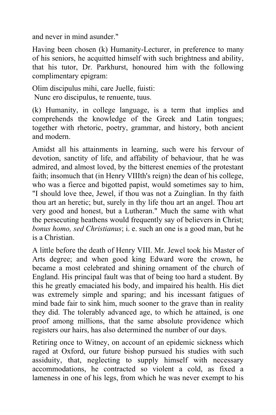and never in mind asunder."

Having been chosen (k) Humanity-Lecturer, in preference to many of his seniors, he acquitted himself with such brightness and ability, that his tutor, Dr. Parkhurst, honoured him with the following complimentary epigram:

Olim discipulus mihi, care Juelle, fuisti:

Nunc ero discipulus, te renuente, tuus.

(k) Humanity, in college language, is a term that implies and comprehends the knowledge of the Greek and Latin tongues; together with rhetoric, poetry, grammar, and history, both ancient and modern.

Amidst all his attainments in learning, such were his fervour of devotion, sanctity of life, and affability of behaviour, that he was admired, and almost loved, by the bitterest enemies of the protestant faith; insomuch that (in Henry VIIIth's reign) the dean of his college, who was a fierce and bigotted papist, would sometimes say to him, "I should love thee, Jewel, if thou was not a Zuinglian. In thy faith thou art an heretic; but, surely in thy life thou art an angel. Thou art very good and honest, but a Lutheran." Much the same with what the persecuting heathens would frequently say of believers in Christ; *bonus homo, sed Christianus*; i. e. such an one is a good man, but he is a Christian.

A little before the death of Henry VIII. Mr. Jewel took his Master of Arts degree; and when good king Edward wore the crown, he became a most celebrated and shining ornament of the church of England. His principal fault was that of being too hard a student. By this he greatly emaciated his body, and impaired his health. His diet was extremely simple and sparing; and his incessant fatigues of mind bade fair to sink him, much sooner to the grave than in reality they did. The tolerably advanced age, to which he attained, is one proof among millions, that the same absolute providence which registers our hairs, has also determined the number of our days.

Retiring once to Witney, on account of an epidemic sickness which raged at Oxford, our future bishop pursued his studies with such assiduity, that, neglecting to supply himself with necessary accommodations, he contracted so violent a cold, as fixed a lameness in one of his legs, from which he was never exempt to his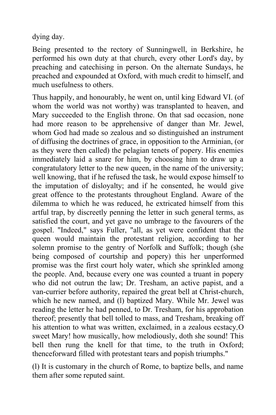dying day.

Being presented to the rectory of Sunningwell, in Berkshire, he performed his own duty at that church, every other Lord's day, by preaching and catechising in person. On the alternate Sundays, he preached and expounded at Oxford, with much credit to himself, and much usefulness to others.

Thus happily, and honourably, he went on, until king Edward VI. (of whom the world was not worthy) was transplanted to heaven, and Mary succeeded to the English throne. On that sad occasion, none had more reason to be apprehensive of danger than Mr. Jewel, whom God had made so zealous and so distinguished an instrument of diffusing the doctrines of grace, in opposition to the Arminian, (or as they were then called) the pelagian tenets of popery. His enemies immediately laid a snare for him, by choosing him to draw up a congratulatory letter to the new queen, in the name of the university; well knowing, that if he refused the task, he would expose himself to the imputation of disloyalty; and if he consented, he would give great offence to the protestants throughout England. Aware of the dilemma to which he was reduced, he extricated himself from this artful trap, by discreetly penning the letter in such general terms, as satisfied the court, and yet gave no umbrage to the favourers of the gospel. "Indeed," says Fuller, "all, as yet were confident that the queen would maintain the protestant religion, according to her solemn promise to the gentry of Norfolk and Suffolk; though (she being composed of courtship and popery) this her unperformed promise was the first court holy water, which she sprinkled among the people. And, because every one was counted a truant in popery who did not outrun the law; Dr. Tresham, an active papist, and a van-currier before authority, repaired the great bell at Christ-church, which he new named, and (I) baptized Mary. While Mr. Jewel was reading the letter he had penned, to Dr. Tresham, for his approbation thereof; presently that bell tolled to mass, and Tresham, breaking off his attention to what was written, exclaimed, in a zealous ecstacy*,*O sweet Mary! how musically, how melodiously, doth she sound! This bell then rung the knell for that time, to the truth in Oxford; thenceforward filled with protestant tears and popish triumphs."

(l) It is customary in the church of Rome, to baptize bells, and name them after some reputed saint.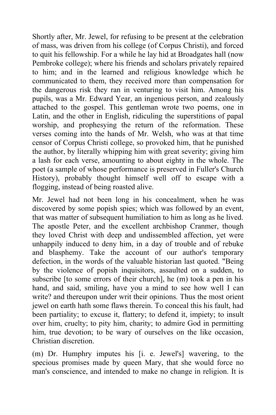Shortly after, Mr. Jewel, for refusing to be present at the celebration of mass, was driven from his college (of Corpus Christi), and forced to quit his fellowship. For a while he lay hid at Broadgates hall (now Pembroke college); where his friends and scholars privately repaired to him; and in the learned and religious knowledge which he communicated to them, they received more than compensation for the dangerous risk they ran in venturing to visit him. Among his pupils, was a Mr. Edward Year, an ingenious person, and zealously attached to the gospel. This gentleman wrote two poems, one in Latin, and the other in English, ridiculing the superstitions of papal worship, and prophesying the return of the reformation. These verses coming into the hands of Mr. Welsh, who was at that time censor of Corpus Christi college, so provoked him, that he punished the author, by literally whipping him with great severity; giving him a lash for each verse, amounting to about eighty in the whole. The poet (a sample of whose performance is preserved in Fuller's Church History), probably thought himself well off to escape with a flogging, instead of being roasted alive.

Mr. Jewel had not been long in his concealment, when he was discovered by some popish spies; which was followed by an event, that was matter of subsequent humiliation to him as long as he lived. The apostle Peter, and the excellent archbishop Cranmer, though they loved Christ with deep and undissembled affection, yet were unhappily induced to deny him, in a day of trouble and of rebuke and blasphemy. Take the account of our author's temporary defection, in the words of the valuable historian last quoted. "Being by the violence of popish inquisitors, assaulted on a sudden, to subscribe [to some errors of their church], he (m) took a pen in his hand, and said, smiling, have you a mind to see how well I can write? and thereupon under writ their opinions. Thus the most orient jewel on earth hath some flaws therein. To conceal this his fault, had been partiality; to excuse it, flattery; to defend it, impiety; to insult over him, cruelty; to pity him, charity; to admire God in permitting him, true devotion; to be wary of ourselves on the like occasion, Christian discretion.

(m) Dr. Humphry imputes his [i. e. Jewel's] wavering, to the specious promises made by queen Mary, that she would force no man's conscience, and intended to make no change in religion. It is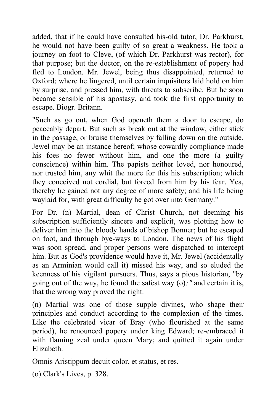added, that if he could have consulted his-old tutor, Dr. Parkhurst, he would not have been guilty of so great a weakness. He took a journey on foot to Cleve, (of which Dr. Parkhurst was rector), for that purpose; but the doctor, on the re-establishment of popery had fled to London. Mr. Jewel, being thus disappointed, returned to Oxford; where he lingered, until certain inquisitors laid hold on him by surprise, and pressed him, with threats to subscribe. But he soon became sensible of his apostasy, and took the first opportunity to escape. Biogr. Britann.

"Such as go out, when God openeth them a door to escape, do peaceably depart. But such as break out at the window, either stick in the passage, or bruise themselves by falling down on the outside. Jewel may be an instance hereof; whose cowardly compliance made his foes no fewer without him, and one the more (a guilty conscience) within him. The papists neither loved, nor honoured, nor trusted him, any whit the more for this his subscription; which they conceived not cordial, but forced from him by his fear. Yea, thereby he gained not any degree of more safety; and his life being waylaid for, with great difficulty he got over into Germany."

For Dr. (n) Martial, dean of Christ Church, not deeming his subscription sufficiently sincere and explicit, was plotting how to deliver him into the bloody hands of bishop Bonner; but he escaped on foot, and through bye-ways to London. The news of his flight was soon spread, and proper persons were dispatched to intercept him. But as God's providence would have it, Mr. Jewel (accidentally as an Arminian would call it) missed his way, and so eluded the keenness of his vigilant pursuers. Thus, says a pious historian, "by going out of the way, he found the safest way (o)*;"* and certain it is, that the wrong way proved the right.

(n) Martial was one of those supple divines, who shape their principles and conduct according to the complexion of the times. Like the celebrated vicar of Bray (who flourished at the same period), he renounced popery under king Edward; re-embraced it with flaming zeal under queen Mary; and quitted it again under Elizabeth.

Omnis Aristippum decuit color, et status, et res.

(o) Clark's Lives, p. 328.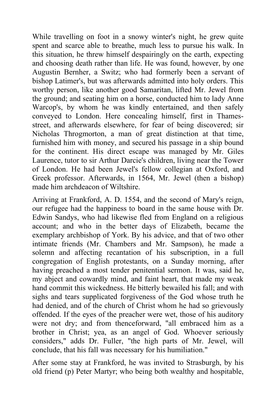While travelling on foot in a snowy winter's night, he grew quite spent and scarce able to breathe, much less to pursue his walk. In this situation, he threw himself despairingly on the earth, expecting and choosing death rather than life. He was found, however, by one Augustin Bernher, a Switz; who had formerly been a servant of bishop Latimer's, but was afterwards admitted into holy orders. This worthy person, like another good Samaritan, lifted Mr. Jewel from the ground; and seating him on a horse, conducted him to lady Anne Warcop's, by whom he was kindly entertained, and then safely conveyed to London. Here concealing himself, first in Thamesstreet, and afterwards elsewhere, for fear of being discovered; sir Nicholas Throgmorton, a man of great distinction at that time, furnished him with money, and secured his passage in a ship bound for the continent. His direct escape was managed by Mr. Giles Laurence, tutor to sir Arthur Darcie's children, living near the Tower of London. He had been Jewel's fellow collegian at Oxford, and Greek professor. Afterwards, in 1564, Mr. Jewel (then a bishop) made him archdeacon of Wiltshire.

Arriving at Frankford, A. D. 1554, and the second of Mary's reign, our refugee had the happiness to board in the same house with Dr. Edwin Sandys, who had likewise fled from England on a religious account; and who in the better days of Elizabeth, became the exemplary archbishop of York. By his advice, and that of two other intimate friends (Mr. Chambers and Mr. Sampson), he made a solemn and affecting recantation of his subscription, in a full congregation of English protestants, on a Sunday morning, after having preached a most tender penitential sermon. It was, said he, my abject and cowardly mind, and faint heart, that made my weak hand commit this wickedness. He bitterly bewailed his fall; and with sighs and tears supplicated forgiveness of the God whose truth he had denied, and of the church of Christ whom he had so grievously offended. If the eyes of the preacher were wet, those of his auditory were not dry; and from thenceforward, "all embraced him as a brother in Christ; yea, as an angel of God. Whoever seriously considers," adds Dr. Fuller, "the high parts of Mr. Jewel, will conclude, that his fall was necessary for his humiliation."

After some stay at Frankford, he was invited to Strasburgh, by his old friend (p) Peter Martyr; who being both wealthy and hospitable,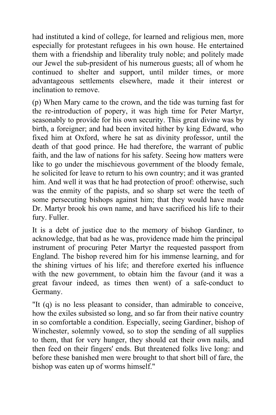had instituted a kind of college, for learned and religious men, more especially for protestant refugees in his own house. He entertained them with a friendship and liberality truly noble; and politely made our Jewel the sub-president of his numerous guests; all of whom he continued to shelter and support, until milder times, or more advantageous settlements elsewhere, made it their interest or inclination to remove.

(p) When Mary came to the crown, and the tide was turning fast for the re-introduction of popery, it was high time for Peter Martyr, seasonably to provide for his own security. This great divine was by birth, a foreigner; and had been invited hither by king Edward, who fixed him at Oxford, where he sat as divinity professor, until the death of that good prince. He had therefore, the warrant of public faith, and the law of nations for his safety. Seeing how matters were like to go under the mischievous government of the bloody female, he solicited for leave to return to his own country; and it was granted him. And well it was that he had protection of proof: otherwise, such was the enmity of the papists, and so sharp set were the teeth of some persecuting bishops against him; that they would have made Dr. Martyr brook his own name, and have sacrificed his life to their fury. Fuller.

It is a debt of justice due to the memory of bishop Gardiner, to acknowledge, that bad as he was, providence made him the principal instrument of procuring Peter Martyr the requested passport from England. The bishop revered him for his immense learning, and for the shining virtues of his life; and therefore exerted his influence with the new government, to obtain him the favour (and it was a great favour indeed, as times then went) of a safe-conduct to Germany.

"It (q) is no less pleasant to consider, than admirable to conceive, how the exiles subsisted so long, and so far from their native country in so comfortable a condition. Especially, seeing Gardiner, bishop of Winchester, solemnly vowed, so to stop the sending of all supplies to them, that for very hunger, they should eat their own nails, and then feed on their fingers' ends. But threatened folks live long: and before these banished men were brought to that short bill of fare, the bishop was eaten up of worms himself."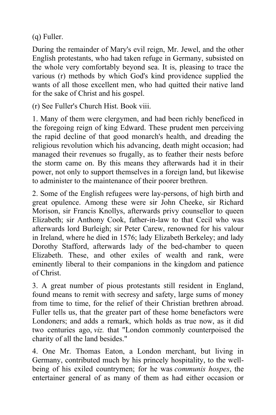(q) Fuller.

During the remainder of Mary's evil reign, Mr. Jewel, and the other English protestants, who had taken refuge in Germany, subsisted on the whole very comfortably beyond sea. It is, pleasing to trace the various (r) methods by which God's kind providence supplied the wants of all those excellent men, who had quitted their native land for the sake of Christ and his gospel.

(r) See Fuller's Church Hist. Book viii.

1. Many of them were clergymen, and had been richly beneficed in the foregoing reign of king Edward. These prudent men perceiving the rapid decline of that good monarch's health, and dreading the religious revolution which his advancing, death might occasion; had managed their revenues so frugally, as to feather their nests before the storm came on. By this means they afterwards had it in their power, not only to support themselves in a foreign land, but likewise to administer to the maintenance of their poorer brethren.

2. Some of the English refugees were lay-persons, of high birth and great opulence. Among these were sir John Cheeke, sir Richard Morison, sir Francis Knollys, afterwards privy counsellor to queen Elizabeth; sir Anthony Cook, father-in-law to that Cecil who was afterwards lord Burleigh; sir Peter Carew, renowned for his valour in Ireland, where he died in 1576; lady Elizabeth Berkeley; and lady Dorothy Stafford, afterwards lady of the bed-chamber to queen Elizabeth. These, and other exiles of wealth and rank, were eminently liberal to their companions in the kingdom and patience of Christ.

3. A great number of pious protestants still resident in England, found means to remit with secresy and safety, large sums of money from time to time, for the relief of their Christian brethren abroad. Fuller tells us, that the greater part of these home benefactors were Londoners; and adds a remark, which holds as true now, as it did two centuries ago, *viz.* that "London commonly counterpoised the charity of all the land besides."

4. One Mr. Thomas Eaton, a London merchant, but living in Germany, contributed much by his princely hospitality, to the wellbeing of his exiled countrymen; for he was *communis hospes*, the entertainer general of as many of them as had either occasion or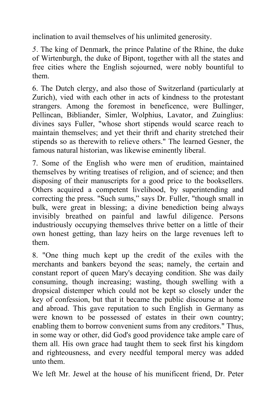inclination to avail themselves of his unlimited generosity.

*5.* The king of Denmark, the prince Palatine of the Rhine, the duke of Wirtenburgh, the duke of Bipont, together with all the states and free cities where the English sojourned, were nobly bountiful to them.

6. The Dutch clergy, and also those of Switzerland (particularly at Zurich), vied with each other in acts of kindness to the protestant strangers. Among the foremost in beneficence, were Bullinger, Pellincan, Bibliander, Simler, Wolphius, Lavator, and Zuinglius: divines says Fuller, "whose short stipends would scarce reach to maintain themselves; and yet their thrift and charity stretched their stipends so as therewith to relieve others." The learned Gesner, the famous natural historian, was likewise eminently liberal.

7. Some of the English who were men of erudition, maintained themselves by writing treatises of religion, and of science; and then disposing of their manuscripts for a good price to the booksellers. Others acquired a competent livelihood, by superintending and correcting the press. "Such sums," says Dr. Fuller, "though small in bulk, were great in blessing; a divine benediction being always invisibly breathed on painful and lawful diligence. Persons industriously occupying themselves thrive better on a little of their own honest getting, than lazy heirs on the large revenues left to them.

8. "One thing much kept up the credit of the exiles with the merchants and bankers beyond the seas; namely, the certain and constant report of queen Mary's decaying condition. She was daily consuming, though increasing; wasting, though swelling with a dropsical distemper which could not be kept so closely under the key of confession, but that it became the public discourse at home and abroad. This gave reputation to such English in Germany as were known to be possessed of estates in their own country; enabling them to borrow convenient sums from any creditors." Thus, in some way or other, did God's good providence take ample care of them all. His own grace had taught them to seek first his kingdom and righteousness, and every needful temporal mercy was added unto them.

We left Mr. Jewel at the house of his munificent friend, Dr. Peter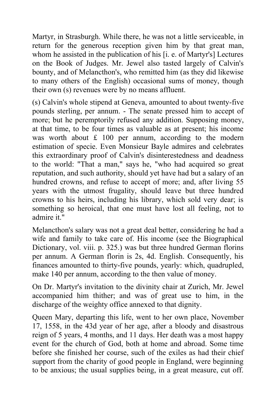Martyr, in Strasburgh. While there, he was not a little serviceable, in return for the generous reception given him by that great man, whom he assisted in the publication of his [i. e. of Martyr's] Lectures on the Book of Judges. Mr. Jewel also tasted largely of Calvin's bounty, and of Melancthon's, who remitted him (as they did likewise to many others of the English) occasional sums of money, though their own (s) revenues were by no means affluent.

(s) Calvin's whole stipend at Geneva, amounted to about twenty-five pounds sterling, per annum. - The senate pressed him to accept of more; but he peremptorily refused any addition. Supposing money, at that time, to be four times as valuable as at present; his income was worth about  $£ 100$  per annum, according to the modern estimation of specie. Even Monsieur Bayle admires and celebrates this extraordinary proof of Calvin's disinterestedness and deadness to the world: "That a man," says he, "who had acquired so great reputation, and such authority, should yet have had but a salary of an hundred crowns, and refuse to accept of more; and, after living 55 years with the utmost frugality, should leave but three hundred crowns to his heirs, including his library, which sold very dear; is something so heroical, that one must have lost all feeling, not to admire it."

Melancthon's salary was not a great deal better, considering he had a wife and family to take care of. His income (see the Biographical Dictionary, vol. viii. p. 325.) was but three hundred German florins per annum. A German florin is 2s, 4d. English. Consequently, his finances amounted to thirty-five pounds, yearly: which, quadrupled, make 140 per annum, according to the then value of money.

On Dr. Martyr's invitation to the divinity chair at Zurich, Mr. Jewel accompanied him thither; and was of great use to him, in the discharge of the weighty office annexed to that dignity.

Queen Mary, departing this life, went to her own place, November 17, 1558, in the 43d year of her age, after a bloody and disastrous reign of 5 years, 4 months, and 11 days. Her death was a most happy event for the church of God, both at home and abroad. Some time before she finished her course, such of the exiles as had their chief support from the charity of good people in England, were beginning to be anxious; the usual supplies being, in a great measure, cut off.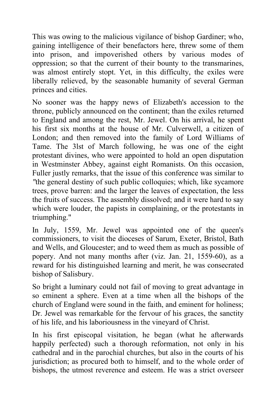This was owing to the malicious vigilance of bishop Gardiner; who, gaining intelligence of their benefactors here, threw some of them into prison, and impoverished others by various modes of oppression; so that the current of their bounty to the transmarines, was almost entirely stopt. Yet, in this difficulty, the exiles were liberally relieved, by the seasonable humanity of several German princes and cities.

No sooner was the happy news of Elizabeth's accession to the throne, publicly announced on the continent; than the exiles returned to England and among the rest, Mr. Jewel. On his arrival, he spent his first six months at the house of Mr. Culverwell, a citizen of London; and then removed into the family of Lord Williams of Tame. The 3lst of March following, he was one of the eight protestant divines, who were appointed to hold an open disputation in Westminster Abbey, against eight Romanists. On this occasion, Fuller justly remarks, that the issue of this conference was similar to *"*the general destiny of such public colloquies; which, like sycamore trees, prove barren: and the larger the leaves of expectation, the less the fruits of success. The assembly dissolved; and it were hard to say which were louder, the papists in complaining, or the protestants in triumphing."

In July, 1559, Mr. Jewel was appointed one of the queen's commissioners, to visit the dioceses of Sarum, Exeter, Bristol, Bath and Wells, and Gloucester; and to weed them as much as possible of popery. And not many months after (viz. Jan. 21, 1559-60), as a reward for his distinguished learning and merit, he was consecrated bishop of Salisbury.

So bright a luminary could not fail of moving to great advantage in so eminent a sphere. Even at a time when all the bishops of the church of England were sound in the faith, and eminent for holiness; Dr. Jewel was remarkable for the fervour of his graces, the sanctity of his life, and his laboriousness in the vineyard of Christ.

In his first episcopal visitation, he began (what he afterwards happily perfected) such a thorough reformation, not only in his cathedral and in the parochial churches, but also in the courts of his jurisdiction; as procured both to himself, and to the whole order of bishops, the utmost reverence and esteem. He was a strict overseer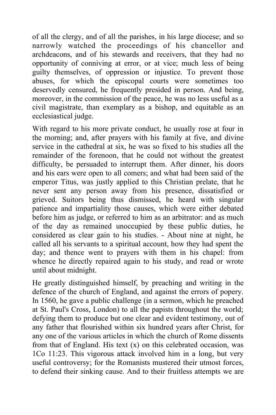of all the clergy, and of all the parishes, in his large diocese; and so narrowly watched the proceedings of his chancellor and archdeacons, and of his stewards and receivers, that they had no opportunity of conniving at error, or at vice; much less of being guilty themselves, of oppression or injustice. To prevent those abuses, for which the episcopal courts were sometimes too deservedly censured, he frequently presided in person. And being, moreover, in the commission of the peace, he was no less useful as a civil magistrate, than exemplary as a bishop, and equitable as an ecclesiastical judge.

With regard to his more private conduct, he usually rose at four in the morning; and, after prayers with his family at five, and divine service in the cathedral at six, he was so fixed to his studies all the remainder of the forenoon, that he could not without the greatest difficulty, be persuaded to interrupt them. After dinner, his doors and his ears were open to all comers; and what had been said of the emperor Titus, was justly applied to this Christian prelate, that he never sent any person away from his presence, dissatisfied or grieved. Suitors being thus dismissed, he heard with singular patience and impartiality those causes, which were either debated before him as judge, or referred to him as an arbitrator: and as much of the day as remained unoccupied by these public duties, he considered as clear gain to his studies. - About nine at night, he called all his servants to a spiritual account, how they had spent the day; and thence went to prayers with them in his chapel: from whence he directly repaired again to his study, and read or wrote until about midnight.

He greatly distinguished himself, by preaching and writing in the defence of the church of England, and against the errors of popery. In 1560, he gave a public challenge (in a sermon, which he preached at St. Paul's Cross, London) to all the papists throughout the world; defying them to produce but one clear and evident testimony, out of any father that flourished within six hundred years after Christ, for any one of the various articles in which the church of Rome dissents from that of England. His text  $(x)$  on this celebrated occasion, was 1Co 11:23. This vigorous attack involved him in a long, but very useful controversy; for the Romanists mustered their utmost forces, to defend their sinking cause. And to their fruitless attempts we are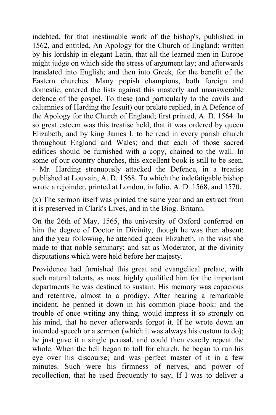indebted, for that inestimable work of the bishop's, published in 1562, and entitled, An Apology for the Church of England: written by his lordship in elegant Latin, that all the learned men in Europe might judge on which side the stress of argument lay; and afterwards translated into English; and then into Greek, for the benefit of the Eastern churches. Many popish champions, both foreign and domestic, entered the lists against this masterly and unanswerable defence of the gospel. To these (and particularly to the cavils and calumnies of Harding the Jesuit) our prelate replied, in A Defence of the Apology for the Church of England; first printed, A. D. 1564. In so great esteem was this treatise held, that it was ordered by queen Elizabeth, and by king James I. to be read in every parish church throughout England and Wales; and that each of those sacred edifices should be furnished with a copy, chained to the wall. In some of our country churches, this excellent book is still to be seen. - Mr. Harding strenuously attacked the Defence, in a treatise published at Louvain, A. D. 1568. To which the indefatigable bishop wrote a rejoinder, printed at London, in folio, A. D. 1568, and 1570.

(x) The sermon itself was printed the same year and an extract from it is preserved in Clark's Lives, and in the Biog. Britann.

On the 26th of May, 1565, the university of Oxford conferred on him the degree of Doctor in Divinity, though he was then absent: and the year following, he attended queen Elizabeth, in the visit she made to that noble seminary; and sat as Moderator, at the divinity disputations which were held before her majesty.

Providence had furnished this great and evangelical prelate, with such natural talents, as most highly qualified him for the important departments he was destined to sustain. His memory was capacious and retentive, almost to a prodigy. After hearing a remarkable incident, he penned it down in his common place book: and the trouble of once writing any thing, would impress it so strongly on his mind, that he never afterwards forgot it. If he wrote down an intended speech or a sermon (which it was always his custom to do); he just gave it a single perusal, and could then exactly repeat the whole. When the bell began to toll for church, he began to run his eye over his discourse; and was perfect master of it in a few minutes. Such were his firmness of nerves, and power of recollection, that he used frequently to say, If I was to deliver a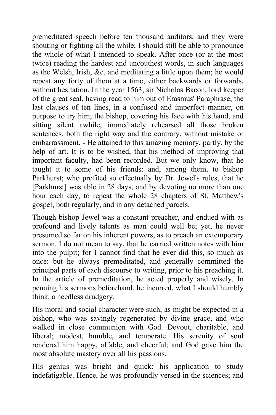premeditated speech before ten thousand auditors, and they were shouting or fighting all the while; I should still be able to pronounce the whole of what I intended to speak. After once (or at the most twice) reading the hardest and uncouthest words, in such languages as the Welsh, Irish, &c. and meditating a little upon them; he would repeat any forty of them at a time, either backwards or forwards, without hesitation. In the year 1563, sir Nicholas Bacon, lord keeper of the great seal, having read to him out of Erasmus' Paraphrase, the last clauses of ten lines, in a confused and imperfect manner, on purpose to try him; the bishop, covering his face with his hand, and sitting silent awhile, immediately rehearsed all those broken sentences, both the right way and the contrary, without mistake or embarrassment. - He attained to this amazing memory, partly, by the help of art. It is to be wished, that his method of improving that important faculty, had been recorded. But we only know, that he taught it to some of his friends: and, among them, to bishop Parkhurst; who profited so effectually by Dr. Jewel's rules, that he [Parkhurst] was able in 28 days, and by devoting no more than one hour each day, to repeat the whole 28 chapters of St. Matthew's gospel, both regularly, and in any detached parcels.

Though bishop Jewel was a constant preacher, and endued with as profound and lively talents as man could well be; yet, he never presumed so far on his inherent powers, as to preach an extemporary sermon. I do not mean to say, that he carried written notes with him into the pulpit; for I cannot find that he ever did this, so much as once: but he always premeditated, and generally committed the principal parts of each discourse to writing, prior to his preaching it. In the article of premeditation, he acted properly and wisely. In penning his sermons beforehand, he incurred, what I should humbly think, a needless drudgery.

His moral and social character were such, as might be expected in a bishop, who was savingly regenerated by divine grace, and who walked in close communion with God. Devout, charitable, and liberal; modest, humble, and temperate. His serenity of soul rendered him happy, affable, and cheerful; and God gave him the most absolute mastery over all his passions.

His genius was bright and quick: his application to study indefatigable. Hence, he was profoundly versed in the sciences; and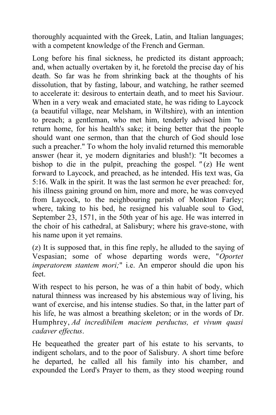thoroughly acquainted with the Greek, Latin, and Italian languages; with a competent knowledge of the French and German.

Long before his final sickness, he predicted its distant approach; and, when actually overtaken by it, he foretold the precise day of his death. So far was he from shrinking back at the thoughts of his dissolution, that by fasting, labour, and watching, he rather seemed to accelerate it: desirous to entertain death, and to meet his Saviour. When in a very weak and emaciated state, he was riding to Laycock (a beautiful village, near Melsham, in Wiltshire), with an intention to preach; a gentleman, who met him, tenderly advised him "to return home, for his health's sake; it being better that the people should want one sermon, than that the church of God should lose such a preacher." To whom the holy invalid returned this memorable answer (hear it, ye modern dignitaries and blush!): "It becomes a bishop to die in the pulpit, preaching the gospel*. "* (z) He went forward to Laycock, and preached, as he intended. His text was, Ga 5:16. Walk in the spirit. It was the last sermon he ever preached: for, his illness gaining ground on him, more and more, he was conveyed from Laycock, to the neighbouring parish of Monkton Farley; where, taking to his bed, he resigned his valuable soul to God, September 23, 1571, in the 50th year of his age. He was interred in the choir of his cathedral, at Salisbury; where his grave-stone, with his name upon it yet remains.

(z) It is supposed that, in this fine reply, he alluded to the saying of Vespasian; some of whose departing words were, "*Oportet imperatorem stantem mori;*" i.e. An emperor should die upon his feet.

With respect to his person, he was of a thin habit of body, which natural thinness was increased by his abstemious way of living, his want of exercise, and his intense studies. So that, in the latter part of his life, he was almost a breathing skeleton; or in the words of Dr. Humphrey, *Ad incredibilem maciem perductus, et vivum quasi cadaver effectus*.

He bequeathed the greater part of his estate to his servants, to indigent scholars, and to the poor of Salisbury. A short time before he departed, he called all his family into his chamber, and expounded the Lord's Prayer to them, as they stood weeping round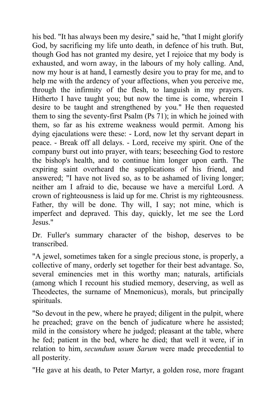his bed. "It has always been my desire," said he, "that I might glorify God, by sacrificing my life unto death, in defence of his truth. But, though God has not granted my desire, yet I rejoice that my body is exhausted, and worn away, in the labours of my holy calling. And, now my hour is at hand, I earnestly desire you to pray for me, and to help me with the ardency of your affections, when you perceive me, through the infirmity of the flesh, to languish in my prayers. Hitherto I have taught you; but now the time is come, wherein I desire to be taught and strengthened by you." He then requested them to sing the seventy-first Psalm (Ps 71); in which he joined with them, so far as his extreme weakness would permit. Among his dying ejaculations were these: - Lord, now let thy servant depart in peace. - Break off all delays. - Lord, receive my spirit. One of the company burst out into prayer, with tears; beseeching God to restore the bishop's health, and to continue him longer upon earth. The expiring saint overheard the supplications of his friend, and answered; "I have not lived so, as to be ashamed of living longer; neither am I afraid to die, because we have a merciful Lord. A crown of righteousness is laid up for me. Christ is my righteousness. Father, thy will be done. Thy will, I say; not mine, which is imperfect and depraved. This day, quickly, let me see the Lord Jesus."

Dr. Fuller's summary character of the bishop, deserves to be transcribed.

"A jewel, sometimes taken for a single precious stone, is properly, a collective of many, orderly set together for their best advantage. So, several eminencies met in this worthy man; naturals, artificials (among which I recount his studied memory, deserving, as well as Theodectes, the surname of Mnemonicus), morals, but principally spirituals.

"So devout in the pew, where he prayed; diligent in the pulpit, where he preached; grave on the bench of judicature where he assisted; mild in the consistory where he judged; pleasant at the table, where he fed; patient in the bed, where he died; that well it were, if in relation to him, *secundum usum Sarum* were made precedential to all posterity.

"He gave at his death, to Peter Martyr, a golden rose, more fragant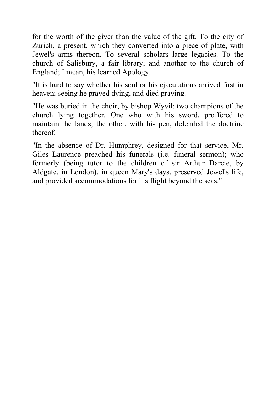for the worth of the giver than the value of the gift. To the city of Zurich, a present, which they converted into a piece of plate, with Jewel's arms thereon. To several scholars large legacies. To the church of Salisbury, a fair library; and another to the church of England; I mean, his learned Apology.

"It is hard to say whether his soul or his ejaculations arrived first in heaven; seeing he prayed dying, and died praying.

"He was buried in the choir, by bishop Wyvil: two champions of the church lying together. One who with his sword, proffered to maintain the lands; the other, with his pen, defended the doctrine thereof.

"In the absence of Dr. Humphrey, designed for that service, Mr. Giles Laurence preached his funerals (i*.*e. funeral sermon); who formerly (being tutor to the children of sir Arthur Darcie, by Aldgate, in London), in queen Mary's days, preserved Jewel's life, and provided accommodations for his flight beyond the seas."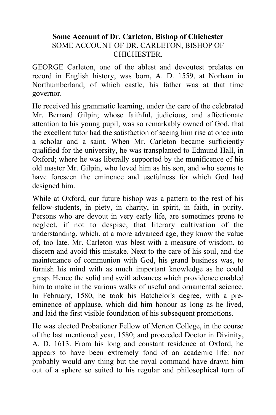### **Some Account of Dr. Carleton, Bishop of Chichester** SOME ACCOUNT OF DR. CARLETON, BISHOP OF **CHICHESTER**

GEORGE Carleton, one of the ablest and devoutest prelates on record in English history, was born, A. D. 1559, at Norham in Northumberland; of which castle, his father was at that time governor.

He received his grammatic learning, under the care of the celebrated Mr. Bernard Gilpin; whose faithful, judicious, and affectionate attention to his young pupil, was so remarkably owned of God, that the excellent tutor had the satisfaction of seeing him rise at once into a scholar and a saint. When Mr. Carleton became sufficiently qualified for the university, he was transplanted to Edmund Hall, in Oxford; where he was liberally supported by the munificence of his old master Mr. Gilpin, who loved him as his son, and who seems to have foreseen the eminence and usefulness for which God had designed him.

While at Oxford, our future bishop was a pattern to the rest of his fellow-students, in piety, in charity, in spirit, in faith, in purity. Persons who are devout in very early life, are sometimes prone to neglect, if not to despise, that literary cultivation of the understanding, which, at a more advanced age, they know the value of, too late. Mr. Carleton was blest with a measure of wisdom, to discern and avoid this mistake. Next to the care of his soul, and the maintenance of communion with God, his grand business was, to furnish his mind with as much important knowledge as he could grasp. Hence the solid and swift advances which providence enabled him to make in the various walks of useful and ornamental science. In February, 1580, he took his Batchelor's degree, with a preeminence of applause, which did him honour as long as he lived, and laid the first visible foundation of his subsequent promotions.

He was elected Probationer Fellow of Merton College, in the course of the last mentioned year, 1580; and proceeded Doctor in Divinity, A. D. 1613. From his long and constant residence at Oxford, he appears to have been extremely fond of an academic life: nor probably would any thing but the royal command have drawn him out of a sphere so suited to his regular and philosophical turn of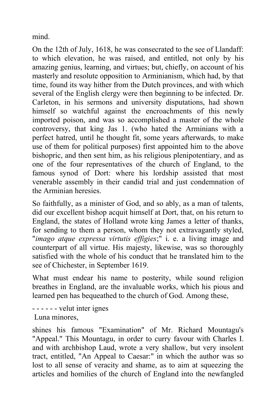mind.

On the 12th of July, 1618, he was consecrated to the see of Llandaff: to which elevation, he was raised, and entitled, not only by his amazing genius, learning, and virtues; but, chiefly, on account of his masterly and resolute opposition to Arminianism, which had, by that time, found its way hither from the Dutch provinces, and with which several of the English clergy were then beginning to be infected. Dr. Carleton, in his sermons and university disputations, had shown himself so watchful against the encroachments of this newly imported poison, and was so accomplished a master of the whole controversy, that king Jas 1. (who hated the Arminians with a perfect hatred, until he thought fit, some years afterwards, to make use of them for political purposes) first appointed him to the above bishopric, and then sent him, as his religious plenipotentiary, and as one of the four representatives of the church of England, to the famous synod of Dort: where his lordship assisted that most venerable assembly in their candid trial and just condemnation of the Arminian heresies.

So faithfully, as a minister of God, and so ably, as a man of talents, did our excellent bishop acquit himself at Dort, that, on his return to England, the states of Holland wrote king James a letter of thanks, for sending to them a person, whom they not extravagantly styled, "*imago atque expressa virtutis effigies*;" i. e. a living image and counterpart of all virtue. His majesty, likewise, was so thoroughly satisfied with the whole of his conduct that he translated him to the see of Chichester, in September 1619.

What must endear his name to posterity, while sound religion breathes in England, are the invaluable works, which his pious and learned pen has bequeathed to the church of God. Among these,

- - - - - - velut inter ignes Luna minores,

shines his famous "Examination" of Mr. Richard Mountagu's "Appeal." This Mountagu, in order to curry favour with Charles I. and with archbishop Laud, wrote a very shallow, but very insolent tract, entitled, "An Appeal to Caesar:" in which the author was so lost to all sense of veracity and shame, as to aim at squeezing the articles and homilies of the church of England into the newfangled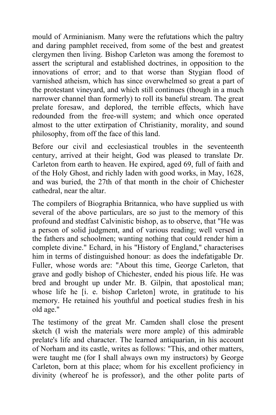mould of Arminianism. Many were the refutations which the paltry and daring pamphlet received, from some of the best and greatest clergymen then living. Bishop Carleton was among the foremost to assert the scriptural and established doctrines, in opposition to the innovations of error; and to that worse than Stygian flood of varnished atheism, which has since overwhelmed so great a part of the protestant vineyard, and which still continues (though in a much narrower channel than formerly) to roll its baneful stream. The great prelate foresaw, and deplored, the terrible effects, which have redounded from the free-will system; and which once operated almost to the utter extirpation of Christianity, morality, and sound philosophy, from off the face of this land.

Before our civil and ecclesiastical troubles in the seventeenth century, arrived at their height, God was pleased to translate Dr. Carleton from earth to heaven. He expired, aged 69, full of faith and of the Holy Ghost, and richly laden with good works, in May, 1628, and was buried, the 27th of that month in the choir of Chichester cathedral, near the altar.

The compilers of Biographia Britannica, who have supplied us with several of the above particulars, are so just to the memory of this profound and stedfast Calvinistic bishop, as to observe, that "He was a person of solid judgment, and of various reading; well versed in the fathers and schoolmen; wanting nothing that could render him a complete divine." Echard, in his "History of England," characterises him in terms of distinguished honour: as does the indefatigable Dr. Fuller, whose words are: "About this time, George Carleton, that grave and godly bishop of Chichester, ended his pious life. He was bred and brought up under Mr. B. Gilpin, that apostolical man; whose life he [i. e. bishop Carleton] wrote, in gratitude to his memory. He retained his youthful and poetical studies fresh in his old age."

The testimony of the great Mr. Camden shall close the present sketch (I wish the materials were more ample) of this admirable prelate's life and character. The learned antiquarian, in his account of Norham and its castle, writes as follows: "This, and other matters, were taught me (for I shall always own my instructors) by George Carleton, born at this place; whom for his excellent proficiency in divinity (whereof he is professor), and the other polite parts of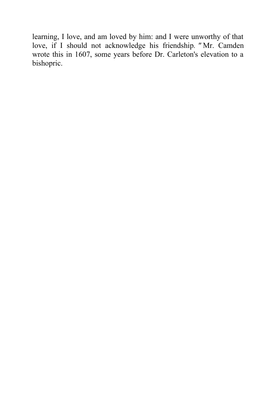learning, I love, and am loved by him: and I were unworthy of that love, if I should not acknowledge his friendship*. "* Mr. Camden wrote this in 1607, some years before Dr. Carleton's elevation to a bishopric.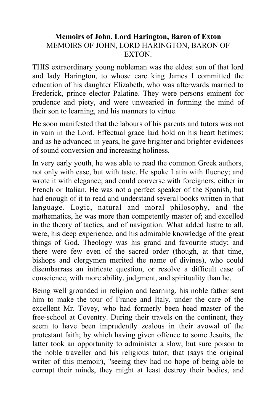## **Memoirs of John, Lord Harington, Baron of Exton** MEMOIRS OF JOHN, LORD HARINGTON, BARON OF **EXTON**

THIS extraordinary young nobleman was the eldest son of that lord and lady Harington, to whose care king James I committed the education of his daughter Elizabeth, who was afterwards married to Frederick, prince elector Palatine. They were persons eminent for prudence and piety, and were unwearied in forming the mind of their son to learning, and his manners to virtue.

He soon manifested that the labours of his parents and tutors was not in vain in the Lord. Effectual grace laid hold on his heart betimes; and as he advanced in years, he gave brighter and brighter evidences of sound conversion and increasing holiness.

In very early youth, he was able to read the common Greek authors, not only with ease, but with taste. He spoke Latin with fluency; and wrote it with elegance; and could converse with foreigners, either in French or Italian. He was not a perfect speaker of the Spanish, but had enough of it to read and understand several books written in that language. Logic, natural and moral philosophy, and the mathematics, he was more than competently master of; and excelled in the theory of tactics, and of navigation. What added lustre to all, were, his deep experience, and his admirable knowledge of the great things of God. Theology was his grand and favourite study; and there were few even of the sacred order (though, at that time, bishops and clergymen merited the name of divines), who could disembarrass an intricate question, or resolve a difficult case of conscience, with more ability, judgment, and spirituality than he.

Being well grounded in religion and learning, his noble father sent him to make the tour of France and Italy, under the care of the excellent Mr. Tovey, who had formerly been head master of the free-school at Coventry. During their travels on the continent, they seem to have been imprudently zealous in their avowal of the protestant faith; by which having given offence to some Jesuits, the latter took an opportunity to administer a slow, but sure poison to the noble traveller and his religious tutor; that (says the original writer of this memoir), "seeing they had no hope of being able to corrupt their minds, they might at least destroy their bodies, and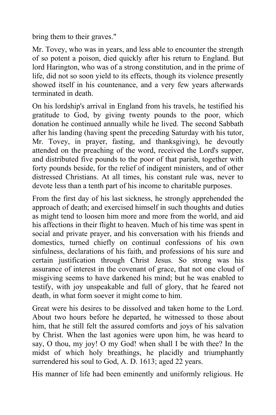bring them to their graves."

Mr. Tovey, who was in years, and less able to encounter the strength of so potent a poison, died quickly after his return to England. But lord Harington, who was of a strong constitution, and in the prime of life, did not so soon yield to its effects, though its violence presently showed itself in his countenance, and a very few years afterwards terminated in death.

On his lordship's arrival in England from his travels, he testified his gratitude to God, by giving twenty pounds to the poor, which donation he continued annually while he lived. The second Sabbath after his landing (having spent the preceding Saturday with his tutor, Mr. Tovey, in prayer, fasting, and thanksgiving), he devoutly attended on the preaching of the word, received the Lord's supper, and distributed five pounds to the poor of that parish, together with forty pounds beside, for the relief of indigent ministers, and of other distressed Christians. At all times, his constant rule was, never to devote less than a tenth part of his income to charitable purposes.

From the first day of his last sickness, he strongly apprehended the approach of death; and exercised himself in such thoughts and duties as might tend to loosen him more and more from the world, and aid his affections in their flight to heaven. Much of his time was spent in social and private prayer, and his conversation with his friends and domestics, turned chiefly on continual confessions of his own sinfulness, declarations of his faith, and professions of his sure and certain justification through Christ Jesus. So strong was his assurance of interest in the covenant of grace, that not one cloud of misgiving seems to have darkened his mind; but he was enabled to testify, with joy unspeakable and full of glory, that he feared not death, in what form soever it might come to him.

Great were his desires to be dissolved and taken home to the Lord. About two hours before he departed, he witnessed to those about him, that he still felt the assured comforts and joys of his salvation by Christ. When the last agonies were upon him, he was heard to say, O thou, my joy! O my God! when shall I be with thee? In the midst of which holy breathings, he placidly and triumphantly surrendered his soul to God, A. D. 1613; aged 22 years.

His manner of life had been eminently and uniformly religious. He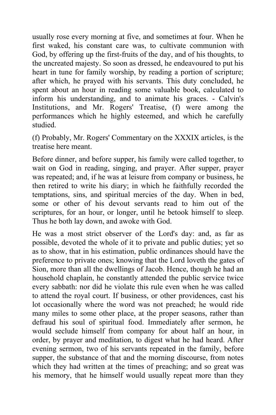usually rose every morning at five, and sometimes at four. When he first waked, his constant care was, to cultivate communion with God, by offering up the first-fruits of the day, and of his thoughts, to the uncreated majesty. So soon as dressed, he endeavoured to put his heart in tune for family worship, by reading a portion of scripture; after which, he prayed with his servants. This duty concluded, he spent about an hour in reading some valuable book, calculated to inform his understanding, and to animate his graces. - Calvin's Institutions, and Mr. Rogers' Treatise, (f) were among the performances which he highly esteemed, and which he carefully studied.

(f) Probably, Mr. Rogers' Commentary on the XXXIX articles, is the treatise here meant.

Before dinner, and before supper, his family were called together, to wait on God in reading, singing, and prayer. After supper, prayer was repeated; and, if he was at leisure from company or business, he then retired to write his diary; in which he faithfully recorded the temptations, sins, and spiritual mercies of the day. When in bed, some or other of his devout servants read to him out of the scriptures, for an hour, or longer, until he betook himself to sleep. Thus he both lay down, and awoke with God.

He was a most strict observer of the Lord's day: and, as far as possible, devoted the whole of it to private and public duties; yet so as to show, that in his estimation, public ordinances should have the preference to private ones; knowing that the Lord loveth the gates of Sion, more than all the dwellings of Jacob. Hence, though he had an household chaplain, he constantly attended the public service twice every sabbath: nor did he violate this rule even when he was called to attend the royal court. If business, or other providences, cast his lot occasionally where the word was not preached; he would ride many miles to some other place, at the proper seasons, rather than defraud his soul of spiritual food. Immediately after sermon, he would seclude himself from company for about half an hour, in order, by prayer and meditation, to digest what he had heard. After evening sermon, two of his servants repeated in the family, before supper, the substance of that and the morning discourse, from notes which they had written at the times of preaching; and so great was his memory, that he himself would usually repeat more than they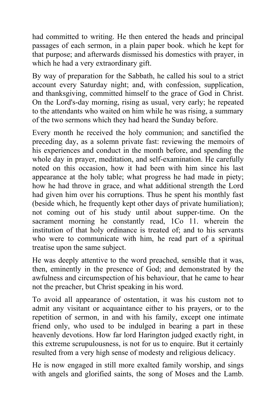had committed to writing. He then entered the heads and principal passages of each sermon, in a plain paper book. which he kept for that purpose; and afterwards dismissed his domestics with prayer, in which he had a very extraordinary gift.

By way of preparation for the Sabbath, he called his soul to a strict account every Saturday night; and, with confession, supplication, and thanksgiving, committed himself to the grace of God in Christ. On the Lord's-day morning, rising as usual, very early; he repeated to the attendants who waited on him while he was rising, a summary of the two sermons which they had heard the Sunday before.

Every month he received the holy communion; and sanctified the preceding day, as a solemn private fast: reviewing the memoirs of his experiences and conduct in the month before, and spending the whole day in prayer, meditation, and self-examination. He carefully noted on this occasion, how it had been with him since his last appearance at the holy table; what progress he had made in piety; how he had throve in grace, and what additional strength the Lord had given him over his corruptions. Thus he spent his monthly fast (beside which, he frequently kept other days of private humiliation); not coming out of his study until about supper-time. On the sacrament morning he constantly read, 1Co 11. wherein the institution of that holy ordinance is treated of; and to his servants who were to communicate with him, he read part of a spiritual treatise upon the same subject.

He was deeply attentive to the word preached, sensible that it was, then, eminently in the presence of God; and demonstrated by the awfulness and circumspection of his behaviour, that he came to hear not the preacher, but Christ speaking in his word.

To avoid all appearance of ostentation, it was his custom not to admit any visitant or acquaintance either to his prayers, or to the repetition of sermon, in and with his family, except one intimate friend only, who used to be indulged in bearing a part in these heavenly devotions. How far lord Harington judged exactly right, in this extreme scrupulousness, is not for us to enquire. But it certainly resulted from a very high sense of modesty and religious delicacy.

He is now engaged in still more exalted family worship, and sings with angels and glorified saints, the song of Moses and the Lamb.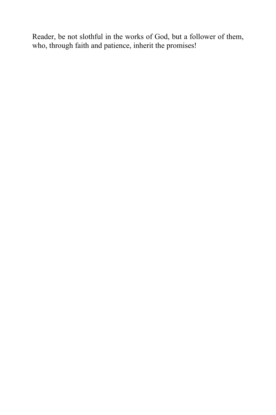Reader, be not slothful in the works of God, but a follower of them, who, through faith and patience, inherit the promises!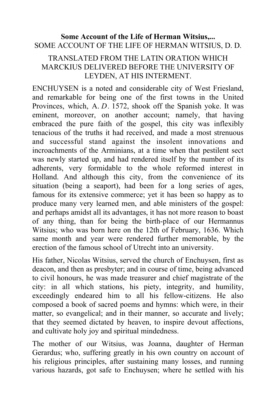#### **Some Account of the Life of Herman Witsius,...** SOME ACCOUNT OF THE LIFE OF HERMAN WITSIUS, D. D.

### TRANSLATED FROM THE LATIN ORATION WHICH MARCKIUS DELIVERED BEFORE THE UNIVERSITY OF LEYDEN, AT HIS INTERMENT.

ENCHUYSEN is a noted and considerable city of West Friesland, and remarkable for being one of the first towns in the United Provinces, which, A. *D*. 1572, shook off the Spanish yoke. It was eminent, moreover, on another account; namely, that having embraced the pure faith of the gospel, this city was inflexibly tenacious of the truths it had received, and made a most strenuous and successful stand against the insolent innovations and incroachments of the Arminians, at a time when that pestilent sect was newly started up, and had rendered itself by the number of its adherents, very formidable to the whole reformed interest in Holland. And although this city, from the convenience of its situation (being a seaport), had been for a long series of ages, famous for its extensive commerce; yet it has been so happy as to produce many very learned men, and able ministers of the gospel: and perhaps amidst all its advantages, it has not more reason to boast of any thing, than for being the birth-place of our Hermannus Witsius; who was born here on the 12th of February, 1636. Which same month and year were rendered further memorable, by the erection of the famous school of Utrecht into an university.

His father, Nicolas Witsius, served the church of Enchuysen, first as deacon, and then as presbyter; and in course of time, being advanced to civil honours, he was made treasurer and chief magistrate of the city: in all which stations, his piety, integrity, and humility, exceedingly endeared him to all his fellow-citizens. He also composed a book of sacred poems and hymns: which were, in their matter, so evangelical; and in their manner, so accurate and lively; that they seemed dictated by heaven, to inspire devout affections, and cultivate holy joy and spiritual mindedness.

The mother of our Witsius, was Joanna, daughter of Herman Gerardus; who, suffering greatly in his own country on account of his religious principles, after sustaining many losses, and running various hazards, got safe to Enchuysen; where he settled with his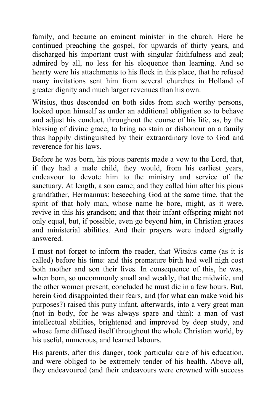family, and became an eminent minister in the church. Here he continued preaching the gospel, for upwards of thirty years, and discharged his important trust with singular faithfulness and zeal; admired by all, no less for his eloquence than learning. And so hearty were his attachments to his flock in this place, that he refused many invitations sent him from several churches in Holland of greater dignity and much larger revenues than his own.

Witsius, thus descended on both sides from such worthy persons, looked upon himself as under an additional obligation so to behave and adjust his conduct, throughout the course of his life, as, by the blessing of divine grace, to bring no stain or dishonour on a family thus happily distinguished by their extraordinary love to God and reverence for his laws.

Before he was born, his pious parents made a vow to the Lord, that, if they had a male child, they would, from his earliest years, endeavour to devote him to the ministry and service of the sanctuary. At length, a son came; and they called him after his pious grandfather, Hermannus: beseeching God at the same time, that the spirit of that holy man, whose name he bore, might, as it were, revive in this his grandson; and that their infant offspring might not only equal, but, if possible, even go beyond him, in Christian graces and ministerial abilities. And their prayers were indeed signally answered.

I must not forget to inform the reader, that Witsius came (as it is called) before his time: and this premature birth had well nigh cost both mother and son their lives. In consequence of this, he was, when born, so uncommonly small and weakly, that the midwife, and the other women present, concluded he must die in a few hours. But, herein God disappointed their fears, and (for what can make void his purposes?) raised this puny infant, afterwards, into a very great man (not in body, for he was always spare and thin): a man of vast intellectual abilities, brightened and improved by deep study, and whose fame diffused itself throughout the whole Christian world, by his useful, numerous, and learned labours.

His parents, after this danger, took particular care of his education, and were obliged to be extremely tender of his health. Above all, they endeavoured (and their endeavours were crowned with success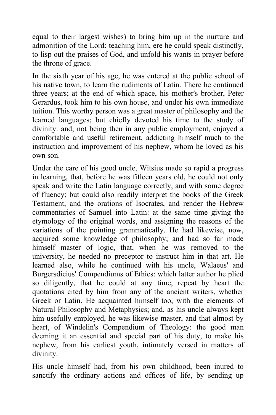equal to their largest wishes) to bring him up in the nurture and admonition of the Lord: teaching him, ere he could speak distinctly, to lisp out the praises of God, and unfold his wants in prayer before the throne of grace.

In the sixth year of his age, he was entered at the public school of his native town, to learn the rudiments of Latin. There he continued three years; at the end of which space, his mother's brother, Peter Gerardus, took him to his own house, and under his own immediate tuition. This worthy person was a great master of philosophy and the learned languages; but chiefly devoted his time to the study of divinity: and, not being then in any public employment, enjoyed a comfortable and useful retirement, addicting himself much to the instruction and improvement of his nephew, whom he loved as his own son.

Under the care of his good uncle, Witsius made so rapid a progress in learning, that, before he was fifteen years old, he could not only speak and write the Latin language correctly, and with some degree of fluency; but could also readily interpret the books of the Greek Testament, and the orations of Isocrates, and render the Hebrew commentaries of Samuel into Latin: at the same time giving the etymology of the original words, and assigning the reasons of the variations of the pointing grammatically. He had likewise, now, acquired some knowledge of philosophy; and had so far made himself master of logic, that, when he was removed to the university, he needed no preceptor to instruct him in that art. He learned also, while he continued with his uncle, Walaeus' and Burgersdicius' Compendiums of Ethics: which latter author he plied so diligently, that he could at any time, repeat by heart the quotations cited by him from any of the ancient writers, whether Greek or Latin. He acquainted himself too, with the elements of Natural Philosophy and Metaphysics; and, as his uncle always kept him usefully employed, he was likewise master, and that almost by heart, of Windelin's Compendium of Theology: the good man deeming it an essential and special part of his duty, to make his nephew, from his earliest youth, intimately versed in matters of divinity.

His uncle himself had, from his own childhood, been inured to sanctify the ordinary actions and offices of life, by sending up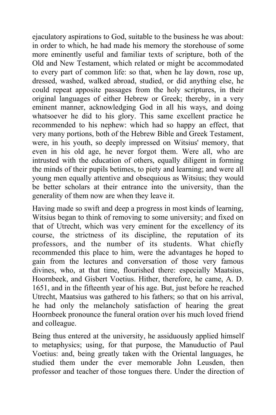ejaculatory aspirations to God, suitable to the business he was about: in order to which, he had made his memory the storehouse of some more eminently useful and familiar texts of scripture, both of the Old and New Testament, which related or might be accommodated to every part of common life: so that, when he lay down, rose up, dressed, washed, walked abroad, studied, or did anything else, he could repeat apposite passages from the holy scriptures, in their original languages of either Hebrew or Greek; thereby, in a very eminent manner, acknowledging God in all his ways, and doing whatsoever he did to his glory. This same excellent practice he recommended to his nephew: which had so happy an effect, that very many portions, both of the Hebrew Bible and Greek Testament, were, in his youth, so deeply impressed on Witsius' memory, that even in his old age, he never forgot them. Were all, who are intrusted with the education of others, equally diligent in forming the minds of their pupils betimes, to piety and learning; and were all young men equally attentive and obsequious as Witsius; they would be better scholars at their entrance into the university, than the generality of them now are when they leave it.

Having made so swift and deep a progress in most kinds of learning, Witsius began to think of removing to some university; and fixed on that of Utrecht, which was very eminent for the excellency of its course, the strictness of its discipline, the reputation of its professors, and the number of its students. What chiefly recommended this place to him, were the advantages he hoped to gain from the lectures and conversation of those very famous divines, who, at that time, flourished there: especially Maatsius, Hoornbeek, and Gisbert Voetius. Hither, therefore, he came, A. D. 1651, and in the fifteenth year of his age. But, just before he reached Utrecht, Maatsius was gathered to his fathers; so that on his arrival, he had only the melancholy satisfaction of hearing the great Hoornbeek pronounce the funeral oration over his much loved friend and colleague.

Being thus entered at the university, he assiduously applied himself to metaphysics; using, for that purpose, the Manuductio of Paul Voetius: and, being greatly taken with the Oriental languages, he studied them under the ever memorable John Leusden, then professor and teacher of those tongues there. Under the direction of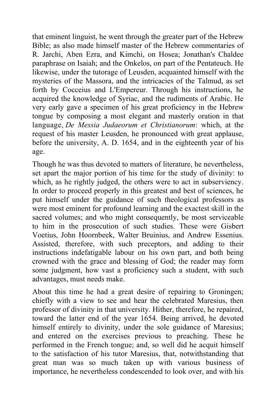that eminent linguist, he went through the greater part of the Hebrew Bible; as also made himself master of the Hebrew commentaries of R. Jarchi, Aben Ezra, and Kimchi, on Hosea; Jonathan's Chaldee paraphrase on Isaiah; and the Onkelos, on part of the Pentateuch. He likewise, under the tutorage of Leusden, acquainted himself with the mysteries of the Massora, and the intricacies of the Talmud, as set forth by Cocceius and L'Empereur. Through his instructions, he acquired the knowledge of Syriac, and the rudiments of Arabic. He very early gave a specimen of his great proficiency in the Hebrew tongue by composing a most elegant and masterly oration in that language, *De Messia Judaeorum et Christianorum*: which, at the request of his master Leusden, he pronounced with great applause, before the university, A. D. 1654, and in the eighteenth year of his age.

Though he was thus devoted to matters of literature, he nevertheless, set apart the major portion of his time for the study of divinity: to which, as he rightly judged, the others were to act in subserviency. In order to proceed properly in this greatest and best of sciences, he put himself under the guidance of such theological professors as were most eminent for profound learning and the exactest skill in the sacred volumes; and who might consequently, be most serviceable to him in the prosecution of such studies. These were Gisbert Voetius, John Hoornbeek, Walter Bruinius, and Andrew Essenius. Assisted, therefore, with such preceptors, and adding to their instructions indefatigable labour on his own part, and both being crowned with the grace and blessing of God; the reader may form some judgment, how vast a proficiency such a student, with such advantages, must needs make.

About this time he had a great desire of repairing to Groningen; chiefly with a view to see and hear the celebrated Maresius, then professor of divinity in that university. Hither, therefore, he repaired, toward the latter end of the year 1654. Being arrived, he devoted himself entirely to divinity, under the sole guidance of Maresius; and entered on the exercises previous to preaching. These he performed in the French tongue; and, so well did he acquit himself to the satisfaction of his tutor Maresius, that, notwithstanding that great man was so much taken up with various business of importance, he nevertheless condescended to look over, and with his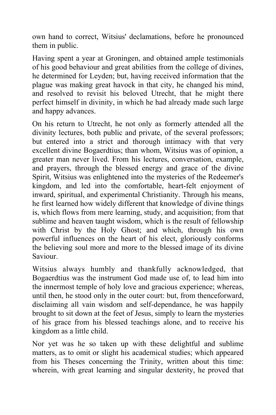own hand to correct, Witsius' declamations, before he pronounced them in public.

Having spent a year at Groningen, and obtained ample testimonials of his good behaviour and great abilities from the college of divines, he determined for Leyden; but, having received information that the plague was making great havock in that city, he changed his mind, and resolved to revisit his beloved Utrecht, that he might there perfect himself in divinity, in which he had already made such large and happy advances.

On his return to Utrecht, he not only as formerly attended all the divinity lectures, both public and private, of the several professors; but entered into a strict and thorough intimacy with that very excellent divine Bogaerdtius; than whom, Witsius was of opinion, a greater man never lived. From his lectures, conversation, example, and prayers, through the blessed energy and grace of the divine Spirit, Witsius was enlightened into the mysteries of the Redeemer's kingdom, and led into the comfortable, heart-felt enjoyment of inward, spiritual, and experimental Christianity. Through his means, he first learned how widely different that knowledge of divine things is, which flows from mere learning, study, and acquisition; from that sublime and heaven taught wisdom, which is the result of fellowship with Christ by the Holy Ghost; and which, through his own powerful influences on the heart of his elect, gloriously conforms the believing soul more and more to the blessed image of its divine Saviour.

Witsius always humbly and thankfully acknowledged, that Bogaerdtius was the instrument God made use of, to lead him into the innermost temple of holy love and gracious experience; whereas, until then, he stood only in the outer court: but, from thenceforward, disclaiming all vain wisdom and self-dependance, he was happily brought to sit down at the feet of Jesus, simply to learn the mysteries of his grace from his blessed teachings alone, and to receive his kingdom as a little child.

Nor yet was he so taken up with these delightful and sublime matters, as to omit or slight his academical studies; which appeared from his Theses concerning the Trinity, written about this time: wherein, with great learning and singular dexterity, he proved that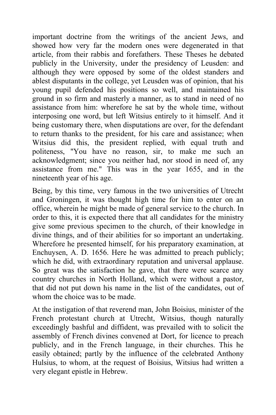important doctrine from the writings of the ancient Jews, and showed how very far the modern ones were degenerated in that article, from their rabbis and forefathers. These Theses he debated publicly in the University, under the presidency of Leusden: and although they were opposed by some of the oldest standers and ablest disputants in the college, yet Leusden was of opinion, that his young pupil defended his positions so well, and maintained his ground in so firm and masterly a manner, as to stand in need of no assistance from him: wherefore he sat by the whole time, without interposing one word, but left Witsius entirely to it himself. And it being customary there, when disputations are over, for the defendant to return thanks to the president, for his care and assistance; when Witsius did this, the president replied, with equal truth and politeness, "You have no reason, sir, to make me such an acknowledgment; since you neither had, nor stood in need of, any assistance from me." This was in the year 1655, and in the nineteenth year of his age.

Being, by this time, very famous in the two universities of Utrecht and Groningen, it was thought high time for him to enter on an office, wherein he might be made of general service to the church. In order to this, it is expected there that all candidates for the ministry give some previous specimen to the church, of their knowledge in divine things, and of their abilities for so important an undertaking. Wherefore he presented himself, for his preparatory examination, at Enchuysen, A. D. 1656. Here he was admitted to preach publicly; which he did, with extraordinary reputation and universal applause. So great was the satisfaction he gave, that there were scarce any country churches in North Holland, which were without a pastor, that did not put down his name in the list of the candidates, out of whom the choice was to be made.

At the instigation of that reverend man, John Boisius, minister of the French protestant church at Utrecht, Witsius, though naturally exceedingly bashful and diffident, was prevailed with to solicit the assembly of French divines convened at Dort, for licence to preach publicly, and in the French language, in their churches. This he easily obtained; partly by the influence of the celebrated Anthony Hulsius, to whom, at the request of Boisius, Witsius had written a very elegant epistle in Hebrew.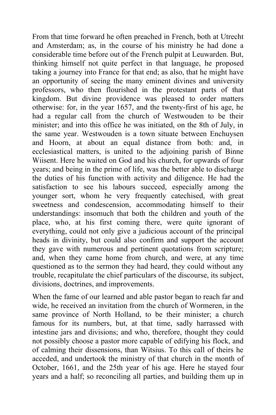From that time forward he often preached in French, both at Utrecht and Amsterdam; as, in the course of his ministry he had done a considerable time before out of the French pulpit at Leuwarden. But, thinking himself not quite perfect in that language, he proposed taking a journey into France for that end; as also, that he might have an opportunity of seeing the many eminent divines and university professors, who then flourished in the protestant parts of that kingdom. But divine providence was pleased to order matters otherwise: for, in the year 1657, and the twenty-first of his age, he had a regular call from the church of Westwouden to be their minister; and into this office he was initiated, on the 8th of July, in the same year. Westwouden is a town situate between Enchuysen and Hoorn, at about an equal distance from both: and, in ecclesiastical matters, is united to the adjoining parish of Binne Wiisent. Here he waited on God and his church, for upwards of four years; and being in the prime of life, was the better able to discharge the duties of his function with activity and diligence. He had the satisfaction to see his labours succeed, especially among the younger sort, whom he very frequently catechised, with great sweetness and condescension, accommodating himself to their understandings: insomuch that both the children and youth of the place, who, at his first coming there, were quite ignorant of everything, could not only give a judicious account of the principal heads in divinity, but could also confirm and support the account they gave with numerous and pertinent quotations from scripture; and, when they came home from church, and were, at any time questioned as to the sermon they had heard, they could without any trouble, recapitulate the chief particulars of the discourse, its subject, divisions, doctrines, and improvements.

When the fame of our learned and able pastor began to reach far and wide, he received an invitation from the church of Wormeren, in the same province of North Holland, to be their minister; a church famous for its numbers, but, at that time, sadly harrassed with intestine jars and divisions; and who, therefore, thought they could not possibly choose a pastor more capable of edifying his flock, and of calming their dissensions, than Witsius. To this call of theirs he acceded, and undertook the ministry of that church in the month of October, 1661, and the 25th year of his age. Here he stayed four years and a half; so reconciling all parties, and building them up in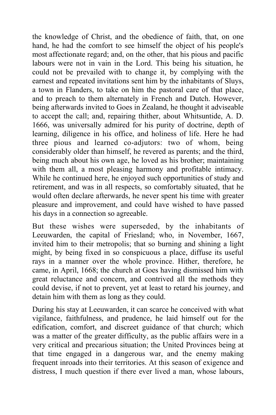the knowledge of Christ, and the obedience of faith, that, on one hand, he had the comfort to see himself the object of his people's most affectionate regard; and, on the other, that his pious and pacific labours were not in vain in the Lord. This being his situation, he could not be prevailed with to change it, by complying with the earnest and repeated invitations sent him by the inhabitants of Sluys, a town in Flanders, to take on him the pastoral care of that place, and to preach to them alternately in French and Dutch. However, being afterwards invited to Goes in Zealand, he thought it adviseable to accept the call; and, repairing thither, about Whitsuntide, A. D. 1666, was universally admired for his purity of doctrine, depth of learning, diligence in his office, and holiness of life. Here he had three pious and learned co-adjutors: two of whom, being considerably older than himself, he revered as parents; and the third, being much about his own age, he loved as his brother; maintaining with them all, a most pleasing harmony and profitable intimacy. While he continued here, he enjoyed such opportunities of study and retirement, and was in all respects, so comfortably situated, that he would often declare afterwards, he never spent his time with greater pleasure and improvement, and could have wished to have passed his days in a connection so agreeable.

But these wishes were superseded, by the inhabitants of Leeuwarden, the capital of Friesland; who, in November, 1667, invited him to their metropolis; that so burning and shining a light might, by being fixed in so conspicuous a place, diffuse its useful rays in a manner over the whole province. Hither, therefore, he came, in April, 1668; the church at Goes having dismissed him with great reluctance and concern, and contrived all the methods they could devise, if not to prevent, yet at least to retard his journey, and detain him with them as long as they could.

During his stay at Leeuwarden, it can scarce he conceived with what vigilance, faithfulness, and prudence, he laid himself out for the edification, comfort, and discreet guidance of that church; which was a matter of the greater difficulty, as the public affairs were in a very critical and precarious situation; the United Provinces being at that time engaged in a dangerous war, and the enemy making frequent inroads into their territories. At this season of exigence and distress, I much question if there ever lived a man, whose labours,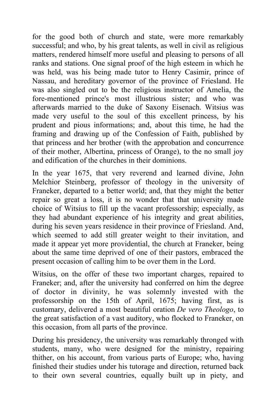for the good both of church and state, were more remarkably successful; and who, by his great talents, as well in civil as religious matters, rendered himself more useful and pleasing to persons of all ranks and stations. One signal proof of the high esteem in which he was held, was his being made tutor to Henry Casimir, prince of Nassau, and hereditary governor of the province of Friesland. He was also singled out to be the religious instructor of Amelia, the fore-mentioned prince's most illustrious sister; and who was afterwards married to the duke of Saxony Eisenach. Witsius was made very useful to the soul of this excellent princess, by his prudent and pious informations; and, about this time, he had the framing and drawing up of the Confession of Faith, published by that princess and her brother (with the approbation and concurrence of their mother, Albertina, princess of Orange), to the no small joy and edification of the churches in their dominions.

In the year 1675, that very reverend and learned divine, John Melchior Steinberg, professor of theology in the university of Franeker, departed to a better world; and, that they might the better repair so great a loss, it is no wonder that that university made choice of Witsius to fill up the vacant professorship; especially, as they had abundant experience of his integrity and great abilities, during his seven years residence in their province of Friesland. And, which seemed to add still greater weight to their invitation, and made it appear yet more providential, the church at Franeker, being about the same time deprived of one of their pastors, embraced the present occasion of calling him to be over them in the Lord.

Witsius, on the offer of these two important charges, repaired to Franeker; and, after the university had conferred on him the degree of doctor in divinity, he was solemnly invested with the professorship on the 15th of April, 1675; having first, as is customary, delivered a most beautiful oration *De vero Theologo*, to the great satisfaction of a vast auditory, who flocked to Franeker, on this occasion, from all parts of the province.

During his presidency, the university was remarkably thronged with students, many, who were designed for the ministry, repairing thither, on his account, from various parts of Europe; who, having finished their studies under his tutorage and direction, returned back to their own several countries, equally built up in piety, and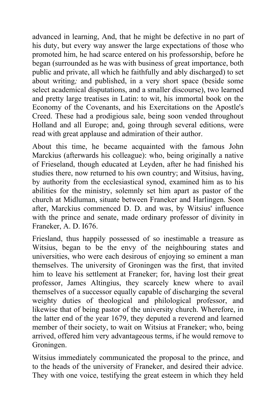advanced in learning, And, that he might be defective in no part of his duty, but every way answer the large expectations of those who promoted him, he had scarce entered on his professorship, before he began (surrounded as he was with business of great importance, both public and private, all which he faithfully and ably discharged) to set about writing*;* and published, in a very short space (beside some select academical disputations, and a smaller discourse), two learned and pretty large treatises in Latin: to wit, his immortal book on the Economy of the Covenants, and his Exercitations on the Apostle's Creed. These had a prodigious sale, being soon vended throughout Holland and all Europe; and, going through several editions, were read with great applause and admiration of their author.

About this time, he became acquainted with the famous John Marckius (afterwards his colleague): who, being originally a native of Frieseland, though educated at Leyden, after he had finished his studies there, now returned to his own country; and Witsius, having, by authority from the ecclesiastical synod, examined him as to his abilities for the ministry, solemnly set him apart as pastor of the church at Midluman, situate between Franeker and Harlingen. Soon after, Marckius commenced D. D. and was, by Witsius' influence with the prince and senate, made ordinary professor of divinity in Franeker, A. D. I676.

Friesland, thus happily possessed of so inestimable a treasure as Witsius, began to be the envy of the neighbouring states and universities, who were each desirous of enjoying so eminent a man themselves. The university of Groningen was the first, that invited him to leave his settlement at Franeker; for, having lost their great professor, James Altingius, they scarcely knew where to avail themselves of a successor equally capable of discharging the several weighty duties of theological and philological professor, and likewise that of being pastor of the university church. Wherefore, in the latter end of the year 1679, they deputed a reverend and learned member of their society, to wait on Witsius at Franeker; who, being arrived, offered him very advantageous terms, if he would remove to Groningen.

Witsius immediately communicated the proposal to the prince, and to the heads of the university of Franeker, and desired their advice. They with one voice, testifying the great esteem in which they held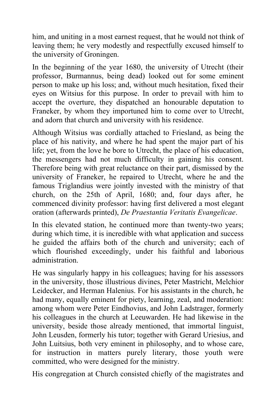him, and uniting in a most earnest request, that he would not think of leaving them; he very modestly and respectfully excused himself to the university of Groningen.

In the beginning of the year 1680, the university of Utrecht (their professor, Burmannus, being dead) looked out for some eminent person to make up his loss; and, without much hesitation, fixed their eyes on Witsius for this purpose. In order to prevail with him to accept the overture, they dispatched an honourable deputation to Franeker, by whom they importuned him to come over to Utrecht, and adorn that church and university with his residence.

Although Witsius was cordially attached to Friesland, as being the place of his nativity, and where he had spent the major part of his life; yet, from the love he bore to Utrecht, the place of his education, the messengers had not much difficulty in gaining his consent. Therefore being with great reluctance on their part, dismissed by the university of Franeker, he repaired to Utrecht, where he and the famous Triglandius were jointly invested with the ministry of that church, on the 25th of April, 1680; and, four days after, he commenced divinity professor: having first delivered a most elegant oration (afterwards printed), *De Praestantia Veritatis Evangelicae*.

In this elevated station, he continued more than twenty-two years; during which time, it is incredible with what application and success he guided the affairs both of the church and university; each of which flourished exceedingly, under his faithful and laborious administration.

He was singularly happy in his colleagues; having for his assessors in the university, those illustrious divines, Peter Mastricht, Melchior Leidecker, and Herman Halenius. For his assistants in the church, he had many, equally eminent for piety, learning, zeal, and moderation: among whom were Peter Eindhovius, and John Ladstrager, formerly his colleagues in the church at Leeuwarden. He had likewise in the university, beside those already mentioned, that immortal linguist, John Leusden, formerly his tutor; together with Gerard Uriesius, and John Luitsius, both very eminent in philosophy, and to whose care, for instruction in matters purely literary, those youth were committed, who were designed for the ministry.

His congregation at Church consisted chiefly of the magistrates and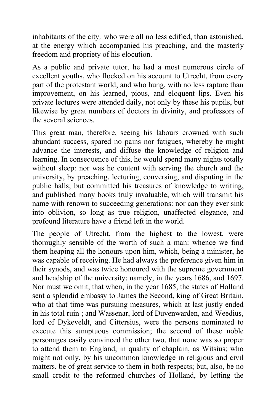inhabitants of the city*;* who were all no less edified, than astonished, at the energy which accompanied his preaching, and the masterly freedom and propriety of his elocution.

As a public and private tutor, he had a most numerous circle of excellent youths, who flocked on his account to Utrecht, from every part of the protestant world; and who hung, with no less rapture than improvement, on his learned, pious, and eloquent lips. Even his private lectures were attended daily, not only by these his pupils, but likewise by great numbers of doctors in divinity, and professors of the several sciences.

This great man, therefore, seeing his labours crowned with such abundant success, spared no pains nor fatigues, whereby he might advance the interests, and diffuse the knowledge of religion and learning. In consequence of this, he would spend many nights totally without sleep: nor was he content with serving the church and the university, by preaching, lecturing, conversing, and disputing in the public halls; but committed his treasures of knowledge to writing, and published many books truly invaluable, which will transmit his name with renown to succeeding generations: nor can they ever sink into oblivion, so long as true religion, unaffected elegance, and profound literature have a friend left in the world.

The people of Utrecht, from the highest to the lowest, were thoroughly sensible of the worth of such a man: whence we find them heaping all the honours upon him, which, being a minister, he was capable of receiving. He had always the preference given him in their synods, and was twice honoured with the supreme government and headship of the university; namely, in the years 1686, and 1697. Nor must we omit, that when, in the year 1685, the states of Holland sent a splendid embassy to James the Second, king of Great Britain, who at that time was pursuing measures, which at last justly ended in his total ruin ; and Wassenar, lord of Duvenwarden, and Weedius, lord of Dykeveldt, and Cittersius, were the persons nominated to execute this sumptuous commission; the second of these noble personages easily convinced the other two, that none was so proper to attend them to England, in quality of chaplain, as Witsius; who might not only, by his uncommon knowledge in religious and civil matters, be of great service to them in both respects; but, also, be no small credit to the reformed churches of Holland, by letting the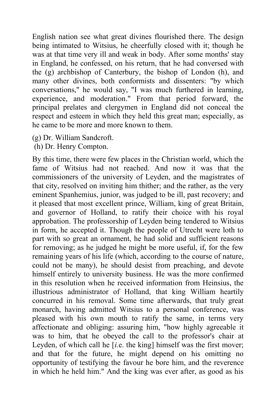English nation see what great divines flourished there. The design being intimated to Witsius, he cheerfully closed with it; though he was at that time very ill and weak in body. After some months' stay in England, he confessed, on his return, that he had conversed with the (g) archbishop of Canterbury, the bishop of London (h), and many other divines, both conformists and dissenters: "by which conversations," he would say, "I was much furthered in learning, experience, and moderation." From that period forward, the principal prelates and clergymen in England did not conceal the respect and esteem in which they held this great man; especially, as he came to be more and more known to them.

- (g) Dr. William Sandcroft.
- (h) Dr. Henry Compton.

By this time, there were few places in the Christian world, which the fame of Witsius had not reached. And now it was that the commissioners of the university of Leyden, and the magistrates of that city, resolved on inviting him thither; and the rather, as the very eminent Spanhemius, junior, was judged to be ill, past recovery; and it pleased that most excellent prince, William, king of great Britain, and governor of Holland, to ratify their choice with his royal approbation. The professorship of Leyden being tendered to Witsius in form, he accepted it. Though the people of Utrecht were loth to part with so great an ornament, he had solid and sufficient reasons for removing; as he judged he might be more useful, if, for the few remaining years of his life (which, according to the course of nature, could not be many), he should desist from preaching, and devote himself entirely to university business. He was the more confirmed in this resolution when he received information from Heinsius, the illustrious administrator of Holland, that king William heartily concurred in his removal. Some time afterwards, that truly great monarch, having admitted Witsius to a personal conference, was pleased with his own mouth to ratify the same, in terms very affectionate and obliging: assuring him, "how highly agreeable it was to him, that he obeyed the call to the professor's chair at Leyden, of which call he [*i.*e. the king] himself was the first mover; and that for the future, he might depend on his omitting no opportunity of testifying the favour he bore him, and the reverence in which he held him." And the king was ever after, as good as his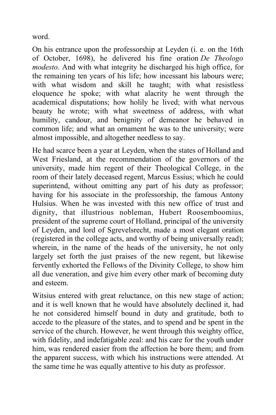word.

On his entrance upon the professorship at Leyden (i. e. on the 16th of October, 1698), he delivered his fine oration *De Theologo modesto*. And with what integrity he discharged his high office, for the remaining ten years of his life; how incessant his labours were; with what wisdom and skill he taught; with what resistless eloquence he spoke; with what alacrity he went through the academical disputations; how holily he lived; with what nervous beauty he wrote; with what sweetness of address, with what humility, candour, and benignity of demeanor he behaved in common life; and what an ornament he was to the university; were almost impossible, and altogether needless to say.

He had scarce been a year at Leyden, when the states of Holland and West Friesland, at the recommendation of the governors of the university, made him regent of their Theological College, in the room of their lately deceased regent, Marcus Essius; which he could superintend, without omitting any part of his duty as professor; having for his associate in the professorship, the famous Antony Hulsius. When he was invested with this new office of trust and dignity, that illustrious nobleman, Hubert Roosemboomius, president of the supreme court of Holland, principal of the university of Leyden, and lord of Sgrevelsrecht, made a most elegant oration (registered in the college acts, and worthy of being universally read); wherein, in the name of the heads of the university, he not only largely set forth the just praises of the new regent, but likewise fervently exhorted the Fellows of the Divinity College, to show him all due veneration, and give him every other mark of becoming duty and esteem.

Witsius entered with great reluctance, on this new stage of action; and it is well known that he would have absolutely declined it, had he not considered himself bound in duty and gratitude, both to accede to the pleasure of the states, and to spend and be spent in the service of the church. However, he went through this weighty office, with fidelity, and indefatigable zeal: and his care for the youth under him, was rendered easier from the affection he bore them; and from the apparent success, with which his instructions were attended. At the same time he was equally attentive to his duty as professor.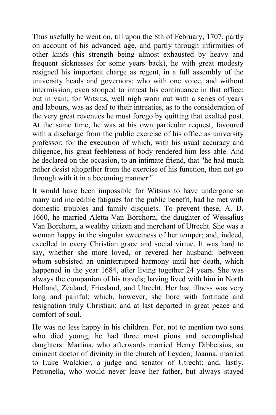Thus usefully he went on, till upon the 8th of February, 1707, partly on account of his advanced age, and partly through infirmities of other kinds (his strength being almost exhausted by heavy and frequent sicknesses for some years back), he with great modesty resigned his important charge as regent, in a full assembly of the university heads and governors; who with one voice, and without intermission, even stooped to intreat his continuance in that office: but in vain; for Witsius, well nigh worn out with a series of years and labours, was as deaf to their intreaties, as to the consideration of the very great revenues he must forego by quitting that exalted post. At the same time, he was at his own particular request, favoured with a discharge from the public exercise of his office as university professor; for the execution of which, with his usual accuracy and diligence, his great feebleness of body rendered him less able. And he declared on the occasion, to an intimate friend, that "he had much rather desist altogether from the exercise of his function, than not go through with it in a becoming manner."

It would have been impossible for Witsius to have undergone so many and incredible fatigues for the public benefit, had he met with domestic troubles and family disquiets. To prevent these, A. D. 1660, he married Aletta Van Borchorn, the daughter of Wessalius Van Borchorn, a wealthy citizen and merchant of Utrecht. She was a woman happy in the singular sweetness of her temper; and, indeed, excelled in every Christian grace and social virtue. It was hard to say, whether she more loved, or revered her husband: between whom subsisted an uninterrupted harmony until her death, which happened in the year 1684, after living together 24 years. She was always the companion of his travels; having lived with him in North Holland, Zealand, Friesland, and Utrecht. Her last illness was very long and painful; which, however, she bore with fortitude and resignation truly Christian; and at last departed in great peace and comfort of soul.

He was no less happy in his children. For, not to mention two sons who died young, he had three most pious and accomplished daughters: Martina, who afterwards married Henry Dibbetsius, an eminent doctor of divinity in the church of Leyden; Joanna, married to Luke Walckier, a judge and senator of Utrecht; and, lastly, Petronella, who would never leave her father, but always stayed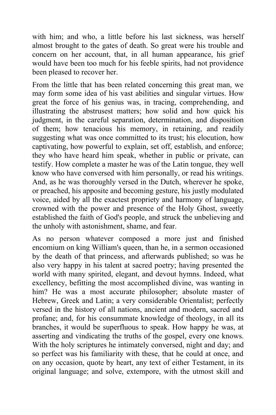with him; and who, a little before his last sickness, was herself almost brought to the gates of death. So great were his trouble and concern on her account, that, in all human appearance, his grief would have been too much for his feeble spirits, had not providence been pleased to recover her.

From the little that has been related concerning this great man, we may form some idea of his vast abilities and singular virtues. How great the force of his genius was, in tracing, comprehending, and illustrating the abstrusest matters; how solid and how quick his judgment, in the careful separation, determination, and disposition of them; how tenacious his memory, in retaining, and readily suggesting what was once committed to its trust; his elocution, how captivating, how powerful to explain, set off, establish, and enforce; they who have heard him speak, whether in public or private, can testify. How complete a master he was of the Latin tongue, they well know who have conversed with him personally, or read his writings. And, as he was thoroughly versed in the Dutch, wherever he spoke, or preached, his apposite and becoming gesture, his justly modulated voice, aided by all the exactest propriety and harmony of language, crowned with the power and presence of the Holy Ghost, sweetly established the faith of God's people, and struck the unbelieving and the unholy with astonishment, shame, and fear.

As no person whatever composed a more just and finished encomium on king William's queen, than he, in a sermon occasioned by the death of that princess, and afterwards published; so was he also very happy in his talent at sacred poetry; having presented the world with many spirited, elegant, and devout hymns. Indeed, what excellency, befitting the most accomplished divine, was wanting in him? He was a most accurate philosopher; absolute master of Hebrew, Greek and Latin; a very considerable Orientalist; perfectly versed in the history of all nations, ancient and modern, sacred and profane; and, for his consummate knowledge of theology, in all its branches, it would be superfluous to speak. How happy he was, at asserting and vindicating the truths of the gospel, every one knows. With the holy scriptures he intimately conversed, night and day; and so perfect was his familiarity with these, that he could at once, and on any occasion, quote by heart, any text of either Testament, in its original language; and solve, extempore, with the utmost skill and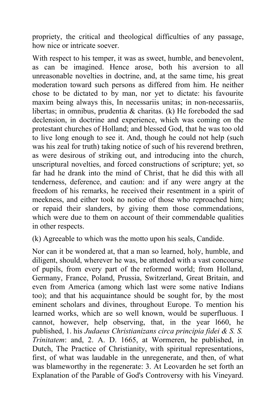propriety, the critical and theological difficulties of any passage, how nice or intricate soever.

With respect to his temper, it was as sweet, humble, and benevolent, as can be imagined. Hence arose, both his aversion to all unreasonable novelties in doctrine, and, at the same time, his great moderation toward such persons as differed from him. He neither chose to be dictated to by man, nor yet to dictate: his favourite maxim being always this, In necessariis unitas; in non-necessariis, libertas; in omnibus, prudentia & charitas. (k) He foreboded the sad declension, in doctrine and experience, which was coming on the protestant churches of Holland; and blessed God, that he was too old to live long enough to see it. And, though he could not help (such was his zeal for truth) taking notice of such of his reverend brethren, as were desirous of striking out, and introducing into the church, unscriptural novelties, and forced constructions of scripture; yet, so far had he drank into the mind of Christ, that he did this with all tenderness, deference, and caution: and if any were angry at the freedom of his remarks, he received their resentment in a spirit of meekness, and either took no notice of those who reproached him; or repaid their slanders, by giving them those commendations, which were due to them on account of their commendable qualities in other respects.

(k) Agreeable to which was the motto upon his seals, Candide.

Nor can it be wondered at, that a man so learned, holy, humble, and diligent, should, wherever he was, be attended with a vast concourse of pupils, from every part of the reformed world; from Holland, Germany, France, Poland, Prussia, Switzerland, Great Britain, and even from America (among which last were some native Indians too); and that his acquaintance should be sought for, by the most eminent scholars and divines, throughout Europe. To mention his learned works, which are so well known, would be superfluous. I cannot, however, help observing, that, in the year l660, he published, 1. his *Judaeus Christianizans circa principia fidei & S. S. Trinitatem*: and, 2. A. D. 1665, at Wormeren, he published, in Dutch, The Practice of Christianity, with spiritual representations, first, of what was laudable in the unregenerate, and then, of what was blameworthy in the regenerate: 3. At Leovarden he set forth an Explanation of the Parable of God's Controversy with his Vineyard.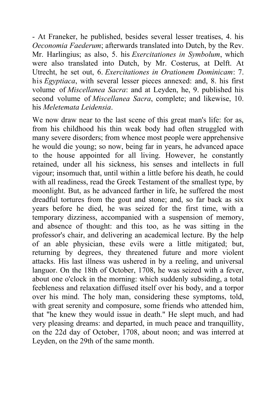- At Franeker, he published, besides several lesser treatises, 4. his *Oeconomia Faederum*; afterwards translated into Dutch, by the Rev. Mr. Harlingius; as also, 5. his *Exercitationes in Symbolum*, which were also translated into Dutch, by Mr. Costerus, at Delft. At Utrecht, he set out, 6. *Exercitationes in Orationem Dominicam*: 7. his *Egyptiaca*, with several lesser pieces annexed: and, 8. his first volume of *Miscellanea Sacra*: and at Leyden, he, 9. published his second volume of *Miscellanea Sacra*, complete; and likewise, 10. his *Meletemata Leidensia*.

We now draw near to the last scene of this great man's life: for as, from his childhood his thin weak body had often struggled with many severe disorders; from whence most people were apprehensive he would die young; so now, being far in years, he advanced apace to the house appointed for all living. However, he constantly retained, under all his sickness, his senses and intellects in full vigour; insomuch that, until within a little before his death, he could with all readiness, read the Greek Testament of the smallest type, by moonlight. But, as he advanced farther in life, he suffered the most dreadful tortures from the gout and stone; and, so far back as six years before he died, he was seized for the first time, with a temporary dizziness, accompanied with a suspension of memory, and absence of thought: and this too, as he was sitting in the professor's chair, and delivering an academical lecture. By the help of an able physician, these evils were a little mitigated; but, returning by degrees, they threatened future and more violent attacks. His last illness was ushered in by a reeling, and universal languor. On the 18th of October, 1708, he was seized with a fever, about one o'clock in the morning: which suddenly subsiding, a total feebleness and relaxation diffused itself over his body, and a torpor over his mind. The holy man, considering these symptoms, told, with great serenity and composure, some friends who attended him, that "he knew they would issue in death." He slept much, and had very pleasing dreams: and departed, in much peace and tranquillity, on the 22d day of October, 1708, about noon; and was interred at Leyden, on the 29th of the same month.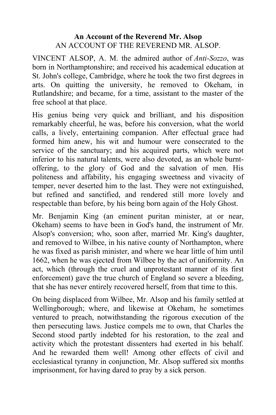# **An Account of the Reverend Mr. Alsop** AN ACCOUNT OF THE REVEREND MR. ALSOP.

VINCENT ALSOP, A. M. the admired author of *Anti-Sozzo*, was born in Northamptonshire; and received his academical education at St. John's college, Cambridge, where he took the two first degrees in arts. On quitting the university, he removed to Okeham, in Rutlandshire; and became, for a time, assistant to the master of the free school at that place.

His genius being very quick and brilliant, and his disposition remarkably cheerful, he was, before his conversion, what the world calls, a lively, entertaining companion. After effectual grace had formed him anew, his wit and humour were consecrated to the service of the sanctuary; and his acquired parts, which were not inferior to his natural talents, were also devoted, as an whole burntoffering, to the glory of God and the salvation of men. His politeness and affability, his engaging sweetness and vivacity of temper, never deserted him to the last. They were not extinguished, but refined and sanctified, and rendered still more lovely and respectable than before, by his being born again of the Holy Ghost.

Mr. Benjamin King (an eminent puritan minister, at or near, Okeham) seems to have been in God's hand, the instrument of Mr. Alsop's conversion; who, soon after, married Mr. King's daughter, and removed to Wilbee, in his native county of Northampton, where he was fixed as parish minister, and where we hear little of him until 1662, when he was ejected from Wilbee by the act of uniformity. An act, which (through the cruel and unprotestant manner of its first enforcement) gave the true church of England so severe a bleeding, that she has never entirely recovered herself, from that time to this.

On being displaced from Wilbee, Mr. Alsop and his family settled at Wellingborough; where, and likewise at Okeham, he sometimes ventured to preach, notwithstanding the rigorous execution of the then persecuting laws. Justice compels me to own, that Charles the Second stood partly indebted for his restoration, to the zeal and activity which the protestant dissenters had exerted in his behalf. And he rewarded them well! Among other effects of civil and ecclesiastical tyranny in conjunction, Mr. Alsop suffered six months imprisonment, for having dared to pray by a sick person.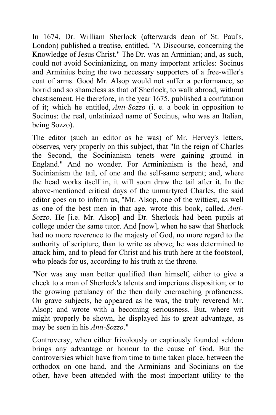In 1674, Dr. William Sherlock (afterwards dean of St. Paul's, London) published a treatise, entitled, "A Discourse, concerning the Knowledge of Jesus Christ." The Dr. was an Arminian; and, as such, could not avoid Socinianizing, on many important articles: Socinus and Arminius being the two necessary supporters of a free-willer's coat of arms. Good Mr. Alsop would not suffer a performance, so horrid and so shameless as that of Sherlock, to walk abroad, without chastisement. He therefore, in the year 1675, published a confutation of it; which he entitled, *Anti-Sozzo* (i. e. a book in opposition to Socinus: the real, unlatinized name of Socinus, who was an Italian, being Sozzo).

The editor (such an editor as he was) of Mr. Hervey's letters, observes*,* very properly on this subject, that "In the reign of Charles the Second, the Socinianism tenets were gaining ground in England." And no wonder. For Arminianism is the head, and Socinianism the tail, of one and the self-same serpent; and, where the head works itself in, it will soon draw the tail after it. In the above-mentioned critical days of the unmartyred Charles, the said editor goes on to inform us, "Mr. Alsop, one of the wittiest, as well as one of the best men in that age, wrote this book, called, *Anti-Sozzo*. He [i.e. Mr. Alsop] and Dr. Sherlock had been pupils at college under the same tutor. And [now], when he saw that Sherlock had no more reverence to the majesty of God, no more regard to the authority of scripture, than to write as above; he was determined to attack him, and to plead for Christ and his truth here at the footstool, who pleads for us, according to his truth at the throne.

"Nor was any man better qualified than himself, either to give a check to a man of Sherlock's talents and imperious disposition; or to the growing petulancy of the then daily encroaching profaneness. On grave subjects, he appeared as he was, the truly reverend Mr. Alsop; and wrote with a becoming seriousness. But, where wit might properly be shown, he displayed his to great advantage, as may be seen in his *Anti-Sozzo*."

Controversy, when either frivolously or captiously founded seldom brings any advantage or honour to the cause of God. But the controversies which have from time to time taken place, between the orthodox on one hand, and the Arminians and Socinians on the other, have been attended with the most important utility to the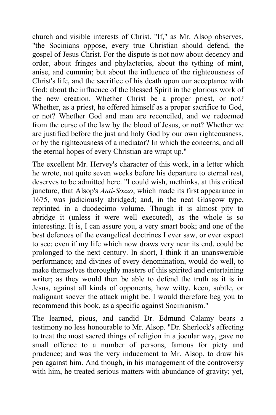church and visible interests of Christ. "If," as Mr. Alsop observes, "the Socinians oppose, every true Christian should defend, the gospel of Jesus Christ. For the dispute is not now about decency and order, about fringes and phylacteries, about the tything of mint, anise, and cummin; but about the influence of the righteousness of Christ's life, and the sacrifice of his death upon our acceptance with God; about the influence of the blessed Spirit in the glorious work of the new creation. Whether Christ be a proper priest, or not? Whether, as a priest, he offered himself as a proper sacrifice to God, or not? Whether God and man are reconciled, and we redeemed from the curse of the law by the blood of Jesus, or not? Whether we are justified before the just and holy God by our own righteousness, or by the righteousness of a mediator? In which the concerns, and all the eternal hopes of every Christian are wrapt up."

The excellent Mr. Hervey's character of this work, in a letter which he wrote, not quite seven weeks before his departure to eternal rest, deserves to be admitted here. "I could wish, methinks, at this critical juncture, that Alsop's *Anti-Sozzo*, which made its first appearance in 1675, was judiciously abridged; and, in the neat Glasgow type, reprinted in a duodecimo volume. Though it is almost pity to abridge it (unless it were well executed), as the whole is so interesting. It is, I can assure you, a very smart book; and one of the best defences of the evangelical doctrines I ever saw, or ever expect to see; even if my life which now draws very near its end, could be prolonged to the next century. In short, I think it an unanswerable performance; and divines of every denomination, would do well, to make themselves thoroughly masters of this spirited and entertaining writer; as they would then be able to defend the truth as it is in Jesus, against all kinds of opponents, how witty, keen, subtle, or malignant soever the attack might be. I would therefore beg you to recommend this book, as a specific against Socinianism."

The learned, pious, and candid Dr. Edmund Calamy bears a testimony no less honourable to Mr. Alsop. "Dr. Sherlock's affecting to treat the most sacred things of religion in a jocular way, gave no small offence to a number of persons, famous for piety and prudence; and was the very inducement to Mr. Alsop, to draw his pen against him. And though, in his management of the controversy with him, he treated serious matters with abundance of gravity; yet,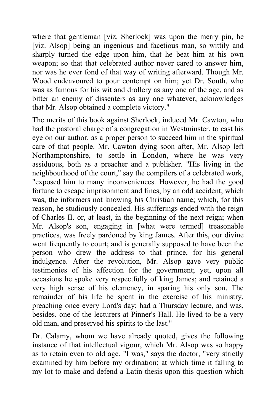where that gentleman [viz. Sherlock] was upon the merry pin, he [viz. Alsop] being an ingenious and facetious man, so wittily and sharply turned the edge upon him, that he beat him at his own weapon; so that that celebrated author never cared to answer him, nor was he ever fond of that way of writing afterward. Though Mr. Wood endeavoured to pour contempt on him; yet Dr. South, who was as famous for his wit and drollery as any one of the age, and as bitter an enemy of dissenters as any one whatever, acknowledges that Mr. Alsop obtained a complete victory."

The merits of this book against Sherlock, induced Mr. Cawton, who had the pastoral charge of a congregation in Westminster, to cast his eye on our author, as a proper person to succeed him in the spiritual care of that people. Mr. Cawton dying soon after, Mr. Alsop left Northamptonshire, to settle in London, where he was very assiduous, both as a preacher and a publisher. "His living in the neighbourhood of the court," say the compilers of a celebrated work, "exposed him to many inconveniences. However, he had the good fortune to escape imprisonment and fines, by an odd accident; which was, the informers not knowing his Christian name; which, for this reason, he studiously concealed. His sufferings ended with the reign of Charles II. or, at least, in the beginning of the next reign; when Mr. Alsop's son, engaging in [what were termed] treasonable practices, was freely pardoned by king James. After this, our divine went frequently to court; and is generally supposed to have been the person who drew the address to that prince, for his general indulgence. After the revolution, Mr. Alsop gave very public testimonies of his affection for the government; yet, upon all occasions he spoke very respectfully of king James; and retained a very high sense of his clemency, in sparing his only son. The remainder of his life he spent in the exercise of his ministry, preaching once every Lord's day; had a Thursday lecture, and was, besides, one of the lecturers at Pinner's Hall. He lived to be a very old man, and preserved his spirits to the last."

Dr. Calamy, whom we have already quoted, gives the following instance of that intellectual vigour, which Mr. Alsop was so happy as to retain even to old age. "I was," says the doctor, "very strictly examined by him before my ordination; at which time it falling to my lot to make and defend a Latin thesis upon this question which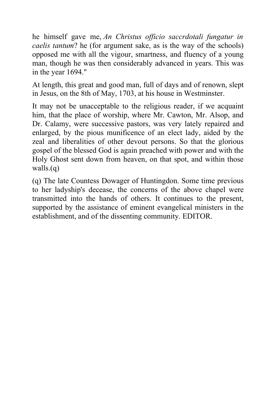he himself gave me, *An Christus officio saccrdotali fungatur in caelis tantum*? he (for argument sake, as is the way of the schools) opposed me with all the vigour, smartness, and fluency of a young man, though he was then considerably advanced in years. This was in the year 1694."

At length, this great and good man, full of days and of renown, slept in Jesus, on the 8th of May, 1703, at his house in Westminster.

It may not be unacceptable to the religious reader, if we acquaint him, that the place of worship, where Mr. Cawton, Mr. Alsop, and Dr. Calamy, were successive pastors, was very lately repaired and enlarged, by the pious munificence of an elect lady, aided by the zeal and liberalities of other devout persons. So that the glorious gospel of the blessed God is again preached with power and with the Holy Ghost sent down from heaven, on that spot, and within those walls.(q)

(q) The late Countess Dowager of Huntingdon. Some time previous to her ladyship's decease, the concerns of the above chapel were transmitted into the hands of others. It continues to the present, supported by the assistance of eminent evangelical ministers in the establishment, and of the dissenting community. EDITOR.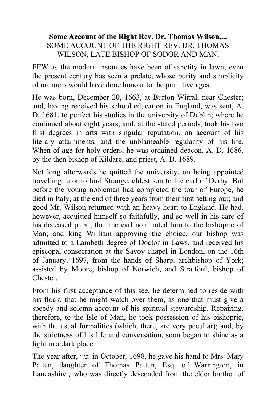#### **Some Account of the Right Rev. Dr. Thomas Wilson,...** SOME ACCOUNT OF THE RIGHT REV. DR. THOMAS WILSON, LATE BISHOP OF SODOR AND MAN.

FEW as the modern instances have been of sanctity in lawn; even the present century has seen a prelate, whose purity and simplicity of manners would have done honour to the primitive ages.

He was born, December 20, 1663, at Burton Wirral, near Chester; and, having received his school education in England, was sent, A. D. 1681, to perfect his studies in the university of Dublin; where he continued about eight years, and, at the stated periods, took his two first degrees in arts with singular reputation, on account of his literary attainments, and the unblameable regularity of his life. When of age for holy orders, he was ordained deacon, A. D. 1686, by the then bishop of Kildare; and priest, A. D. 1689.

Not long afterwards he quitted the university, on being appointed travelling tutor to lord Strange, eldest son to the earl of Derby. But before the young nobleman had completed the tour of Europe, he died in Italy, at the end of three years from their first setting out; and good Mr. Wilson returned with an heavy heart to England. He had, however, acquitted himself so faithfully, and so well in his care of his deceased pupil, that the earl nominated him to the bishopric of Man; and king William approving the choice, our bishop was admitted to a Lambeth degree of Doctor in Laws, and received his episcopal consecration at the Savoy chapel in London, on the 16th of January, 1697, from the hands of Sharp, archbishop of York; assisted by Moore, bishop of Norwich, and Stratford, bishop of Chester.

From his first acceptance of this see, he determined to reside with his flock, that he might watch over them, as one that must give a speedy and solemn account of his spiritual stewardship. Repairing, therefore, to the Isle of Man, he took possession of his bishopric, with the usual formalities (which, there, are very peculiar); and, by the strictness of his life and conversation, soon began to shine as a light in a dark place.

The year after, *viz.* in October, 1698, he gave his hand to Mrs. Mary Patten, daughter of Thomas Patten, Esq. of Warrington, in Lancashire *;* who was directly descended from the elder brother of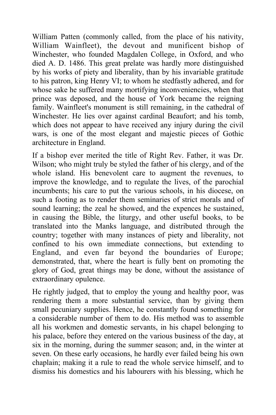William Patten (commonly called, from the place of his nativity, William Wainfleet), the devout and munificent bishop of Winchester, who founded Magdalen College, in Oxford, and who died A. D. 1486. This great prelate was hardly more distinguished by his works of piety and liberality, than by his invariable gratitude to his patron, king Henry VI; to whom he stedfastly adhered, and for whose sake he suffered many mortifying inconveniencies, when that prince was deposed, and the house of York became the reigning family. Wainfleet's monument is still remaining, in the cathedral of Winchester. He lies over against cardinal Beaufort; and his tomb, which does not appear to have received any injury during the civil wars, is one of the most elegant and majestic pieces of Gothic architecture in England.

If a bishop ever merited the title of Right Rev. Father, it was Dr. Wilson; who might truly be styled the father of his clergy, and of the whole island. His benevolent care to augment the revenues, to improve the knowledge, and to regulate the lives, of the parochial incumbents; his care to put the various schools, in his diocese, on such a footing as to render them seminaries of strict morals and of sound learning; the zeal he showed, and the expences he sustained, in causing the Bible, the liturgy, and other useful books, to be translated into the Manks language, and distributed through the country; together with many instances of piety and liberality, not confined to his own immediate connections, but extending to England, and even far beyond the boundaries of Europe; demonstrated, that, where the heart is fully bent on promoting the glory of God, great things may be done, without the assistance of extraordinary opulence.

He rightly judged, that to employ the young and healthy poor, was rendering them a more substantial service, than by giving them small pecuniary supplies. Hence, he constantly found something for a considerable number of them to do. His method was to assemble all his workmen and domestic servants, in his chapel belonging to his palace, before they entered on the various business of the day, at six in the morning, during the summer season; and, in the winter at seven. On these early occasions, he hardly ever failed being his own chaplain; making it a rule to read the whole service himself, and to dismiss his domestics and his labourers with his blessing, which he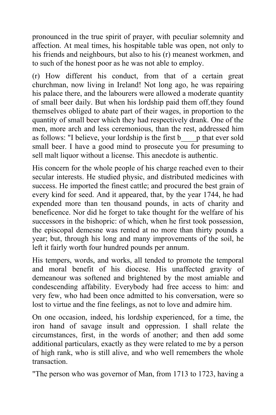pronounced in the true spirit of prayer, with peculiar solemnity and affection. At meal times, his hospitable table was open, not only to his friends and neighbours, but also to his (r) meanest workmen, and to such of the honest poor as he was not able to employ.

(r) How different his conduct, from that of a certain great churchman, now living in Ireland! Not long ago, he was repairing his palace there, and the labourers were allowed a moderate quantity of small beer daily. But when his lordship paid them off*,*they found themselves obliged to abate part of their wages, in proportion to the quantity of small beer which they had respectively drank. One of the men, more arch and less ceremonious, than the rest, addressed him as follows: "I believe, your lordship is the first b\_\_\_\_p that ever sold small beer. I have a good mind to prosecute you for presuming to sell malt liquor without a license. This anecdote is authentic.

His concern for the whole people of his charge reached even to their secular interests. He studied physic, and distributed medicines with success. He imported the finest cattle; and procured the best grain of every kind for seed. And it appeared, that, by the year 1744, he had expended more than ten thousand pounds, in acts of charity and beneficence. Nor did he forget to take thought for the welfare of his successors in the bishopric: of which, when he first took possession, the episcopal demesne was rented at no more than thirty pounds a year; but, through his long and many improvements of the soil, he left it fairly worth four hundred pounds per annum.

His tempers, words, and works, all tended to promote the temporal and moral benefit of his diocese. His unaffected gravity of demeanour was softened and brightened by the most amiable and condescending affability. Everybody had free access to him: and very few, who had been once admitted to his conversation, were so lost to virtue and the fine feelings, as not to love and admire him.

On one occasion, indeed, his lordship experienced, for a time, the iron hand of savage insult and oppression. I shall relate the circumstances, first, in the words of another; and then add some additional particulars, exactly as they were related to me by a person of high rank, who is still alive, and who well remembers the whole transaction.

"The person who was governor of Man, from 1713 to 1723, having a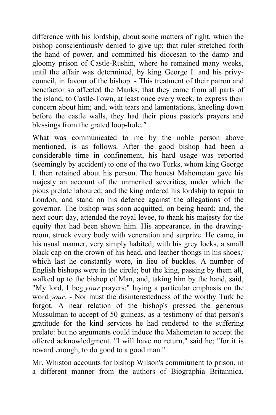difference with his lordship, about some matters of right, which the bishop conscientiously denied to give up; that ruler stretched forth the hand of power, and committed his diocesan to the damp and gloomy prison of Castle-Rushin, where he remained many weeks, until the affair was determined, by king George I. and his privycouncil, in favour of the bishop. - This treatment of their patron and benefactor so affected the Manks, that they came from all parts of the island, to Castle-Town, at least once every week, to express their concern about him; and, with tears and lamentations, kneeling down before the castle walls, they had their pious pastor's prayers and blessings from the grated loop-hole*."*

What was communicated to me by the noble person above mentioned, is as follows. After the good bishop had been a considerable time in confinement, his hard usage was reported (seemingly by accident) to one of the two Turks, whom king George I. then retained about his person. The honest Mahometan gave his majesty an account of the unmerited severities, under which the pious prelate laboured; and the king ordered his lordship to repair to London, and stand on his defence against the allegations of the governor. The bishop was soon acquitted, on being heard; and, the next court day, attended the royal levee, to thank his majesty for the equity that had been shown him. His appearance, in the drawingroom, struck every body with veneration and surprize. He came, in his usual manner, very simply habited; with his grey locks, a small black cap on the crown of his head, and leather thongs in his shoes*;* which last he constantly wore, in lieu of buckles. A number of English bishops were in the circle; but the king, passing by them all, walked up to the bishop of Man, and, taking him by the hand, said, "My lord, I beg *your* prayers:" laying a particular emphasis on the word *your.* - Nor must the disinterestedness of the worthy Turk be forgot. A near relation of the bishop's pressed the generous Mussulman to accept of 50 guineas, as a testimony of that person's gratitude for the kind services he had rendered to the suffering prelate: but no arguments could induce the Mahometan to accept the offered acknowledgment. "I will have no return," said he; "for it is reward enough, to do good to a good man."

Mr. Whiston accounts for bishop Wilson's commitment to prison, in a different manner from the authors of Biographia Britannica.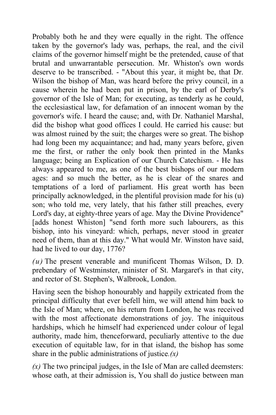Probably both he and they were equally in the right. The offence taken by the governor's lady was, perhaps, the real, and the civil claims of the governor himself might be the pretended, cause of that brutal and unwarrantable persecution. Mr. Whiston's own words deserve to be transcribed. - "About this year, it might be, that Dr. Wilson the bishop of Man, was heard before the privy council, in a cause wherein he had been put in prison, by the earl of Derby's governor of the Isle of Man; for executing, as tenderly as he could, the ecclesiastical law, for defamation of an innocent woman by the governor's wife. I heard the cause; and, with Dr. Nathaniel Marshal, did the bishop what good offices I could. He carried his cause: but was almost ruined by the suit; the charges were so great. The bishop had long been my acquaintance; and had, many years before, given me the first, or rather the only book then printed in the Manks language; being an Explication of our Church Catechism. - He has always appeared to me, as one of the best bishops of our modern ages: and so much the better, as he is clear of the snares and temptations of a lord of parliament. His great worth has been principally acknowledged, in the plentiful provision made for his (u) son; who told me, very lately, that his father still preaches, every Lord's day, at eighty-three years of age. May the Divine Providence" [adds honest Whiston] "send forth more such labourers, as this bishop, into his vineyard: which, perhaps, never stood in greater need of them, than at this day." What would Mr. Winston have said, had he lived to our day, 1776?

*(u)* The present venerable and munificent Thomas Wilson, D. D. prebendary of Westminster, minister of St. Margaret's in that city, and rector of St. Stephen's, Walbrook, London.

Having seen the bishop honourably and happily extricated from the principal difficulty that ever befell him, we will attend him back to the Isle of Man; where, on his return from London, he was received with the most affectionate demonstrations of joy. The iniquitous hardships, which he himself had experienced under colour of legal authority, made him, thenceforward, peculiarly attentive to the due execution of equitable law, for in that island, the bishop has some share in the public administrations of justice*.(x)*

 $(x)$  The two principal judges, in the Isle of Man are called deemsters: whose oath, at their admission is, You shall do justice between man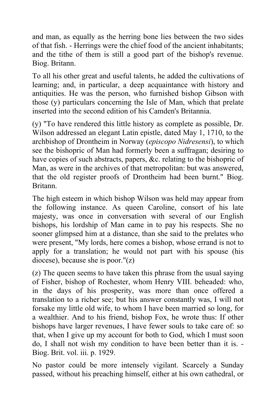and man, as equally as the herring bone lies between the two sides of that fish. - Herrings were the chief food of the ancient inhabitants; and the tithe of them is still a good part of the bishop's revenue. Biog. Britann.

To all his other great and useful talents, he added the cultivations of learning; and, in particular, a deep acquaintance with history and antiquities. He was the person, who furnished bishop Gibson with those (y) particulars concerning the Isle of Man, which that prelate inserted into the second edition of his Camden's Britannia.

(y) "To have rendered this little history as complete as possible, Dr. Wilson addressed an elegant Latin epistle, dated May 1, 1710, to the archbishop of Drontheim in Norway (*episcopo Nidresensi*), to which see the bishopric of Man had formerly been a suffragan; desiring to have copies of such abstracts, papers, &c. relating to the bishopric of Man, as were in the archives of that metropolitan: but was answered, that the old register proofs of Drontheim had been burnt." Biog. Britann.

The high esteem in which bishop Wilson was held may appear from the following instance. As queen Caroline, consort of his late majesty, was once in conversation with several of our English bishops, his lordship of Man came in to pay his respects. She no sooner glimpsed him at a distance, than she said to the prelates who were present, "My lords, here comes a bishop, whose errand is not to apply for a translation; he would not part with his spouse (his diocese), because she is poor."(z)

(z) The queen seems to have taken this phrase from the usual saying of Fisher, bishop of Rochester, whom Henry VIII. beheaded: who, in the days of his prosperity, was more than once offered a translation to a richer see; but his answer constantly was, I will not forsake my little old wife, to whom I have been married so long, for a wealthier. And to his friend, bishop Fox, he wrote thus: If other bishops have larger revenues, I have fewer souls to take care of: so that, when I give up my account for both to God, which I must soon do, I shall not wish my condition to have been better than it is. - Biog. Brit. vol. iii. p. 1929.

No pastor could be more intensely vigilant. Scarcely a Sunday passed, without his preaching himself, either at his own cathedral, or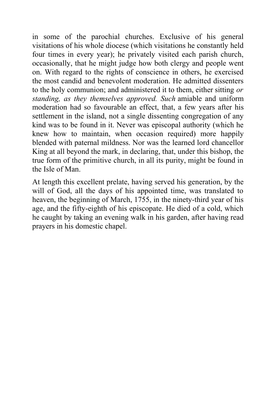in some of the parochial churches. Exclusive of his general visitations of his whole diocese (which visitations he constantly held four times in every year); he privately visited each parish church, occasionally, that he might judge how both clergy and people went on. With regard to the rights of conscience in others, he exercised the most candid and benevolent moderation. He admitted dissenters to the holy communion; and administered it to them, either sitting *or standing, as they themselves approved. Such* amiable and uniform moderation had so favourable an effect, that, a few years after his settlement in the island, not a single dissenting congregation of any kind was to be found in it. Never was episcopal authority (which he knew how to maintain, when occasion required) more happily blended with paternal mildness. Nor was the learned lord chancellor King at all beyond the mark, in declaring, that, under this bishop, the true form of the primitive church, in all its purity, might be found in the Isle of Man.

At length this excellent prelate, having served his generation, by the will of God, all the days of his appointed time, was translated to heaven, the beginning of March, 1755, in the ninety-third year of his age, and the fifty-eighth of his episcopate. He died of a cold, which he caught by taking an evening walk in his garden, after having read prayers in his domestic chapel.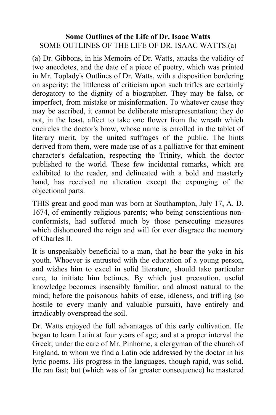### **Some Outlines of the Life of Dr. Isaac Watts** SOME OUTLINES OF THE LIFE OF DR. ISAAC WATTS.(a)

(a) Dr. Gibbons, in his Memoirs of Dr. Watts, attacks the validity of two anecdotes, and the date of a piece of poetry, which was printed in Mr. Toplady's Outlines of Dr. Watts, with a disposition bordering on asperity; the littleness of criticism upon such trifles are certainly derogatory to the dignity of a biographer. They may be false, or imperfect, from mistake or misinformation. To whatever cause they may be ascribed, it cannot be deliberate misrepresentation; they do not, in the least, affect to take one flower from the wreath which encircles the doctor's brow, whose name is enrolled in the tablet of literary merit, by the united suffrages of the public. The hints derived from them, were made use of as a palliative for that eminent character's defalcation, respecting the Trinity, which the doctor published to the world. These few incidental remarks, which are exhibited to the reader, and delineated with a bold and masterly hand, has received no alteration except the expunging of the objectional parts.

THIS great and good man was born at Southampton, July 17, A. D. 1674, of eminently religious parents; who being conscientious nonconformists, had suffered much by those persecuting measures which dishonoured the reign and will for ever disgrace the memory of Charles II.

It is unspeakably beneficial to a man, that he bear the yoke in his youth. Whoever is entrusted with the education of a young person, and wishes him to excel in solid literature, should take particular care, to initiate him betimes. By which just precaution, useful knowledge becomes insensibly familiar, and almost natural to the mind; before the poisonous habits of ease, idleness, and trifling (so hostile to every manly and valuable pursuit), have entirely and irradicably overspread the soil.

Dr. Watts enjoyed the full advantages of this early cultivation. He began to learn Latin at four years of age; and at a proper interval the Greek; under the care of Mr. Pinhorne, a clergyman of the church of England, to whom we find a Latin ode addressed by the doctor in his lyric poems. His progress in the languages, though rapid, was solid. He ran fast; but (which was of far greater consequence) he mastered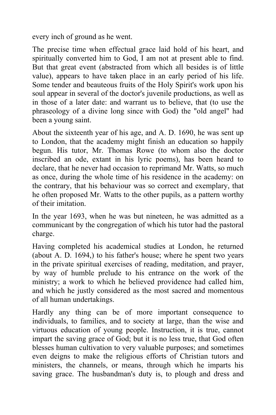every inch of ground as he went.

The precise time when effectual grace laid hold of his heart, and spiritually converted him to God, I am not at present able to find. But that great event (abstracted from which all besides is of little value), appears to have taken place in an early period of his life. Some tender and beauteous fruits of the Holy Spirit's work upon his soul appear in several of the doctor's juvenile productions, as well as in those of a later date: and warrant us to believe, that (to use the phraseology of a divine long since with God) the "old angel" had been a young saint.

About the sixteenth year of his age, and A. D. 1690, he was sent up to London, that the academy might finish an education so happily begun. His tutor, Mr. Thomas Rowe (to whom also the doctor inscribed an ode, extant in his lyric poems), has been heard to declare, that he never had occasion to reprimand Mr. Watts, so much as once, during the whole time of his residence in the academy: on the contrary, that his behaviour was so correct and exemplary, that he often proposed Mr. Watts to the other pupils, as a pattern worthy of their imitation.

In the year 1693, when he was but nineteen, he was admitted as a communicant by the congregation of which his tutor had the pastoral charge.

Having completed his academical studies at London, he returned (about A. D. 1694,) to his father's house; where he spent two years in the private spiritual exercises of reading, meditation, and prayer, by way of humble prelude to his entrance on the work of the ministry; a work to which he believed providence had called him, and which he justly considered as the most sacred and momentous of all human undertakings.

Hardly any thing can be of more important consequence to individuals, to families, and to society at large, than the wise and virtuous education of young people. Instruction, it is true, cannot impart the saving grace of God; but it is no less true, that God often blesses human cultivation to very valuable purposes; and sometimes even deigns to make the religious efforts of Christian tutors and ministers, the channels, or means, through which he imparts his saving grace. The husbandman's duty is, to plough and dress and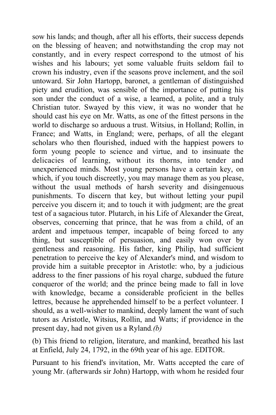sow his lands; and though, after all his efforts, their success depends on the blessing of heaven; and notwithstanding the crop may not constantly, and in every respect correspond to the utmost of his wishes and his labours; yet some valuable fruits seldom fail to crown his industry, even if the seasons prove inclement, and the soil untoward. Sir John Hartopp, baronet, a gentleman of distinguished piety and erudition, was sensible of the importance of putting his son under the conduct of a wise, a learned, a polite, and a truly Christian tutor. Swayed by this view, it was no wonder that he should cast his eye on Mr. Watts, as one of the fittest persons in the world to discharge so arduous a trust. Witsius, in Holland; Rollin, in France; and Watts, in England; were, perhaps, of all the elegant scholars who then flourished, indued with the happiest powers to form young people to science and virtue, and to insinuate the delicacies of learning, without its thorns, into tender and unexperienced minds. Most young persons have a certain key, on which, if you touch discreetly, you may manage them as you please, without the usual methods of harsh severity and disingenuous punishments. To discern that key, but without letting your pupil perceive you discern it; and to touch it with judgment; are the great test of a sagacious tutor. Plutarch, in his Life of Alexander the Great, observes, concerning that prince, that he was from a child, of an ardent and impetuous temper, incapable of being forced to any thing, but susceptible of persuasion, and easily won over by gentleness and reasoning. His father, king Philip, had sufficient penetration to perceive the key of Alexander's mind, and wisdom to provide him a suitable preceptor in Aristotle: who, by a judicious address to the finer passions of his royal charge, subdued the future conqueror of the world; and the prince being made to fall in love with knowledge, became a considerable proficient in the belles lettres, because he apprehended himself to be a perfect volunteer. I should, as a well-wisher to mankind, deeply lament the want of such tutors as Aristotle, Witsius, Rollin, and Watts; if providence in the present day, had not given us a Ryland*.(b)*

(b) This friend to religion, literature, and mankind, breathed his last at Enfield, July 24, 1792, in the 69th year of his age. EDITOR.

Pursuant to his friend's invitation, Mr. Watts accepted the care of young Mr. (afterwards sir John) Hartopp, with whom he resided four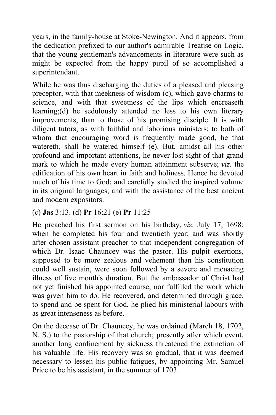years, in the family-house at Stoke-Newington. And it appears, from the dedication prefixed to our author's admirable Treatise on Logic, that the young gentleman's advancements in literature were such as might be expected from the happy pupil of so accomplished a superintendant.

While he was thus discharging the duties of a pleased and pleasing preceptor, with that meekness of wisdom (c), which gave charms to science, and with that sweetness of the lips which encreaseth learning;(d) he sedulously attended no less to his own literary improvements, than to those of his promising disciple. It is with diligent tutors, as with faithful and laborious ministers; to both of whom that encouraging word is frequently made good, he that watereth, shall be watered himself (e). But, amidst all his other profound and important attentions, he never lost sight of that grand mark to which he made every human attainment subserve; *viz.* the edification of his own heart in faith and holiness. Hence he devoted much of his time to God; and carefully studied the inspired volume in its original languages, and with the assistance of the best ancient and modern expositors.

## (c) **Jas** 3:13. (d) **Pr** 16:21 (e) **Pr** 11:25

He preached his first sermon on his birthday, *viz.* July 17, 1698; when he completed his four and twentieth year; and was shortly after chosen assistant preacher to that independent congregation of which Dr. Isaac Chauncey was the pastor. His pulpit exertions, supposed to be more zealous and vehement than his constitution could well sustain, were soon followed by a severe and menacing illness of five month's duration. But the ambassador of Christ had not yet finished his appointed course, nor fulfilled the work which was given him to do. He recovered, and determined through grace, to spend and be spent for God, he plied his ministerial labours with as great intenseness as before.

On the decease of Dr. Chauncey, he was ordained (March 18, 1702, N. S.) to the pastorship of that church; presently after which event, another long confinement by sickness threatened the extinction of his valuable life. His recovery was so gradual, that it was deemed necessary to lessen his public fatigues, by appointing Mr. Samuel Price to be his assistant, in the summer of 1703.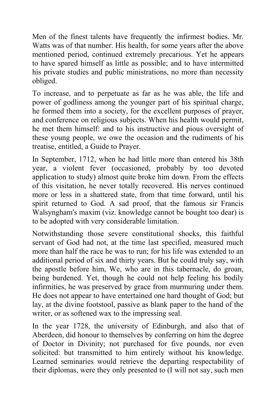Men of the finest talents have frequently the infirmest bodies. Mr. Watts was of that number. His health, for some years after the above mentioned period, continued extremely precarious. Yet he appears to have spared himself as little as possible; and to have intermitted his private studies and public ministrations, no more than necessity obliged.

To increase, and to perpetuate as far as he was able, the life and power of godliness among the younger part of his spiritual charge, he formed them into a society, for the excellent purposes of prayer, and conference on religious subjects. When his health would permit, he met them himself: and to his instructive and pious oversight of these young people, we owe the occasion and the rudiments of his treatise, entitled, a Guide to Prayer.

In September, 1712, when he had little more than entered his 38th year, a violent fever (occasioned, probably by too devoted application to study) almost quite broke him down. From the effects of this visitation, he never totally recovered. His nerves continued more or less in a shattered state, from that time forward, until his spirit returned to God. A sad proof, that the famous sir Francis Walsyngham's maxim (viz. knowledge cannot be bought too dear) is to be adopted with very considerable limitation.

Notwithstanding those severe constitutional shocks, this faithful servant of God had not, at the time last specified, measured much more than half the race he was to run; for his life was extended to an additional period of six and thirty years. But he could truly say, with the apostle before him, We, who are in this tabernacle, do groan, being burdened. Yet, though he could not help feeling his bodily infirmities, he was preserved by grace from murmuring under them. He does not appear to have entertained one hard thought of God; but lay, at the divine footstool, passive as blank paper to the hand of the writer, or as softened wax to the impressing seal.

In the year 1728, the university of Edinburgh, and also that of Aberdeen, did honour to themselves by conferring on him the degree of Doctor in Divinity; not purchased for five pounds, nor even solicited: but transmitted to him entirely without his knowledge. Learned seminaries would retrieve the departing respectability of their diplomas, were they only presented to (I will not say, such men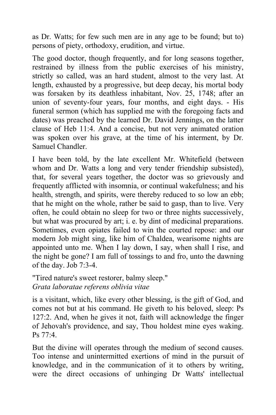as Dr. Watts; for few such men are in any age to be found; but to) persons of piety, orthodoxy, erudition, and virtue.

The good doctor, though frequently, and for long seasons together, restrained by illness from the public exercises of his ministry, strictly so called, was an hard student, almost to the very last. At length, exhausted by a progressive, but deep decay, his mortal body was forsaken by its deathless inhabitant, Nov. 25, 1748; after an union of seventy-four years, four months, and eight days. - His funeral sermon (which has supplied me with the foregoing facts and dates) was preached by the learned Dr. David Jennings, on the latter clause of Heb 11:4. And a concise, but not very animated oration was spoken over his grave, at the time of his interment, by Dr. Samuel Chandler.

I have been told, by the late excellent Mr. Whitefield (between whom and Dr. Watts a long and very tender friendship subsisted), that, for several years together, the doctor was so grievously and frequently afflicted with insomnia, or continual wakefulness; and his health, strength, and spirits, were thereby reduced to so low an ebb; that he might on the whole, rather be said to gasp, than to live. Very often, he could obtain no sleep for two or three nights successively, but what was procured by art; i. e. by dint of medicinal preparations. Sometimes, even opiates failed to win the courted repose: and our modern Job might sing, like him of Chaldea, wearisome nights are appointed unto me. When I lay down, I say, when shall I rise, and the night be gone? I am full of tossings to and fro, unto the dawning of the day. Job 7:3-4.

"Tired nature's sweet restorer, balmy sleep." *Grata laboratae referens oblivia vitae*

is a visitant, which, like every other blessing, is the gift of God, and comes not but at his command. He giveth to his beloved, sleep: Ps 127:2. And, when he gives it not, faith will acknowledge the finger of Jehovah's providence, and say, Thou holdest mine eyes waking. Ps 77:4.

But the divine will operates through the medium of second causes. Too intense and unintermitted exertions of mind in the pursuit of knowledge, and in the communication of it to others by writing, were the direct occasions of unhinging Dr Watts' intellectual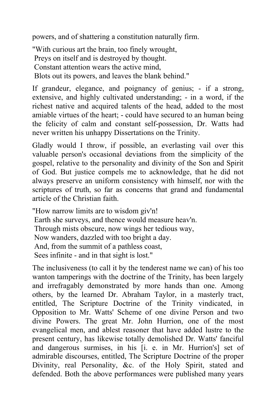powers, and of shattering a constitution naturally firm.

"With curious art the brain, too finely wrought, Preys on itself and is destroyed by thought. Constant attention wears the active mind, Blots out its powers, and leaves the blank behind."

If grandeur, elegance, and poignancy of genius; - if a strong, extensive, and highly cultivated understanding; - in a word, if the richest native and acquired talents of the head, added to the most amiable virtues of the heart; - could have secured to an human being the felicity of calm and constant self-possession, Dr. Watts had never written his unhappy Dissertations on the Trinity.

Gladly would I throw, if possible, an everlasting vail over this valuable person's occasional deviations from the simplicity of the gospel, relative to the personality and divinity of the Son and Spirit of God. But justice compels me to acknowledge, that he did not always preserve an uniform consistency with himself, nor with the scriptures of truth, so far as concerns that grand and fundamental article of the Christian faith.

"How narrow limits are to wisdom giv'n! Earth she surveys, and thence would measure heav'n. Through mists obscure, now wings her tedious way, Now wanders, dazzled with too bright a day. And, from the summit of a pathless coast, Sees infinite - and in that sight is lost."

The inclusiveness (to call it by the tenderest name we can) of his too wanton tamperings with the doctrine of the Trinity, has been largely and irrefragably demonstrated by more hands than one. Among others, by the learned Dr. Abraham Taylor, in a masterly tract, entitled, The Scripture Doctrine of the Trinity vindicated, in Opposition to Mr. Watts' Scheme of one divine Person and two divine Powers. The great Mr. John Hurrion, one of the most evangelical men, and ablest reasoner that have added lustre to the present century, has likewise totally demolished Dr. Watts' fanciful and dangerous surmises, in his [i. e. in Mr. Hurrion's] set of admirable discourses, entitled, The Scripture Doctrine of the proper Divinity, real Personality, &c. of the Holy Spirit, stated and defended. Both the above performances were published many years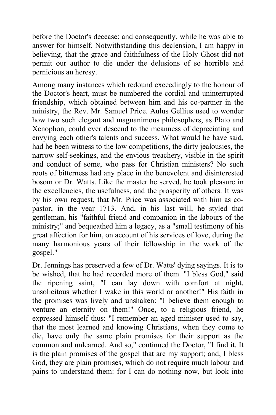before the Doctor's decease; and consequently, while he was able to answer for himself. Notwithstanding this declension, I am happy in believing, that the grace and faithfulness of the Holy Ghost did not permit our author to die under the delusions of so horrible and pernicious an heresy.

Among many instances which redound exceedingly to the honour of the Doctor's heart, must be numbered the cordial and uninterrupted friendship, which obtained between him and his co-partner in the ministry, the Rev. Mr. Samuel Price. Aulus Gellius used to wonder how two such elegant and magnanimous philosophers, as Plato and Xenophon, could ever descend to the meanness of depreciating and envying each other's talents and success. What would he have said, had he been witness to the low competitions, the dirty jealousies, the narrow self-seekings, and the envious treachery, visible in the spirit and conduct of some, who pass for Christian ministers? No such roots of bitterness had any place in the benevolent and disinterested bosom or Dr. Watts. Like the master he served, he took pleasure in the excellencies, the usefulness, and the prosperity of others. It was by his own request, that Mr. Price was associated with him as copastor, in the year 1713. And, in his last will, he styled that gentleman, his "faithful friend and companion in the labours of the ministry;" and bequeathed him a legacy, as a "small testimony of his great affection for him, on account of his services of love, during the many harmonious years of their fellowship in the work of the gospel."

Dr. Jennings has preserved a few of Dr. Watts' dying sayings. It is to be wished, that he had recorded more of them. "I bless God," said the ripening saint, "I can lay down with comfort at night, unsolicitous whether I wake in this world or another!" His faith in the promises was lively and unshaken: "I believe them enough to venture an eternity on them!" Once, to a religious friend, he expressed himself thus: "I remember an aged minister used to say, that the most learned and knowing Christians, when they come to die, have only the same plain promises for their support as the common and unlearned. And so," continued the Doctor, "I find it. It is the plain promises of the gospel that are my support; and, I bless God, they are plain promises, which do not require much labour and pains to understand them: for I can do nothing now, but look into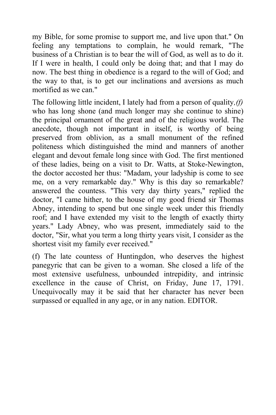my Bible, for some promise to support me, and live upon that." On feeling any temptations to complain, he would remark, "The business of a Christian is to bear the will of God, as well as to do it. If I were in health, I could only be doing that; and that I may do now. The best thing in obedience is a regard to the will of God; and the way to that, is to get our inclinations and aversions as much mortified as we can."

The following little incident, I lately had from a person of quality*,(f)* who has long shone (and much longer may she continue to shine) the principal ornament of the great and of the religious world. The anecdote, though not important in itself, is worthy of being preserved from oblivion, as a small monument of the refined politeness which distinguished the mind and manners of another elegant and devout female long since with God. The first mentioned of these ladies, being on a visit to Dr. Watts, at Stoke-Newington, the doctor accosted her thus: "Madam, your ladyship is come to see me, on a very remarkable day." Why is this day so remarkable? answered the countess. "This very day thirty years," replied the doctor, "I came hither, to the house of my good friend sir Thomas Abney, intending to spend but one single week under this friendly roof; and I have extended my visit to the length of exactly thirty years." Lady Abney, who was present, immediately said to the doctor, "Sir, what you term a long thirty years visit, I consider as the shortest visit my family ever received."

(f) The late countess of Huntingdon, who deserves the highest panegyric that can be given to a woman. She closed a life of the most extensive usefulness, unbounded intrepidity, and intrinsic excellence in the cause of Christ, on Friday, June 17, 1791. Unequivocally may it be said that her character has never been surpassed or equalled in any age, or in any nation. EDITOR.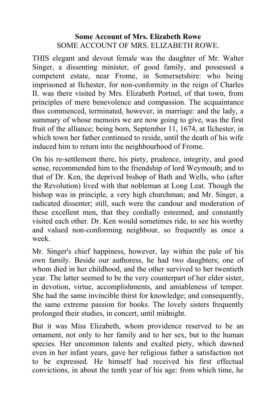# **Some Account of Mrs. Elizabeth Rowe** SOME ACCOUNT OF MRS. ELIZABETH ROWE.

THIS elegant and devout female was the daughter of Mr. Walter Singer, a dissenting minister, of good family, and possessed a competent estate, near Frome, in Somersetshire: who being imprisoned at Ilchester, for non-conformity in the reign of Charles II. was there visited by Mrs. Elizabeth Portnel, of that town, from principles of mere benevolence and compassion. The acquaintance thus commenced, terminated, however, in marriage: and the lady, a summary of whose memoirs we are now going to give, was the first fruit of the alliance; being born, September 11, 1674, at Ilchester, in which town her father continued to reside, until the death of his wife induced him to return into the neighbourhood of Frome.

On his re-settlement there, his piety, prudence, integrity, and good sense, recommended him to the friendship of lord Weymouth; and to that of Dr. Ken, the deprived bishop of Bath and Wells, who (after the Revolution) lived with that nobleman at Long Leat. Though the bishop was in principle, a very high churchman; and Mr. Singer, a radicated dissenter; still, such were the candour and moderation of these excellent men, that they cordially esteemed, and constantly visited each other. Dr. Ken would sometimes ride, to see his worthy and valued non-conforming neighbour, so frequently as once a week.

Mr. Singer's chief happiness, however, lay within the pale of his own family. Beside our authoress, he had two daughters; one of whom died in her childhood, and the other survived to her twentieth year. The latter seemed to be the very counterpart of her elder sister, in devotion, virtue, accomplishments, and amiableness of temper. She had the same invincible thirst for knowledge; and consequently, the same extreme passion for books. The lovely sisters frequently prolonged their studies, in concert, until midnight.

But it was Miss Elizabeth, whom providence reserved to be an ornament, not only to her family and to her sex, but to the human species. Her uncommon talents and exalted piety, which dawned even in her infant years, gave her religious father a satisfaction not to be expressed. He himself had received his first effectual convictions, in about the tenth year of his age: from which time, he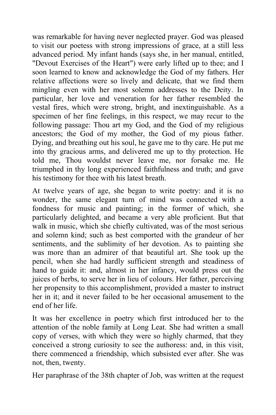was remarkable for having never neglected prayer. God was pleased to visit our poetess with strong impressions of grace, at a still less advanced period. My infant hands (says she, in her manual, entitled, "Devout Exercises of the Heart") were early lifted up to thee; and I soon learned to know and acknowledge the God of my fathers. Her relative affections were so lively and delicate, that we find them mingling even with her most solemn addresses to the Deity. In particular, her love and veneration for her father resembled the vestal fires, which were strong, bright, and inextinguishable. As a specimen of her fine feelings, in this respect, we may recur to the following passage: Thou art my God, and the God of my religious ancestors; the God of my mother, the God of my pious father. Dying, and breathing out his soul, he gave me to thy care. He put me into thy gracious arms, and delivered me up to thy protection. He told me, Thou wouldst never leave me, nor forsake me. He triumphed in thy long experienced faithfulness and truth; and gave his testimony for thee with his latest breath.

At twelve years of age, she began to write poetry: and it is no wonder, the same elegant turn of mind was connected with a fondness for music and painting; in the former of which, she particularly delighted, and became a very able proficient. But that walk in music, which she chiefly cultivated, was of the most serious and solemn kind; such as best comported with the grandeur of her sentiments, and the sublimity of her devotion. As to painting she was more than an admirer of that beautiful art. She took up the pencil, when she had hardly sufficient strength and steadiness of hand to guide it: and, almost in her infancy, would press out the juices of herbs, to serve her in lieu of colours. Her father, perceiving her propensity to this accomplishment, provided a master to instruct her in it; and it never failed to be her occasional amusement to the end of her life.

It was her excellence in poetry which first introduced her to the attention of the noble family at Long Leat. She had written a small copy of verses, with which they were so highly charmed, that they conceived a strong curiosity to see the authoress: and, in this visit, there commenced a friendship, which subsisted ever after. She was not, then, twenty.

Her paraphrase of the 38th chapter of Job, was written at the request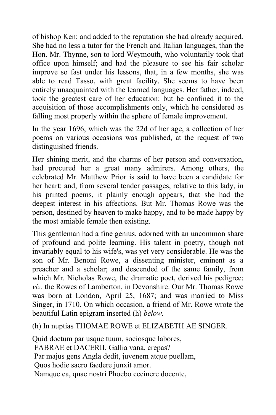of bishop Ken; and added to the reputation she had already acquired. She had no less a tutor for the French and Italian languages, than the Hon. Mr. Thynne, son to lord Weymouth, who voluntarily took that office upon himself; and had the pleasure to see his fair scholar improve so fast under his lessons, that, in a few months, she was able to read Tasso, with great facility. She seems to have been entirely unacquainted with the learned languages. Her father, indeed, took the greatest care of her education: but he confined it to the acquisition of those accomplishments only, which he considered as falling most properly within the sphere of female improvement.

In the year 1696, which was the 22d of her age, a collection of her poems on various occasions was published, at the request of two distinguished friends.

Her shining merit, and the charms of her person and conversation, had procured her a great many admirers. Among others, the celebrated Mr. Matthew Prior is said to have been a candidate for her heart: and, from several tender passages, relative to this lady, in his printed poems, it plainly enough appears, that she had the deepest interest in his affections. But Mr. Thomas Rowe was the person, destined by heaven to make happy, and to be made happy by the most amiable female then existing.

This gentleman had a fine genius, adorned with an uncommon share of profound and polite learning. His talent in poetry, though not invariably equal to his wife's, was yet very considerable. He was the son of Mr. Benoni Rowe, a dissenting minister, eminent as a preacher and a scholar; and descended of the same family, from which Mr. Nicholas Rowe, the dramatic poet, derived his pedigree: *viz.* the Rowes of Lamberton, in Devonshire. Our Mr. Thomas Rowe was born at London, April 25, 1687; and was married to Miss Singer, in 1710. On which occasion, a friend of Mr. Rowe wrote the beautiful Latin epigram inserted (h) *below.*

(h) In nuptias THOMAE ROWE et ELIZABETH AE SINGER.

Quid doctum par usque tuum, sociosque labores, FABRAE et DACERII, Gallia vana, crepas? Par majus gens Angla dedit, juvenem atque puellam, Quos hodie sacro faedere junxit amor. Namque ea, quae nostri Phoebo cecinere docente,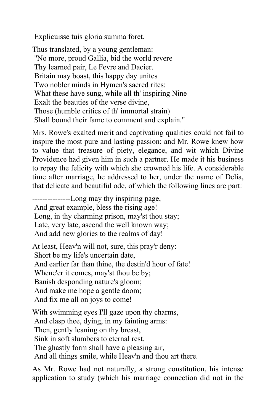Explicuisse tuis gloria summa foret.

Thus translated, by a young gentleman: "No more, proud Gallia, bid the world revere Thy learned pair, Le Fevre and Dacier. Britain may boast, this happy day unites Two nobler minds in Hymen's sacred rites: What these have sung, while all th' inspiring Nine Exalt the beauties of the verse divine, Those (humble critics of th' immortal strain) Shall bound their fame to comment and explain."

Mrs. Rowe's exalted merit and captivating qualities could not fail to inspire the most pure and lasting passion: and Mr. Rowe knew how to value that treasure of piety, elegance, and wit which Divine Providence had given him in such a partner. He made it his business to repay the felicity with which she crowned his life. A considerable time after marriage, he addressed to her, under the name of Delia, that delicate and beautiful ode, of which the following lines are part:

---------------Long may thy inspiring page, And great example, bless the rising age! Long, in thy charming prison, may'st thou stay; Late, very late, ascend the well known way; And add new glories to the realms of day!

At least, Heav'n will not, sure, this pray'r deny: Short be my life's uncertain date, And earlier far than thine, the destin'd hour of fate! Whene'er it comes, may'st thou be by; Banish desponding nature's gloom; And make me hope a gentle doom; And fix me all on joys to come!

With swimming eyes I'll gaze upon thy charms,

And clasp thee, dying, in my fainting arms:

Then, gently leaning on thy breast,

Sink in soft slumbers to eternal rest.

The ghastly form shall have a pleasing air,

And all things smile, while Heav'n and thou art there.

As Mr. Rowe had not naturally, a strong constitution, his intense application to study (which his marriage connection did not in the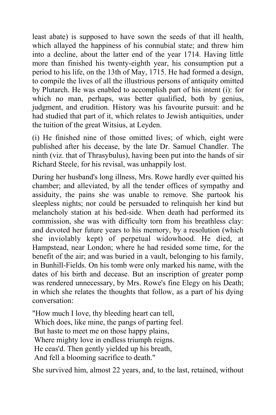least abate) is supposed to have sown the seeds of that ill health, which allayed the happiness of his connubial state; and threw him into a decline, about the latter end of the year 1714. Having little more than finished his twenty-eighth year, his consumption put a period to his life, on the 13th of May, 1715. He had formed a design, to compile the lives of all the illustrious persons of antiquity omitted by Plutarch. He was enabled to accomplish part of his intent (i): for which no man, perhaps, was better qualified, both by genius, judgment, and erudition. History was his favourite pursuit: and he had studied that part of it, which relates to Jewish antiquities, under the tuition of the great Witsius, at Leyden.

(i) He finished nine of those omitted lives; of which, eight were published after his decease, by the late Dr. Samuel Chandler. The ninth (viz. that of Thrasybulus), having been put into the hands of sir Richard Steele, for his revisal, was unhappily lost.

During her husband's long illness, Mrs. Rowe hardly ever quitted his chamber; and alleviated, by all the tender offices of sympathy and assiduity, the pains she was unable to remove. She partook his sleepless nights; nor could be persuaded to relinquish her kind but melancholy station at his bed-side. When death had performed its commission, she was with difficulty torn from his breathless clay: and devoted her future years to his memory, by a resolution (which she inviolably kept) of perpetual widowhood. He died, at Hampstead, near London; where he had resided some time, for the benefit of the air; and was buried in a vault, belonging to his family, in Bunhill-Fields. On his tomb were only marked his name, with the dates of his birth and decease. But an inscription of greater pomp was rendered unnecessary, by Mrs. Rowe's fine Elegy on his Death; in which she relates the thoughts that follow, as a part of his dying conversation:

"How much I love, thy bleeding heart can tell, Which does, like mine, the pangs of parting feel. But haste to meet me on those happy plains, Where mighty love in endless triumph reigns. He ceas'd. Then gently yielded up his breath, And fell a blooming sacrifice to death."

She survived him, almost 22 years, and, to the last, retained, without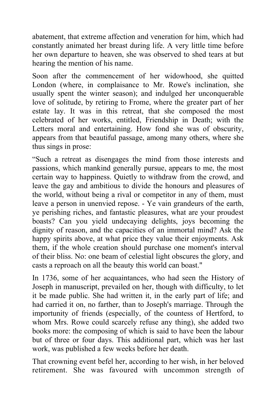abatement, that extreme affection and veneration for him, which had constantly animated her breast during life. A very little time before her own departure to heaven, she was observed to shed tears at but hearing the mention of his name.

Soon after the commencement of her widowhood, she quitted London (where, in complaisance to Mr. Rowe's inclination, she usually spent the winter season); and indulged her unconquerable love of solitude, by retiring to Frome, where the greater part of her estate lay. It was in this retreat, that she composed the most celebrated of her works, entitled, Friendship in Death; with the Letters moral and entertaining. How fond she was of obscurity, appears from that beautiful passage, among many others, where she thus sings in prose:

"Such a retreat as disengages the mind from those interests and passions, which mankind generally pursue, appears to me, the most certain way to happiness. Quietly to withdraw from the crowd, and leave the gay and ambitious to divide the honours and pleasures of the world, without being a rival or competitor in any of them, must leave a person in unenvied repose. - Ye vain grandeurs of the earth, ye perishing riches, and fantastic pleasures, what are your proudest boasts? Can you yield undecaying delights, joys becoming the dignity of reason, and the capacities of an immortal mind? Ask the happy spirits above, at what price they value their enjoyments. Ask them, if the whole creation should purchase one moment's interval of their bliss. No: one beam of celestial light obscures the glory, and casts a reproach on all the beauty this world can boast."

In 1736, some of her acquaintances, who had seen the History of Joseph in manuscript, prevailed on her, though with difficulty, to let it be made public. She had written it, in the early part of life; and had carried it on, no farther, than to Joseph's marriage. Through the importunity of friends (especially, of the countess of Hertford, to whom Mrs. Rowe could scarcely refuse any thing), she added two books more: the composing of which is said to have been the labour but of three or four days. This additional part, which was her last work, was published a few weeks before her death.

That crowning event befel her, according to her wish, in her beloved retirement. She was favoured with uncommon strength of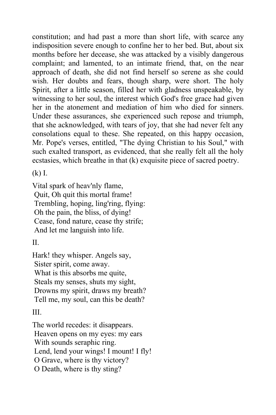constitution; and had past a more than short life, with scarce any indisposition severe enough to confine her to her bed. But, about six months before her decease, she was attacked by a visibly dangerous complaint; and lamented, to an intimate friend, that, on the near approach of death, she did not find herself so serene as she could wish. Her doubts and fears, though sharp, were short. The holy Spirit, after a little season, filled her with gladness unspeakable, by witnessing to her soul, the interest which God's free grace had given her in the atonement and mediation of him who died for sinners. Under these assurances, she experienced such repose and triumph, that she acknowledged, with tears of joy, that she had never felt any consolations equal to these. She repeated, on this happy occasion, Mr. Pope's verses, entitled, "The dying Christian to his Soul," with such exalted transport, as evidenced, that she really felt all the holy ecstasies, which breathe in that (k) exquisite piece of sacred poetry.

(k) I.

Vital spark of heav'nly flame, Quit, Oh quit this mortal frame! Trembling, hoping, ling'ring, flying: Oh the pain, the bliss, of dying! Cease, fond nature, cease thy strife; And let me languish into life.

 $II$ .

Hark! they whisper. Angels say, Sister spirit, come away. What is this absorbs me quite, Steals my senses, shuts my sight, Drowns my spirit, draws my breath? Tell me, my soul, can this be death?

III.

The world recedes: it disappears. Heaven opens on my eyes: my ears With sounds seraphic ring. Lend, lend your wings! I mount! I fly! O Grave, where is thy victory? O Death, where is thy sting?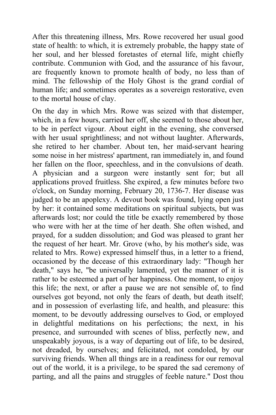After this threatening illness, Mrs. Rowe recovered her usual good state of health: to which, it is extremely probable, the happy state of her soul, and her blessed foretastes of eternal life, might chiefly contribute. Communion with God, and the assurance of his favour, are frequently known to promote health of body, no less than of mind. The fellowship of the Holy Ghost is the grand cordial of human life; and sometimes operates as a sovereign restorative, even to the mortal house of clay.

On the day in which Mrs. Rowe was seized with that distemper, which, in a few hours, carried her off, she seemed to those about her, to be in perfect vigour. About eight in the evening, she conversed with her usual sprightliness; and not without laughter. Afterwards, she retired to her chamber. About ten, her maid-servant hearing some noise in her mistress' apartment, ran immediately in, and found her fallen on the floor, speechless, and in the convulsions of death. A physician and a surgeon were instantly sent for; but all applications proved fruitless. She expired, a few minutes before two o'clock, on Sunday morning, February 20, 1736-7. Her disease was judged to be an apoplexy. A devout book was found, lying open just by her: it contained some meditations on spiritual subjects, but was afterwards lost; nor could the title be exactly remembered by those who were with her at the time of her death. She often wished, and prayed, for a sudden dissolution; and God was pleased to grant her the request of her heart. Mr. Grove (who, by his mother's side, was related to Mrs. Rowe) expressed himself thus, in a letter to a friend, occasioned by the decease of this extraordinary lady: "Though her death," says he, "be universally lamented, yet the manner of it is rather to be esteemed a part of her happiness. One moment, to enjoy this life; the next, or after a pause we are not sensible of, to find ourselves got beyond, not only the fears of death, but death itself; and in possession of everlasting life, and health, and pleasure: this moment, to be devoutly addressing ourselves to God, or employed in delightful meditations on his perfections; the next, in his presence, and surrounded with scenes of bliss, perfectly new, and unspeakably joyous, is a way of departing out of life, to be desired, not dreaded, by ourselves; and felicitated, not condoled, by our surviving friends. When all things are in a readiness for our removal out of the world, it is a privilege, to be spared the sad ceremony of parting, and all the pains and struggles of feeble nature." Dost thou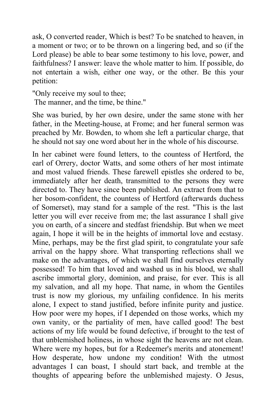ask, O converted reader, Which is best? To be snatched to heaven, in a moment or two; or to be thrown on a lingering bed, and so (if the Lord please) be able to bear some testimony to his love, power, and faithfulness? I answer: leave the whole matter to him. If possible, do not entertain a wish, either one way, or the other. Be this your petition:

"Only receive my soul to thee;

The manner, and the time, be thine."

She was buried, by her own desire, under the same stone with her father, in the Meeting-house, at Frome; and her funeral sermon was preached by Mr. Bowden, to whom she left a particular charge, that he should not say one word about her in the whole of his discourse.

In her cabinet were found letters, to the countess of Hertford, the earl of Orrery, doctor Watts, and some others of her most intimate and most valued friends. These farewell epistles she ordered to be, immediately after her death, transmitted to the persons they were directed to. They have since been published. An extract from that to her bosom-confident, the countess of Hertford (afterwards duchess of Somerset), may stand for a sample of the rest. "This is the last letter you will ever receive from me; the last assurance I shall give you on earth, of a sincere and stedfast friendship. But when we meet again, I hope it will be in the heights of immortal love and ecstasy. Mine, perhaps, may be the first glad spirit, to congratulate your safe arrival on the happy shore. What transporting reflections shall we make on the advantages, of which we shall find ourselves eternally possessed! To him that loved and washed us in his blood, we shall ascribe immortal glory, dominion, and praise, for ever. This is all my salvation, and all my hope. That name, in whom the Gentiles trust is now my glorious, my unfailing confidence. In his merits alone, I expect to stand justified, before infinite purity and justice. How poor were my hopes, if I depended on those works, which my own vanity, or the partiality of men, have called good! The best actions of my life would be found defective, if brought to the test of that unblemished holiness, in whose sight the heavens are not clean. Where were my hopes, but for a Redeemer's merits and atonement! How desperate, how undone my condition! With the utmost advantages I can boast, I should start back, and tremble at the thoughts of appearing before the unblemished majesty. O Jesus,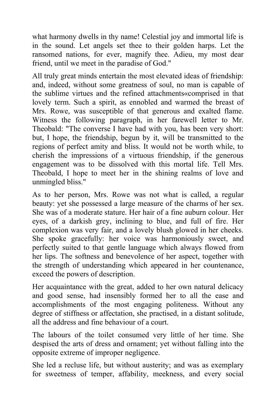what harmony dwells in thy name! Celestial joy and immortal life is in the sound. Let angels set thee to their golden harps. Let the ransomed nations, for ever, magnify thee. Adieu, my most dear friend, until we meet in the paradise of God."

All truly great minds entertain the most elevated ideas of friendship: and, indeed, without some greatness of soul, no man is capable of the sublime virtues and the refined attachments«comprised in that lovely term. Such a spirit, as ennobled and warmed the breast of Mrs. Rowe, was susceptible of that generous and exalted flame. Witness the following paragraph, in her farewell letter to Mr. Theobald: "The converse I have had with you, has been very short: but, I hope, the friendship, begun by it, will be transmitted to the regions of perfect amity and bliss. It would not be worth while, to cherish the impressions of a virtuous friendship, if the generous engagement was to be dissolved with this mortal life. Tell Mrs. Theobald, I hope to meet her in the shining realms of love and unmingled bliss."

As to her person, Mrs. Rowe was not what is called, a regular beauty: yet she possessed a large measure of the charms of her sex. She was of a moderate stature. Her hair of a fine auburn colour. Her eyes, of a darkish grey, inclining to blue, and full of fire. Her complexion was very fair, and a lovely blush glowed in her cheeks. She spoke gracefully: her voice was harmoniously sweet, and perfectly suited to that gentle language which always flowed from her lips. The softness and benevolence of her aspect, together with the strength of understanding which appeared in her countenance, exceed the powers of description.

Her acquaintance with the great, added to her own natural delicacy and good sense, had insensibly formed her to all the ease and accomplishments of the most engaging politeness. Without any degree of stiffness or affectation, she practised, in a distant solitude, all the address and fine behaviour of a court.

The labours of the toilet consumed very little of her time. She despised the arts of dress and ornament; yet without falling into the opposite extreme of improper negligence.

She led a recluse life, but without austerity; and was as exemplary for sweetness of temper, affability, meekness, and every social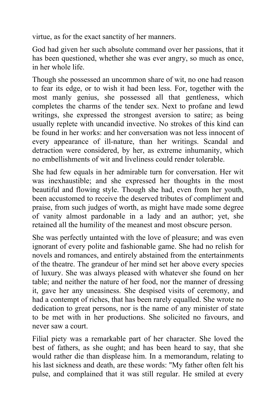virtue, as for the exact sanctity of her manners.

God had given her such absolute command over her passions, that it has been questioned, whether she was ever angry, so much as once, in her whole life.

Though she possessed an uncommon share of wit, no one had reason to fear its edge, or to wish it had been less. For, together with the most manly genius, she possessed all that gentleness, which completes the charms of the tender sex. Next to profane and lewd writings, she expressed the strongest aversion to satire; as being usually replete with uncandid invective. No strokes of this kind can be found in her works: and her conversation was not less innocent of every appearance of ill-nature, than her writings. Scandal and detraction were considered, by her, as extreme inhumanity, which no embellishments of wit and liveliness could render tolerable.

She had few equals in her admirable turn for conversation. Her wit was inexhaustible; and she expressed her thoughts in the most beautiful and flowing style. Though she had, even from her youth, been accustomed to receive the deserved tributes of compliment and praise, from such judges of worth, as might have made some degree of vanity almost pardonable in a lady and an author; yet, she retained all the humility of the meanest and most obscure person.

She was perfectly untainted with the love of pleasure; and was even ignorant of every polite and fashionable game. She had no relish for novels and romances, and entirely abstained from the entertainments of the theatre. The grandeur of her mind set her above every species of luxury. She was always pleased with whatever she found on her table; and neither the nature of her food, nor the manner of dressing it, gave her any uneasiness. She despised visits of ceremony, and had a contempt of riches, that has been rarely equalled. She wrote no dedication to great persons, nor is the name of any minister of state to be met with in her productions. She solicited no favours, and never saw a court.

Filial piety was a remarkable part of her character. She loved the best of fathers, as she ought; and has been heard to say, that she would rather die than displease him. In a memorandum, relating to his last sickness and death, are these words: "My father often felt his pulse, and complained that it was still regular. He smiled at every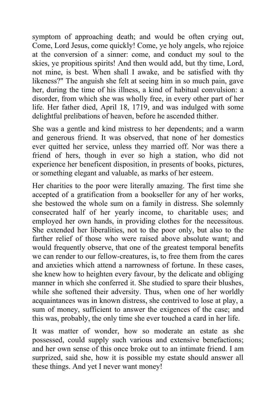symptom of approaching death; and would be often crying out, Come, Lord Jesus, come quickly! Come, ye holy angels, who rejoice at the conversion of a sinner: come, and conduct my soul to the skies, ye propitious spirits! And then would add, but thy time, Lord, not mine, is best. When shall I awake, and be satisfied with thy likeness?" The anguish she felt at seeing him in so much pain, gave her, during the time of his illness, a kind of habitual convulsion: a disorder, from which she was wholly free, in every other part of her life. Her father died, April 18, 1719, and was indulged with some delightful prelibations of heaven, before he ascended thither.

She was a gentle and kind mistress to her dependents; and a warm and generous friend. It was observed, that none of her domestics ever quitted her service, unless they married off. Nor was there a friend of hers, though in ever so high a station, who did not experience her beneficent disposition, in presents of books, pictures, or something elegant and valuable, as marks of her esteem.

Her charities to the poor were literally amazing. The first time she accepted of a gratification from a bookseller for any of her works, she bestowed the whole sum on a family in distress. She solemnly consecrated half of her yearly income, to charitable uses; and employed her own hands, in providing clothes for the necessitous. She extended her liberalities, not to the poor only, but also to the farther relief of those who were raised above absolute want; and would frequently observe, that one of the greatest temporal benefits we can render to our fellow-creatures, is, to free them from the cares and anxieties which attend a narrowness of fortune. In these cases, she knew how to heighten every favour, by the delicate and obliging manner in which she conferred it. She studied to spare their blushes, while she softened their adversity. Thus, when one of her worldly acquaintances was in known distress, she contrived to lose at play, a sum of money, sufficient to answer the exigences of the case; and this was, probably, the only time she ever touched a card in her life.

It was matter of wonder, how so moderate an estate as she possessed, could supply such various and extensive benefactions; and her own sense of this once broke out to an intimate friend. I am surprized, said she, how it is possible my estate should answer all these things. And yet I never want money!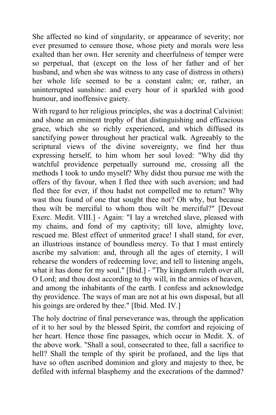She affected no kind of singularity, or appearance of severity; nor ever presumed to censure those, whose piety and morals were less exalted than her own. Her serenity and cheerfulness of temper were so perpetual, that (except on the loss of her father and of her husband, and when she was witness to any case of distress in others) her whole life seemed to be a constant calm; or, rather, an uninterrupted sunshine: and every hour of it sparkled with good humour, and inoffensive gaiety.

With regard to her religious principles, she was a doctrinal Calvinist: and shone an eminent trophy of that distinguishing and efficacious grace, which she so richly experienced, and which diffused its sanctifying power throughout her practical walk. Agreeably to the scriptural views of the divine sovereignty, we find her thus expressing herself, to him whom her soul loved: "Why did thy watchful providence perpetually surround me, crossing all the methods I took to undo myself? Why didst thou pursue me with the offers of thy favour, when I fled thee with such aversion; and had fled thee for ever, if thou hadst not compelled me to return? Why wast thou found of one that sought thee not? Oh why, but because thou wilt be merciful to whom thou wilt be merciful?" [Devout Exerc. Medit. VIII.] - Again: "I lay a wretched slave, pleased with my chains, and fond of my captivity; till love, almighty love, rescued me. Blest effect of unmerited grace! I shall stand, for ever, an illustrious instance of boundless mercy. To that I must entirely ascribe my salvation: and, through all the ages of eternity, I will rehearse the wonders of redeeming love; and tell to listening angels, what it has done for my soul." [Ibid.] - "Thy kingdom ruleth over all, O Lord; and thou dost according to thy will, in the armies of heaven, and among the inhabitants of the earth. I confess and acknowledge thy providence. The ways of man are not at his own disposal, but all his goings are ordered by thee." [Ibid. Med. IV.]

The holy doctrine of final perseverance was, through the application of it to her soul by the blessed Spirit, the comfort and rejoicing of her heart. Hence those fine passages, which occur in Medit. X. of the above work. "Shall a soul, consecrated to thee, fall a sacrifice to hell? Shall the temple of thy spirit be profaned, and the lips that have so often ascribed dominion and glory and majesty to thee, be defiled with infernal blasphemy and the execrations of the damned?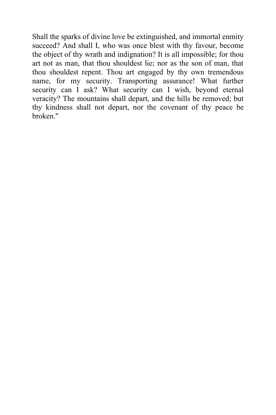Shall the sparks of divine love be extinguished, and immortal enmity succeed? And shall I, who was once blest with thy favour, become the object of thy wrath and indignation? It is all impossible; for thou art not as man, that thou shouldest lie; nor as the son of man, that thou shouldest repent. Thou art engaged by thy own tremendous name, for my security. Transporting assurance! What further security can I ask? What security can I wish, beyond eternal veracity? The mountains shall depart, and the hills be removed; but thy kindness shall not depart, nor the covenant of thy peace be broken."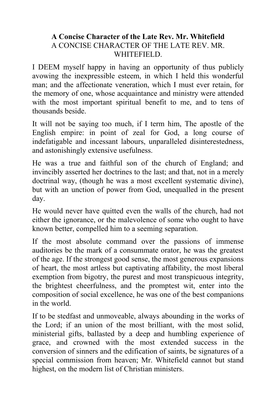## **A Concise Character of the Late Rev. Mr. Whitefield** A CONCISE CHARACTER OF THE LATE REV. MR. WHITEFIELD.

I DEEM myself happy in having an opportunity of thus publicly avowing the inexpressible esteem, in which I held this wonderful man; and the affectionate veneration, which I must ever retain, for the memory of one, whose acquaintance and ministry were attended with the most important spiritual benefit to me, and to tens of thousands beside.

It will not be saying too much, if I term him, The apostle of the English empire: in point of zeal for God, a long course of indefatigable and incessant labours, unparalleled disinterestedness, and astonishingly extensive usefulness.

He was a true and faithful son of the church of England; and invincibly asserted her doctrines to the last; and that, not in a merely doctrinal way, (though he was a most excellent systematic divine), but with an unction of power from God, unequalled in the present day.

He would never have quitted even the walls of the church, had not either the ignorance, or the malevolence of some who ought to have known better, compelled him to a seeming separation.

If the most absolute command over the passions of immense auditories be the mark of a consummate orator, he was the greatest of the age. If the strongest good sense, the most generous expansions of heart, the most artless but captivating affability, the most liberal exemption from bigotry, the purest and most transpicuous integrity, the brightest cheerfulness, and the promptest wit, enter into the composition of social excellence, he was one of the best companions in the world.

If to be stedfast and unmoveable, always abounding in the works of the Lord; if an union of the most brilliant, with the most solid, ministerial gifts, ballasted by a deep and humbling experience of grace, and crowned with the most extended success in the conversion of sinners and the edification of saints, be signatures of a special commission from heaven; Mr. Whitefield cannot but stand highest, on the modern list of Christian ministers.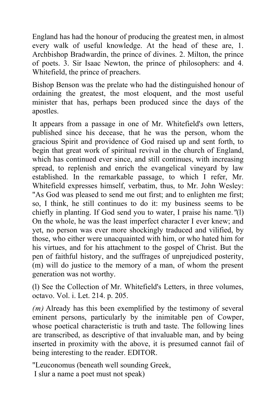England has had the honour of producing the greatest men, in almost every walk of useful knowledge. At the head of these are, 1. Archbishop Bradwardin, the prince of divines. 2. Milton, the prince of poets. 3. Sir Isaac Newton, the prince of philosophers: and 4. Whitefield, the prince of preachers.

Bishop Benson was the prelate who had the distinguished honour of ordaining the greatest, the most eloquent, and the most useful minister that has, perhaps been produced since the days of the apostles.

It appears from a passage in one of Mr. Whitefield's own letters, published since his decease, that he was the person, whom the gracious Spirit and providence of God raised up and sent forth, to begin that great work of spiritual revival in the church of England, which has continued ever since, and still continues, with increasing spread, to replenish and enrich the evangelical vineyard by law established. In the remarkable passage, to which I refer, Mr. Whitefield expresses himself, verbatim, thus, to Mr. John Wesley: "As God was pleased to send me out first; and to enlighten me first; so, I think, he still continues to do it: my business seems to be chiefly in planting. If God send you to water, I praise his name*."*(l) On the whole, he was the least imperfect character I ever knew; and yet, no person was ever more shockingly traduced and vilified, by those, who either were unacquainted with him, or who hated him for his virtues, and for his attachment to the gospel of Christ. But the pen of faithful history, and the suffrages of unprejudiced posterity, (m) will do justice to the memory of a man, of whom the present generation was not worthy.

(l) See the Collection of Mr. Whitefield's Letters, in three volumes, octavo. Vol. i. Let. 214. p. 205.

*(m)* Already has this been exemplified by the testimony of several eminent persons, particularly by the inimitable pen of Cowper, whose poetical characteristic is truth and taste. The following lines are transcribed, as descriptive of that invaluable man, and by being inserted in proximity with the above, it is presumed cannot fail of being interesting to the reader. EDITOR.

"Leuconomus (beneath well sounding Greek,

I slur a name a poet must not speak)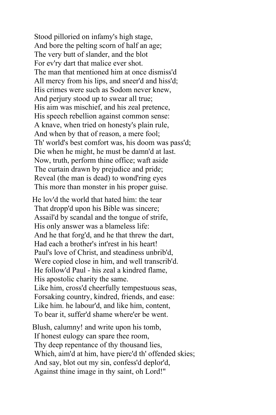Stood pilloried on infamy's high stage, And bore the pelting scorn of half an age; The very butt of slander, and the blot For ev'ry dart that malice ever shot. The man that mentioned him at once dismiss'd All mercy from his lips, and sneer'd and hiss'd; His crimes were such as Sodom never knew, And perjury stood up to swear all true; His aim was mischief, and his zeal pretence, His speech rebellion against common sense: A knave, when tried on honesty's plain rule, And when by that of reason, a mere fool; Th' world's best comfort was, his doom was pass'd; Die when he might, he must be damn'd at last. Now, truth, perform thine office; waft aside The curtain drawn by prejudice and pride; Reveal (the man is dead) to wond'ring eyes This more than monster in his proper guise.

He lov'd the world that hated him: the tear That dropp'd upon his Bible was sincere; Assail'd by scandal and the tongue of strife, His only answer was a blameless life: And he that forg'd, and he that threw the dart, Had each a brother's int'rest in his heart! Paul's love of Christ, and steadiness unbrib'd, Were copied close in him, and well transcrib'd. He follow'd Paul - his zeal a kindred flame, His apostolic charity the same. Like him, cross'd cheerfully tempestuous seas, Forsaking country, kindred, friends, and ease: Like him. he labour'd, and like him, content, To bear it, suffer'd shame where'er be went.

Blush, calumny! and write upon his tomb, If honest eulogy can spare thee room, Thy deep repentance of thy thousand lies, Which, aim'd at him, have pierc'd th' offended skies; And say, blot out my sin, confess'd deplor'd, Against thine image in thy saint, oh Lord!"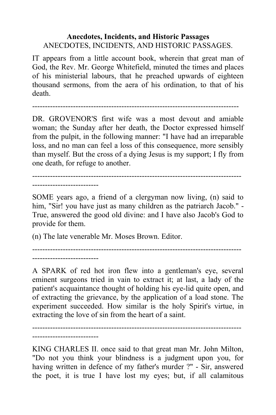## **Anecdotes, Incidents, and Historic Passages** ANECDOTES, INCIDENTS, AND HISTORIC PASSAGES.

IT appears from a little account book, wherein that great man of God, the Rev. Mr. George Whitefield, minuted the times and places of his ministerial labours, that he preached upwards of eighteen thousand sermons, from the aera of his ordination, to that of his death.

---------------------------------------------------------------------------------

DR. GROVENOR'S first wife was a most devout and amiable woman; the Sunday after her death, the Doctor expressed himself from the pulpit, in the following manner: "I have had an irreparable loss, and no man can feel a loss of this consequence, more sensibly than myself. But the cross of a dying Jesus is my support; I fly from one death, for refuge to another.

---------------------------------------------------------------------------------- --------------------------

SOME years ago, a friend of a clergyman now living, (n) said to him, "Sir! you have just as many children as the patriarch Jacob." - True, answered the good old divine: and I have also Jacob's God to provide for them.

(n) The late venerable Mr. Moses Brown. Editor.

--------------------------

---------------------------------------------------------------------------------- --------------------------

A SPARK of red hot iron flew into a gentleman's eye, several eminent surgeons tried in vain to extract it; at last, a lady of the patient's acquaintance thought of holding his eye-lid quite open, and of extracting the grievance, by the application of a load stone. The experiment succeeded. How similar is the holy Spirit's virtue, in extracting the love of sin from the heart of a saint.

KING CHARLES II. once said to that great man Mr. John Milton, "Do not you think your blindness is a judgment upon you, for having written in defence of my father's murder ?" - Sir, answered the poet, it is true I have lost my eyes; but, if all calamitous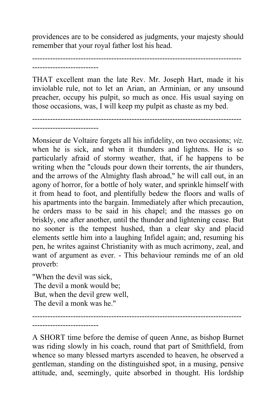providences are to be considered as judgments, your majesty should remember that your royal father lost his head.

----------------------------------------------------------------------------------

--------------------------

THAT excellent man the late Rev. Mr. Joseph Hart, made it his inviolable rule, not to let an Arian, an Arminian, or any unsound preacher, occupy his pulpit, so much as once. His usual saying on those occasions, was, I will keep my pulpit as chaste as my bed.

---------------------------------------------------------------------------------- --------------------------

Monsieur de Voltaire forgets all his infidelity, on two occasions; *viz.* when he is sick, and when it thunders and lightens. He is so particularly afraid of stormy weather, that, if he happens to be writing when the "clouds pour down their torrents, the air thunders, and the arrows of the Almighty flash abroad," he will call out, in an agony of horror, for a bottle of holy water, and sprinkle himself with it from head to foot, and plentifully bedew the floors and walls of his apartments into the bargain. Immediately after which precaution, he orders mass to be said in his chapel; and the masses go on briskly, one after another, until the thunder and lightening cease. But no sooner is the tempest hushed, than a clear sky and placid elements settle him into a laughing Infidel again; and, resuming his pen, he writes against Christianity with as much acrimony, zeal, and want of argument as ever. - This behaviour reminds me of an old proverb:

"When the devil was sick, The devil a monk would be; But, when the devil grew well, The devil a monk was he."

--------------------------

----------------------------------------------------------------------------------

A SHORT time before the demise of queen Anne, as bishop Burnet was riding slowly in his coach, round that part of Smithfield, from whence so many blessed martyrs ascended to heaven, he observed a gentleman, standing on the distinguished spot, in a musing, pensive attitude, and, seemingly, quite absorbed in thought. His lordship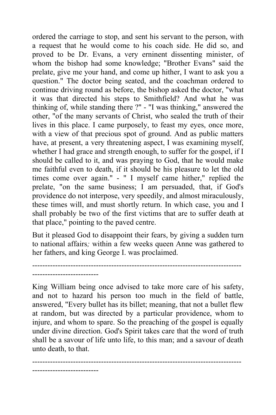ordered the carriage to stop, and sent his servant to the person, with a request that he would come to his coach side. He did so, and proved to be Dr. Evans, a very erninent dissenting minister, of whom the bishop had some knowledge; "Brother Evans" said the prelate, give me your hand, and come up hither, I want to ask you a question." The doctor being seated, and the coachman ordered to continue driving round as before, the bishop asked the doctor, "what it was that directed his steps to Smithfield? And what he was thinking of, while standing there ?" - "I was thinking," answered the other, "of the many servants of Christ, who sealed the truth of their lives in this place. I came purposely, to feast my eyes, once more, with a view of that precious spot of ground. And as public matters have, at present, a very threatening aspect, I was examining myself, whether I had grace and strength enough, to suffer for the gospel, if I should be called to it, and was praying to God, that he would make me faithful even to death, if it should be his pleasure to let the old times come over again." - " I myself came hither," replied the prelate, "on the same business; I am persuaded, that, if God's providence do not interpose, very speedily, and almost miraculously, these times will, and must shortly return. In which case, you and I shall probably be two of the first victims that are to suffer death at that place," pointing to the paved centre.

But it pleased God to disappoint their fears, by giving a sudden turn to national affairs*;* within a few weeks queen Anne was gathered to her fathers, and king George I. was proclaimed.

----------------------------------------------------------------------------------

--------------------------

King William being once advised to take more care of his safety, and not to hazard his person too much in the field of battle, answered, "Every bullet has its billet; meaning, that not a bullet flew at random, but was directed by a particular providence, whom to injure, and whom to spare. So the preaching of the gospel is equally under divine direction. God's Spirit takes care that the word of truth shall be a savour of life unto life, to this man; and a savour of death unto death, to that.

---------------------------------------------------------------------------------- --------------------------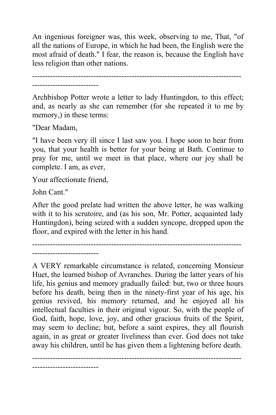An ingenious foreigner was, this week, observing to me, That, "of all the nations of Europe, in which he had been, the English were the most afraid of death." I fear, the reason is, because the English have less religion than other nations.

---------------------------------------------------------------------------------- --------------------------

Archbishop Potter wrote a letter to lady Huntingdon, to this effect; and, as nearly as she can remember (for she repeated it to me by memory,) in these terms:

"Dear Madam,

"I have been very ill since I last saw you. I hope soon to hear from you, that your health is better for your being at Bath. Continue to pray for me, until we meet in that place, where our joy shall be complete. I am, as ever,

Your affectionate friend,

John Cant."

After the good prelate had written the above letter, he was walking with it to his scrutoire, and (as his son, Mr. Potter, acquainted lady Huntingdon), being seized with a sudden syncope, dropped upon the floor, and expired with the letter in his hand.

----------------------------------------------------------------------------------

--------------------------

A VERY remarkable circumstance is related, concerning Monsieur Huet, the learned bishop of Avranches. During the latter years of his life, his genius and memory gradually failed: but, two or three hours before his death, being then in the ninety-first year of his age, his genius revived, his memory returned, and he enjoyed all his intellectual faculties in their original vigour. So, with the people of God, faith, hope, love, joy, and other gracious fruits of the Spirit, may seem to decline; but, before a saint expires, they all flourish again, in as great or greater liveliness than ever. God does not take away his children, until he has given them a lightening before death.

----------------------------------------------------------------------------------

--------------------------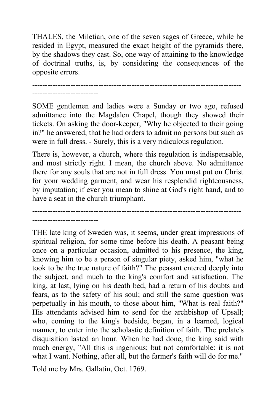THALES, the Miletian, one of the seven sages of Greece, while he resided in Egypt, measured the exact height of the pyramids there, by the shadows they cast. So, one way of attaining to the knowledge of doctrinal truths, is, by considering the consequences of the opposite errors.

----------------------------------------------------------------------------------

--------------------------

SOME gentlemen and ladies were a Sunday or two ago, refused admittance into the Magdalen Chapel, though they showed their tickets. On asking the door-keeper, "Why he objected to their going in?" he answered, that he had orders to admit no persons but such as were in full dress. - Surely, this is a very ridiculous regulation.

There is, however, a church, where this regulation is indispensable, and most strictly right. I mean, the church above. No admittance there for any souls that are not in full dress. You must put on Christ for yonr wedding garment, and wear his resplendid righteousness, by imputation; if ever you mean to shine at God's right hand, and to have a seat in the church triumphant.

---------------------------------------------------------------------------------- --------------------------

THE late king of Sweden was, it seems, under great impressions of spiritual religion, for some time before his death. A peasant being once on a particular occasion, admitted to his presence, the king, knowing him to be a person of singular piety, asked him, "what he took to be the true nature of faith?" The peasant entered deeply into the subject, and much to the king's comfort and satisfaction. The king, at last, lying on his death bed, had a return of his doubts and fears, as to the safety of his soul; and still the same question was perpetually in his mouth, to those about him, "What is real faith?" His attendants advised him to send for the archbishop of Upsall; who, coming to the king's bedside, began, in a learned, logical manner, to enter into the scholastic definition of faith. The prelate's disquisition lasted an hour. When he had done, the king said with much energy, "All this is ingenious; but not comfortable: it is not what I want. Nothing, after all, but the farmer's faith will do for me."

Told me by Mrs. Gallatin, Oct. 1769.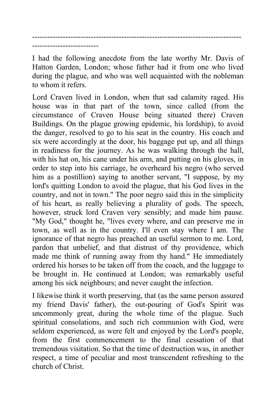---------------------------------------------------------------------------------- --------------------------

I had the following anecdote from the late worthy Mr. Davis of Hatton Garden, London; whose father had it from one who lived during the plague, and who was well acquainted with the nobleman to whom it refers.

Lord Craven lived in London, when that sad calamity raged. His house was in that part of the town, since called (from the circumstance of Craven House being situated there) Craven Buildings. On the plague growing epidemic, his lordship), to avoid the danger, resolved to go to his seat in the country. His coach and six were accordingly at the door, his baggage put up, and all things in readiness for the journey. As he was walking through the hall, with his hat on, his cane under his arm, and putting on his gloves, in order to step into his carriage, he overheard his negro (who served him as a postillion) saying to another servant, "I suppose, by my lord's quitting London to avoid the plague, that his God lives in the country, and not in town." The poor negro said this in the simplicity of his heart, as really believing a plurality of gods. The speech, however, struck lord Craven very sensibly; and made him pause. "My God," thought he, "lives every where, and can preserve me in town, as well as in the country. I'll even stay where I am. The ignorance of that negro has preached an useful sermon to me. Lord, pardon that unbelief, and that distrust of thy providence, which made me think of running away from thy hand." He immediately ordered his horses to be taken off from the coach, and the luggage to be brought in. He continued at London; was remarkably useful among his sick neighbours; and never caught the infection.

I likewise think it worth preserving, that (as the same person assured my friend Davis' father), the out-pouring of God's Spirit was uncommonly great, during the whole time of the plague. Such spiritual consolations, and such rich communion with God, were seldom experienced, as were felt and enjoyed by the Lord's people, from the first commencement to the final cessation of that tremendous visitation. So that the time of destruction was, in another respect, a time of peculiar and most transcendent refreshing to the church of Christ.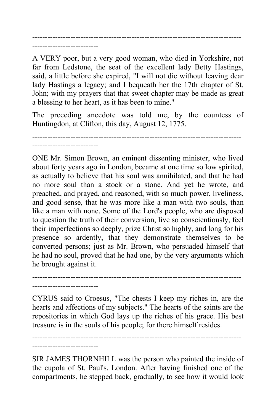---------------------------------------------------------------------------------- --------------------------

--------------------------

--------------------------

A VERY poor, but a very good woman, who died in Yorkshire, not far from Ledstone, the seat of the excellent lady Betty Hastings, said, a little before she expired, "I will not die without leaving dear lady Hastings a legacy; and I bequeath her the 17th chapter of St. John; with my prayers that that sweet chapter may be made as great a blessing to her heart, as it has been to mine.''

The preceding anecdote was told me, by the countess of Huntingdon, at Clifton, this day, August 12, 1775.

----------------------------------------------------------------------------------

ONE Mr. Simon Brown, an eminent dissenting minister, who lived about forty years ago in London, became at one time so low spirited, as actually to believe that his soul was annihilated, and that he had no more soul than a stock or a stone. And yet he wrote, and preached, and prayed, and reasoned, with so much power, liveliness, and good sense, that he was more like a man with two souls, than like a man with none. Some of the Lord's people, who are disposed to question the truth of their conversion, live so conscientiously, feel their imperfections so deeply, prize Christ so highly, and long for his presence so ardently, that they demonstrate themselves to be converted persons; just as Mr. Brown, who persuaded himself that he had no soul, proved that he had one, by the very arguments which he brought against it.

CYRUS said to Croesus, "The chests I keep my riches in, are the hearts and affections of my subjects." The hearts of the saints are the repositories in which God lays up the riches of his grace. His best treasure is in the souls of his people; for there himself resides.

----------------------------------------------------------------------------------

---------------------------------------------------------------------------------- --------------------------

SIR JAMES THORNHILL was the person who painted the inside of the cupola of St. Paul's, London. After having finished one of the compartments, he stepped back, gradually, to see how it would look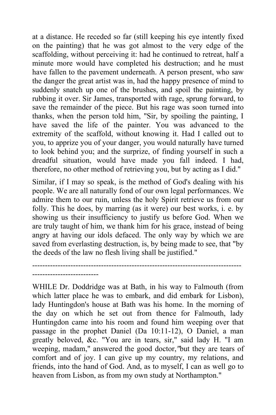at a distance. He receded so far (still keeping his eye intently fixed on the painting) that he was got almost to the very edge of the scaffolding, without perceiving it: had he continued to retreat, half a minute more would have completed his destruction; and he must have fallen to the pavement underneath. A person present, who saw the danger the great artist was in, had the happy presence of mind to suddenly snatch up one of the brushes, and spoil the painting, by rubbing it over. Sir James, transported with rage, sprung forward, to save the remainder of the piece. But his rage was soon turned into thanks, when the person told him, "Sir, by spoiling the painting, I have saved the life of the painter. You was advanced to the extremity of the scaffold, without knowing it. Had I called out to you, to apprize you of your danger, you would naturally have turned to look behind you; and the surprize, of finding yourself in such a dreadful situation, would have made you fall indeed. I had, therefore, no other method of retrieving you, but by acting as I did."

Similar, if I may so speak, is the method of God's dealing with his people. We are all naturally fond of our own legal performances. We admire them to our ruin, unless the holy Spirit retrieve us from our folly. This he does, by marring (as it were) our best works, i. e. by showing us their insufficiency to justify us before God. When we are truly taught of him, we thank him for his grace, instead of being angry at having our idols defaced. The only way by which we are saved from everlasting destruction, is, by being made to see, that "by the deeds of the law no flesh living shall be justified."

----------------------------------------------------------------------------------

--------------------------

WHILE Dr. Doddridge was at Bath, in his way to Falmouth (from which latter place he was to embark, and did embark for Lisbon), lady Huntingdon's house at Bath was his home. In the morning of the day on which he set out from thence for Falmouth, lady Huntingdon came into his room and found him weeping over that passage in the prophet Daniel (Da 10:11-12), O Daniel, a man greatly beloved, &c. "You are in tears, sir," said lady H. "I am weeping, madam," answered the good doctor,*"*but they are tears of comfort and of joy. I can give up my country, my relations, and friends, into the hand of God. And, as to myself, I can as well go to heaven from Lisbon, as from my own study at Northampton."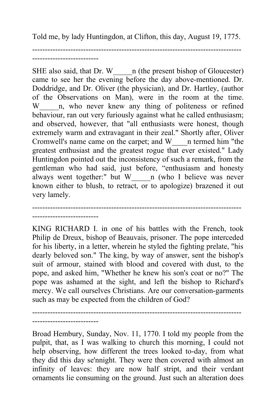Told me, by lady Huntingdon, at Clifton, this day, August 19, 1775.

----------------------------------------------------------------------------------

--------------------------

--------------------------

SHE also said, that Dr. W n (the present bishop of Gloucester) came to see her the evening before the day above-mentioned. Dr. Doddridge, and Dr. Oliver (the physician), and Dr. Hartley, (author of the Observations on Man), were in the room at the time. W n, who never knew any thing of politeness or refined behaviour, ran out very furiously against what he called enthusiasm; and observed, however, that "all enthusiasts were honest, though extremely warm and extravagant in their zeal." Shortly after, Oliver Cromwell's name came on the carpet; and W\_\_\_\_n termed him "the greatest enthusiast and the greatest rogue that ever existed." Lady Huntingdon pointed out the inconsistency of such a remark, from the gentleman who had said, just before, "enthusiasm and honesty always went together:" but W\_\_\_\_\_n (who I believe was never known either to blush, to retract, or to apologize) brazened it out very lamely.

KING RICHARD I. in one of his battles with the French, took Philip de Dreux, bishop of Beauvais, prisoner. The pope interceded for his liberty, in a letter, wherein he styled the fighting prelate, "his dearly beloved son." The king, by way of answer, sent the bishop's suit of armour, stained with blood and covered with dust, to the pope, and asked him, "Whether he knew his son's coat or no?" The pope was ashamed at the sight, and left the bishop to Richard's mercy. We call ourselves Christians. Are our conversation-garments such as may be expected from the children of God?

----------------------------------------------------------------------------------

---------------------------------------------------------------------------------- --------------------------

Broad Hembury, Sunday, Nov. 11, 1770. I told my people from the pulpit, that, as I was walking to church this morning, I could not help observing, how different the trees looked to-day, from what they did this day se'nnight. They were then covered with almost an infinity of leaves: they are now half stript, and their verdant ornaments lie consuming on the ground. Just such an alteration does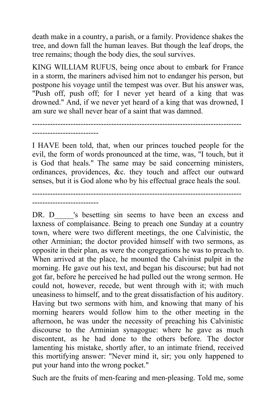death make in a country, a parish, or a family. Providence shakes the tree, and down fall the human leaves. But though the leaf drops, the tree remains; though the body dies, the soul survives.

KING WILLIAM RUFUS, being once about to embark for France in a storm, the mariners advised him not to endanger his person, but postpone his voyage until the tempest was over. But his answer was, "Push off, push off; for I never yet heard of a king that was drowned." And, if we never yet heard of a king that was drowned, I am sure we shall never hear of a saint that was damned.

---------------------------------------------------------------------------------- --------------------------

I HAVE been told, that, when our princes touched people for the evil, the form of words pronounced at the time, was, "I touch, but it is God that heals." The same may be said concerning ministers, ordinances, providences, &c. they touch and affect our outward senses, but it is God alone who by his effectual grace heals the soul.

---------------------------------------------------------------------------------- --------------------------

DR. D 's besetting sin seems to have been an excess and laxness of complaisance. Being to preach one Sunday at a country town, where were two different meetings, the one Calvinistic, the other Arminian; the doctor provided himself with two sermons, as opposite in their plan, as were the congregations he was to preach to. When arrived at the place, he mounted the Calvinist pulpit in the morning. He gave out his text, and began his discourse; but had not got far, before he perceived he had pulled out the wrong sermon. He could not, however, recede, but went through with it; with much uneasiness to himself, and to the great dissatisfaction of his auditory. Having but two sermons with him, and knowing that many of his morning hearers would follow him to the other meeting in the afternoon, he was under the necessity of preaching his Calvinistic discourse to the Arminian synagogue: where he gave as much discontent, as he had done to the others before. The doctor lamenting his mistake, shortly after, to an intimate friend, received this mortifying answer: "Never mind it, sir; you only happened to put your hand into the wrong pocket."

Such are the fruits of men-fearing and men-pleasing. Told me, some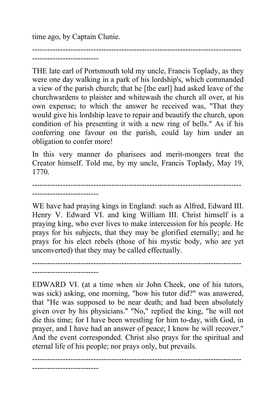time ago, by Captain Clunie.

---------------------------------------------------------------------------------- --------------------------

THE late earl of Portsmouth told my uncle, Francis Toplady, as they were one day walking in a park of his lordship's, which commanded a view of the parish church; that he [the earl] had asked leave of the churchwardens to plaister and whitewash the church all over, at his own expense; to which the answer he received was, "That they would give his lordship leave to repair and beautify the church, upon condition of his presenting it with a new ring of bells." As if his conferring one favour on the parish, could lay him under an obligation to confer more!

In this very manner do pharisees and merit-mongers treat the Creator himself. Told me, by my uncle, Francis Toplady, May 19, 1770.

----------------------------------------------------------------------------------

--------------------------

WE have had praying kings in England: such as Alfred, Edward III. Henry V. Edward VI. and king William III. Christ himself is a praying king, who ever lives to make intercession for his people. He prays for his subjects, that they may be glorified eternally; and he prays for his elect rebels (those of his mystic body, who are yet unconverted) that they may be called effectually.

```
----------------------------------------------------------------------------------
--------------------------
```
EDWARD VI. (at a time when sir John Cheek, one of his tutors, was sick) asking, one morning, "how his tutor did?" was answered, that "He was supposed to be near death; and had been absolutely given over by his physicians." "No," replied the king, "he will not die this time; for I have been wrestling for him to-day, with God, in prayer, and I have had an answer of peace; I know he will recover." And the event corresponded. Christ also prays for the spiritual and eternal life of his people; nor prays only, but prevails.

---------------------------------------------------------------------------------- --------------------------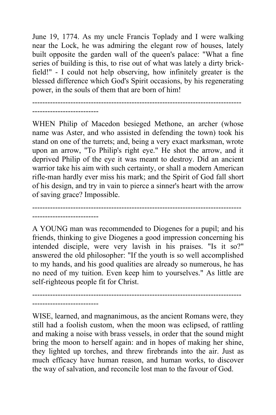June 19, 1774. As my uncle Francis Toplady and I were walking near the Lock, he was admiring the elegant row of houses, lately built opposite the garden wall of the queen's palace: "What a fine series of building is this, to rise out of what was lately a dirty brickfield!" - I could not help observing, how infinitely greater is the blessed difference which God's Spirit occasions, by his regenerating power, in the souls of them that are born of him!

----------------------------------------------------------------------------------

WHEN Philip of Macedon besieged Methone, an archer (whose name was Aster, and who assisted in defending the town) took his stand on one of the turrets; and, being a very exact marksman, wrote upon an arrow, "To Philip's right eye." He shot the arrow, and it deprived Philip of the eye it was meant to destroy. Did an ancient warrior take his aim with such certainty, or shall a modern American rifle-man hardly ever miss his mark; and the Spirit of God fall short of his design, and try in vain to pierce a sinner's heart with the arrow of saving grace? Impossible.

A YOUNG man was recommended to Diogenes for a pupil; and his friends, thinking to give Diogenes a good impression concerning his intended disciple, were very lavish in his praises. "Is it so?" answered the old philosopher: "If the youth is so well accomplished to my hands, and his good qualities are already so numerous, he has no need of my tuition. Even keep him to yourselves." As little are self-righteous people fit for Christ.

----------------------------------------------------------------------------------

---------------------------------------------------------------------------------- --------------------------

--------------------------

--------------------------

WISE, learned, and magnanimous, as the ancient Romans were, they still had a foolish custom, when the moon was eclipsed, of rattling and making a noise with brass vessels, in order that the sound might bring the moon to herself again: and in hopes of making her shine, they lighted up torches, and threw firebrands into the air. Just as much efficacy have human reason, and human works, to discover the way of salvation, and reconcile lost man to the favour of God.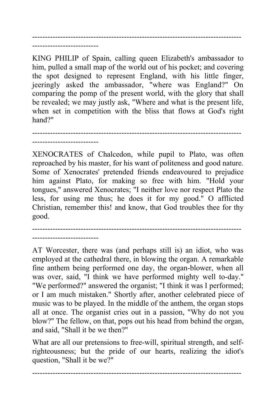---------------------------------------------------------------------------------- --------------------------

KING PHILIP of Spain, calling queen Elizabeth's ambassador to him, pulled a small map of the world out of his pocket; and covering the spot designed to represent England, with his little finger, jeeringly asked the ambassador, "where was England?" On comparing the pomp of the present world, with the glory that shall be revealed; we may justly ask, "Where and what is the present life, when set in competition with the bliss that flows at God's right hand?"

---------------------------------------------------------------------------------- --------------------------

XENOCRATES of Chalcedon, while pupil to Plato, was often reproached by his master, for his want of politeness and good nature. Some of Xenocrates' pretended friends endeavoured to prejudice him against Plato, for making so free with him. "Hold your tongues," answered Xenocrates; "I neither love nor respect Plato the less, for using me thus; he does it for my good." O afflicted Christian, remember this! and know, that God troubles thee for thy good.

---------------------------------------------------------------------------------- --------------------------

AT Worcester, there was (and perhaps still is) an idiot, who was employed at the cathedral there, in blowing the organ. A remarkable fine anthem being performed one day, the organ-blower, when all was over, said, "I think we have performed mighty well to-day." "We performed?" answered the organist; "I think it was I performed; or I am much mistaken." Shortly after, another celebrated piece of music was to be played. In the middle of the anthem, the organ stops all at once. The organist cries out in a passion, "Why do not you blow?" The fellow, on that, pops out his head from behind the organ, and said, "Shall it be we then?"

What are all our pretensions to free-will, spiritual strength, and selfrighteousness; but the pride of our hearts, realizing the idiot's question, "Shall it be we?"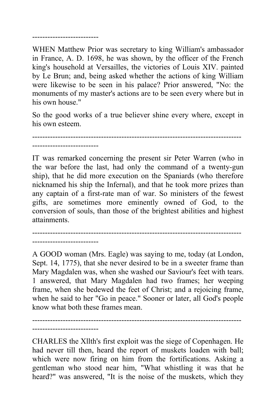## --------------------------

WHEN Matthew Prior was secretary to king William's ambassador in France, A. D. 1698, he was shown, by the officer of the French king's household at Versailles, the victories of Louis XIV. painted by Le Brun; and, being asked whether the actions of king William were likewise to be seen in his palace? Prior answered, "No: the monuments of my master's actions are to be seen every where but in his own house."

So the good works of a true believer shine every where, except in his own esteem.

----------------------------------------------------------------------------------

IT was remarked concerning the present sir Peter Warren (who in the war before the last, had only the command of a twenty-gun ship), that he did more execution on the Spaniards (who therefore nicknamed his ship the Infernal), and that he took more prizes than any captain of a first-rate man of war. So ministers of the fewest gifts, are sometimes more eminently owned of God, to the conversion of souls, than those of the brightest abilities and highest attainments.

----------------------------------------------------------------------------------

--------------------------

--------------------------

A GOOD woman (Mrs. Eagle) was saying to me, today (at London, Sept. 14, 1775), that she never desired to be in a sweeter frame than Mary Magdalen was, when she washed our Saviour's feet with tears. 1 answered, that Mary Magdalen had two frames; her weeping frame, when she bedewed the feet of Christ; and a rejoicing frame, when he said to her "Go in peace." Sooner or later, all God's people know what both these frames mean.

---------------------------------------------------------------------------------- --------------------------

CHARLES the Xllth's first exploit was the siege of Copenhagen. He had never till then, heard the report of muskets loaden with ball; which were now firing on him from the fortifications. Asking a gentleman who stood near him, "What whistling it was that he heard?" was answered, "It is the noise of the muskets, which they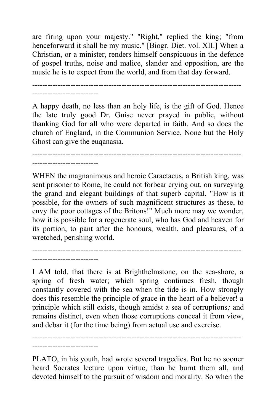are firing upon your majesty." "Right," replied the king; "from henceforward it shall be my music." [Biogr. Diet. vol. XII.] When a Christian, or a minister, renders himself conspicuous in the defence of gospel truths, noise and malice, slander and opposition, are the music he is to expect from the world, and from that day forward.

---------------------------------------------------------------------------------- --------------------------

A happy death, no less than an holy life, is the gift of God. Hence the late truly good Dr. Guise never prayed in public, without thanking God for all who were departed in faith. And so does the church of England, in the Communion Service, None but the Holy Ghost can give the euqanasia.

----------------------------------------------------------------------------------

--------------------------

WHEN the magnanimous and heroic Caractacus, a British king, was sent prisoner to Rome, he could not forbear crying out, on surveying the grand and elegant buildings of that superb capital, "How is it possible, for the owners of such magnificent structures as these, to envy the poor cottages of the Britons!" Much more may we wonder, how it is possible for a regenerate soul, who has God and heaven for its portion, to pant after the honours, wealth, and pleasures, of a wretched, perishing world.

---------------------------------------------------------------------------------- --------------------------

I AM told, that there is at Brighthelmstone, on the sea-shore, a spring of fresh water; which spring continues fresh, though constantly covered with the sea when the tide is in. How strongly does this resemble the principle of grace in the heart of a believer! a principle which still exists, though amidst a sea of corruptions*;* and remains distinct, even when those corruptions conceal it from view, and debar it (for the time being) from actual use and exercise.

---------------------------------------------------------------------------------- --------------------------

PLATO, in his youth, had wrote several tragedies. But he no sooner heard Socrates lecture upon virtue, than he burnt them all, and devoted himself to the pursuit of wisdom and morality. So when the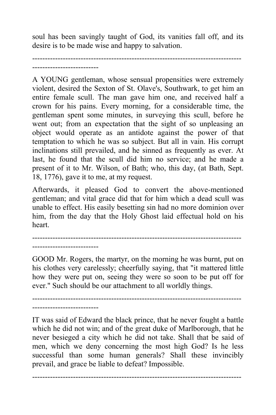soul has been savingly taught of God, its vanities fall off, and its desire is to be made wise and happy to salvation.

```
----------------------------------------------------------------------------------
--------------------------
```
A YOUNG gentleman, whose sensual propensities were extremely violent, desired the Sexton of St. Olave's, Southwark, to get him an entire female scull. The man gave him one, and received half a crown for his pains. Every morning, for a considerable time, the gentleman spent some minutes, in surveying this scull, before he went out; from an expectation that the sight of so unpleasing an object would operate as an antidote against the power of that temptation to which he was so subject. But all in vain. His corrupt inclinations still prevailed, and he sinned as frequently as ever. At last, he found that the scull did him no service; and he made a present of it to Mr. Wilson, of Bath; who, this day, (at Bath, Sept. 18, 1776), gave it to me, at my request.

Afterwards, it pleased God to convert the above-mentioned gentleman; and vital grace did that for him which a dead scull was unable to effect. His easily besetting sin had no more dominion over him, from the day that the Holy Ghost laid effectual hold on his heart.

----------------------------------------------------------------------------------

--------------------------

GOOD Mr. Rogers, the martyr, on the morning he was burnt, put on his clothes very carelessly; cheerfully saying, that "it mattered little how they were put on, seeing they were so soon to be put off for ever." Such should be our attachment to all worldly things.

---------------------------------------------------------------------------------- --------------------------

IT was said of Edward the black prince, that he never fought a battle which he did not win; and of the great duke of Marlborough, that he never besieged a city which he did not take. Shall that be said of men, which we deny concerning the most high God? Is he less successful than some human generals? Shall these invincibly prevail, and grace be liable to defeat? Impossible.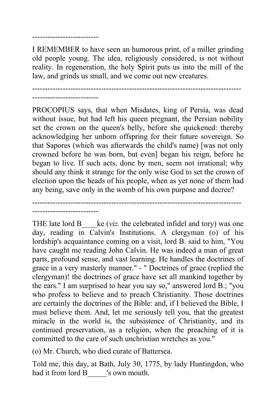## --------------------------

I REMEMBER to have seen an humorous print, of a miller grinding old people young. The idea, religiously considered, is not without reality. In regeneration, the holy Spirit puts us into the mill of the law, and grinds us small, and we come out new creatures.

---------------------------------------------------------------------------------- --------------------------

PROCOPIUS says, that when Misdates, king of Persia, was dead without issue, but had left his queen pregnant, the Persian nobility set the crown on the queen's belly, before she quickened: thereby acknowledging her unborn offspring for their future sovereign. So that Sapores (which was afterwards the child's name) [was not only crowned before he was born, but even] began his reign, before he began to live. If such acts, done by men, seem not irrational; why should any think it strange for the only wise God to set the crown of election upon the heads of his people, when as yet none of them had any being, save only in the womb of his own purpose and decree?



THE late lord B less ke (*viz*. the celebrated infidel and tory) was one day, reading in Calvin's Institutions. A clergyman (o) of his lordship's acquaintance coming on a visit, lord B. said to him, "You have caught me reading John Calvin. He was indeed a man of great parts, profound sense, and vast learning. He handles the doctrines of grace in a very masterly manner." - " Doctrines of grace (replied the clergyman)! the doctrines of grace have set all mankind together by the ears." I am surprised to hear you say so," answered lord B.; "you who profess to believe and to preach Christianity. Those doctrines are certainly the doctrines of the Bible: and, if I believed the Bible, I must believe them. And, let me seriously tell you, that the greatest miracle in the world is, the subsistence of Christianity, and its continued preservation, as a religion, when the preaching of it is committed to the care of such unchristian wretches as you."

(o) Mr. Church, who died curate of Battersea.

Told me, this day, at Bath, July 30, 1775, by lady Huntingdon, who had it from lord B vs own mouth.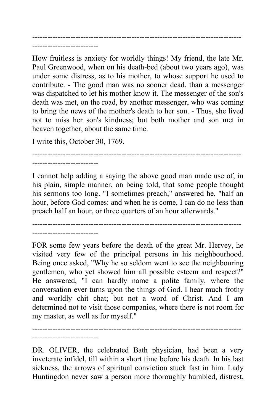---------------------------------------------------------------------------------- --------------------------

How fruitless is anxiety for worldly things! My friend, the late Mr. Paul Greenwood, when on his death-bed (about two years ago), was under some distress, as to his mother, to whose support he used to contribute. - The good man was no sooner dead, than a messenger was dispatched to let his mother know it. The messenger of the son's death was met, on the road, by another messenger, who was coming to bring the news of the mother's death to her son. - Thus, she lived not to miss her son's kindness; but both mother and son met in heaven together, about the same time.

I write this, October 30, 1769.

--------------------------

----------------------------------------------------------------------------------

I cannot help adding a saying the above good man made use of, in his plain, simple manner, on being told, that some people thought his sermons too long. "I sometimes preach," answered he, "half an hour, before God comes: and when he is come, I can do no less than preach half an hour, or three quarters of an hour afterwards."

---------------------------------------------------------------------------------- --------------------------

FOR some few years before the death of the great Mr. Hervey, he visited very few of the principal persons in his neighbourhood. Being once asked, "Why he so seldom went to see the neighbouring gentlemen, who yet showed him all possible esteem and respect?" He answered, "I can hardly name a polite family, where the conversation ever turns upon the things of God. I hear much frothy and worldly chit chat; but not a word of Christ. And I am determined not to visit those companies, where there is not room for my master, as well as for myself."

---------------------------------------------------------------------------------- --------------------------

DR. OLIVER, the celebrated Bath physician, had been a very inveterate infidel, till within a short time before his death. In his last sickness, the arrows of spiritual conviction stuck fast in him. Lady Huntingdon never saw a person more thoroughly humbled, distrest,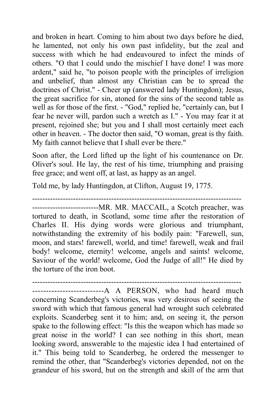and broken in heart. Coming to him about two days before he died, he lamented, not only his own past infidelity, but the zeal and success with which he had endeavoured to infect the minds of others. "O that I could undo the mischief I have done! I was more ardent," said he, "to poison people with the principles of irreligion and unbelief, than almost any Christian can be to spread the doctrines of Christ." - Cheer up (answered lady Huntingdon); Jesus, the great sacrifice for sin, atoned for the sins of the second table as well as for those of the first. - "God," replied he, "certainly can, but I fear he never will, pardon such a wretch as I." - You may fear it at present, rejoined she; but you and I shall most certainly meet each other in heaven. - The doctor then said, "O woman, great is thy faith. My faith cannot believe that I shall ever be there."

Soon after, the Lord lifted up the light of his countenance on Dr. Oliver's soul. He lay, the rest of his time, triumphing and praising free grace; and went off, at last, as happy as an angel.

Told me, by lady Huntingdon, at Clifton, August 19, 1775.

----------------------------------------------------------------------------------

--------------------------MR. MR. MACCAIL, a Scotch preacher, was tortured to death, in Scotland, some time after the restoration of Charles II. His dying words were glorious and triumphant, notwithstanding the extremity of his bodily pain: "Farewell, sun, moon, and stars! farewell, world, and time! farewell, weak and frail body! welcome, eternity! welcome, angels and saints! welcome, Saviour of the world! welcome, God the Judge of all!" He died by the torture of the iron boot.

---------------------------------------------------------------------------------- --------------------------A A PERSON, who had heard much concerning Scanderbeg's victories, was very desirous of seeing the sword with which that famous general had wrought such celebrated exploits. Scanderbeg sent it to him; and, on seeing it, the person spake to the following effect: "Is this the weapon which has made so great noise in the world? I can see nothing in this short, mean looking sword, answerable to the majestic idea I had entertained of it." This being told to Scanderbeg, he ordered the messenger to remind the other, that "Scanderbeg's victories depended, not on the grandeur of his sword, but on the strength and skill of the arm that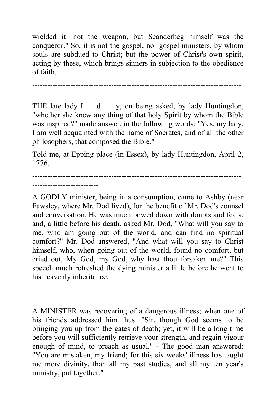wielded it: not the weapon, but Scanderbeg himself was the conqueror." So, it is not the gospel, nor gospel ministers, by whom souls are subdued to Christ; but the power of Christ's own spirit, acting by these, which brings sinners in subjection to the obedience of faith.

----------------------------------------------------------------------------------

--------------------------

THE late lady L d y, on being asked, by lady Huntingdon, "whether she knew any thing of that holy Spirit by whom the Bible was inspired?" made answer, in the following words: "Yes, my lady, I am well acquainted with the name of Socrates, and of all the other philosophers, that composed the Bible."

Told me, at Epping place (in Essex), by lady Huntingdon, April 2, 1776.

---------------------------------------------------------------------------------- --------------------------

A GODLY minister, being in a consumption, came to Ashby (near Fawsley, where Mr. Dod lived), for the benefit of Mr. Dod's counsel and conversation. He was much bowed down with doubts and fears; and, a little before his death, asked Mr. Dod, "What will you say to me, who am going out of the world, and can find no spiritual comfort?" Mr. Dod answered, "And what will you say to Christ himself, who, when going out of the world, found no comfort, but cried out, My God, my God, why hast thou forsaken me?" This speech much refreshed the dying minister a little before he went to his heavenly inheritance.

-------------------------- A MINISTER was recovering of a dangerous illness; when one of his friends addressed him thus: "Sir, though God seems to be bringing you up from the gates of death; yet, it will be a long time before you will sufficiently retrieve your strength, and regain vigour enough of mind, to preach as usual." - The good man answered: "You are mistaken, my friend; for this six weeks' illness has taught me more divinity, than all my past studies, and all my ten year's ministry, put together."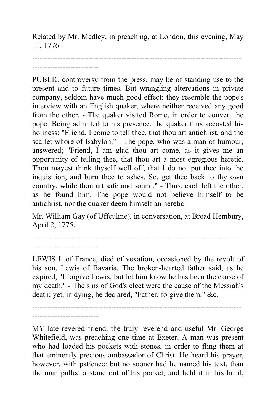Related by Mr. Medley, in preaching, at London, this evening, May 11, 1776.

```
----------------------------------------------------------------------------------
--------------------------
```
PUBLIC controversy from the press, may be of standing use to the present and to future times. But wrangling altercations in private company, seldom have much good effect: they resemble the pope's interview with an English quaker, where neither received any good from the other. - The quaker visited Rome, in order to convert the pope. Being admitted to his presence, the quaker thus accosted his holiness: "Friend, I come to tell thee, that thou art antichrist, and the scarlet whore of Babylon." - The pope, who was a man of humour, answered; "Friend, I am glad thou art come, as it gives me an opportunity of telling thee, that thou art a most egregious heretic. Thou mayest think thyself well off, that I do not put thee into the inquisition, and burn thee to ashes. So, get thee back to thy own country, while thou art safe and sound." - Thus, each left the other, as he found him. The pope would not believe himself to be antichrist, nor the quaker deem himself an heretic.

Mr. William Gay (of Uffculme), in conversation, at Broad Hembury, April 2, 1775.

----------------------------------------------------------------------------------

--------------------------

LEWIS I. of France, died of vexation, occasioned by the revolt of his son, Lewis of Bavaria. The broken-hearted father said, as he expired, "I forgive Lewis; but let him know he has been the cause of my death." - The sins of God's elect were the cause of the Messiah's death; yet, in dying, he declared, "Father, forgive them," &c.

----------------------------------------------------------------------------------

--------------------------

MY late revered friend, the truly reverend and useful Mr. George Whitefield, was preaching one time at Exeter. A man was present who had loaded his pockets with stones, in order to fling them at that eminently precious ambassador of Christ. He heard his prayer, however, with patience: but no sooner had he named his text, than the man pulled a stone out of his pocket, and held it in his hand,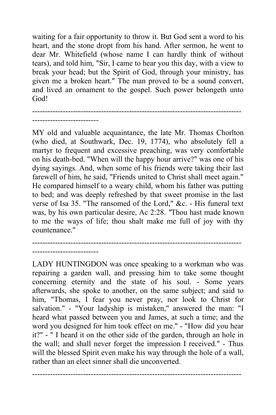waiting for a fair opportunity to throw it. But God sent a word to his heart, and the stone dropt from his hand. After sermon, he went to dear Mr. Whitefield (whose name I can hardly think of without tears), and told him, "Sir, I came to hear you this day, with a view to break your head; but the Spirit of God, through your ministry, has given me a broken heart." The man proved to be a sound convert, and lived an ornament to the gospel. Such power belongeth unto God!

----------------------------------------------------------------------------------

MY old and valuable acquaintance, the late Mr. Thomas Chorlton (who died, at Southwark, Dec. 19, 1774), who absolutely fell a martyr to frequent and excessive preaching, was very comfortable on his death-bed. "When will the happy hour arrive?" was one of his dying sayings. And, when some of his friends were taking their last farewell of him, he said, "Friends united to Christ shall meet again." He compared himself to a weary child, whom his father was putting to bed; and was deeply refreshed by that sweet promise in the last verse of Isa 35. "The ransomed of the Lord," &c. - His funeral text was, by his own particular desire, Ac 2:28. *"*Thou hast made known to me the ways of life; thou shalt make me full of joy with thy countenance."

---------------------------------------------------------------------------------- --------------------------

--------------------------

LADY HUNTINGDON was once speaking to a workman who was repairing a garden wall, and pressing him to take some thought concerning eternity and the state of his soul. - Some years afterwards, she spoke to another, on the same subject; and said to him, "Thomas, I fear you never pray, nor look to Christ for salvation." - "Your ladyship is mistaken," answered the man: "I heard what passed between you and James, at such a time; and the word you designed for him took effect on me." - "How did you hear it?" - " I heard it on the other side of the garden, through an hole in the wall; and shall never forget the impression I received." - Thus will the blessed Spirit even make his way through the hole of a wall, rather than an elect sinner shall die unconverted.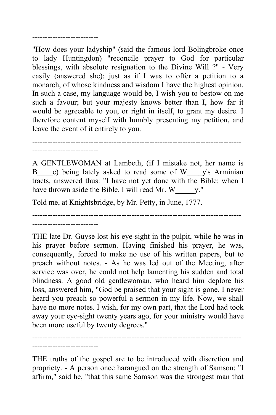```
--------------------------
```
"How does your ladyship" (said the famous lord Bolingbroke once to lady Huntingdon) "reconcile prayer to God for particular blessings, with absolute resignation to the Divine Will ?" - Very easily (answered she): just as if I was to offer a petition to a monarch, of whose kindness and wisdom I have the highest opinion. In such a case, my language would be, I wish you to bestow on me such a favour; but your majesty knows better than I, how far it would be agreeable to you, or right in itself, to grant my desire. I therefore content myself with humbly presenting my petition, and leave the event of it entirely to you.

---------------------------------------------------------------------------------- --------------------------

--------------------------

A GENTLEWOMAN at Lambeth, (if I mistake not, her name is B e) being lately asked to read some of W y's Arminian tracts, answered thus: "I have not yet done with the Bible: when I have thrown aside the Bible, I will read Mr. W \_\_\_\_\_\_\_ y."

Told me, at Knightsbridge, by Mr. Petty, in June, 1777.

---------------------------------------------------------------------------------- --------------------------

THE late Dr. Guyse lost his eye-sight in the pulpit, while he was in his prayer before sermon. Having finished his prayer, he was, consequently, forced to make no use of his written papers, but to preach without notes. - As he was led out of the Meeting, after service was over, he could not help lamenting his sudden and total blindness. A good old gentlewoman, who heard him deplore his loss, answered him, "God be praised that your sight is gone. I never heard you preach so powerful a sermon in my life. Now, we shall have no more notes. I wish, for my own part, that the Lord had took away your eye-sight twenty years ago, for your ministry would have been more useful by twenty degrees."

----------------------------------------------------------------------------------

THE truths of the gospel are to be introduced with discretion and propriety. - A person once harangued on the strength of Samson: "I affirm," said he, "that this same Samson was the strongest man that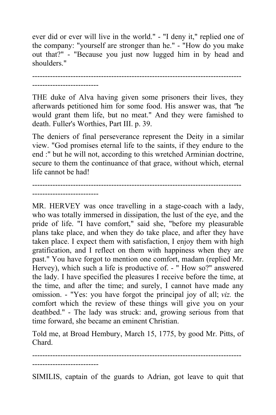ever did or ever will live in the world." - "I deny it," replied one of the company: "yourself are stronger than he." - "How do you make out that?" - "Because you just now lugged him in by head and shoulders."

---------------------------------------------------------------------------------- --------------------------

THE duke of Alva having given some prisoners their lives, they afterwards petitioned him for some food. His answer was, that *"*he would grant them life, but no meat." And they were famished to death. Fuller's Worthies, Part III. p. 39.

The deniers of final perseverance represent the Deity in a similar view. "God promises eternal life to the saints, if they endure to the end :" but he will not, according to this wretched Arminian doctrine, secure to them the continuance of that grace, without which, eternal life cannot be had!

---------------------------------------------------------------------------------- --------------------------

MR. HERVEY was once travelling in a stage-coach with a lady, who was totally immersed in dissipation, the lust of the eye, and the pride of life. "I have comfort," said she, "before my pleasurable plans take place, and when they do take place, and after they have taken place. I expect them with satisfaction, I enjoy them with high gratification, and I reflect on them with happiness when they are past." You have forgot to mention one comfort, madam (replied Mr. Hervey), which such a life is productive of. - " How so?" answered the lady. I have specified the pleasures I receive before the time, at the time, and after the time; and surely, I cannot have made any omission. - "Yes: you have forgot the principal joy of all; *viz.* the comfort which the review of these things will give you on your deathbed." - The lady was struck: and, growing serious from that time forward, she became an eminent Christian.

Told me, at Broad Hembury, March 15, 1775, by good Mr. Pitts, of Chard.

----------------------------------------------------------------------------------

--------------------------

SIMILIS, captain of the guards to Adrian, got leave to quit that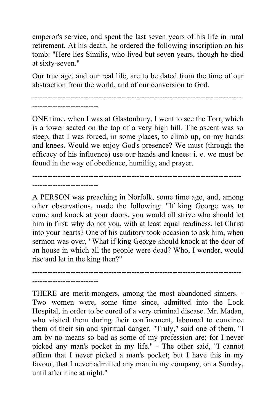emperor's service, and spent the last seven years of his life in rural retirement. At his death, he ordered the following inscription on his tomb: "Here lies Similis, who lived but seven years, though he died at sixty-seven."

Our true age, and our real life, are to be dated from the time of our abstraction from the world, and of our conversion to God.

----------------------------------------------------------------------------------

--------------------------

ONE time, when I was at Glastonbury, I went to see the Torr, which is a tower seated on the top of a very high hill. The ascent was so steep, that I was forced, in some places, to climb up, on my hands and knees. Would we enjoy God's presence? We must (through the efficacy of his influence) use our hands and knees: i. e. we must be found in the way of obedience, humility, and prayer.

---------------------------------------------------------------------------------- --------------------------

--------------------------

A PERSON was preaching in Norfolk, some time ago, and, among other observations, made the following: "If king George was to come and knock at your doors, you would all strive who should let him in first: why do not you, with at least equal readiness, let Christ into your hearts? One of his auditory took occasion to ask him, when sermon was over, "What if king George should knock at the door of an house in which all the people were dead? Who, I wonder, would rise and let in the king then?"

----------------------------------------------------------------------------------

THERE are merit-mongers, among the most abandoned sinners. - Two women were, some time since, admitted into the Lock Hospital, in order to be cured of a very criminal disease. Mr. Madan, who visited them during their confinement, laboured to convince them of their sin and spiritual danger. "Truly," said one of them, "I am by no means so bad as some of my profession are; for I never picked any man's pocket in my life." - The other said, "I cannot affirm that I never picked a man's pocket; but I have this in my favour, that I never admitted any man in my company, on a Sunday, until after nine at night."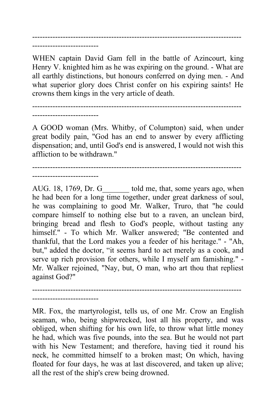---------------------------------------------------------------------------------- --------------------------

WHEN captain David Gam fell in the battle of Azincourt, king Henry V. knighted him as he was expiring on the ground. - What are all earthly distinctions, but honours conferred on dying men. - And what superior glory does Christ confer on his expiring saints! He crowns them kings in the very article of death.

---------------------------------------------------------------------------------- --------------------------

A GOOD woman (Mrs. Whitby, of Columpton) said, when under great bodily pain, "God has an end to answer by every afflicting dispensation; and, until God's end is answered, I would not wish this affliction to be withdrawn."

----------------------------------------------------------------------------------

--------------------------

--------------------------

AUG. 18, 1769, Dr. G bold me, that, some years ago, when he had been for a long time together, under great darkness of soul, he was complaining to good Mr. Walker, Truro, that "he could compare himself to nothing else but to a raven, an unclean bird, bringing bread and flesh to God's people, without tasting any himself." - To which Mr. Walker answered; "Be contented and thankful, that the Lord makes you a feeder of his heritage." - "Ah, but," added the doctor, "it seems hard to act merely as a cook, and serve up rich provision for others, while I myself am famishing." - Mr. Walker rejoined, "Nay, but, O man, who art thou that repliest against God?"

MR. Fox, the martyrologist, tells us, of one Mr. Crow an English seaman, who, being shipwrecked, lost all his property, and was obliged, when shifting for his own life, to throw what little money he had, which was five pounds, into the sea. But he would not part with his New Testament; and therefore, having tied it round his neck, he committed himself to a broken mast; On which, having floated for four days, he was at last discovered, and taken up alive; all the rest of the ship's crew being drowned.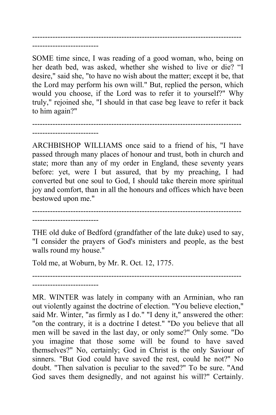---------------------------------------------------------------------------------- --------------------------

SOME time since, I was reading of a good woman, who, being on her death bed, was asked, whether she wished to live or die? "I desire," said she, "to have no wish about the matter; except it be, that the Lord may perform his own will." But, replied the person, which would you choose, if the Lord was to refer it to yourself?" Why truly," rejoined she, "I should in that case beg leave to refer it back to him again?"

---------------------------------------------------------------------------------- --------------------------

ARCHBISHOP WILLIAMS once said to a friend of his, "I have passed through many places of honour and trust, both in church and state; more than any of my order in England, these seventy years before: yet, were I but assured, that by my preaching, I had converted but one soul to God, I should take therein more spiritual joy and comfort, than in all the honours and offices which have been bestowed upon me."

---------------------------------------------------------------------------------- --------------------------

--------------------------

THE old duke of Bedford (grandfather of the late duke) used to say, "I consider the prayers of God's ministers and people, as the best walls round my house."

----------------------------------------------------------------------------------

Told me, at Woburn, by Mr. R. Oct. 12, 1775.

MR. WINTER was lately in company with an Arminian, who ran out violently against the doctrine of election. "You believe election," said Mr. Winter, "as firmly as I do." "I deny it," answered the other: "on the contrary, it is a doctrine I detest." "Do you believe that all men will be saved in the last day, or only some?" Only some. "Do you imagine that those some will be found to have saved themselves?" No, certainly; God in Christ is the only Saviour of sinners. "But God could have saved the rest, could he not?" No doubt. "Then salvation is peculiar to the saved?" To be sure. "And God saves them designedly, and not against his will?" Certainly.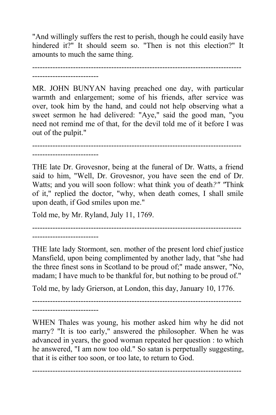"And willingly suffers the rest to perish, though he could easily have hindered it?" It should seem so. "Then is not this election?" It amounts to much the same thing.

---------------------------------------------------------------------------------- --------------------------

MR. JOHN BUNYAN having preached one day, with particular warmth and enlargement; some of his friends, after service was over, took him by the hand, and could not help observing what a sweet sermon he had delivered: "Aye," said the good man, "you need not remind me of that, for the devil told me of it before I was out of the pulpit."

----------------------------------------------------------------------------------

--------------------------

THE late Dr. Grovesnor, being at the funeral of Dr. Watts, a friend said to him, "Well, Dr. Grovesnor, you have seen the end of Dr. Watts; and you will soon follow: what think you of death*?" "*Think of it," replied the doctor, "why, when death comes, I shall smile upon death, if God smiles upon me."

Told me, by Mr. Ryland, July 11, 1769.

----------------------------------------------------------------------------------

--------------------------

THE late lady Stormont, sen. mother of the present lord chief justice Mansfield, upon being complimented by another lady, that "she had the three finest sons in Scotland to be proud of;" made answer, "No, madam; I have much to be thankful for, but nothing to be proud of."

Told me, by lady Grierson, at London, this day, January 10, 1776.

----------------------------------------------------------------------------------

--------------------------

WHEN Thales was young, his mother asked him why he did not marry? "It is too early," answered the philosopher. When he was advanced in years, the good woman repeated her question : to which he answered, "I am now too old." So satan is perpetually suggesting, that it is either too soon, or too late, to return to God.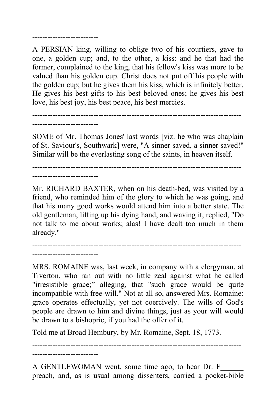A PERSIAN king, willing to oblige two of his courtiers, gave to one, a golden cup; and, to the other, a kiss: and he that had the former, complained to the king, that his fellow's kiss was more to be valued than his golden cup. Christ does not put off his people with the golden cup; but he gives them his kiss, which is infinitely better. He gives his best gifts to his best beloved ones; he gives his best love, his best joy, his best peace, his best mercies.

--------------------------

SOME of Mr. Thomas Jones' last words [viz. he who was chaplain of St. Saviour's, Southwark] were, "A sinner saved, a sinner saved!" Similar will be the everlasting song of the saints, in heaven itself.

----------------------------------------------------------------------------------

----------------------------------------------------------------------------------

--------------------------

Mr. RICHARD BAXTER, when on his death-bed, was visited by a friend, who reminded him of the glory to which he was going, and that his many good works would attend him into a better state. The old gentleman, lifting up his dying hand, and waving it, replied, "Do not talk to me about works; alas! I have dealt too much in them already."

---------------------------------------------------------------------------------- --------------------------

--------------------------

MRS. ROMAINE was, last week, in company with a clergyman, at Tiverton, who ran out with no little zeal against what he called "irresistible grace;" alleging, that "such grace would be quite incompatible with free-will." Not at all so, answered Mrs. Romaine: grace operates effectually, yet not coercively. The wills of God's people are drawn to him and divine things, just as your will would be drawn to a bishopric, if you had the offer of it.

Told me at Broad Hembury, by Mr. Romaine, Sept. 18, 1773.

----------------------------------------------------------------------------------

A GENTLEWOMAN went, some time ago, to hear Dr. F preach, and, as is usual among dissenters, carried a pocket-bible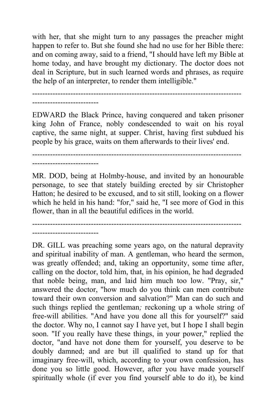with her, that she might turn to any passages the preacher might happen to refer to. But she found she had no use for her Bible there: and on coming away, said to a friend, "I should have left my Bible at home today, and have brought my dictionary. The doctor does not deal in Scripture, but in such learned words and phrases, as require the help of an interpreter, to render them intelligible."

---------------------------------------------------------------------------------- --------------------------

EDWARD the Black Prince, having conquered and taken prisoner king John of France, nobly condescended to wait on his royal captive, the same night, at supper. Christ, having first subdued his people by his grace, waits on them afterwards to their lives' end.

---------------------------------------------------------------------------------- --------------------------

MR. DOD, being at Holmby-house, and invited by an honourable personage, to see that stately building erected by sir Christopher Hatton; he desired to be excused, and to sit still, looking on a flower which he held in his hand: "for," said he, "I see more of God in this flower, than in all the beautiful edifices in the world.

----------------------------------------------------------------------------------

--------------------------

DR. GILL was preaching some years ago, on the natural depravity and spiritual inability of man. A gentleman, who heard the sermon, was greatly offended; and, taking an opportunity, some time after, calling on the doctor, told him, that, in his opinion, he had degraded that noble being, man, and laid him much too low. "Pray, sir," answered the doctor, "how much do you think can men contribute toward their own conversion and salvation?" Man can do such and such things replied the gentleman*;* reckoning up a whole string of free-will abilities. "And have you done all this for yourself?" said the doctor. Why no, I cannot say I have yet, but I hope I shall begin soon. "If you really have these things, in your power," replied the doctor, "and have not done them for yourself, you deserve to be doubly damned; and are but ill qualified to stand up for that imaginary free-will, which, according to your own confession, has done you so little good. However, after you have made yourself spiritually whole (if ever you find yourself able to do it), be kind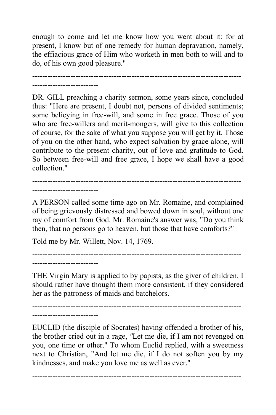enough to come and let me know how you went about it: for at present, I know but of one remedy for human depravation, namely, the effiacious grace of Him who worketh in men both to will and to do, of his own good pleasure."

---------------------------------------------------------------------------------- --------------------------

DR. GILL preaching a charity sermon, some years since, concluded thus: "Here are present, I doubt not, persons of divided sentiments; some belieying in free-will, and some in free grace. Those of you who are free-willers and merit-mongers, will give to this collection of course, for the sake of what you suppose you will get by it. Those of you on the other hand, who expect salvation by grace alone, will contribute to the present charity, out of love and gratitude to God. So between free-will and free grace, I hope we shall have a good collection."

---------------------------------------------------------------------------------- --------------------------

A PERSON called some time ago on Mr. Romaine, and complained of being grievously distressed and bowed down in soul, without one ray of comfort from God. Mr. Romaine's answer was, "Do you think then, that no persons go to heaven, but those that have comforts?"

Told me by Mr. Willett, Nov. 14, 1769.

----------------------------------------------------------------------------------

THE Virgin Mary is applied to by papists, as the giver of children. I should rather have thought them more consistent, if they considered her as the patroness of maids and batchelors.

----------------------------------------------------------------------------------

--------------------------

--------------------------

EUCLID (the disciple of Socrates) having offended a brother of his, the brother cried out in a rage, *"*Let me die, if I am not revenged on you, one time or other." To whom Euclid replied, with a sweetness next to Christian, "And let me die, if I do not soften you by my kindnesses, and make you love me as well as ever."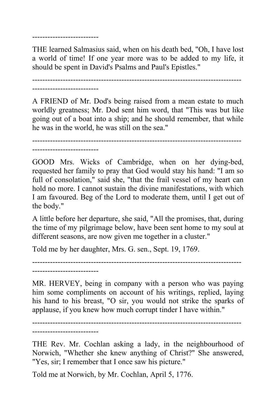--------------------------

THE learned Salmasius said, when on his death bed, "Oh, I have lost a world of time! If one year more was to be added to my life, it should be spent in David's Psalms and Paul's Epistles."

---------------------------------------------------------------------------------- --------------------------

A FRIEND of Mr. Dod's being raised from a mean estate to much worldly greatness; Mr. Dod sent him word, that "This was but like going out of a boat into a ship; and he should remember, that while he was in the world, he was still on the sea."

----------------------------------------------------------------------------------

--------------------------

GOOD Mrs. Wicks of Cambridge, when on her dying-bed, requested her family to pray that God would stay his hand: "I am so full of consolation," said she, "that the frail vessel of my heart can hold no more. I cannot sustain the divine manifestations, with which I am favoured. Beg of the Lord to moderate them, until I get out of the body."

A little before her departure, she said, "All the promises, that, during the time of my pilgrimage below, have been sent home to my soul at different seasons, are now given me together in a cluster."

Told me by her daughter, Mrs. G. sen., Sept. 19, 1769.

---------------------------------------------------------------------------------- --------------------------

MR. HERVEY, being in company with a person who was paying him some compliments on account of his writings, replied, laying his hand to his breast, "O sir, you would not strike the sparks of applause, if you knew how much corrupt tinder I have within."

---------------------------------------------------------------------------------- --------------------------

THE Rev. Mr. Cochlan asking a lady, in the neighbourhood of Norwich, "Whether she knew anything of Christ?" She answered, "Yes, sir; I remember that I once saw his picture."

Told me at Norwich, by Mr. Cochlan, April 5, 1776.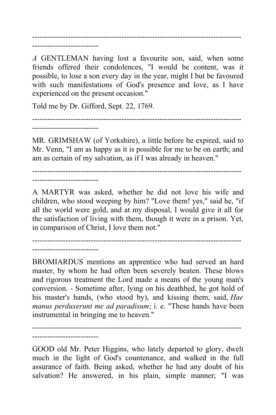--------------------------

*A* GENTLEMAN having lost a favourite son, said, when some friends offered their condolences, "I would be content, was it possible, to lose a son every day in the year, might I but be favoured with such manifestations of God's presence and love, as I have experienced on the present occasion."

----------------------------------------------------------------------------------

Told me by Dr. Gifford, Sept. 22, 1769.

----------------------------------------------------------------------------------

--------------------------

MR. GRIMSHAW (of Yorkshire), a little before he expired, said to Mr. Venn, "I am as happy as it is possible for me to be on earth; and am as certain of my salvation, as if I was already in heaven."

---------------------------------------------------------------------------------- --------------------------

A MARTYR was asked, whether he did not love his wife and children, who stood weeping by him? "Love them! yes," said he, "if all the world were gold, and at my disposal, I would give it all for the satisfaction of living with them, though it were in a prison. Yet, in comparison of Christ, I love them not."

----------------------------------------------------------------------------------

--------------------------

--------------------------

BROMIARDUS mentions an apprentice who had served an hard master, by whom he had often been severely beaten. These blows and rigorous treatment the Lord made a means of the young man's conversion. - Sometime after, lying on his deathbed, he got hold of his master's hands, (who stood by), and kissing them, said, *Hae manus perduxerunt me ad paradisum*; i. e. "These hands have been instrumental in bringing me to heaven."

GOOD old Mr. Peter Higgins, who lately departed to glory, dwelt much in the light of God's countenance, and walked in the full assurance of faith. Being asked, whether he had any doubt of his salvation? He answered, in his plain, simple manner; "I was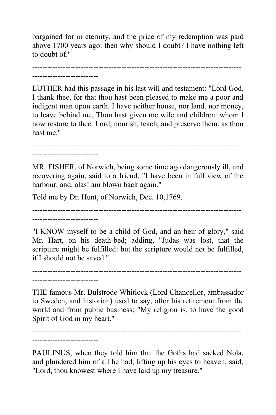bargained for in eternity, and the price of my redemption was paid above 1700 years ago: then why should I doubt? I have nothing left to doubt of "

---------------------------------------------------------------------------------- --------------------------

LUTHER had this passage in his last will and testament: "Lord God, I thank thee, for that thou hast been pleased to make me a poor and indigent man upon earth. I have neither house, nor land, nor money, to leave behind me. Thou hast given me wife and children: whom I now restore to thee. Lord, nourish, teach, and preserve them, as thou hast me."

----------------------------------------------------------------------------------

--------------------------

MR. FISHER, of Norwich, being some time ago dangerously ill, and recovering again, said to a friend, "I have been in full view of the harbour, and, alas! am blown back again."

Told me by Dr. Hunt, of Norwich, Dec. 10,1769.

----------------------------------------------------------------------------------

--------------------------

"I KNOW myself to be a child of God, and an heir of glory," said Mr. Hart, on his death-bed; adding, "Judas was lost, that the scripture might be fulfilled: but the scripture would not be fulfilled, if I should not be saved."

---------------------------------------------------------------------------------- --------------------------

THE famous Mr. Bulstrode Whitlock (Lord Chancellor, ambassador to Sweden, and historian) used to say, after his retirement from the world and from public business; "My religion is, to have the good Spirit of God in my heart."

----------------------------------------------------------------------------------

--------------------------

PAULINUS, when they told him that the Goths had sacked Nola, and plundered him of all he had; lifting up his eyes to heaven, said, "Lord, thou knowest where I have laid up my treasure."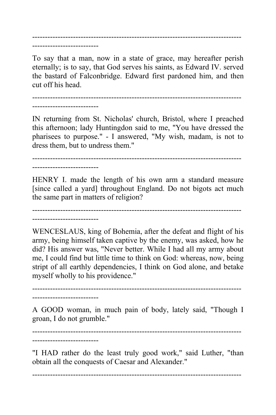---------------------------------------------------------------------------------- --------------------------

To say that a man, now in a state of grace, may hereafter perish eternally; is to say, that God serves his saints, as Edward IV. served the bastard of Falconbridge. Edward first pardoned him, and then cut off his head.

----------------------------------------------------------------------------------

--------------------------

IN returning from St. Nicholas' church, Bristol, where I preached this afternoon; lady Huntingdon said to me, "You have dressed the pharisees to purpose." - I answered, "My wish, madam, is not to dress them, but to undress them."

----------------------------------------------------------------------------------

--------------------------

HENRY I. made the length of his own arm a standard measure [since called a yard] throughout England. Do not bigots act much the same part in matters of religion?

---------------------------------------------------------------------------------- --------------------------

WENCESLAUS, king of Bohemia, after the defeat and flight of his army, being himself taken captive by the enemy, was asked, how he did? His answer was, "Never better. While I had all my army about me, I could find but little time to think on God: whereas, now, being stript of all earthly dependencies, I think on God alone, and betake myself wholly to his providence."

---------------------------------------------------------------------------------- --------------------------

A GOOD woman, in much pain of body, lately said, "Though I groan, I do not grumble."

----------------------------------------------------------------------------------

--------------------------

"I HAD rather do the least truly good work," said Luther, "than obtain all the conquests of Caesar and Alexander."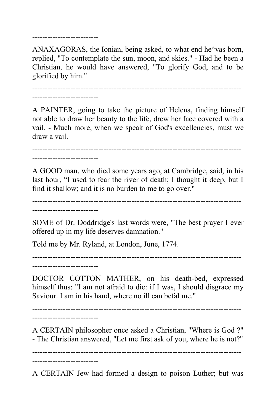--------------------------

ANAXAGORAS, the Ionian, being asked, to what end he^vas born, replied, "To contemplate the sun, moon, and skies." - Had he been a Christian, he would have answered, "To glorify God, and to be glorified by him."

---------------------------------------------------------------------------------- --------------------------

A PAINTER, going to take the picture of Helena, finding himself not able to draw her beauty to the life, drew her face covered with a vail. - Much more, when we speak of God's excellencies, must we draw a vail.

----------------------------------------------------------------------------------

--------------------------

A GOOD man, who died some years ago, at Cambridge, said, in his last hour, "I used to fear the river of death; I thought it deep, but I find it shallow; and it is no burden to me to go over."

----------------------------------------------------------------------------------

--------------------------

SOME of Dr. Doddridge's last words were, "The best prayer I ever offered up in my life deserves damnation."

Told me by Mr. Ryland, at London, June, 1774.

----------------------------------------------------------------------------------

--------------------------

DOCTOR COTTON MATHER, on his death-bed, expressed himself thus: "I am not afraid to die: if I was, I should disgrace my Saviour. I am in his hand, where no ill can befal me."

----------------------------------------------------------------------------------

--------------------------

--------------------------

A CERTAIN philosopher once asked a Christian, "Where is God ?" - The Christian answered, "Let me first ask of you, where he is not?"

----------------------------------------------------------------------------------

A CERTAIN Jew had formed a design to poison Luther; but was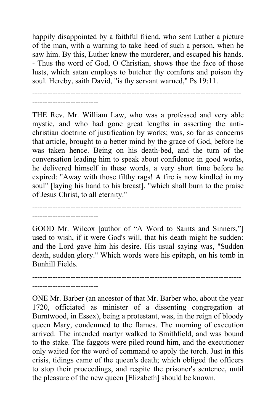happily disappointed by a faithful friend, who sent Luther a picture of the man, with a warning to take heed of such a person, when he saw him. By this, Luther knew the murderer, and escaped his hands. - Thus the word of God, O Christian, shows thee the face of those lusts, which satan employs to butcher thy comforts and poison thy soul. Hereby, saith David, "is thy servant warned," Ps 19:11.

---------------------------------------------------------------------------------- --------------------------

THE Rev. Mr. William Law, who was a professed and very able mystic, and who had gone great lengths in asserting the antichristian doctrine of justification by works; was, so far as concerns that article, brought to a better mind by the grace of God, before he was taken hence. Being on his death-bed, and the turn of the conversation leading him to speak about confidence in good works, he delivered himself in these words, a very short time before he expired: "Away with those filthy rags! A fire is now kindled in my soul" [laying his hand to his breast], "which shall burn to the praise of Jesus Christ, to all eternity."

---------------------------------------------------------------------------------- --------------------------

GOOD Mr. Wilcox [author of "A Word to Saints and Sinners,"] used to wish, if it were God's will, that his death might be sudden: and the Lord gave him his desire. His usual saying was, "Sudden death, sudden glory." Which words were his epitaph, on his tomb in Bunhill Fields.

---------------------------------------------------------------------------------- --------------------------

ONE Mr. Barber (an ancestor of that Mr. Barber who, about the year 1720, officiated as minister of a dissenting congregation at Burntwood, in Essex), being a protestant, was, in the reign of bloody queen Mary, condemned to the flames. The morning of execution arrived. The intended martyr walked to Smithfield, and was bound to the stake. The faggots were piled round him, and the executioner only waited for the word of command to apply the torch. Just in this crisis, tidings came of the queen's death; which obliged the officers to stop their proceedings, and respite the prisoner's sentence, until the pleasure of the new queen [Elizabeth] should be known.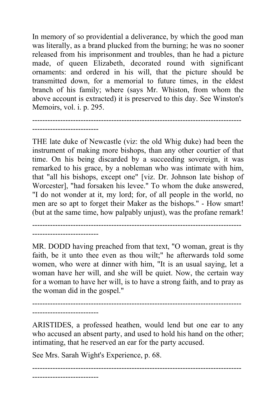In memory of so providential a deliverance, by which the good man was literally, as a brand plucked from the burning; he was no sooner released from his imprisonment and troubles, than he had a picture made, of queen Elizabeth, decorated round with significant ornaments: and ordered in his will, that the picture should be transmitted down, for a memorial to future times, in the eldest branch of his family; where (says Mr. Whiston, from whom the above account is extracted) it is preserved to this day. See Winston's Memoirs, vol. i. p. 295.

----------------------------------------------------------------------------------

THE late duke of Newcastle (viz: the old Whig duke) had been the instrument of making more bishops, than any other courtier of that time. On his being discarded by a succeeding sovereign, it was remarked to his grace, by a nobleman who was intimate with him, that "all his bishops, except one" [viz. Dr. Johnson late bishop of Worcester], "had forsaken his levee." To whom the duke answered, "I do not wonder at it, my lord; for, of all people in the world, no men are so apt to forget their Maker as the bishops." - How smart! (but at the same time, how palpably unjust), was the profane remark!

----------------------------------------------------------------------------------

MR. DODD having preached from that text, "O woman, great is thy faith, be it unto thee even as thou wilt;" he afterwards told some women, who were at dinner with him, "It is an usual saying, let a woman have her will, and she will be quiet. Now, the certain way for a woman to have her will, is to have a strong faith, and to pray as the woman did in the gospel."

---------------------------------------------------------------------------------- --------------------------

--------------------------

--------------------------

ARISTIDES, a professed heathen, would lend but one ear to any who accused an absent party, and used to hold his hand on the other; intimating, that he reserved an ear for the party accused.

See Mrs. Sarah Wight's Experience, p. 68.

----------------------------------------------------------------------------------

--------------------------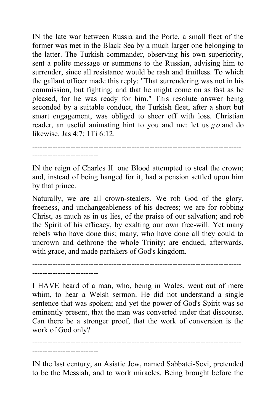IN the late war between Russia and the Porte, a small fleet of the former was met in the Black Sea by a much larger one belonging to the latter. The Turkish commander, observing his own superiority, sent a polite message or summons to the Russian, advising him to surrender, since all resistance would be rash and fruitless. To which the gallant officer made this reply: "That surrendering was not in his commission, but fighting; and that he might come on as fast as he pleased, for he was ready for him." This resolute answer being seconded by a suitable conduct, the Turkish fleet, after a short but smart engagement, was obliged to sheer off with loss. Christian reader, an useful animating hint to you and me: let us *g o* and do likewise. Jas 4:7; 1Ti 6:12.

----------------------------------------------------------------------------------

--------------------------

IN the reign of Charles II. one Blood attempted to steal the crown; and, instead of being hanged for it, had a pension settled upon him by that prince.

Naturally, we are all crown-stealers. We rob God of the glory, freeness, and unchangeableness of his decrees; we are for robbing Christ, as much as in us lies, of the praise of our salvation; and rob the Spirit of his efficacy, by exalting our own free-will. Yet many rebels who have done this; many, who have done all they could to uncrown and dethrone the whole Trinity; are endued, afterwards, with grace, and made partakers of God's kingdom.

---------------------------------------------------------------------------------- --------------------------

I HAVE heard of a man, who, being in Wales, went out of mere whim, to hear a Welsh sermon. He did not understand a single sentence that was spoken; and yet the power of God's Spirit was so eminently present, that the man was converted under that discourse. Can there be a stronger proof, that the work of conversion is the work of God only?

---------------------------------------------------------------------------------- --------------------------

IN the last century, an Asiatic Jew, named Sabbatei-Sevi, pretended to be the Messiah, and to work miracles. Being brought before the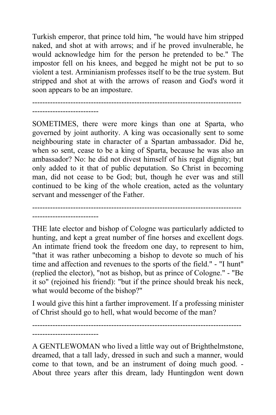Turkish emperor, that prince told him, "he would have him stripped naked, and shot at with arrows; and if he proved invulnerable, he would acknowledge him for the person he pretended to be." The impostor fell on his knees, and begged he might not be put to so violent a test. Arminianism professes itself to be the true system. But stripped and shot at with the arrows of reason and God's word it soon appears to be an imposture.

----------------------------------------------------------------------------------

--------------------------

--------------------------

--------------------------

SOMETIMES, there were more kings than one at Sparta, who governed by joint authority. A king was occasionally sent to some neighbouring state in character of a Spartan ambassador. Did he, when so sent, cease to be a king of Sparta, because he was also an ambassador? No: he did not divest himself of his regal dignity; but only added to it that of public deputation. So Christ in becoming man, did not cease to be God; but, though he ever was and still continued to be king of the whole creation, acted as the voluntary servant and messenger of the Father.

----------------------------------------------------------------------------------

THE late elector and bishop of Cologne was particularly addicted to hunting, and kept a great number of fine horses and excellent dogs. An intimate friend took the freedom one day, to represent to him, "that it was rather unbecoming a bishop to devote so much of his time and affection and revenues to the sports of the field." - "I hunt" (replied the elector), "not as bishop, but as prince of Cologne." - "Be it so" (rejoined his friend): "but if the prince should break his neck, what would become of the bishop?"

I would give this hint a farther improvement. If a professing minister of Christ should go to hell, what would become of the man?

----------------------------------------------------------------------------------

A GENTLEWOMAN who lived a little way out of Brighthelmstone, dreamed, that a tall lady, dressed in such and such a manner, would come to that town, and be an instrument of doing much good. - About three years after this dream, lady Huntingdon went down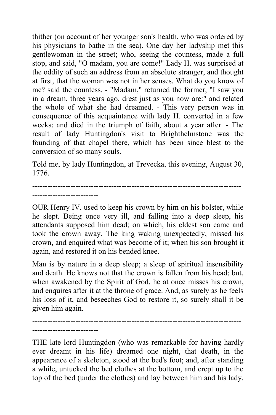thither (on account of her younger son's health, who was ordered by his physicians to bathe in the sea). One day her ladyship met this gentlewoman in the street; who, seeing the countess, made a full stop, and said, "O madam, you are come!" Lady H. was surprised at the oddity of such an address from an absolute stranger, and thought at first, that the woman was not in her senses. What do you know of me? said the countess. - "Madam," returned the former, "I saw you in a dream, three years ago, drest just as you now are:" and related the whole of what she had dreamed. - This very person was in consequence of this acquaintance with lady H. converted in a few weeks; and died in the triumph of faith, about a year after. - The result of lady Huntingdon's visit to Brighthelmstone was the founding of that chapel there, which has been since blest to the conversion of so many souls.

Told me, by lady Huntingdon, at Trevecka, this evening, August 30, 1776.

---------------------------------------------------------------------------------- --------------------------

OUR Henry IV. used to keep his crown by him on his bolster, while he slept. Being once very ill, and falling into a deep sleep, his attendants supposed him dead; on which, his eldest son came and took the crown away. The king waking unexpectedly, missed his crown, and enquired what was become of it; when his son brought it again, and restored it on his bended knee.

Man is by nature in a deep sleep; a sleep of spiritual insensibility and death. He knows not that the crown is fallen from his head; but, when awakened by the Spirit of God, he at once misses his crown, and enquires after it at the throne of grace. And, as surely as he feels his loss of it, and beseeches God to restore it, so surely shall it be given him again.

---------------------------------------------------------------------------------- --------------------------

THE late lord Huntingdon (who was remarkable for having hardly ever dreamt in his life) dreamed one night, that death, in the appearance of a skeleton, stood at the bed's foot; and, after standing a while, untucked the bed clothes at the bottom, and crept up to the top of the bed (under the clothes) and lay between him and his lady.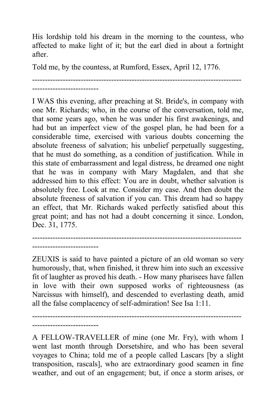His lordship told his dream in the morning to the countess, who affected to make light of it; but the earl died in about a fortnight after.

Told me, by the countess, at Rumford, Essex, April 12, 1776.

---------------------------------------------------------------------------------- --------------------------

I WAS this evening, after preaching at St. Bride's, in company with one Mr. Richards; who, in the course of the conversation, told me, that some years ago, when he was under his first awakenings, and had but an imperfect view of the gospel plan, he had been for a considerable time, exercised with various doubts concerning the absolute freeness of salvation; his unbelief perpetually suggesting, that he must do something, as a condition of justification. While in this state of embarrassment and legal distress, he dreamed one night that he was in company with Mary Magdalen, and that she addressed him to this effect: You are in doubt, whether salvation is absolutely free. Look at me. Consider my case. And then doubt the absolute freeness of salvation if you can. This dream had so happy an effect, that Mr. Richards waked perfectly satisfied about this great point; and has not had a doubt concerning it since. London, Dec. 31, 1775.

---------------------------------------------------------------------------------- --------------------------

ZEUXIS is said to have painted a picture of an old woman so very humorously, that, when finished, it threw him into such an excessive fit of laughter as proved his death. - How many pharisees have fallen in love with their own supposed works of righteousness (as Narcissus with himself), and descended to everlasting death, amid all the false complacency of self-admiration! See Isa 1:11.

----------------------------------------------------------------------------------  $-$ 

A FELLOW-TRAVELLER of mine (one Mr. Fry), with whom I went last month through Dorsetshire, and who has been several voyages to China; told me of a people called Lascars [by a slight transposition, rascals], who are extraordinary good seamen in fine weather, and out of an engagement; but, if once a storm arises, or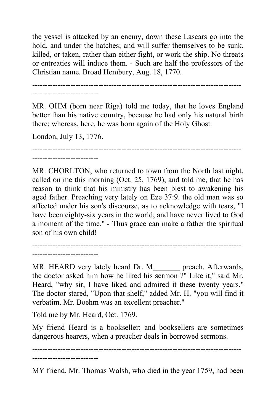the yessel is attacked by an enemy, down these Lascars go into the hold, and under the hatches; and will suffer themselves to be sunk, killed, or taken, rather than either fight, or work the ship. No threats or entreaties will induce them. - Such are half the professors of the Christian name. Broad Hembury, Aug. 18, 1770.

----------------------------------------------------------------------------------

--------------------------

MR. OHM (born near Riga) told me today, that he loves England better than his native country, because he had only his natural birth there; whereas, here, he was born again of the Holy Ghost.

London, July 13, 1776.

---------------------------------------------------------------------------------- --------------------------

MR. CHORLTON, who returned to town from the North last night, called on me this morning (Oct. 25, 1769), and told me, that he has reason to think that his ministry has been blest to awakening his aged father. Preaching very lately on Eze 37:9. the old man was so affected under his son's discourse, as to acknowledge with tears, "I have been eighty-six years in the world; and have never lived to God a moment of the time." - Thus grace can make a father the spiritual son of his own child!

---------------------------------------------------------------------------------- --------------------------

MR. HEARD very lately heard Dr. M\_\_\_\_\_\_\_ preach. Afterwards, the doctor asked him how he liked his sermon ?" Like it," said Mr. Heard, "why sir, I have liked and admired it these twenty years." The doctor stared, "Upon that shelf," added Mr. H. "you will find it verbatim. Mr. Boehm was an excellent preacher."

Told me by Mr. Heard, Oct. 1769.

My friend Heard is a bookseller; and booksellers are sometimes dangerous hearers, when a preacher deals in borrowed sermons.

----------------------------------------------------------------------------------

--------------------------

MY friend, Mr. Thomas Walsh, who died in the year 1759, had been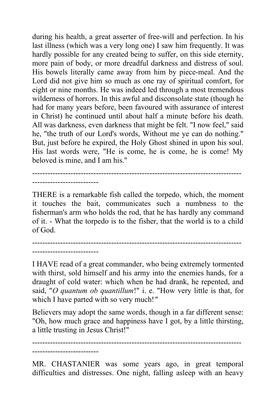during his health, a great asserter of free-will and perfection. In his last illness (which was a very long one) I saw him frequently. It was hardly possible for any created being to suffer, on this side eternity, more pain of body, or more dreadful darkness and distress of soul. His bowels literally came away from him by piece-meal. And the Lord did not give him so much as one ray of spiritual comfort, for eight or nine months. He was indeed led through a most tremendous wilderness of horrors. In this awful and disconsolate state (though he had for many years before, been favoured with assurance of interest in Christ) he continued until about half a minute before his death. All was darkness, even darkness that might be felt. "I now feel," said he, "the truth of our Lord's words, Without me ye can do nothing." But, just before he expired, the Holy Ghost shined in upon his soul. His last words were, "He is come, he is come, he is come! My beloved is mine, and I am his."

THERE is a remarkable fish called the torpedo, which, the moment it touches the bait, communicates such a numbness to the fisherman's arm who holds the rod, that he has hardly any command of it. - What the torpedo is to the fisher, that the world is to a child of God.

----------------------------------------------------------------------------------

----------------------------------------------------------------------------------

--------------------------

--------------------------

I HAVE read of a great commander, who being extremely tormented with thirst, sold himself and his army into the enemies hands, for a draught of cold water: which when he had drank, he repented, and said, "*O quantum ob quantillum*!" i. e. "How very little is that, for which I have parted with so very much!*"*

Believers may adopt the same words, though in a far different sense: "Oh, how much grace and happiness have I got, by a little thirsting, a little trusting in Jesus Christ!"

---------------------------------------------------------------------------------- --------------------------

MR. CHASTANIER was some years ago, in great temporal difficulties and distresses. One night, falling asleep with an heavy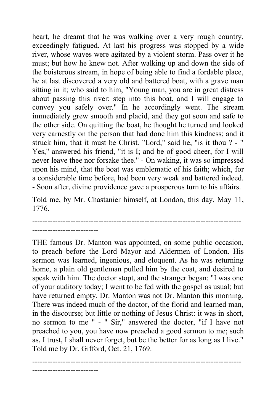heart, he dreamt that he was walking over a very rough country, exceedingly fatigued. At last his progress was stopped by a wide river, whose waves were agitated by a violent storm. Pass over it he must; but how he knew not. After walking up and down the side of the boisterous stream, in hope of being able to find a fordable place, he at last discovered a very old and battered boat, with a grave man sitting in it; who said to him, "Young man, you are in great distress about passing this river; step into this boat, and I will engage to convey you safely over." In he accordingly went. The stream immediately grew smooth and placid, and they got soon and safe to the other side. On quitting the boat, he thought he turned and looked very earnestly on the person that had done him this kindness; and it struck him, that it must be Christ. "Lord," said he, "is it thou ? - " Yes," answered his friend, "it is I; and be of good cheer, for I will never leave thee nor forsake thee." - On waking, it was so impressed upon his mind, that the boat was emblematic of his faith; which, for a considerable time before, had been very weak and battered indeed. - Soon after, divine providence gave a prosperous turn to his affairs.

Told me, by Mr. Chastanier himself, at London, this day, May 11, 1776.

---------------------------------------------------------------------------------- --------------------------

--------------------------

THE famous Dr. Manton was appointed, on some public occasion, to preach before the Lord Mayor and Aldermen of London. His sermon was learned, ingenious, and eloquent. As he was returning home, a plain old gentleman pulled him by the coat, and desired to speak with him. The doctor stopt, and the stranger began: "I was one of your auditory today; I went to be fed with the gospel as usual; but have returned empty. Dr. Manton was not Dr. Manton this morning. There was indeed much of the doctor, of the florid and learned man, in the discourse; but little or nothing of Jesus Christ: it was in short, no sermon to me " - " Sir," answered the doctor, "if I have not preached to you, you have now preached a good sermon to me; such as, I trust, I shall never forget, but be the better for as long as I live." Told me by Dr. Gifford, Oct. 21, 1769.

----------------------------------------------------------------------------------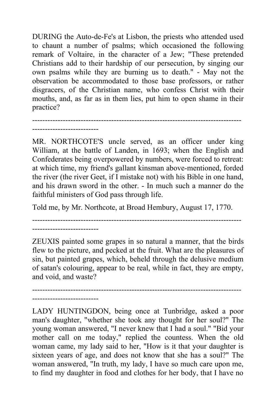DURING the Auto-de-Fe's at Lisbon, the priests who attended used to chaunt a number of psalms; which occasioned the following remark of Voltaire, in the character of a Jew; "These pretended Christians add to their hardship of our persecution, by singing our own psalms while they are burning us to death." - May not the observation be accommodated to those base professors, or rather disgracers, of the Christian name, who confess Christ with their mouths, and, as far as in them lies, put him to open shame in their practice?

---------------------------------------------------------------------------------- --------------------------

MR. NORTHCOTE'S uncle served, as an officer under king William, at the battle of Landen, in 1693; when the English and Confederates being overpowered by numbers, were forced to retreat: at which time, my friend's gallant kinsman above-mentioned, forded the river (the river Geet, if I mistake not) with his Bible in one hand, and his drawn sword in the other. - In much such a manner do the faithful ministers of God pass through life.

Told me, by Mr. Northcote, at Broad Hembury, August 17, 1770.

----------------------------------------------------------------------------------

--------------------------

ZEUXIS painted some grapes in so natural a manner, that the birds flew to the picture, and pecked at the fruit. What are the pleasures of sin, but painted grapes, which, beheld through the delusive medium of satan's colouring, appear to be real, while in fact, they are empty, and void, and waste?

----------------------------------------------------------------------------------

--------------------------

LADY HUNTINGDON, being once at Tunbridge, asked a poor man's daughter, "whether she took any thought for her soul?" The young woman answered, "I never knew that I had a soul." "Bid your mother call on me today," replied the countess. When the old woman came, my lady said to her, "How is it that your daughter is sixteen years of age, and does not know that she has a soul?" The woman answered, "In truth, my lady, I have so much care upon me, to find my daughter in food and clothes for her body, that I have no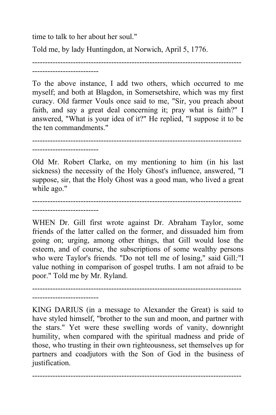time to talk to her about her soul."

Told me, by lady Huntingdon, at Norwich, April 5, 1776.

--------------------------

To the above instance, I add two others, which occurred to me myself; and both at Blagdon, in Somersetshire, which was my first curacy. Old farmer Vouls once said to me, "Sir, you preach about faith, and say a great deal concerning it; pray what is faith?" I answered, "What is your idea of it?" He replied, "I suppose it to be the ten commandments."

----------------------------------------------------------------------------------

----------------------------------------------------------------------------------

--------------------------

Old Mr. Robert Clarke, on my mentioning to him (in his last sickness) the necessity of the Holy Ghost's influence, answered, "I suppose, sir, that the Holy Ghost was a good man, who lived a great while ago."

----------------------------------------------------------------------------------

--------------------------

WHEN Dr. Gill first wrote against Dr. Abraham Taylor, some friends of the latter called on the former, and dissuaded him from going on; urging, among other things, that Gill would lose the esteem, and of course, the subscriptions of some wealthy persons who were Taylor's friends. "Do not tell me of losing," said Gill*;*"I value nothing in comparison of gospel truths. I am not afraid to be poor." Told me by Mr. Ryland.

---------------------------------------------------------------------------------- --------------------------

KING DARIUS (in a message to Alexander the Great) is said to have styled himself, "brother to the sun and moon, and partner with the stars." Yet were these swelling words of vanity, downright humility, when compared with the spiritual madness and pride of those, who trusting in their own righteousness, set themselves up for partners and coadjutors with the Son of God in the business of justification.

----------------------------------------------------------------------------------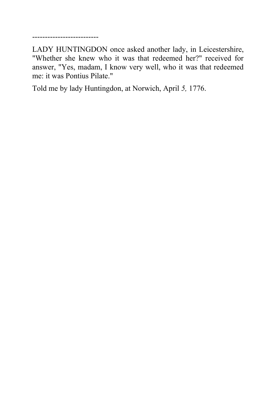--------------------------

LADY HUNTINGDON once asked another lady, in Leicestershire, "Whether she knew who it was that redeemed her?" received for answer, "Yes, madam, I know very well, who it was that redeemed me: it was Pontius Pilate."

Told me by lady Huntingdon, at Norwich, April *5,* 1776.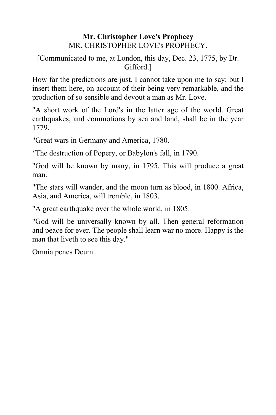## **Mr. Christopher Love's Prophecy** MR. CHRISTOPHER LOVE's PROPHECY.

## [Communicated to me, at London, this day, Dec. 23, 1775, by Dr. Gifford.]

How far the predictions are just, I cannot take upon me to say; but I insert them here, on account of their being very remarkable, and the production of so sensible and devout a man as Mr. Love.

"A short work of the Lord's in the latter age of the world. Great earthquakes, and commotions by sea and land, shall be in the year 1779.

"Great wars in Germany and America, 1780.

*"*The destruction of Popery, or Babylon's fall, in 1790.

"God will be known by many, in 1795. This will produce a great man.

"The stars will wander, and the moon turn as blood, in 1800. Africa, Asia, and America, will tremble, in 1803.

"A great earthquake over the whole world, in 1805.

"God will be universally known by all. Then general reformation and peace for ever. The people shall learn war no more. Happy is the man that liveth to see this day."

Omnia penes Deum.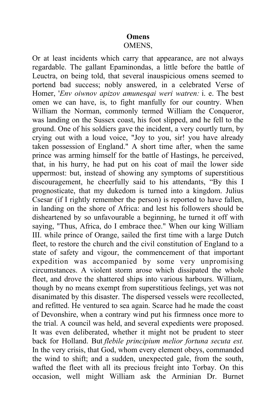# **Omens**

#### OMENS,

Or at least incidents which carry that appearance, are not always regardable. The gallant Epaminondas, a little before the battle of Leuctra, on being told, that several inauspicious omens seemed to portend bad success; nobly answered, in a celebrated Verse of Homer, '*Env oiwnov apizov amunesqai weri watren:* i. e. The best omen we can have, is, to fight manfully for our country. When William the Norman, commonly termed William the Conqueror, was landing on the Sussex coast, his foot slipped, and he fell to the ground. One of his soldiers gave the incident, a very courtly turn, by crying out with a loud voice, "Joy to you, sir! you have already taken possession of England." A short time after, when the same prince was arming himself for the battle of Hastings, he perceived, that, in his hurry, he had put on his coat of mail the lower side uppermost: but, instead of showing any symptoms of superstitious discouragement, he cheerfully said to his attendants, "By this I prognosticate, that my dukedom is turned into a kingdom. Julius Csesar (if I rightly remember the person) is reported to have fallen, in landing on the shore of Africa: and lest his followers should be disheartened by so unfavourable a beginning, he turned it off with saying, "Thus, Africa, do I embrace thee." When our king William III. while prince of Orange, sailed the first time with a large Dutch fleet, to restore the church and the civil constitution of England to a state of safety and vigour, the commencement of that important expedition was accompanied by some very unpromising circumstances. A violent storm arose which dissipated the whole fleet, and drove the shattered ships into various harbours. William, though by no means exempt from superstitious feelings, yet was not disanimated by this disaster. The dispersed vessels were recollected, and refitted. He ventured to sea again. Scarce had he made the coast of Devonshire, when a contrary wind put his firmness once more to the trial. A council was held, and several expedients were proposed. It was even deliberated, whether it might not be prudent to steer back for Holland. But *flebile principium melior fortuna secuta est.* In the very crisis, that God, whom every element obeys, commanded the wind to shift; and a sudden, unexpected gale, from the south, wafted the fleet with all its precious freight into Torbay. On this occasion, well might William ask the Arminian Dr. Burnet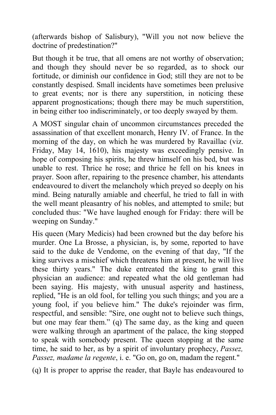(afterwards bishop of Salisbury), "Will you not now believe the doctrine of predestination?"

But though it be true, that all omens are not worthy of observation; and though they should never be so regarded, as to shock our fortitude, or diminish our confidence in God; still they are not to be constantly despised. Small incidents have sometimes been prelusive to great events; nor is there any superstition, in noticing these apparent prognostications; though there may be much superstition, in being either too indiscriminately, or too deeply swayed by them.

A MOST singular chain of uncommon circumstances preceded the assassination of that excellent monarch, Henry IV. of France. In the morning of the day, on which he was murdered by Ravaillac (viz. Friday, May 14, 1610), his majesty was exceedingly pensive. In hope of composing his spirits, he threw himself on his bed, but was unable to rest. Thrice he rose; and thrice he fell on his knees in prayer. Soon after, repairing to the presence chamber, his attendants endeavoured to divert the melancholy which preyed so deeply on his mind. Being naturally amiable and cheerful, he tried to fall in with the well meant pleasantry of his nobles, and attempted to smile; but concluded thus: "We have laughed enough for Friday: there will be weeping on Sunday."

His queen (Mary Medicis) had been crowned but the day before his murder. One La Brosse, a physician, is, by some, reported to have said to the duke de Vendome, on the evening of that day, "If the king survives a mischief which threatens him at present, he will live these thirty years." The duke entreated the king to grant this physician an audience: and repeated what the old gentleman had been saying. His majesty, with unusual asperity and hastiness, replied, "He is an old fool, for telling you such things; and you are a young fool, if you believe him." The duke's rejoinder was firm, respectful, and sensible: "Sire, one ought not to believe such things, but one may fear them." (q) The same day, as the king and queen were walking through an apartment of the palace, the king stopped to speak with somebody present. The queen stopping at the same time, he said to her, as by a spirit of involuntary prophecy, *Passez, Passez, madame la regente*, i. e. "Go on, go on, madam the regent."

(q) It is proper to apprise the reader, that Bayle has endeavoured to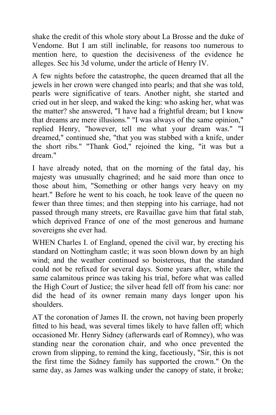shake the credit of this whole story about La Brosse and the duke of Vendome. But I am still inclinable, for reasons too numerous to mention here, to question the decisiveness of the evidence he alleges. Sec his 3d volume, under the article of Henry IV.

A few nights before the catastrophe, the queen dreamed that all the jewels in her crown were changed into pearls; and that she was told, pearls were significative of tears. Another night, she started and cried out in her sleep, and waked the king: who asking her, what was the matter? she answered, "I have had a frightful dream; but I know that dreams are mere illusions." "I was always of the same opinion," replied Henry, "however, tell me what your dream was." "I dreamed," continued she, "that you was stabbed with a knife, under the short ribs." "Thank God," rejoined the king, "it was but a dream."

I have already noted, that on the morning of the fatal day, his majesty was unusually chagrined; and he said more than once to those about him, "Something or other hangs very heavy on my heart." Before he went to his coach, he took leave of the queen no fewer than three times; and then stepping into his carriage, had not passed through many streets, ere Ravaillac gave him that fatal stab, which deprived France of one of the most generous and humane sovereigns she ever had.

WHEN Charles I. of England, opened the civil war, by erecting his standard on Nottingham castle; it was soon blown down by an high wind; and the weather continued so boisterous, that the standard could not be refixed for several days. Some years after, while the same calamitous prince was taking his trial, before what was called the High Court of Justice; the silver head fell off from his cane: nor did the head of its owner remain many days longer upon his shoulders.

AT the coronation of James II. the crown, not having been properly fitted to his head, was several times likely to have fallen off; which occasioned Mr. Henry Sidney (afterwards earl of Romney), who was standing near the coronation chair, and who once prevented the crown from slipping, to remind the king, facetiously, "Sir, this is not the first time the Sidney family has supported the crown." On the same day, as James was walking under the canopy of state, it broke;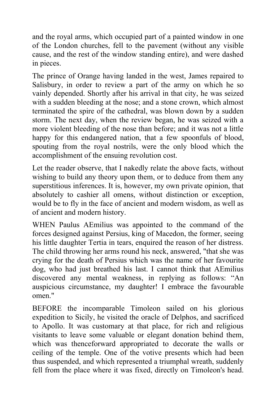and the royal arms, which occupied part of a painted window in one of the London churches, fell to the pavement (without any visible cause, and the rest of the window standing entire), and were dashed in pieces.

The prince of Orange having landed in the west, James repaired to Salisbury, in order to review a part of the army on which he so vainly depended. Shortly after his arrival in that city, he was seized with a sudden bleeding at the nose; and a stone crown, which almost terminated the spire of the cathedral, was blown down by a sudden storm. The next day, when the review began, he was seized with a more violent bleeding of the nose than before; and it was not a little happy for this endangered nation, that a few spoonfuls of blood, spouting from the royal nostrils, were the only blood which the accomplishment of the ensuing revolution cost.

Let the reader observe, that I nakedly relate the above facts, without wishing to build any theory upon them, or to deduce from them any superstitious inferences. It is, however, my own private opinion, that absolutely to cashier all omens, without distinction or exception, would be to fly in the face of ancient and modern wisdom, as well as of ancient and modern history.

WHEN Paulus AEmilius was appointed to the command of the forces designed against Persius, king of Macedon, the former, seeing his little daughter Tertia in tears, enquired the reason of her distress. The child throwing her arms round his neck, answered, "that she was crying for the death of Persius which was the name of her favourite dog, who had just breathed his last. I cannot think that AEmilius discovered any mental weakness, in replying as follows: "An auspicious circumstance, my daughter! I embrace the favourable omen."

BEFORE the incomparable Timoleon sailed on his glorious expedition to Sicily, he visited the oracle of Delphos, and sacrificed to Apollo. It was customary at that place, for rich and religious visitants to leave some valuable or elegant donation behind them, which was thenceforward appropriated to decorate the walls or ceiling of the temple. One of the votive presents which had been thus suspended, and which represented a triumphal wreath, suddenly fell from the place where it was fixed, directly on Timoleon's head.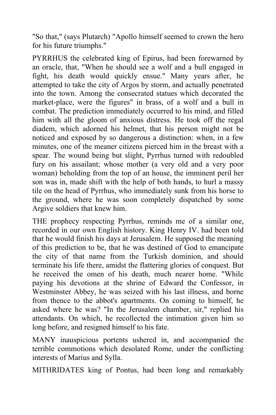"So that," (says Plutarch) "Apollo himself seemed to crown the hero for his future triumphs."

PYRRHUS the celebrated king of Epirus, had been forewarned by an oracle, that, "When he should see a wolf and a bull engaged in fight, his death would quickly ensue." Many years after, he attempted to take the city of Argos by storm, and actually penetrated into the town. Among the consecrated statues which decorated the market-place, were the figures" in brass, of a wolf and a bull in combat. The prediction immediately occurred to his mind, and filled him with all the gloom of anxious distress. He took off the regal diadem, which adorned his helmet, that his person might not be noticed and exposed by so dangerous a distinction: when, in a few minutes, one of the meaner citizens pierced him in the breast with a spear. The wound being but slight, Pyrrhus turned with redoubled fury on his assailant; whose mother (a very old and a very poor woman) beholding from the top of an house, the imminent peril her son was in, made shift with the help of both hands, to hurl a massy tile on the head of Pyrrhus, who immediately sunk from his horse to the ground, where he was soon completely dispatched by some Argive soldiers that knew him.

THE prophecy respecting Pyrrhus, reminds me of a similar one, recorded in our own English history. King Henry IV. had been told that he would finish his days at Jerusalem. He supposed the meaning of this prediction to be, that he was destined of God to emancipate the city of that name from the Turkish dominion, and should terminate his life there, amidst the flattering glories of conquest. But he received the omen of his death, much nearer home. "While paying his devotions at the shrine of Edward the Confessor, in Westminster Abbey, he was seized with his last illness, and borne from thence to the abbot's apartments. On coming to himself, he asked where he was? "In the Jerusalem chamber, sir," replied his attendants. On which, he recollected the intimation given him so long before, and resigned himself to his fate.

MANY inauspicious portents ushered in, and accompanied the terrible commotions which desolated Rome, under the conflicting interests of Marius and Sylla.

MITHRIDATES king of Pontus, had been long and remarkably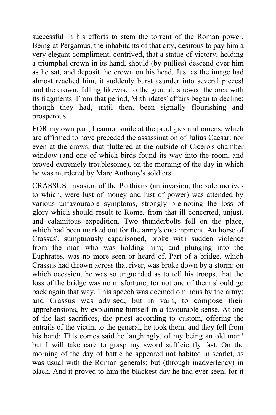successful in his efforts to stem the torrent of the Roman power. Being at Pergamus, the inhabitants of that city, desirous to pay him a very elegant compliment, contrived, that a statue of victory, holding a triumphal crown in its hand, should (by pullies) descend over him as he sat, and deposit the crown on his head. Just as the image had almost reached him, it suddenly burst asunder into several pieces! and the crown, falling likewise to the ground, strewed the area with its fragments. From that period, Mithridates' affairs began to decline; though they had, until then, been signally flourishing and prosperous.

FOR my own part, I cannot smile at the prodigies and omens, which are affirmed to have preceded the assassination of Julius Caesar: nor even at the crows, that fluttered at the outside of Cicero's chamber window (and one of which birds found its way into the room, and proved extremely troublesome), on the morning of the day in which he was murdered by Marc Anthony's soldiers.

CRASSUS' invasion of the Parthians (an invasion, the sole motives to which, were lust of money and lust of power) was attended by various unfavourable symptoms, strongly pre-noting the loss of glory which should result to Rome, from that ill concerted, unjust, and calamitous expedition. Two thunderbolts fell on the place, which had been marked out for the army's encampment. An horse of Crassus', sumptuously caparisoned, broke with sudden violence from the man who was holding him; and plunging into the Euphrates, was no more seen or heard of. Part of a bridge, which Crassus had thrown across that river, was broke down by a storm: on which occasion, he was so unguarded as to tell his troops, that the loss of the bridge was no misfortune, for not one of them should go back again that way. This speech was deemed ominous by the army; and Crassus was advised, but in vain, to compose their apprehensions, by explaining himself in a favourable sense. At one of the last sacrifices, the priest according to custom, offering the entrails of the victim to the general, he took them, and they fell from his hand: This comes said he laughingly, of my being an old man! but I will take care to grasp my sword sufficiently fast. On the morning of the day of battle he appeared not habited in scarlet, as was usual with the Roman generals; but (through inadvertency) in black. And it proved to him the blackest day he had ever seen; for it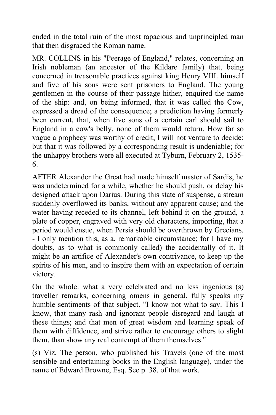ended in the total ruin of the most rapacious and unprincipled man that then disgraced the Roman name.

MR. COLLINS in his "Peerage of England," relates, concerning an Irish nobleman (an ancestor of the Kildare family) that, being concerned in treasonable practices against king Henry VIII. himself and five of his sons were sent prisoners to England. The young gentlemen in the course of their passage hither, enquired the name of the ship: and, on being informed, that it was called the Cow, expressed a dread of the consequence; a prediction having formerly been current, that, when five sons of a certain earl should sail to England in a cow's belly, none of them would return. How far so vague a prophecy was worthy of credit, I will not venture to decide: but that it was followed by a corresponding result is undeniable; for the unhappy brothers were all executed at Tyburn, February 2, 1535- 6.

AFTER Alexander the Great had made himself master of Sardis, he was undetermined for a while, whether he should push, or delay his designed attack upon Darius. During this state of suspense, a stream suddenly overflowed its banks, without any apparent cause; and the water having receded to its channel, left behind it on the ground, a plate of copper, engraved with very old characters, importing, that a period would ensue, when Persia should be overthrown by Grecians. - I only mention this, as a, remarkable circumstance; for I have my doubts, as to what is commonly called) the accidentally of it. It might be an artifice of Alexander's own contrivance, to keep up the spirits of his men, and to inspire them with an expectation of certain victory.

On the whole: what a very celebrated and no less ingenious (s) traveller remarks, concerning omens in general, fully speaks my humble sentiments of that subject. "I know not what to say. This I know, that many rash and ignorant people disregard and laugh at these things; and that men of great wisdom and learning speak of them with diffidence, and strive rather to encourage others to slight them, than show any real contempt of them themselves."

(s) Viz. The person, who published his Travels (one of the most sensible and entertaining books in the English language), under the name of Edward Browne, Esq. See p. 38. of that work.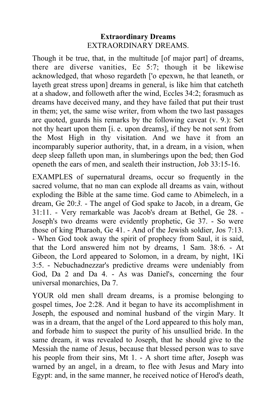#### **Extraordinary Dreams** EXTRAORDINARY DREAMS.

Though it be true, that, in the multitude [of major part] of dreams, there are diverse vanities, Ec 5:7; though it be likewise acknowledged, that whoso regardeth ['o epexwn, he that leaneth, or layeth great stress upon] dreams in general, is like him that catcheth at a shadow, and followeth after the wind, Eccles 34:2; forasmuch as dreams have deceived many, and they have failed that put their trust in them; yet, the same wise writer, from whom the two last passages are quoted, guards his remarks by the following caveat (v. 9.): Set not thy heart upon them [i. e. upon dreams], if they be not sent from the Most High in thy visitation. And we have it from an incomparably superior authority, that, in a dream, in a vision, when deep sleep falleth upon man, in slumberings upon the bed; then God openeth the ears of men, and sealeth their instruction, Job 33:15-16.

EXAMPLES of supernatural dreams, occur so frequently in the sacred volume, that no man can explode all dreams as vain, without exploding the Bible at the same time. God came to Abimelech, in a dream, Ge 20:*3.* - The angel of God spake to Jacob, in a dream, Ge 31:11. - Very remarkable was Jacob's dream at Bethel, Ge 28. - Joseph's two dreams were evidently prophetic, Ge 37. - So were those of king Pharaoh, Ge 41. - And of the Jewish soldier, Jos 7:13. - When God took away the spirit of prophecy from Saul, it is said, that the Lord answered him not by dreams, 1 Sam. 38:6. - At Gibeon, the Lord appeared to Solomon, in a dream, by night, 1Ki 3:5. - Nebuchadnezzar's predictive dreams were undeniably from God, Da 2 and Da 4. - As was Daniel's, concerning the four universal monarchies, Da 7.

YOUR old men shall dream dreams, is a promise belonging to gospel times, Joe 2:28. And it began to have its accomplishment in Joseph, the espoused and nominal husband of the virgin Mary. It was in a dream, that the angel of the Lord appeared to this holy man, and forbade him to suspect the purity of his unsullied bride. In the same dream, it was revealed to Joseph, that he should give to the Messiah the name of Jesus, because that blessed person was to save his people from their sins, Mt 1. - A short time after, Joseph was warned by an angel, in a dream, to flee with Jesus and Mary into Egypt: and, in the same manner, he received notice of Herod's death,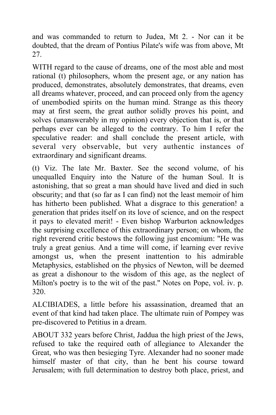and was commanded to return to Judea, Mt 2. - Nor can it be doubted, that the dream of Pontius Pilate's wife was from above, Mt 27.

WITH regard to the cause of dreams, one of the most able and most rational (t) philosophers, whom the present age, or any nation has produced, demonstrates, absolutely demonstrates, that dreams, even all dreams whatever, proceed, and can proceed only from the agency of unembodied spirits on the human mind. Strange as this theory may at first seem, the great author solidly proves his point, and solves (unanswerably in my opinion) every objection that is, or that perhaps ever can be alleged to the contrary. To him I refer the speculative reader: and shall conclude the present article, with several very observable, but very authentic instances of extraordinary and significant dreams.

(t) Viz. The late Mr. Baxter. See the second volume, of his unequalled Enquiry into the Nature of the human Soul. It is astonishing, that so great a man should have lived and died in such obscurity; and that (so far as I can find) not the least memoir of him has hitherto been published. What a disgrace to this generation! a generation that prides itself on its love of science, and on the respect it pays to elevated merit! - Even bishop Warburton acknowledges the surprising excellence of this extraordinary person; on whom, the right reverend critic bestows the following just encomium: "He was truly a great genius. And a time will come, if learning ever revive amongst us, when the present inattention to his admirable Metaphysics, established on the physics of Newton, will be deemed as great a dishonour to the wisdom of this age, as the neglect of Milton's poetry is to the wit of the past." Notes on Pope, vol. iv. p. 320.

ALCIBIADES, a little before his assassination, dreamed that an event of that kind had taken place. The ultimate ruin of Pompey was pre-discovered to Petitius in a dream.

ABOUT 332 years before Christ, Jaddua the high priest of the Jews, refused to take the required oath of allegiance to Alexander the Great, who was then besieging Tyre. Alexander had no sooner made himself master of that city, than he bent his course toward Jerusalem; with full determination to destroy both place, priest, and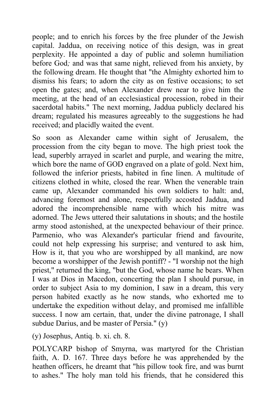people; and to enrich his forces by the free plunder of the Jewish capital. Jaddua, on receiving notice of this design, was in great perplexity. He appointed a day of public and solemn humiliation before God*;* and was that same night, relieved from his anxiety, by the following dream. He thought that "the Almighty exhorted him to dismiss his fears; to adorn the city as on festive occasions; to set open the gates; and, when Alexander drew near to give him the meeting, at the head of an ecclesiastical procession, robed in their sacerdotal habits." The next morning, Jaddua publicly declared his dream; regulated his measures agreeably to the suggestions he had received; and placidly waited the event.

So soon as Alexander came within sight of Jerusalem, the procession from the city began to move. The high priest took the lead, superbly arrayed in scarlet and purple, and wearing the mitre, which bore the name of GOD engraved on a plate of gold. Next him, followed the inferior priests, habited in fine linen. A multitude of citizens clothed in white, closed the rear. When the venerable train came up, Alexander commanded his own soldiers to halt: and, advancing foremost and alone, respectfully accosted Jaddua, and adored the incomprehensible name with which his mitre was adorned. The Jews uttered their salutations in shouts; and the hostile army stood astonished, at the unexpected behaviour of their prince. Parmenio, who was Alexander's particular friend and favourite, could not help expressing his surprise; and ventured to ask him, How is it, that you who are worshipped by all mankind, are now become a worshipper of the Jewish pontiff? - "I worship not the high priest," returned the king, "but the God, whose name he bears. When I was at Dios in Macedon, concerting the plan I should pursue, in order to subject Asia to my dominion, I saw in a dream, this very person habited exactly as he now stands, who exhorted me to undertake the expedition without delay, and promised me infallible success. I now am certain, that, under the divine patronage, I shall subdue Darius, and be master of Persia." (v)

(y) Josephus, Antiq. b. xi. ch. 8.

POLYCARP bishop of Smyrna, was martyred for the Christian faith, A. D. 167. Three days before he was apprehended by the heathen officers, he dreamt that "his pillow took fire, and was burnt to ashes." The holy man told his friends, that he considered this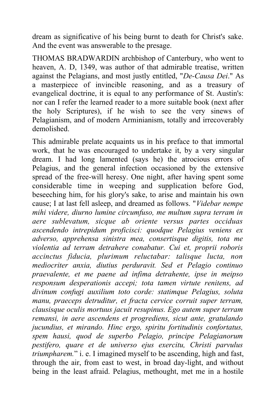dream as significative of his being burnt to death for Christ's sake. And the event was answerable to the presage.

THOMAS BRADWARDIN archbishop of Canterbury, who went to heaven, A. D, 1349, was author of that admirable treatise, written against the Pelagians, and most justly entitled, "*De-Causa Dei*." As a masterpiece of invincible reasoning, and as a treasury of evangelical doctrine, it is equal to any performance of St. Austin's: nor can I refer the learned reader to a more suitable book (next after the holy Scriptures), if he wish to see the very sinews of Pelagianism, and of modern Arminianism, totally and irrecoverably demolished.

This admirable prelate acquaints us in his preface to that immortal work, that he was encouraged to undertake it, by a very singular dream. I had long lamented (says he) the atrocious errors of Pelagius, and the general infection occasioned by the extensive spread of the free-will heresy. One night, after having spent some considerable time in weeping and supplication before God, beseeching him, for his glory's sake, to arise and maintain his own cause; I at last fell asleep, and dreamed as follows. "*Videbar nempe mihi videre, diurno lumine circumfuso, me multum supra terram in aere sublevatum, sicque ab oriente versus partes occiduas ascendendo intrepidum proficisci: quodque Pelagius veniens ex adverso, apprehensa sinistra mea, consertisque digitis, tota me violentia ad terram detrahere conabatur. Cui et, proprii roboris accinctus fiducia, plurimum reluctabar: talisque lucta, non mediocriter anxia, diutius perduravit. Sed et Pelagio continuo praevalente, et me paene ad infima detrahente, ipse in meipso responsum desperationis accepi; tota tamen virtute renitens, ad divinum confugi auxilium toto corde: statimque Pelagius, soluta manu, praeceps detruditur, et fracta cervice corruit super terram, clausisque oculis mortuus jacuit resupinus. Ego autem super terram remansi, in aere ascendens et progrediens, sicut ante, gratulando jucundius, et mirando. Hinc ergo, spiritu fortitudinis confortatus, spem hausi, quod de superbo Pelagio, principe Pelagianorum pestifero, quare et de universo ejus exercitu, Christi parvulus triumpharem.*" i. e. I imagined myself to be ascending, high and fast, through the air, from east to west, in broad day-light, and without being in the least afraid. Pelagius, methought, met me in a hostile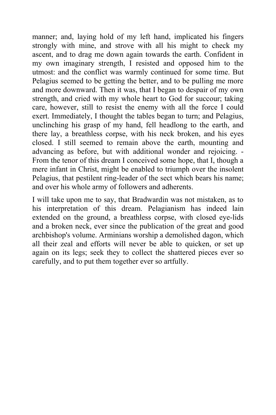manner; and, laying hold of my left hand, implicated his fingers strongly with mine, and strove with all his might to check my ascent, and to drag me down again towards the earth. Confident in my own imaginary strength, I resisted and opposed him to the utmost: and the conflict was warmly continued for some time. But Pelagius seemed to be getting the better, and to be pulling me more and more downward. Then it was, that I began to despair of my own strength, and cried with my whole heart to God for succour; taking care, however, still to resist the enemy with all the force I could exert. Immediately, I thought the tables began to turn; and Pelagius, unclinching his grasp of my hand, fell headlong to the earth, and there lay, a breathless corpse, with his neck broken, and his eyes closed. I still seemed to remain above the earth, mounting and advancing as before, but with additional wonder and rejoicing. - From the tenor of this dream I conceived some hope, that I, though a mere infant in Christ, might be enabled to triumph over the insolent Pelagius, that pestilent ring-leader of the sect which bears his name; and over his whole army of followers and adherents.

I will take upon me to say, that Bradwardin was not mistaken, as to his interpretation of this dream. Pelagianism has indeed lain extended on the ground, a breathless corpse, with closed eye-lids and a broken neck, ever since the publication of the great and good archbishop's volume. Arminians worship a demolished dagon, which all their zeal and efforts will never be able to quicken, or set up again on its legs; seek they to collect the shattered pieces ever so carefully, and to put them together ever so artfully.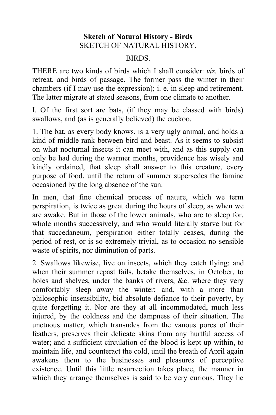## **Sketch of Natural History - Birds** SKETCH OF NATURAL HISTORY.

#### **BIRDS**

THERE are two kinds of birds which I shall consider: *viz.* birds of retreat, and birds of passage. The former pass the winter in their chambers (if I may use the expression); i. e. in sleep and retirement. The latter migrate at stated seasons, from one climate to another.

I. Of the first sort are bats, (if they may be classed with birds) swallows, and (as is generally believed) the cuckoo.

1. The bat, as every body knows, is a very ugly animal, and holds a kind of middle rank between bird and beast. As it seems to subsist on what nocturnal insects it can meet with, and as this supply can only be had during the warmer months, providence has wisely and kindly ordained, that sleep shall answer to this creature, every purpose of food, until the return of summer supersedes the famine occasioned by the long absence of the sun.

In men, that fine chemical process of nature, which we term perspiration, is twice as great during the hours of sleep, as when we are awake. But in those of the lower animals, who are to sleep for. whole months successively, and who would literally starve but for that succedaneum, perspiration either totally ceases, during the period of rest, or is so extremely trivial, as to occasion no sensible waste of spirits, nor diminution of parts.

2. Swallows likewise, live on insects, which they catch flying: and when their summer repast fails, betake themselves, in October, to holes and shelves, under the banks of rivers, &c. where they very comfortably sleep away the winter; and, with a more than philosophic insensibility, bid absolute defiance to their poverty, by quite forgetting it. Nor are they at all incommodated, much less injured, by the coldness and the dampness of their situation. The unctuous matter, which transudes from the vanous pores of their feathers, preserves their delicate skins from any hurtful access of water; and a sufficient circulation of the blood is kept up within, to maintain life, and counteract the cold, until the breath of April again awakens them to the businesses and pleasures of perceptive existence. Until this little resurrection takes place, the manner in which they arrange themselves is said to be very curious. They lie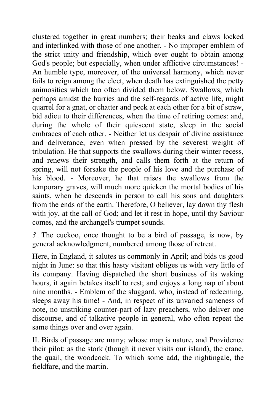clustered together in great numbers; their beaks and claws locked and interlinked with those of one another. - No improper emblem of the strict unity and friendship, which ever ought to obtain among God's people; but especially, when under afflictive circumstances! - An humble type, moreover, of the universal harmony, which never fails to reign among the elect, when death has extinguished the petty animosities which too often divided them below. Swallows, which perhaps amidst the hurries and the self-regards of active life, might quarrel for a gnat, or chatter and peck at each other for a bit of straw, bid adieu to their differences, when the time of retiring comes: and, during the whole of their quiescent state, sleep in the social embraces of each other. - Neither let us despair of divine assistance and deliverance, even when pressed by the severest weight of tribulation. He that supports the swallows during their winter recess, and renews their strength, and calls them forth at the return of spring, will not forsake the people of his love and the purchase of his blood. - Moreover, he that raises the swallows from the temporary graves, will much more quicken the mortal bodies of his saints, when he descends in person to call his sons and daughters from the ends of the earth. Therefore, O believer, lay down thy flesh with joy, at the call of God; and let it rest in hope, until thy Saviour comes, and the archangel's trumpet sounds.

*3 .* The cuckoo, once thought to be a bird of passage, is now, by general acknowledgment, numbered among those of retreat.

Here, in England, it salutes us commonly in April; and bids us good night in June: so that this hasty visitant obliges us with very little of its company. Having dispatched the short business of its waking hours, it again betakes itself to rest; and enjoys a long nap of about nine months. - Emblem of the sluggard, who, instead of redeeming, sleeps away his time! - And, in respect of its unvaried sameness of note, no unstriking counter-part of lazy preachers, who deliver one discourse, and of talkative people in general, who often repeat the same things over and over again.

II. Birds of passage are many; whose map is nature, and Providence their pilot: as the stork (though it never visits our island), the crane, the quail, the woodcock. To which some add, the nightingale, the fieldfare, and the martin.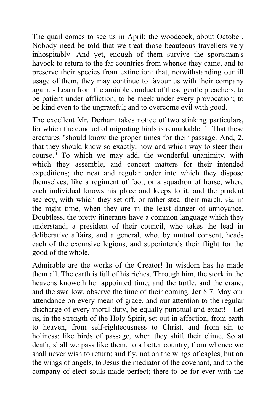The quail comes to see us in April; the woodcock, about October. Nobody need be told that we treat those beauteous travellers very inhospitably. And yet, enough of them survive the sportsman's havock to return to the far countries from whence they came, and to preserve their species from extinction: that, notwithstanding our ill usage of them, they may continue to favour us with their company again. - Learn from the amiable conduct of these gentle preachers, to be patient under affliction; to be meek under every provocation; to be kind even to the ungrateful; and to overcome evil with good.

The excellent Mr. Derham takes notice of two stinking particulars, for which the conduct of migrating birds is remarkable: 1. That these creatures "should know the proper times for their passage. And, 2. that they should know so exactly, how and which way to steer their course." To which we may add, the wonderful unanimity, with which they assemble, and concert matters for their intended expeditions; the neat and regular order into which they dispose themselves, like a regiment of foot, or a squadron of horse, where each individual knows his place and keeps to it; and the prudent secrecy, with which they set off, or rather steal their march, *viz.* in the night time, when they are in the least danger of annoyance. Doubtless, the pretty itinerants have a common language which they understand; a president of their council, who takes the lead in deliberative affairs; and a general, who, by mutual consent, heads each of the excursive legions, and superintends their flight for the good of the whole.

Admirable are the works of the Creator! In wisdom has he made them all. The earth is full of his riches. Through him, the stork in the heavens knoweth her appointed time; and the turtle, and the crane, and the swallow, observe the time of their coming, Jer 8:7. May our attendance on every mean of grace, and our attention to the regular discharge of every moral duty, be equally punctual and exact! - Let us, in the strength of the Holy Spirit, set out in affection, from earth to heaven, from self-righteousness to Christ, and from sin to holiness; like birds of passage, when they shift their clime. So at death, shall we pass like them, to a better country, from whence we shall never wish to return; and fly, not on the wings of eagles, but on the wings of angels, to Jesus the mediator of the covenant, and to the company of elect souls made perfect; there to be for ever with the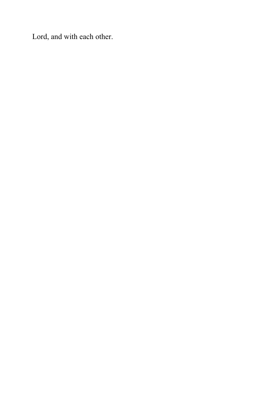Lord, and with each other.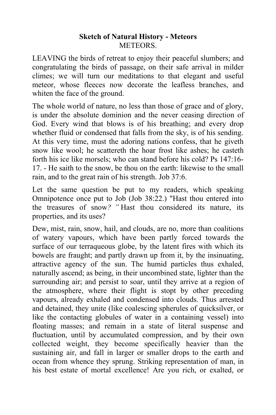#### **Sketch of Natural History - Meteors METEORS**

LEAVING the birds of retreat to enjoy their peaceful slumbers; and congratulating the birds of passage, on their safe arrival in milder climes; we will turn our meditations to that elegant and useful meteor, whose fleeces now decorate the leafless branches, and whiten the face of the ground.

The whole world of nature, no less than those of grace and of glory, is under the absolute dominion and the never ceasing direction of God. Every wind that blows is of his breathing; and every drop whether fluid or condensed that falls from the sky, is of his sending. At this very time, must the adoring nations confess, that he giveth snow like wool; he scattereth the hoar frost like ashes; he casteth forth his ice like morsels; who can stand before his cold? Ps 147:16- 17. - He saith to the snow, be thou on the earth: likewise to the small rain, and to the great rain of his strength. Job 37:6.

Let the same question be put to my readers, which speaking Omnipotence once put to Job (Job 38:22.) "Hast thou entered into the treasures of snow*? "* Hast thou considered its nature, its properties, and its uses?

Dew, mist, rain, snow, hail, and clouds, are no, more than coalitions of watery vapours, which have been partly forced towards the surface of our terraqueous globe, by the latent fires with which its bowels are fraught; and partly drawn up from it, by the insinuating, attractive agency of the sun. The humid particles thus exhaled, naturally ascend; as being, in their uncombined state, lighter than the surrounding air; and persist to soar, until they arrive at a region of the atmosphere, where their flight is stopt by other preceding vapours, already exhaled and condensed into clouds. Thus arrested and detained, they unite (like coalescing spherules of quicksilver, or like the contacting globules of water in a containing vessel) into floating masses; and remain in a state of literal suspense and fluctuation, until by accumulated compression, and by their own collected weight, they become specifically heavier than the sustaining air, and fall in larger or smaller drops to the earth and ocean from whence they sprung. Striking representation of man, in his best estate of mortal excellence! Are you rich, or exalted, or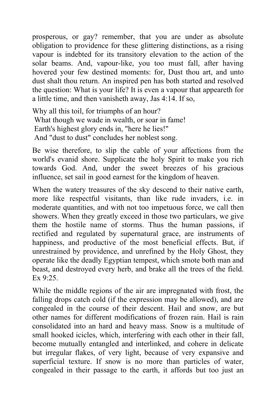prosperous, or gay? remember, that you are under as absolute obligation to providence for these glittering distinctions, as a rising vapour is indebted for its transitory elevation to the action of the solar beams. And, vapour-like, you too must fall, after having hovered your few destined moments: for, Dust thou art, and unto dust shalt thou return. An inspired pen has both started and resolved the question: What is your life? It is even a vapour that appeareth for a little time, and then vanisheth away, Jas 4:14. If so,

Why all this toil, for triumphs of an hour? What though we wade in wealth, or soar in fame! Earth's highest glory ends in, "here he lies!" And "dust to dust" concludes her noblest song.

Be wise therefore, to slip the cable of your affections from the world's evanid shore. Supplicate the holy Spirit to make you rich towards God. And, under the sweet breezes of his gracious influence, set sail in good earnest for the kingdom of heaven.

When the watery treasures of the sky descend to their native earth, more like respectful visitants, than like rude invaders, i.e. in moderate quantities, and with not too impetuous force, we call then showers. When they greatly exceed in those two particulars, we give them the hostile name of storms. Thus the human passions, if rectified and regulated by supernatural grace, are instruments of happiness, and productive of the most beneficial effects. But, if unrestrained by providence, and unrefined by the Holy Ghost, they operate like the deadly Egyptian tempest, which smote both man and beast, and destroyed every herb, and brake all the trees of the field. Ex  $9.25$ 

While the middle regions of the air are impregnated with frost, the falling drops catch cold (if the expression may be allowed), and are congealed in the course of their descent. Hail and snow, are but other names for different modifications of frozen rain. Hail is rain consolidated into an hard and heavy mass. Snow is a multitude of small hooked icicles, which, interfering with each other in their fall, become mutually entangled and interlinked, and cohere in delicate but irregular flakes, of very light, because of very expansive and superficial texture. If snow is no more than particles of water, congealed in their passage to the earth, it affords but too just an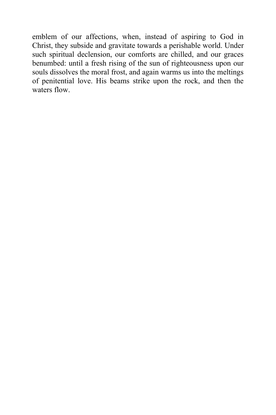emblem of our affections, when, instead of aspiring to God in Christ, they subside and gravitate towards a perishable world. Under such spiritual declension, our comforts are chilled, and our graces benumbed: until a fresh rising of the sun of righteousness upon our souls dissolves the moral frost, and again warms us into the meltings of penitential love. His beams strike upon the rock, and then the waters flow.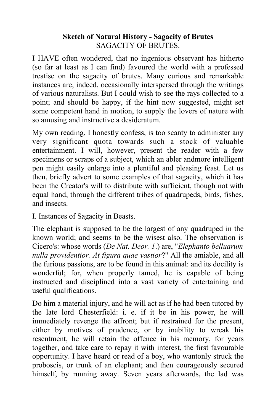## **Sketch of Natural History - Sagacity of Brutes** SAGACITY OF BRUTES.

I HAVE often wondered, that no ingenious observant has hitherto (so far at least as I can find) favoured the world with a professed treatise on the sagacity of brutes. Many curious and remarkable instances are, indeed, occasionally interspersed through the writings of various naturalists. But I could wish to see the rays collected to a point; and should be happy, if the hint now suggested, might set some competent hand in motion, to supply the lovers of nature with so amusing and instructive a desideratum.

My own reading, I honestly confess, is too scanty to administer any very significant quota towards such a stock of valuable entertainment. I will, however, present the reader with a few specimens or scraps of a subject, which an abler andmore intelligent pen might easily enlarge into a plentiful and pleasing feast. Let us then, briefly advert to some examples of that sagacity, which it has been the Creator's will to distribute with sufficient, though not with equal hand, through the different tribes of quadrupeds, birds, fishes, and insects.

I. Instances of Sagacity in Beasts.

The elephant is supposed to be the largest of any quadruped in the known world; and seems to be the wisest also. The observation is Cicero's: whose words (*De Nat. Deor. 1*.) are, "*Elephanto belluarum nulla providentior. At figura quae vastior*?" All the amiable, and all the furious passions, are to be found in this animal: and its docility is wonderful; for, when properly tamed, he is capable of being instructed and disciplined into a vast variety of entertaining and useful qualifications.

Do him a material injury, and he will act as if he had been tutored by the late lord Chesterfield: i. e. if it be in his power, he will immediately revenge the affront; but if restrained for the present, either by motives of prudence, or by inability to wreak his resentment, he will retain the offence in his memory, for years together, and take care to repay it with interest, the first favourable opportunity. I have heard or read of a boy, who wantonly struck the proboscis, or trunk of an elephant; and then courageously secured himself, by running away. Seven years afterwards, the lad was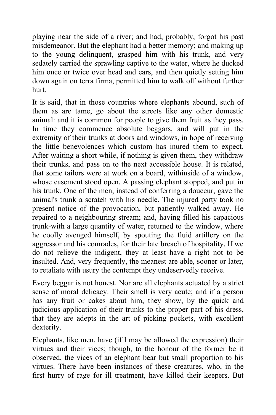playing near the side of a river; and had, probably, forgot his past misdemeanor. But the elephant had a better memory; and making up to the young delinquent, grasped him with his trunk, and very sedately carried the sprawling captive to the water, where he ducked him once or twice over head and ears, and then quietly setting him down again on terra firma, permitted him to walk off without further hurt.

It is said, that in those countries where elephants abound, such of them as are tame, go about the streets like any other domestic animal: and it is common for people to give them fruit as they pass. In time they commence absolute beggars, and will put in the extremity of their trunks at doors and windows, in hope of receiving the little benevolences which custom has inured them to expect. After waiting a short while, if nothing is given them, they withdraw their trunks, and pass on to the next accessible house. It is related, that some tailors were at work on a board, withinside of a window, whose casement stood open. A passing elephant stopped, and put in his trunk. One of the men, instead of conferring a douceur, gave the animal's trunk a scrateh with his needle. The injured party took no present notice of the provocation, but patiently walked away. He repaired to a neighbouring stream; and, having filled his capacious trunk-with a large quantity of water, returned to the window, where he coolly avenged himself, by spouting the fluid artillery on the aggressor and his comrades, for their late breach of hospitality. If we do not relieve the indigent, they at least have a right not to be insulted. And, very frequently, the meanest are able, sooner or later, to retaliate with usury the contempt they undeservedly receive.

Every beggar is not honest. Nor are all elephants actuated by a strict sense of moral delicacy. Their smell is very acute; and if a person has any fruit or cakes about him, they show, by the quick and judicious application of their trunks to the proper part of his dress, that they are adepts in the art of picking pockets, with excellent dexterity.

Elephants, like men, have (if I may be allowed the expression) their virtues and their vices; though, to the honour of the former be it observed, the vices of an elephant bear but small proportion to his virtues. There have been instances of these creatures, who, in the first hurry of rage for ill treatment, have killed their keepers. But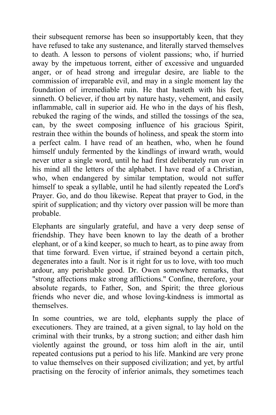their subsequent remorse has been so insupportably keen, that they have refused to take any sustenance, and literally starved themselves to death. A lesson to persons of violent passions; who, if hurried away by the impetuous torrent, either of excessive and unguarded anger, or of head strong and irregular desire, are liable to the commission of irreparable evil, and may in a single moment lay the foundation of irremediable ruin. He that hasteth with his feet, sinneth. O believer, if thou art by nature hasty, vehement, and easily inflammable, call in superior aid. He who in the days of his flesh, rebuked the raging of the winds, and stilled the tossings of the sea, can, by the sweet composing influence of his gracious Spirit, restrain thee within the bounds of holiness, and speak the storm into a perfect calm. I have read of an heathen, who, when he found himself unduly fermented by the kindlings of inward wrath, would never utter a single word, until he had first deliberately run over in his mind all the letters of the alphabet. I have read of a Christian, who, when endangered by similar temptation, would not suffer himself to speak a syllable, until he had silently repeated the Lord's Prayer. Go, and do thou likewise. Repeat that prayer to God, in the spirit of supplication; and thy victory over passion will be more than probable.

Elephants are singularly grateful, and have a very deep sense of friendship. They have been known to lay the death of a brother elephant, or of a kind keeper, so much to heart, as to pine away from that time forward. Even virtue, if strained beyond a certain pitch, degenerates into a fault. Nor is it right for us to love, with too much ardour, any perishable good. Dr. Owen somewhere remarks, that "strong affections make strong afflictions." Confine, therefore, your absolute regards, to Father, Son, and Spirit; the three glorious friends who never die, and whose loving-kindness is immortal as themselves.

In some countries, we are told, elephants supply the place of executioners. They are trained, at a given signal, to lay hold on the criminal with their trunks, by a strong suction; and either dash him violently against the ground, or toss him aloft in the air, until repeated contusions put a period to his life. Mankind are very prone to value themselves on their supposed civilization; and yet, by artful practising on the ferocity of inferior animals, they sometimes teach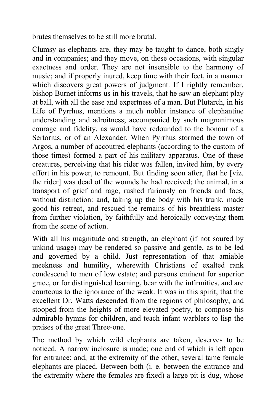brutes themselves to be still more brutal.

Clumsy as elephants are, they may be taught to dance, both singly and in companies; and they move, on these occasions, with singular exactness and order. They are not insensible to the harmony of music; and if properly inured, keep time with their feet, in a manner which discovers great powers of judgment. If I rightly remember, bishop Burnet informs us in his travels, that he saw an elephant play at ball, with all the ease and expertness of a man. But Plutarch, in his Life of Pyrrhus, mentions a much nobler instance of elephantine understanding and adroitness; accompanied by such magnanimous courage and fidelity, as would have redounded to the honour of a Sertorius, or of an Alexander. When Pyrrhus stormed the town of Argos, a number of accoutred elephants (according to the custom of those times) formed a part of his military apparatus. One of these creatures, perceiving that his rider was fallen, invited him, by every effort in his power, to remount. But finding soon after, that he [viz. the rider] was dead of the wounds he had received; the animal, in a transport of grief and rage, rushed furiously on friends and foes, without distinction: and, taking up the body with his trunk, made good his retreat, and rescued the remains of his breathless master from further violation, by faithfully and heroically conveying them from the scene of action.

With all his magnitude and strength, an elephant (if not soured by unkind usage) may be rendered so passive and gentle, as to be led and governed by a child. Just representation of that amiable meekness and humility, wherewith Christians of exalted rank condescend to men of low estate; and persons eminent for superior grace, or for distinguished learning, bear with the infirmities, and are courteous to the ignorance of the weak. It was in this spirit, that the excellent Dr. Watts descended from the regions of philosophy, and stooped from the heights of more elevated poetry, to compose his admirable hymns for children, and teach infant warblers to lisp the praises of the great Three-one.

The method by which wild elephants are taken, deserves to be noticed. A narrow inclosure is made; one end of which is left open for entrance; and, at the extremity of the other, several tame female elephants are placed. Between both (i. e. between the entrance and the extremity where the females are fixed) a large pit is dug, whose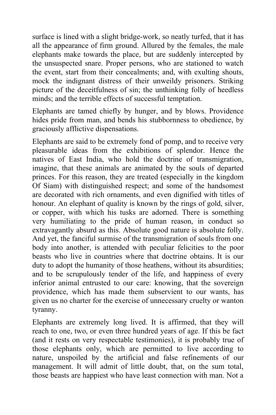surface is lined with a slight bridge-work, so neatly turfed, that it has all the appearance of firm ground. Allured by the females, the male elephants make towards the place, but are suddenly intercepted by the unsuspected snare. Proper persons, who are stationed to watch the event, start from their concealments; and, with exulting shouts, mock the indignant distress of their unweildy prisoners. Striking picture of the deceitfulness of sin; the unthinking folly of heedless minds; and the terrible effects of successful temptation.

Elephants are tamed chiefly by hunger, and by blows. Providence hides pride from man, and bends his stubbornness to obedience, by graciously afflictive dispensations.

Elephants are said to be extremely fond of pomp, and to receive very pleasurable ideas from the exhibitions of splendor. Hence the natives of East India, who hold the doctrine of transmigration, imagine, that these animals are animated by the souls of departed princes. For this reason, they are treated (especially in the kingdom Of Siam) with distinguished respect; and some of the handsomest are decorated with rich ornaments, and even dignified with titles of honour. An elephant of quality is known by the rings of gold, silver, or copper, with which his tusks are adorned. There is something very humiliating to the pride of human reason, in conduct so extravagantly absurd as this. Absolute good nature is absolute folly. And yet, the fanciful surmise of the transmigration of souls from one body into another, is attended with peculiar felicities to the poor beasts who live in countries where that doctrine obtains. It is our duty to adopt the humanity of those heathens, without its absurdities; and to be scrupulously tender of the life, and happiness of every inferior animal entrusted to our care: knowing, that the sovereign providence, which has made them subservient to our wants, has given us no charter for the exercise of unnecessary cruelty or wanton tyranny.

Elephants are extremely long lived. It is affirmed, that they will reach to one, two, or even three hundred years of age. If this be fact (and it rests on very respectable testimonies), it is probably true of those elephants only, which are permitted to live according to nature, unspoiled by the artificial and false refinements of our management. It will admit of little doubt, that, on the sum total, those beasts are happiest who have least connection with man. Not a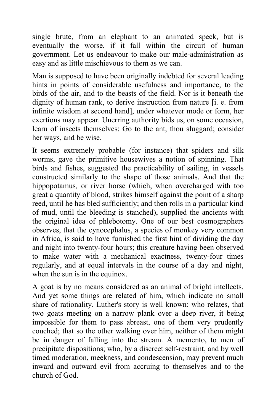single brute, from an elephant to an animated speck, but is eventually the worse, if it fall within the circuit of human government. Let us endeavour to make our male-administration as easy and as little mischievous to them as we can.

Man is supposed to have been originally indebted for several leading hints in points of considerable usefulness and importance, to the birds of the air, and to the beasts of the field. Nor is it beneath the dignity of human rank, to derive instruction from nature [i. e. from infinite wisdom at second hand], under whatever mode or form, her exertions may appear. Unerring authority bids us, on some occasion, learn of insects themselves: Go to the ant, thou sluggard; consider her ways, and be wise.

It seems extremely probable (for instance) that spiders and silk worms, gave the primitive housewives a notion of spinning. That birds and fishes, suggested the practicability of sailing, in vessels constructed similarly to the shape of those animals. And that the hippopotamus*,* or river horse (which, when overcharged with too great a quantity of blood, strikes himself against the point of a sharp reed, until he has bled sufficiently; and then rolls in a particular kind of mud, until the bleeding is stanched), supplied the ancients with the original idea of phlebotomy. One of our best cosmographers observes, that the cynocephalus, a species of monkey very common in Africa, is said to have furnished the first hint of dividing the day and night into twenty-four hours; this creature having been observed to make water with a mechanical exactness, twenty-four times regularly, and at equal intervals in the course of a day and night, when the sun is in the equinox.

A goat is by no means considered as an animal of bright intellects. And yet some things are related of him, which indicate no small share of rationality. Luther's story is well known: who relates, that two goats meeting on a narrow plank over a deep river, it being impossible for them to pass abreast, one of them very prudently couched; that so the other walking over him, neither of them might be in danger of falling into the stream. A memento, to men of precipitate dispositions; who, by a discreet self-restraint, and by well timed moderation, meekness, and condescension, may prevent much inward and outward evil from accruing to themselves and to the church of God.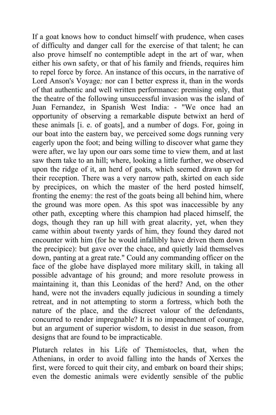If a goat knows how to conduct himself with prudence, when cases of difficulty and danger call for the exercise of that talent; he can also prove himself no contemptible adept in the art of war, when either his own safety, or that of his family and friends, requires him to repel force by force. An instance of this occurs, in the narrative of Lord Anson's Voyage*;* nor can I better express it, than in the words of that authentic and well written performance: premising only, that the theatre of the following unsuccessful invasion was the island of Juan Fernandez, in Spanish West India: - "We once had an opportunity of observing a remarkable dispute betwixt an herd of these animals [i. e. of goats], and a number of dogs. For, going in our boat into the eastern bay, we perceived some dogs running very eagerly upon the foot; and being willing to discover what game they were after, we lay upon our oars some time to view them, and at last saw them take to an hill; where, looking a little further, we observed upon the ridge of it, an herd of goats, which seemed drawn up for their reception. There was a very narrow path, skirted on each side by precipices, on which the master of the herd posted himself, fronting the enemy: the rest of the goats being all behind him, where the ground was more open. As this spot was inaccessible by any other path, excepting where this champion had placed himself, the dogs, though they ran up hill with great alacrity, yet, when they came within about twenty yards of him, they found they dared not encounter with him (for he would infallibly have driven them down the precipice): but gave over the chace, and quietly laid themselves down, panting at a great rate." Could any commanding officer on the face of the globe have displayed more military skill, in taking all possible advantage of his ground; and more resolute prowess in maintaining it, than this Leonidas of the herd? And, on the other hand, were not the invaders equally judicious in sounding a timely retreat, and in not attempting to storm a fortress, which both the nature of the place, and the discreet valour of the defendants, concurred to render impregnable? It is no impeachment of courage, but an argument of superior wisdom, to desist in due season, from designs that are found to be impracticable.

Plutarch relates in his Life of Themistocles, that, when the Athenians, in order to avoid falling into the hands of Xerxes the first, were forced to quit their city, and embark on board their ships; even the domestic animals were evidently sensible of the public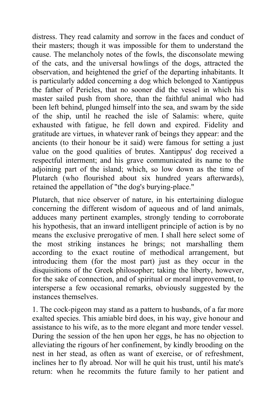distress. They read calamity and sorrow in the faces and conduct of their masters; though it was impossible for them to understand the cause. The melancholy notes of the fowls, the disconsolate mewing of the cats, and the universal howlings of the dogs, attracted the observation, and heightened the grief of the departing inhabitants. It is particularly added concerning a dog which belonged to Xantippus the father of Pericles, that no sooner did the vessel in which his master sailed push from shore, than the faithful animal who had been left behind, plunged himself into the sea, and swam by the side of the ship, until he reached the isle of Salamis: where, quite exhausted with fatigue, he fell down and expired. Fidelity and gratitude are virtues, in whatever rank of beings they appear: and the ancients (to their honour be it said) were famous for setting a just value on the good qualities of brutes. Xantippus' dog received a respectful interment; and his grave communicated its name to the adjoining part of the island; which, so low down as the time of Plutarch (who flourished about six hundred years afterwards), retained the appellation of "the dog's burying-place."

Plutarch, that nice observer of nature, in his entertaining dialogue concerning the different wisdom of aqueous and of land animals, adduces many pertinent examples, strongly tending to corroborate his hypothesis, that an inward intelligent principle of action is by no means the exclusive prerogative of men. I shall here select some of the most striking instances he brings; not marshalling them according to the exact routine of methodical arrangement, but introducing them (for the most part) just as they occur in the disquisitions of the Greek philosopher; taking the liberty, however, for the sake of connection, and of spiritual or moral improvement, to intersperse a few occasional remarks, obviously suggested by the instances themselves.

1. The cock-pigeon may stand as a pattern to husbands, of a far more exalted species. This amiable bird does, in his way, give honour and assistance to his wife, as to the more elegant and more tender vessel. During the session of the hen upon her eggs, he has no objection to alleviating the rigours of her confinement, by kindly brooding on the nest in her stead, as often as want of exercise, or of refreshment, inclines her to fly abroad. Nor will he quit his trust, until his mate's return: when he recommits the future family to her patient and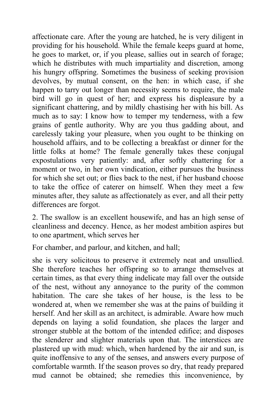affectionate care. After the young are hatched, he is very diligent in providing for his household. While the female keeps guard at home, he goes to market, or, if you please, sallies out in search of forage; which he distributes with much impartiality and discretion, among his hungry offspring. Sometimes the business of seeking provision devolves, by mutual consent, on the hen: in which case, if she happen to tarry out longer than necessity seems to require, the male bird will go in quest of her; and express his displeasure by a significant chattering, and by mildly chastising her with his bill. As much as to say: I know how to temper my tenderness, with a few grains of gentle authority. Why are you thus gadding about, and carelessly taking your pleasure, when you ought to be thinking on household affairs, and to be collecting a breakfast or dinner for the little folks at home? The female generally takes these conjugal expostulations very patiently: and, after softly chattering for a moment or two, in her own vindication, either pursues the business for which she set out; or flies back to the nest, if her husband choose to take the office of caterer on himself. When they meet a few minutes after, they salute as affectionately as ever, and all their petty differences are forgot.

2. The swallow is an excellent housewife, and has an high sense of cleanliness and decency. Hence, as her modest ambition aspires but to one apartment, which serves her

For chamber, and parlour, and kitchen, and hall;

she is very solicitous to preserve it extremely neat and unsullied. She therefore teaches her offspring so to arrange themselves at certain times, as that every thing indelicate may fall over the outside of the nest, without any annoyance to the purity of the common habitation. The care she takes of her house, is the less to be wondered at, when we remember she was at the pains of building it herself. And her skill as an architect, is admirable. Aware how much depends on laying a solid foundation, she places the larger and stronger stubble at the bottom of the intended edifice; and disposes the slenderer and slighter materials upon that. The interstices are plastered up with mud: which, when hardened by the air and sun, is quite inoffensive to any of the senses, and answers every purpose of comfortable warmth. If the season proves so dry, that ready prepared mud cannot be obtained; she remedies this inconvenience, by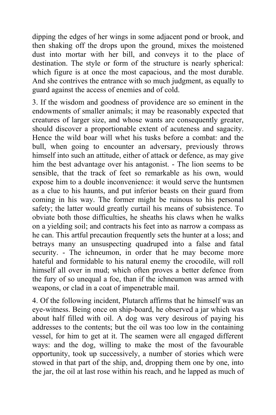dipping the edges of her wings in some adjacent pond or brook, and then shaking off the drops upon the ground, mixes the moistened dust into mortar with her bill, and conveys it to the place of destination. The style or form of the structure is nearly spherical: which figure is at once the most capacious, and the most durable. And she contrives the entrance with so much judgment, as equally to guard against the access of enemies and of cold.

3. If the wisdom and goodness of providence are so eminent in the endowments of smaller animals; it may be reasonably expected that creatures of larger size, and whose wants are consequently greater, should discover a proportionable extent of acuteness and sagacity. Hence the wild boar will whet his tusks before a combat: and the bull, when going to encounter an adversary, previously throws himself into such an attitude, either of attack or defence, as may give him the best advantage over his antagonist. - The lion seems to be sensible, that the track of feet so remarkable as his own, would expose him to a double inconvenience: it would serve the huntsmen as a clue to his haunts, and put inferior beasts on their guard from coming in his way. The former might be ruinous to his personal safety; the latter would greatly curtail his means of subsistence. To obviate both those difficulties, he sheaths his claws when he walks on a yielding soil; and contracts his feet into as narrow a compass as he can. This artful precaution frequently sets the hunter at a loss; and betrays many an unsuspecting quadruped into a false and fatal security. - The ichneumon, in order that he may become more hateful and formidable to his natural enemy the crocodile, will roll himself all over in mud; which often proves a better defence from the fury of so unequal a foe, than if the ichneumon was armed with weapons, or clad in a coat of impenetrable mail.

4. Of the following incident, Plutarch affirms that he himself was an eye-witness. Being once on ship-board, he observed a jar which was about half filled with oil. A dog was very desirous of paying his addresses to the contents; but the oil was too low in the containing vessel, for him to get at it. The seamen were all engaged different ways: and the dog, willing to make the most of the favourable opportunity, took up successively, a number of stories which were stowed in that part of the ship, and, dropping them one by one, into the jar, the oil at last rose within his reach, and he lapped as much of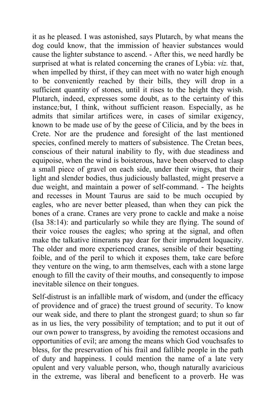it as he pleased. I was astonished, says Plutarch, by what means the dog could know, that the immission of heavier substances would cause the lighter substance to ascend. - After this, we need hardly be surprised at what is related concerning the cranes of Lybia: *viz.* that, when impelled by thirst, if they can meet with no water high enough to be conveniently reached by their bills, they will drop in a sufficient quantity of stones, until it rises to the height they wish. Plutarch, indeed, expresses some doubt, as to the certainty of this instance*;*but, I think, without sufficient reason. Especially, as he admits that similar artifices were, in cases of similar exigency, known to be made use of by the geese of Cilicia, and by the bees in Crete. Nor are the prudence and foresight of the last mentioned species, confined merely to matters of subsistence. The Cretan bees, conscious of their natural inability to fly, with due steadiness and equipoise, when the wind is boisterous, have been observed to clasp a small piece of gravel on each side, under their wings, that their light and slender bodies, thus judiciously ballasted, might preserve a due weight, and maintain a power of self-command. - The heights and recesses in Mount Taurus are said to be much occupied by eagles, who are never better pleased, than when they can pick the bones of a crane. Cranes are very prone to cackle and make a noise (Isa 38:14): and particularly so while they are flying. The sound of their voice rouses the eagles; who spring at the signal, and often make the talkative itinerants pay dear for their imprudent loquacity. The older and more experienced cranes, sensible of their besetting foible, and of the peril to which it exposes them, take care before they venture on the wing, to arm themselves, each with a stone large enough to fill the cavity of their mouths, and consequently to impose inevitable silence on their tongues.

Self-distrust is an infallible mark of wisdom, and (under the efficacy of providence and of grace) the truest ground of security. To know our weak side, and there to plant the strongest guard; to shun so far as in us lies, the very possibility of temptation; and to put it out of our own power to transgress, by avoiding the remotest occasions and opportunities of evil; are among the means which God vouchsafes to bless, for the preservation of his frail and fallible people in the path of duty and happiness. I could mention the name of a late very opulent and very valuable person, who, though naturally avaricious in the extreme, was liberal and beneficent to a proverb. He was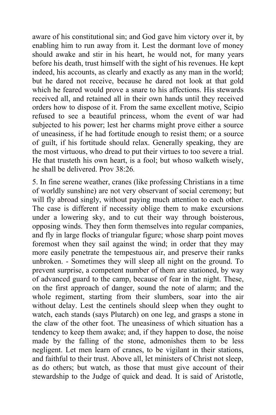aware of his constitutional sin; and God gave him victory over it, by enabling him to run away from it. Lest the dormant love of money should awake and stir in his heart, he would not, for many years before his death, trust himself with the sight of his revenues. He kept indeed, his accounts, as clearly and exactly as any man in the world; but he dared not receive, because he dared not look at that gold which he feared would prove a snare to his affections. His stewards received all, and retained all in their own hands until they received orders how to dispose of it. From the same excellent motive, Scipio refused to see a beautiful princess, whom the event of war had subjected to his power; lest her charms might prove either a source of uneasiness, if he had fortitude enough to resist them; or a source of guilt, if his fortitude should relax. Generally speaking, they are the most virtuous, who dread to put their virtues to too severe a trial. He that trusteth his own heart, is a fool; but whoso walketh wisely, he shall be delivered. Prov 38:26*.*

5. In fine serene weather, cranes (like professing Christians in a time of worldly sunshine) are not very observant of social ceremony; but will fly abroad singly, without paying much attention to each other. The case is different if necessity oblige them to make excursions under a lowering sky, and to cut their way through boisterous, opposing winds. They then form themselves into regular companies, and fly in large flocks of triangular figure; whose sharp point moves foremost when they sail against the wind; in order that they may more easily penetrate the tempestuous air, and preserve their ranks unbroken. - Sometimes they will sleep all night on the ground. To prevent surprise, a competent number of them are stationed, by way of advanced guard to the camp, because of fear in the night. These, on the first approach of danger, sound the note of alarm; and the whole regiment, starting from their slumbers, soar into the air without delay. Lest the centinels should sleep when they ought to watch, each stands (says Plutarch) on one leg, and grasps a stone in the claw of the other foot. The uneasiness of which situation has a tendency to keep them awake; and, if they happen to dose, the noise made by the falling of the stone, admonishes them to be less negligent. Let men learn of cranes, to be vigilant in their stations, and faithful to their trust. Above all, let ministers of Christ not sleep, as do others; but watch, as those that must give account of their stewardship to the Judge of quick and dead. It is said of Aristotle,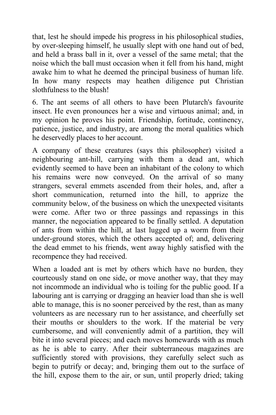that, lest he should impede his progress in his philosophical studies, by over-sleeping himself, he usually slept with one hand out of bed, and held a brass ball in it, over a vessel of the same metal; that the noise which the ball must occasion when it fell from his hand, might awake him to what he deemed the principal business of human life. In how many respects may heathen diligence put Christian slothfulness to the blush!

6. The ant seems of all others to have been Plutarch's favourite insect. He even pronounces her a wise and virtuous animal; and, in my opinion he proves his point. Friendship, fortitude, continency, patience, justice, and industry, are among the moral qualities which he deservedly places to her account.

A company of these creatures (says this philosopher) visited a neighbouring ant-hill, carrying with them a dead ant, which evidently seemed to have been an inhabitant of the colony to which his remains were now conveyed. On the arrival of so many strangers, several emmets ascended from their holes, and, after a short communication, returned into the hill, to apprize the community below, of the business on which the unexpected visitants were come. After two or three passings and repassings in this manner, the negociation appeared to be finally settled. A deputation of ants from within the hill, at last lugged up a worm from their under-ground stores, which the others accepted of; and, delivering the dead emmet to his friends, went away highly satisfied with the recompence they had received.

When a loaded ant is met by others which have no burden, they courteously stand on one side, or move another way, that they may not incommode an individual who is toiling for the public good. If a labouring ant is carrying or dragging an heavier load than she is well able to manage, this is no sooner perceived by the rest, than as many volunteers as are necessary run to her assistance, and cheerfully set their mouths or shoulders to the work. If the material be very cumbersome, and will conveniently admit of a partition, they will bite it into several pieces; and each moves homewards with as much as he is able to carry. After their subterraneous magazines are sufficiently stored with provisions, they carefully select such as begin to putrify or decay; and, bringing them out to the surface of the hill, expose them to the air, or sun, until properly dried; taking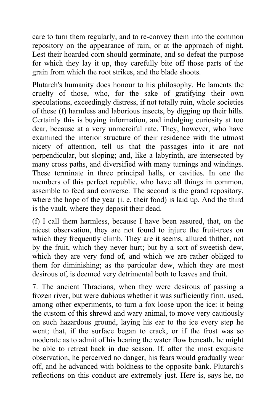care to turn them regularly, and to re-convey them into the common repository on the appearance of rain, or at the approach of night. Lest their hoarded corn should germinate, and so defeat the purpose for which they lay it up, they carefully bite off those parts of the grain from which the root strikes, and the blade shoots.

Plutarch's humanity does honour to his philosophy. He laments the cruelty of those, who, for the sake of gratifying their own speculations, exceedingly distress, if not totally ruin, whole societies of these (f) harmless and laborious insects, by digging up their hills. Certainly this is buying information, and indulging curiosity at too dear, because at a very unmerciful rate. They, however, who have examined the interior structure of their residence with the utmost nicety of attention, tell us that the passages into it are not perpendicular, but sloping; and, like a labyrinth, are intersected by many cross paths, and diversified with many turnings and windings. These terminate in three principal halls, or cavities. In one the members of this perfect republic, who have all things in common, assemble to feed and converse. The second is the grand repository, where the hope of the year (i. e. their food) is laid up. And the third is the vault, where they deposit their dead.

(f) I call them harmless, because I have been assured, that, on the nicest observation, they are not found to injure the fruit-trees on which they frequently climb. They are it seems, allured thither, not by the fruit, which they never hurt; but by a sort of sweetish dew, which they are very fond of, and which we are rather obliged to them for diminishing; as the particular dew, which they are most desirous of, is deemed very detrimental both to leaves and fruit.

7. The ancient Thracians, when they were desirous of passing a frozen river, but were dubious whether it was sufficiently firm, used, among other experiments, to turn a fox loose upon the ice: it being the custom of this shrewd and wary animal, to move very cautiously on such hazardous ground, laying his ear to the ice every step he went; that, if the surface began to crack, or if the frost was so moderate as to admit of his hearing the water flow beneath, he might be able to retreat back in due season. If, after the most exquisite observation, he perceived no danger, his fears would gradually wear off, and he advanced with boldness to the opposite bank. Plutarch's reflections on this conduct are extremely just. Here is, says he, no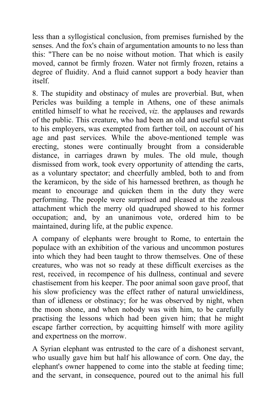less than a syllogistical conclusion, from premises furnished by the senses. And the fox's chain of argumentation amounts to no less than this: "There can be no noise without motion. That which is easily moved, cannot be firmly frozen. Water not firmly frozen, retains a degree of fluidity. And a fluid cannot support a body heavier than itself.

8. The stupidity and obstinacy of mules are proverbial. But, when Pericles was building a temple in Athens, one of these animals entitled himself to what he received, *viz.* the applauses and rewards of the public. This creature, who had been an old and useful servant to his employers, was exempted from farther toil, on account of his age and past services. While the above-mentioned temple was erecting, stones were continually brought from a considerable distance, in carriages drawn by mules. The old mule, though dismissed from work, took every opportunity of attending the carts, as a voluntary spectator; and cheerfully ambled, both to and from the keramicon, by the side of his harnessed brethren, as though he meant to encourage and quicken them in the duty they were performing. The people were surprised and pleased at the zealous attachment which the merry old quadruped showed to his former occupation; and, by an unanimous vote, ordered him to be maintained, during life, at the public expence.

A company of elephants were brought to Rome, to entertain the populace with an exhibition of the various and uncommon postures into which they had been taught to throw themselves. One of these creatures, who was not so ready at these difficult exercises as the rest, received, in recompence of his dullness, continual and severe chastisement from his keeper. The poor animal soon gave proof, that his slow proficiency was the effect rather of natural unwieldiness, than of idleness or obstinacy; for he was observed by night, when the moon shone, and when nobody was with him, to be carefully practising the lessons which had been given him; that he might escape farther correction, by acquitting himself with more agility and expertness on the morrow.

A Syrian elephant was entrusted to the care of a dishonest servant, who usually gave him but half his allowance of corn. One day, the elephant's owner happened to come into the stable at feeding time; and the servant, in consequence, poured out to the animal his full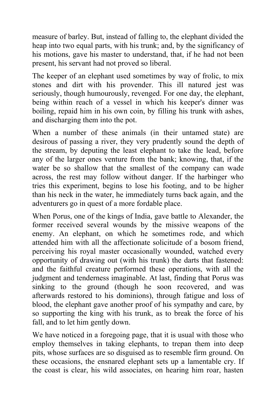measure of barley. But, instead of falling to, the elephant divided the heap into two equal parts, with his trunk; and, by the significancy of his motions, gave his master to understand, that, if he had not been present, his servant had not proved so liberal.

The keeper of an elephant used sometimes by way of frolic, to mix stones and dirt with his provender. This ill natured jest was seriously, though humourously, revenged. For one day, the elephant, being within reach of a vessel in which his keeper's dinner was boiling, repaid him in his own coin, by filling his trunk with ashes, and discharging them into the pot.

When a number of these animals (in their untamed state) are desirous of passing a river, they very prudently sound the depth of the stream, by deputing the least elephant to take the lead, before any of the larger ones venture from the bank; knowing, that, if the water be so shallow that the smallest of the company can wade across, the rest may follow without danger. If the harbinger who tries this experiment, begins to lose his footing, and to be higher than his neck in the water, he immediately turns back again, and the adventurers go in quest of a more fordable place.

When Porus, one of the kings of India, gave battle to Alexander, the former received several wounds by the missive weapons of the enemy. An elephant, on which he sometimes rode, and which attended him with all the affectionate solicitude of a bosom friend, perceiving his royal master occasionally wounded, watched every opportunity of drawing out (with his trunk) the darts that fastened: and the faithful creature performed these operations, with all the judgment and tenderness imaginable. At last, finding that Porus was sinking to the ground (though he soon recovered, and was afterwards restored to his dominions), through fatigue and loss of blood, the elephant gave another proof of his sympathy and care, by so supporting the king with his trunk, as to break the force of his fall, and to let him gently down.

We have noticed in a foregoing page, that it is usual with those who employ themselves in taking elephants, to trepan them into deep pits, whose surfaces are so disguised as to resemble firm ground. On these occasions, the ensnared elephant sets up a lamentable cry. If the coast is clear, his wild associates, on hearing him roar, hasten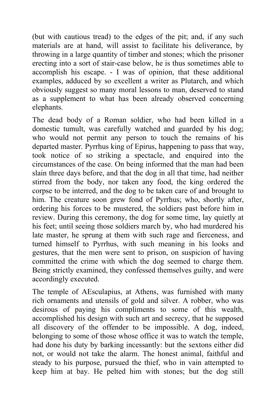(but with cautious tread) to the edges of the pit; and, if any such materials are at hand, will assist to facilitate his deliverance, by throwing in a large quantity of timber and stones; which the prisoner erecting into a sort of stair-case below, he is thus sometimes able to accomplish his escape. - I was of opinion, that these additional examples, adduced by so excellent a writer as Plutarch, and which obviously suggest so many moral lessons to man, deserved to stand as a supplement to what has been already observed concerning elephants.

The dead body of a Roman soldier, who had been killed in a domestic tumult, was carefully watched and guarded by his dog; who would not permit any person to touch the remains of his departed master. Pyrrhus king of Epirus, happening to pass that way, took notice of so striking a spectacle, and enquired into the circumstances of the case. On being informed that the man had been slain three days before, and that the dog in all that time, had neither stirred from the body, nor taken any food, the king ordered the corpse to be interred, and the dog to be taken care of and brought to him. The creature soon grew fond of Pyrrhus; who, shortly after, ordering his forces to be mustered, the soldiers past before him in review. During this ceremony, the dog for some time, lay quietly at his feet; until seeing those soldiers march by, who had murdered his late master, he sprung at them with such rage and fierceness, and turned himself to Pyrrhus, with such meaning in his looks and gestures, that the men were sent to prison, on suspicion of having committed the crime with which the dog seemed to charge them. Being strictly examined, they confessed themselves guilty, and were accordingly executed.

The temple of AEsculapius, at Athens, was furnished with many rich ornaments and utensils of gold and silver. A robber, who was desirous of paying his compliments to some of this wealth, accomplished his design with such art and secrecy, that he supposed all discovery of the offender to be impossible. A dog, indeed, belonging to some of those whose office it was to watch the temple, had done his duty by barking incessantly: but the sextons either did not, or would not take the alarm. The honest animal, faithful and steady to his purpose, pursued the thief, who in vain attempted to keep him at bay. He pelted him with stones; but the dog still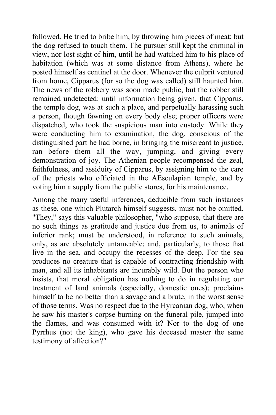followed. He tried to bribe him, by throwing him pieces of meat; but the dog refused to touch them. The pursuer still kept the criminal in view, nor lost sight of him, until he had watched him to his place of habitation (which was at some distance from Athens), where he posted himself as centinel at the door. Whenever the culprit ventured from home, Cipparus (for so the dog was called) still haunted him. The news of the robbery was soon made public, but the robber still remained undetected: until information being given, that Cipparus, the temple dog, was at such a place, and perpetually harassing such a person, though fawning on every body else; proper officers were dispatched, who took the suspicious man into custody. While they were conducting him to examination, the dog, conscious of the distinguished part he had borne, in bringing the miscreant to justice, ran before them all the way, jumping, and giving every demonstration of joy. The Athenian people recompensed the zeal, faithfulness, and assiduity of Cipparus, by assigning him to the care of the priests who officiated in the AEsculapian temple, and by voting him a supply from the public stores, for his maintenance.

Among the many useful inferences, deducible from such instances as these, one which Plutarch himself suggests, must not be omitted. "They," says this valuable philosopher, "who suppose, that there are no such things as gratitude and justice due from us, to animals of inferior rank; must be understood, in reference to such animals, only, as are absolutely untameable; and, particularly, to those that live in the sea, and occupy the recesses of the deep. For the sea produces no creature that is capable of contracting friendship with man, and all its inhabitants are incurably wild. But the person who insists, that moral obligation has nothing to do in regulating our treatment of land animals (especially, domestic ones); proclaims himself to be no better than a savage and a brute, in the worst sense of those terms. Was no respect due to the Hyrcanian dog, who, when he saw his master's corpse burning on the funeral pile, jumped into the flames, and was consumed with it? Nor to the dog of one Pyrrhus (not the king), who gave his deceased master the same testimony of affection?"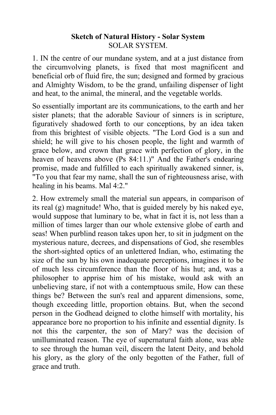## **Sketch of Natural History - Solar System** SOLAR SYSTEM.

1. IN the centre of our mundane system, and at a just distance from the circumvolving planets, is fixed that most magnificent and beneficial orb of fluid fire, the sun; designed and formed by gracious and Almighty Wisdom, to be the grand, unfailing dispenser of light and heat, to the animal, the mineral, and the vegetable worlds.

So essentially important are its communications, to the earth and her sister planets; that the adorable Saviour of sinners is in scripture, figuratively shadowed forth to our conceptions, by an idea taken from this brightest of visible objects. "The Lord God is a sun and shield; he will give to his chosen people, the light and warmth of grace below, and crown that grace with perfection of glory, in the heaven of heavens above (Ps 84:11.)" And the Father's endearing promise, made and fulfilled to each spiritually awakened sinner, is, "To you that fear my name, shall the sun of righteousness arise, with healing in his beams. Mal 4:2."

2. How extremely small the material sun appears, in comparison of its real (g) magnitude! Who, that is guided merely by his naked eye, would suppose that luminary to be, what in fact it is, not less than a million of times larger than our whole extensive globe of earth and seas! When purblind reason takes upon her, to sit in judgment on the mysterious nature, decrees, and dispensations of God, she resembles the short-sighted optics of an unlettered Indian, who, estimating the size of the sun by his own inadequate perceptions, imagines it to be of much less circumference than the floor of his hut; and, was a philosopher to apprise him of his mistake, would ask with an unbelieving stare, if not with a contemptuous smile, How can these things be? Between the sun's real and apparent dimensions, some, though exceeding little, proportion obtains. But, when the second person in the Godhead deigned to clothe himself with mortality, his appearance bore no proportion to his infinite and essential dignity. Is not this the carpenter, the son of Mary? was the decision of unilluminated reason. The eye of supernatural faith alone, was able to see through the human veil, discern the latent Deity, and behold his glory, as the glory of the only begotten of the Father, full of grace and truth.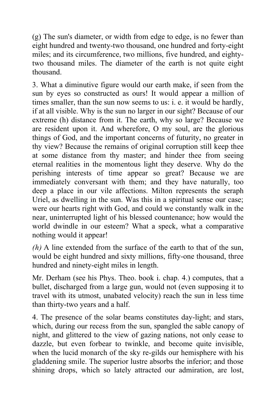(g) The sun's diameter, or width from edge to edge, is no fewer than eight hundred and twenty-two thousand, one hundred and forty-eight miles; and its circumference, two millions, five hundred, and eightytwo thousand miles. The diameter of the earth is not quite eight thousand.

3. What a diminutive figure would our earth make, if seen from the sun by eyes so constructed as ours! It would appear a million of times smaller, than the sun now seems to us: i. e. it would be hardly, if at all visible. Why is the sun no larger in our sight? Because of our extreme (h) distance from it. The earth, why so large? Because we are resident upon it. And wherefore, O my soul, are the glorious things of God, and the important concerns of futurity, no greater in thy view? Because the remains of original corruption still keep thee at some distance from thy master; and hinder thee from seeing eternal realities in the momentous light they deserve. Why do the perishing interests of time appear so great? Because we are immediately conversant with them; and they have naturally, too deep a place in our vile affections. Milton represents the seraph Uriel, as dwelling in the sun. Was this in a spiritual sense our case; were our hearts right with God, and could we constantly walk in the near, uninterrupted light of his blessed countenance; how would the world dwindle in our esteem? What a speck, what a comparative nothing would it appear!

*(h)* A line extended from the surface of the earth to that of the sun, would be eight hundred and sixty millions, fifty-one thousand, three hundred and ninety-eight miles in length.

Mr. Derham (see his Phys. Theo. book i. chap. 4.) computes, that a bullet, discharged from a large gun, would not (even supposing it to travel with its utmost, unabated velocity) reach the sun in less time than thirty-two years and a half.

4. The presence of the solar beams constitutes day-light; and stars, which, during our recess from the sun, spangled the sable canopy of night, and glittered to the view of gazing nations, not only cease to dazzle, but even forbear to twinkle, and become quite invisible, when the lucid monarch of the sky re-gilds our hemisphere with his gladdening smile. The superior lustre absorbs the inferior; and those shining drops, which so lately attracted our admiration, are lost,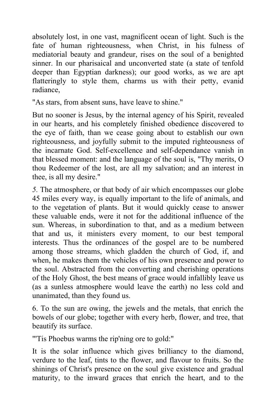absolutely lost, in one vast, magnificent ocean of light. Such is the fate of human righteousness, when Christ, in his fulness of mediatorial beauty and grandeur, rises on the soul of a benighted sinner. In our pharisaical and unconverted state (a state of tenfold deeper than Egyptian darkness); our good works, as we are apt flatteringly to style them, charms us with their petty, evanid radiance,

"As stars, from absent suns, have leave to shine."

But no sooner is Jesus, by the internal agency of his Spirit, revealed in our hearts, and his completely finished obedience discovered to the eye of faith, than we cease going about to establish our own righteousness, and joyfully submit to the imputed righteousness of the incarnate God. Self-excellence and self-dependance vanish in that blessed moment: and the language of the soul is, "Thy merits, O thou Redeemer of the lost, are all my salvation; and an interest in thee, is all my desire."

*5.* The atmosphere, or that body of air which encompasses our globe 45 miles every way, is equally important to the life of animals, and to the vegetation of plants. But it would quickly cease to answer these valuable ends, were it not for the additional influence of the sun. Whereas, in subordination to that, and as a medium between that and us, it ministers every moment, to our best temporal interests. Thus the ordinances of the gospel are to be numbered among those streams, which gladden the church of God, if, and when, he makes them the vehicles of his own presence and power to the soul. Abstracted from the converting and cherishing operations of the Holy Ghost, the best means of grace would infallibly leave us (as a sunless atmosphere would leave the earth) no less cold and unanimated, than they found us.

6. To the sun are owing, the jewels and the metals, that enrich the bowels of our globe; together with every herb, flower, and tree, that beautify its surface.

"'Tis Phoebus warms the rip'ning ore to gold:"

It is the solar influence which gives brilliancy to the diamond, verdure to the leaf, tints to the flower, and flavour to fruits. So the shinings of Christ's presence on the soul give existence and gradual maturity, to the inward graces that enrich the heart, and to the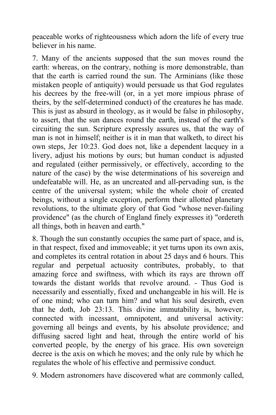peaceable works of righteousness which adorn the life of every true believer in his name.

7. Many of the ancients supposed that the sun moves round the earth: whereas, on the contrary, nothing is more demonstrable, than that the earth is carried round the sun. The Arminians (like those mistaken people of antiquity) would persuade us that God regulates his decrees by the free-will (or, in a yet more impious phrase of theirs, by the self-determined conduct) of the creatures he has made. This is just as absurd in theology, as it would be false in philosophy, to assert, that the sun dances round the earth, instead of the earth's circuiting the sun. Scripture expressly assures us, that the way of man is not in himself; neither is it in man that walketh, to direct his own steps, Jer 10:23. God does not, like a dependent lacquey in a livery, adjust his motions by ours; but human conduct is adjusted and regulated (either permissively, or effectively, according to the nature of the case) by the wise determinations of his sovereign and undefeatable will. He, as an uncreated and all-pervading sun, is the centre of the universal system; while the whole choir of created beings, without a single exception, perform their allotted planetary revolutions, to the ultimate glory of that God "whose never-failing providence" (as the church of England finely expresses it) "ordereth all things, both in heaven and earth."

8. Though the sun constantly occupies the same part of space, and is, in that respect, fixed and immoveable; it yet turns upon its own axis, and completes its central rotation in about 25 days and 6 hours. This regular and perpetual actuosity contributes, probably, to that amazing force and swiftness, with which its rays are thrown off towards the distant worlds that revolve around. - Thus God is necessarily and essentially, fixed and unchangeable in his will. He is of one mind; who can turn him? and what his soul desireth, even that he doth, Job 23:13. This divine immutability is, however, connected with incessant, omnipotent, and universal activity: governing all beings and events, by his absolute providence; and diffusing sacred light and heat, through the entire world of his converted people, by the energy of his grace. His own sovereign decree is the axis on which he moves; and the only rule by which he regulates the whole of his effective and permissive conduct.

9. Modern astronomers have discovered what are commonly called,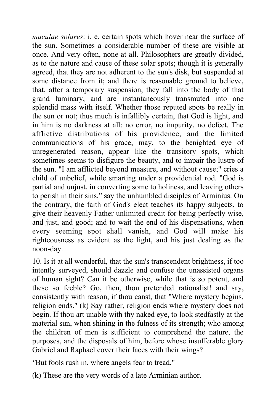*maculae solares*: i. e. certain spots which hover near the surface of the sun. Sometimes a considerable number of these are visible at once. And very often, none at all. Philosophers are greatly divided, as to the nature and cause of these solar spots; though it is generally agreed, that they are not adherent to the sun's disk, but suspended at some distance from it; and there is reasonable ground to believe, that, after a temporary suspension, they fall into the body of that grand luminary, and are instantaneously transmuted into one splendid mass with itself. Whether those reputed spots be really in the sun or not; thus much is infallibly certain, that God is light, and in him is no darkness at all: no error, no impurity, no defect. The afflictive distributions of his providence, and the limited communications of his grace, may, to the benighted eye of unregenerated reason, appear like the transitory spots, which sometimes seems to disfigure the beauty, and to impair the lustre of the sun. "I am afflicted beyond measure, and without cause;" cries a child of unbelief, while smarting under a providential rod. "God is partial and unjust, in converting some to holiness, and leaving others to perish in their sins," say the unhumbled disciples of Arminius. On the contrary, the faith of God's elect teaches its happy subjects, to give their heavenly Father unlimited credit for being perfectly wise, and just, and good; and to wait the end of his dispensations, when every seeming spot shall vanish, and God will make his righteousness as evident as the light, and his just dealing as the noon-day.

10. Is it at all wonderful, that the sun's transcendent brightness, if too intently surveyed, should dazzle and confuse the unassisted organs of human sight? Can it be otherwise, while that is so potent, and these so feeble? Go, then, thou pretended rationalist! and say, consistently with reason, if thou canst, that "Where mystery begins, religion ends." (k) Say rather, religion ends where mystery does not begin. If thou art unable with thy naked eye, to look stedfastly at the material sun, when shining in the fulness of its strength; who among the children of men is sufficient to comprehend the nature, the purposes, and the disposals of him, before whose insufferable glory Gabriel and Raphael cover their faces with their wings?

*"*But fools rush in, where angels fear to tread."

(k) These are the very words of a late Arminian author.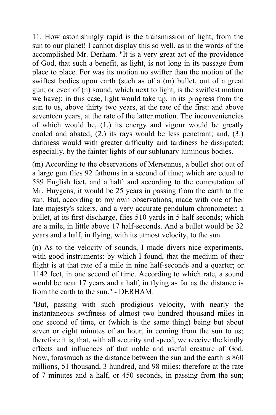11. How astonishingly rapid is the transmission of light, from the sun to our planet! I cannot display this so well, as in the words of the accomplished Mr. Derham. "It is a very great act of the providence of God, that such a benefit, as light, is not long in its passage from place to place. For was its motion no swifter than the motion of the swiftest bodies upon earth (such as of a (m) bullet, out of a great gun; or even of (n) sound, which next to light, is the swiftest motion we have); in this case, light would take up, in its progress from the sun to us, above thirty two years, at the rate of the first: and above seventeen years, at the rate of the latter motion. The inconveniencies of which would be, (1.) its energy and vigour would be greatly cooled and abated; (2.) its rays would be less penetrant; and, (3.) darkness would with greater difficulty and tardiness be dissipated; especially, by the fainter lights of our sublunary luminous bodies.

(m) According to the observations of Mersennus, a bullet shot out of a large gun flies 92 fathoms in a second of time; which are equal to 589 English feet, and a half: and according to the computation of Mr. Huygens, it would be 25 years in passing from the earth to the sun. But, according to my own observations, made with one of her late majesty's sakers, and a very accurate pendulum chronometer; a bullet, at its first discharge, flies 510 yards in 5 half seconds; which are a mile, in little above 17 half-seconds. And a bullet would be 32 years and a half, in flying, with its utmost velocity, to the sun.

(n) As to the velocity of sounds, I made divers nice experiments, with good instruments: by which I found, that the medium of their flight is at that rate of a mile in nine half-seconds and a quarter; or 1142 feet, in one second of time. According to which rate, a sound would be near 17 years and a half, in flying as far as the distance is from the earth to the sun." - DERHAM.

"But, passing with such prodigious velocity, with nearly the instantaneous swiftness of almost two hundred thousand miles in one second of time, or (which is the same thing) being but about seven or eight minutes of an hour, in coming from the sun to us; therefore it is, that, with all security and speed, we receive the kindly effects and influences of that noble and useful creature of God. Now, forasmuch as the distance between the sun and the earth is 860 millions, 51 thousand, 3 hundred, and 98 miles: therefore at the rate of 7 minutes and a half, or 450 seconds, in passing from the sun;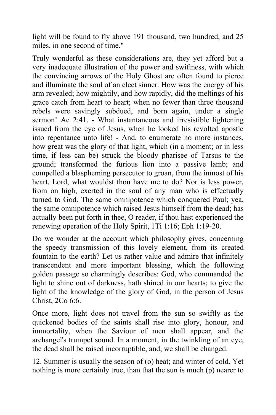light will be found to fly above 191 thousand, two hundred, and 25 miles, in one second of time."

Truly wonderful as these considerations are, they yet afford but a very inadequate illustration of the power and swiftness, with which the convincing arrows of the Holy Ghost are often found to pierce and illuminate the soul of an elect sinner. How was the energy of his arm revealed; how mightily, and how rapidly, did the meltings of his grace catch from heart to heart; when no fewer than three thousand rebels were savingly subdued, and born again, under a single sermon! Ac 2:41. - What instantaneous and irresistible lightening issued from the eye of Jesus, when he looked his revolted apostle into repentance unto life! - And, to enumerate no more instances, how great was the glory of that light, which (in a moment; or in less time, if less can be) struck the bloody pharisee of Tarsus to the ground; transformed the furious lion into a passive lamb; and compelled a blaspheming persecutor to groan, from the inmost of his heart, Lord, what wouldst thou have me to do? Nor is less power, from on high, exerted in the soul of any man who is effectually turned to God. The same omnipotence which conquered Paul; yea, the same omnipotence which raised Jesus himself from the dead; has actually been put forth in thee, O reader, if thou hast experienced the renewing operation of the Holy Spirit, 1Ti 1:16; Eph 1:19-20.

Do we wonder at the account which philosophy gives, concerning the speedy transmission of this lovely element, from its created fountain to the earth? Let us rather value and admire that infinitely transcendent and more important blessing, which the following golden passage so charmingly describes: God, who commanded the light to shine out of darkness, hath shined in our hearts; to give the light of the knowledge of the glory of God, in the person of Jesus Christ, 2Co 6:6.

Once more, light does not travel from the sun so swiftly as the quickened bodies of the saints shall rise into glory, honour, and immortality, when the Saviour of men shall appear, and the archangel's trumpet sound. In a moment, in the twinkling of an eye, the dead shall be raised incorruptible, and, we shall be changed.

12. Summer is usually the season of (o) heat; and winter of cold. Yet nothing is more certainly true, than that the sun is much (p) nearer to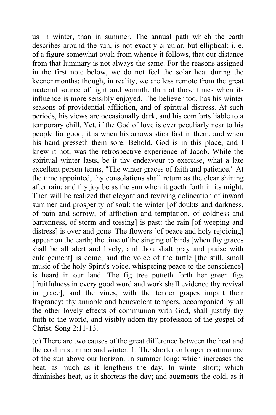us in winter, than in summer. The annual path which the earth describes around the sun, is not exactly circular, but elliptical; i. e. of a figure somewhat oval; from whence it follows, that our distance from that luminary is not always the same. For the reasons assigned in the first note below, we do not feel the solar heat during the keener months; though, in reality, we are less remote from the great material source of light and warmth, than at those times when its influence is more sensibly enjoyed. The believer too, has his winter seasons of providential affliction, and of spiritual distress. At such periods, his views are occasionally dark, and his comforts liable to a temporary chill. Yet, if the God of love is ever peculiarly near to his people for good, it is when his arrows stick fast in them, and when his hand presseth them sore. Behold, God is in this place, and I knew it not; was the retrospective experience of Jacob. While the spiritual winter lasts, be it thy endeavour to exercise, what a late excellent person terms, "The winter graces of faith and patience." At the time appointed, thy consolations shall return as the clear shining after rain; and thy joy be as the sun when it goeth forth in its might. Then will be realized that elegant and reviving delineation of inward summer and prosperity of soul: the winter [of doubts and darkness, of pain and sorrow, of affliction and temptation, of coldness and barrenness, of storm and tossing] is past: the rain [of weeping and distress] is over and gone. The flowers [of peace and holy rejoicing] appear on the earth; the time of the singing of birds [when thy graces shall be all alert and lively, and thou shalt pray and praise with enlargement] is come; and the voice of the turtle [the still, small] music of the holy Spirit's voice, whispering peace to the conscience] is heard in our land. The fig tree putteth forth her green figs [fruitfulness in every good word and work shall evidence thy revival in grace]; and the vines, with the tender grapes impart their fragrancy; thy amiable and benevolent tempers, accompanied by all the other lovely effects of communion with God, shall justify thy faith to the world, and visibly adorn thy profession of the gospel of Christ. Song 2:11-13.

(o) There are two causes of the great difference between the heat and the cold in summer and winter: 1. The shorter or longer continuance of the sun above our horizon. In summer long; which increases the heat, as much as it lengthens the day. In winter short; which diminishes heat, as it shortens the day; and augments the cold, as it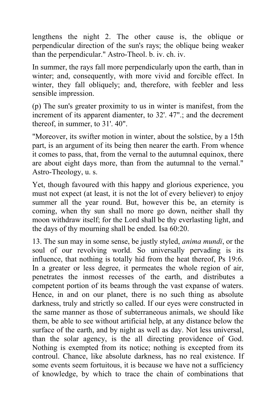lengthens the night 2. The other cause is, the oblique or perpendicular direction of the sun's rays; the oblique being weaker than the perpendicular." Astro-Theol. b. iv. ch. iv.

In summer, the rays fall more perpendicularly upon the earth, than in winter; and, consequently, with more vivid and forcible effect. In winter, they fall obliquely; and, therefore, with feebler and less sensible impression.

(p) The sun's greater proximity to us in winter is manifest, from the increment of its apparent diamenter, to 32'. 47".; and the decrement thereof, in summer, to 31'. 40".

"Moreover, its swifter motion in winter, about the solstice, by a 15th part, is an argument of its being then nearer the earth. From whence it comes to pass, that, from the vernal to the autumnal equinox, there are about eight days more, than from the autumnal to the vernal." Astro-Theology, u. s.

Yet, though favoured with this happy and glorious experience, you must not expect (at least, it is not the lot of every believer) to enjoy summer all the year round. But, however this be, an eternity is coming, when thy sun shall no more go down, neither shall thy moon withdraw itself; for the Lord shall be thy everlasting light, and the days of thy mourning shall be ended. Isa 60:20.

13. The sun may in some sense, be justly styled, *anima mundi*, or the soul of our revolving world. So universally pervading is its influence, that nothing is totally hid from the heat thereof, Ps 19:6. In a greater or less degree, it permeates the whole region of air, penetrates the inmost recesses of the earth, and distributes a competent portion of its beams through the vast expanse of waters. Hence, in and on our planet, there is no such thing as absolute darkness, truly and strictly so called. If our eyes were constructed in the same manner as those of subterraneous animals, we should like them, be able to see without artificial help, at any distance below the surface of the earth, and by night as well as day. Not less universal, than the solar agency, is the all directing providence of God. Nothing is exempted from its notice; nothing is excepted from its controul. Chance, like absolute darkness, has no real existence. If some events seem fortuitous, it is because we have not a sufficiency of knowledge, by which to trace the chain of combinations that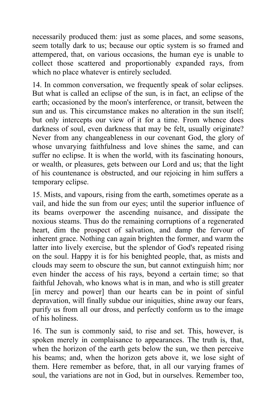necessarily produced them: just as some places, and some seasons, seem totally dark to us; because our optic system is so framed and attempered, that, on various occasions, the human eye is unable to collect those scattered and proportionably expanded rays, from which no place whatever is entirely secluded.

14. In common conversation, we frequently speak of solar eclipses. But what is called an eclipse of the sun, is in fact, an eclipse of the earth; occasioned by the moon's interference, or transit, between the sun and us. This circumstance makes no alteration in the sun itself; but only intercepts our view of it for a time. From whence does darkness of soul, even darkness that may be felt, usually originate? Never from any changeableness in our covenant God, the glory of whose unvarying faithfulness and love shines the same, and can suffer no eclipse. It is when the world, with its fascinating honours, or wealth, or pleasures, gets between our Lord and us; that the light of his countenance is obstructed, and our rejoicing in him suffers a temporary eclipse.

15. Mists, and vapours, rising from the earth, sometimes operate as a vail, and hide the sun from our eyes; until the superior influence of its beams overpower the ascending nuisance, and dissipate the noxious steams. Thus do the remaining corruptions of a regenerated heart, dim the prospect of salvation, and damp the fervour of inherent grace. Nothing can again brighten the former, and warm the latter into lively exercise, but the splendor of God's repeated rising on the soul. Happy it is for his benighted people, that, as mists and clouds may seem to obscure the sun, but cannot extinguish him; nor even hinder the access of his rays, beyond a certain time; so that faithful Jehovah, who knows what is in man, and who is still greater [in mercy and power] than our hearts can be in point of sinful depravation, will finally subdue our iniquities, shine away our fears, purify us from all our dross, and perfectly conform us to the image of his holiness.

16. The sun is commonly said, to rise and set. This, however, is spoken merely in complaisance to appearances. The truth is, that, when the horizon of the earth gets below the sun, we then perceive his beams; and, when the horizon gets above it, we lose sight of them. Here remember as before, that, in all our varying frames of soul, the variations are not in God, but in ourselves. Remember too,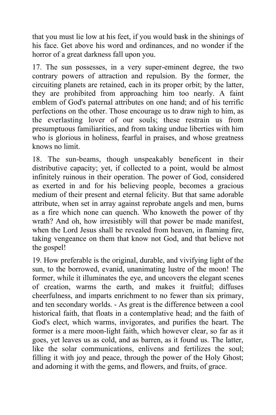that you must lie low at his feet, if you would bask in the shinings of his face. Get above his word and ordinances, and no wonder if the horror of a great darkness fall upon you.

17. The sun possesses, in a very super-eminent degree, the two contrary powers of attraction and repulsion. By the former, the circuiting planets are retained, each in its proper orbit; by the latter, they are prohibited from approaching him too nearly. A faint emblem of God's paternal attributes on one hand; and of his terrific perfections on the other. Those encourage us to draw nigh to him, as the everlasting lover of our souls; these restrain us from presumptuous familiarities, and from taking undue liberties with him who is glorious in holiness, fearful in praises, and whose greatness knows no limit.

18. The sun-beams, though unspeakably beneficent in their distributive capacity; yet, if collected to a point, would be almost infinitely ruinous in their operation. The power of God, considered as exerted in and for his believing people, becomes a gracious medium of their present and eternal felicity. But that same adorable attribute, when set in array against reprobate angels and men, burns as a fire which none can quench. Who knoweth the power of thy wrath? And oh, how irresistibly will that power be made manifest, when the Lord Jesus shall be revealed from heaven, in flaming fire, taking vengeance on them that know not God, and that believe not the gospel!

19. How preferable is the original, durable, and vivifying light of the sun, to the borrowed, evanid, unanimating lustre of the moon! The former, while it illuminates the eye, and uncovers the elegant scenes of creation, warms the earth, and makes it fruitful; diffuses cheerfulness, and imparts enrichment to no fewer than six primary, and ten secondary worlds. - As great is the difference between a cool historical faith, that floats in a contemplative head; and the faith of God's elect, which warms, invigorates, and purifies the heart. The former is a mere moon-light faith, which however clear, so far as it goes, yet leaves us as cold, and as barren, as it found us. The latter, like the solar communications, enlivens and fertilizes the soul; filling it with joy and peace, through the power of the Holy Ghost; and adorning it with the gems, and flowers, and fruits, of grace.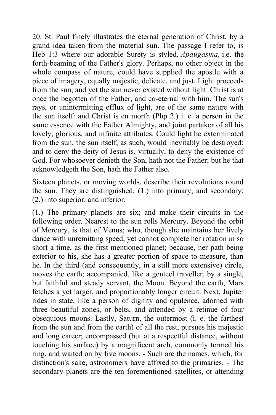20. St. Paul finely illustrates the eternal generation of Christ, by a grand idea taken from the material sun. The passage I refer to, is Heb 1:3 where our adorable Surety is styled, *Apaugasma,* i.e. the forth-beaming of the Father's glory. Perhaps, no other object in the whole compass of nature, could have supplied the apostle with a piece of imagery, equally majestic, delicate, and just. Light proceeds from the sun, and yet the sun never existed without light. Christ is at once the begotten of the Father, and co-eternal with him. The sun's rays, or unintermitting efflux of light, are of the same nature with the sun itself: and Christ is en morfh (Php 2.) i. e. a person in the same essence with the Father Almighty, and joint partaker of all his lovely, glorious, and infinite attributes. Could light be exterminated from the sun, the sun itself, as such, would inevitably be destroyed: and to deny the deity of Jesus is, virtually, to deny the existence of God. For whosoever denieth the Son, hath not the Father; but he that acknowledgeth the Son, hath the Father also.

Sixteen planets, or moving worlds, describe their revolutions round the sun. They are distinguished, (1.) into primary, and secondary; (2.) into superior, and inferior.

(1.) The primary planets are six; and make their circuits in the following order. Nearest to the sun rolls Mercury. Beyond the orbit of Mercury, is that of Venus; who, though she maintains her lively dance with unremitting speed, yet cannot complete her rotation in so short a time, as the first mentioned planet; because, her path being exterior to his, she has a greater portion of space to measure, than he. In the third (and consequently, in a still more extensive) circle, moves the earth; accompanied, like a genteel traveller, by a single, but faithful and steady servant, the Moon. Beyond the earth, Mars fetches a yet larger, and proportionably longer circuit. Next, Jupiter rides in state, like a person of dignity and opulence, adorned with three beautiful zones, or belts, and attended by a retinue of four obsequious moons. Lastly, Saturn, the outermost (i. e. the farthest from the sun and from the earth) of all the rest, pursues his majestic and long career; encompassed (but at a respectful distance, without touching his surface) by a magnificent arch, commonly termed his ring, and waited on by five moons. - Such are the names, which, for distinction's sake, astronomers have affixed to the primaries. - The secondary planets are the ten forementioned satellites, or attending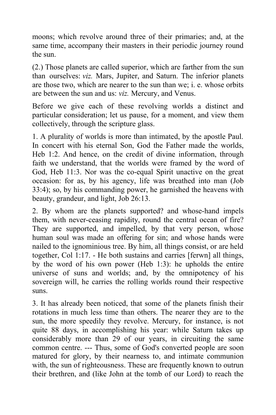moons; which revolve around three of their primaries; and, at the same time, accompany their masters in their periodic journey round the sun.

(2.) Those planets are called superior, which are farther from the sun than ourselves: *viz.* Mars, Jupiter, and Saturn. The inferior planets are those two, which are nearer to the sun than we; i. e. whose orbits are between the sun and us: *viz.* Mercury, and Venus.

Before we give each of these revolving worlds a distinct and particular consideration; let us pause, for a moment, and view them collectively, through the scripture glass.

1. A plurality of worlds is more than intimated, by the apostle Paul. In concert with his eternal Son, God the Father made the worlds, Heb 1:2. And hence, on the credit of divine information, through faith we understand, that the worlds were framed by the word of God, Heb 11:3. Nor was the co-equal Spirit unactive on the great occasion: for as, by his agency, life was breathed into man (Job 33:4); so, by his commanding power, he garnished the heavens with beauty, grandeur, and light, Job 26:13.

2. By whom are the planets supported? and whose-hand impels them, with never-ceasing rapidity, round the central ocean of fire? They are supported, and impelled, by that very person, whose human soul was made an offering for sin; and whose hands were nailed to the ignominious tree. By him, all things consist, or are held together, Col 1:17. - He both sustains and carries [ferwn] all things, by the word of his own power (Heb 1:3): he upholds the entire universe of suns and worlds; and, by the omnipotency of his sovereign will, he carries the rolling worlds round their respective suns.

3. It has already been noticed, that some of the planets finish their rotations in much less time than others. The nearer they are to the sun, the more speedily they revolve. Mercury, for instance, is not quite 88 days, in accomplishing his year: while Saturn takes up considerably more than 29 of our years, in circuiting the same common centre. --- Thus, some of God's converted people are soon matured for glory, by their nearness to, and intimate communion with, the sun of righteousness. These are frequently known to outrun their brethren, and (like John at the tomb of our Lord) to reach the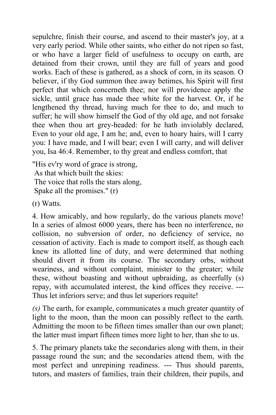sepulchre, finish their course, and ascend to their master's joy, at a very early period. While other saints, who either do not ripen so fast, or who have a larger field of usefulness to occupy on earth, are detained from their crown, until they are full of years and good works. Each of these is gathered, as a shock of corn, in its season. O believer, if thy God summon thee away betimes, his Spirit will first perfect that which concerneth thee; nor will providence apply the sickle, until grace has made thee white for the harvest. Or, if he lengthened thy thread, having much for thee to do, and much to suffer; he will show himself the God of thy old age, and not forsake thee when thou art grey-headed: for he hath inviolably declared, Even to your old age, I am he; and, even to hoary hairs, will I carry you: I have made, and I will bear; even I will carry, and will deliver you, Isa 46:4. Remember, to thy great and endless comfort, that

"His ev'ry word of grace is strong, As that which built the skies: The voice that rolls the stars along, Spake all the promises." (r)

(r) Watts.

4. How amicably, and how regularly, do the various planets move! In a series of almost 6000 years, there has been no interference, no collision, no subversion of order, no deficiency of service, no cessation of activity. Each is made to comport itself, as though each knew its allotted line of duty, and were determined that nothing should divert it from its course. The secondary orbs, without weariness, and without complaint, minister to the greater; while these, without boasting and without upbraiding, as cheerfully (s) repay, with accumulated interest, the kind offices they receive. --- Thus let inferiors serve; and thus let superiors requite!

*(s)* The earth, for example, communicates a much greater quantity of light to the moon, than the moon can possibly reflect to the earth. Admitting the moon to be fifteen times smaller than our own planet; the latter must impart fifteen times more light to her, than she to us.

5. The primary planets take the secondaries along with them, in their passage round the sun; and the secondaries attend them, with the most perfect and unrepining readiness. --- Thus should parents, tutors, and masters of families, train their children, their pupils, and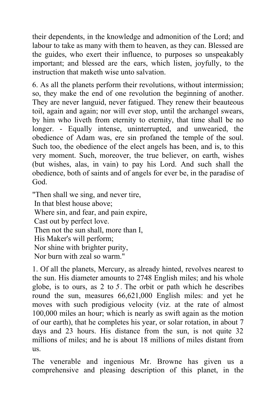their dependents, in the knowledge and admonition of the Lord; and labour to take as many with them to heaven, as they can. Blessed are the guides, who exert their influence, to purposes so unspeakably important; and blessed are the ears, which listen, joyfully, to the instruction that maketh wise unto salvation.

6. As all the planets perform their revolutions, without intermission; so, they make the end of one revolution the beginning of another. They are never languid, never fatigued. They renew their beauteous toil, again and again; nor will ever stop, until the archangel swears, by him who liveth from eternity to eternity, that time shall be no longer. - Equally intense, uninterrupted, and unwearied, the obedience of Adam was, ere sin profaned the temple of the soul. Such too, the obedience of the elect angels has been, and is, to this very moment. Such, moreover, the true believer, on earth, wishes (but wishes, alas, in vain) to pay his Lord. And such shall the obedience, both of saints and of angels for ever be, in the paradise of God.

"Then shall we sing, and never tire, In that blest house above; Where sin, and fear, and pain expire, Cast out by perfect love. Then not the sun shall, more than I, His Maker's will perform; Nor shine with brighter purity, Nor burn with zeal so warm."

1. Of all the planets, Mercury, as already hinted, revolves nearest to the sun. His diameter amounts to 2748 English miles; and his whole globe, is to ours, as 2 to *5 .* The orbit or path which he describes round the sun, measures 66,621,000 English miles: and yet he moves with such prodigious velocity (viz. at the rate of almost 100,000 miles an hour; which is nearly as swift again as the motion of our earth), that he completes his year, or solar rotation, in about 7 days and 23 hours. His distance from the sun, is not quite 32 millions of miles; and he is about 18 millions of miles distant from us.

The venerable and ingenious Mr. Browne has given us a comprehensive and pleasing description of this planet, in the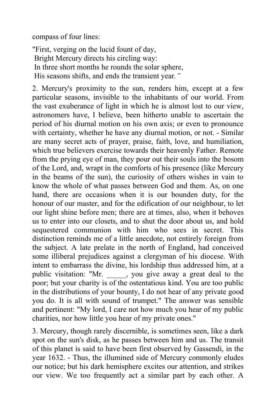compass of four lines:

"First, verging on the lucid fount of day, Bright Mercury directs his circling way: In three short months he rounds the solar sphere, His seasons shifts, and ends the transient year*."*

2. Mercury's proximity to the sun, renders him, except at a few particular seasons, invisible to the inhabitants of our world. From the vast exuberance of light in which he is almost lost to our view, astronomers have, I believe, been hitherto unable to ascertain the period of his diurnal motion on his own axis; or even to pronounce with certainty, whether he have any diurnal motion, or not. - Similar are many secret acts of prayer, praise, faith, love, and humiliation, which true believers exercise towards their heavenly Father. Remote from the prying eye of man, they pour out their souls into the bosom of the Lord, and, wrapt in the comforts of his presence (like Mercury in the beams of the sun), the curiosity of others wishes in vain to know the whole of what passes between God and them. As, on one hand, there are occasions when it is our bounden duty, for the honour of our master, and for the edification of our neighbour, to let our light shine before men; there are at times, also, when it behoves us to enter into our closets, and to shut the door about us, and hold sequestered communion with him who sees in secret. This distinction reminds me of a little anecdote, not entirely foreign from the subject. A late prelate in the north of England, had conceived some illiberal prejudices against a clergyman of his diocese. With intent to embarrass the divine, his lordship thus addressed him, at a public visitation: "Mr. \_\_\_\_\_, you give away a great deal to the poor; but your charity is of the ostentatious kind. You are too public in the distributions of your bounty, I do not hear of any private good you do. It is all with sound of trumpet." The answer was sensible and pertinent: "My lord, I care not how much you hear of my public charities, nor how little you hear of my private ones."

3. Mercury, though rarely discernible, is sometimes seen, like a dark spot on the sun's disk, as he passes between him and us. The transit of this planet is said to have been first observed by Gassendi, in the year 1632. - Thus, the illumined side of Mercury commonly eludes our notice; but his dark hemisphere excites our attention, and strikes our view. We too frequently act a similar part by each other. A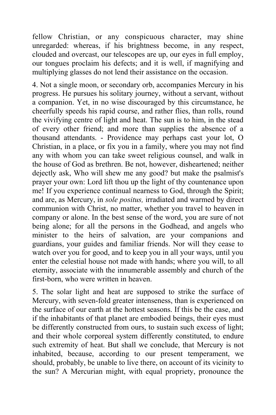fellow Christian, or any conspicuous character, may shine unregarded: whereas, if his brightness become, in any respect, clouded and overcast, our telescopes are up, our eyes in full employ, our tongues proclaim his defects; and it is well, if magnifying and multiplying glasses do not lend their assistance on the occasion.

4. Not a single moon, or secondary orb, accompanies Mercury in his progress. He pursues his solitary journey, without a servant, without a companion. Yet, in no wise discouraged by this circumstance, he cheerfully speeds his rapid course, and rather flies, than rolls, round the vivifying centre of light and heat. The sun is to him, in the stead of every other friend; and more than supplies the absence of a thousand attendants. - Providence may perhaps cast your lot, O Christian, in a place, or fix you in a family, where you may not find any with whom you can take sweet religious counsel, and walk in the house of God as brethren. Be not, however, disheartened; neither dejectly ask, Who will shew me any good? but make the psalmist's prayer your own: Lord lift thou up the light of thy countenance upon me! If you experience continual nearness to God, through the Spirit; and are, as Mercury, in *sole positus,* irradiated and warmed by direct communion with Christ, no matter, whether you travel to heaven in company or alone. In the best sense of the word, you are sure of not being alone; for all the persons in the Godhead, and angels who minister to the heirs of salvation, are your companions and guardians, your guides and familiar friends. Nor will they cease to watch over you for good, and to keep you in all your ways, until you enter the celestial house not made with hands; where you will, to all eternity, associate with the innumerable assembly and church of the first-born, who were written in heaven.

5. The solar light and heat are supposed to strike the surface of Mercury, with seven-fold greater intenseness, than is experienced on the surface of our earth at the hottest seasons. If this be the case, and if the inhabitants of that planet are embodied beings, their eyes must be differently constructed from ours, to sustain such excess of light; and their whole corporeal system differently constituted, to endure such extremity of heat. But shall we conclude, that Mercury is not inhabited, because, according to our present temperament, we should, probably, be unable to live there, on account of its vicinity to the sun? A Mercurian might, with equal propriety, pronounce the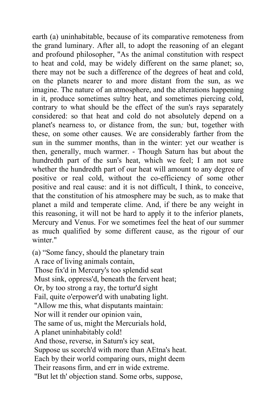earth (a) uninhabitable, because of its comparative remoteness from the grand luminary. After all, to adopt the reasoning of an elegant and profound philosopher, "As the animal constitution with respect to heat and cold, may be widely different on the same planet; so, there may not be such a difference of the degrees of heat and cold, on the planets nearer to and more distant from the sun, as we imagine. The nature of an atmosphere, and the alterations happening in it, produce sometimes sultry heat, and sometimes piercing cold, contrary to what should be the effect of the sun's rays separately considered: so that heat and cold do not absolutely depend on a planet's nearness to, or distance from, the sun*;* but, together with these, on some other causes. We are considerably farther from the sun in the summer months, than in the winter: yet our weather is then, generally, much warmer. - Though Saturn has but about the hundredth part of the sun's heat, which we feel; I am not sure whether the hundredth part of our heat will amount to any degree of positive or real cold, without the co-efficiency of some other positive and real cause: and it is not difficult, I think, to conceive, that the constitution of his atmosphere may be such, as to make that planet a mild and temperate clime. And, if there be any weight in this reasoning, it will not be hard to apply it to the inferior planets, Mercury and Venus. For we sometimes feel the heat of our summer as much qualified by some different cause, as the rigour of our winter."

(a) "Some fancy, should the planetary train A race of living animals contain, Those fix'd in Mercury's too splendid seat Must sink, oppress'd, beneath the fervent heat; Or, by too strong a ray, the tortur'd sight Fail, quite o'erpower'd with unabating light. "Allow me this, what disputants maintain: Nor will it render our opinion vain, The same of us, might the Mercurials hold, A planet uninhabitably cold! And those, reverse, in Saturn's icy seat, Suppose us scorch'd with more than AEtna's heat. Each by their world comparing ours, might deem Their reasons firm, and err in wide extreme. "But let th' objection stand. Some orbs, suppose,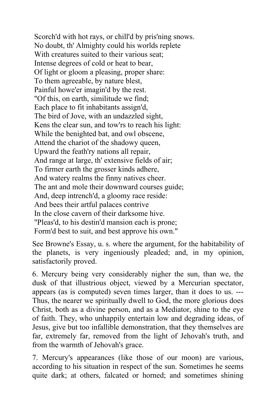Scorch'd with hot rays, or chill'd by pris'ning snows. No doubt, th' Almighty could his worlds replete With creatures suited to their various seat: Intense degrees of cold or heat to bear, Of light or gloom a pleasing, proper share: To them agreeable, by nature blest, Painful howe'er imagin'd by the rest. "Of this, on earth, similitude we find; Each place to fit inhabitants assign'd, The bird of Jove, with an undazzled sight, Kens the clear sun, and tow'rs to reach his light: While the benighted bat, and owl obscene, Attend the chariot of the shadowy queen, Upward the feath'ry nations all repair, And range at large, th' extensive fields of air; To firmer earth the grosser kinds adhere, And watery realms the finny natives cheer. The ant and mole their downward courses guide; And, deep intrench'd, a gloomy race reside: And bees their artful palaces contrive In the close cavern of their darksome hive. "Pleas'd, to his destin'd mansion each is prone; Form'd best to suit, and best approve his own."

See Browne's Essay, u. s. where the argument, for the habitability of the planets, is very ingeniously pleaded; and, in my opinion, satisfactorily proved.

6. Mercury being very considerably nigher the sun, than we, the dusk of that illustrious object, viewed by a Mercurian spectator, appears (as is computed) seven times larger, than it does to us. --- Thus, the nearer we spiritually dwell to God, the more glorious does Christ, both as a divine person, and as a Mediator, shine to the eye of faith. They, who unhappily entertain low and degrading ideas, of Jesus, give but too infallible demonstration, that they themselves are far, extremely far, removed from the light of Jehovah's truth, and from the warmth of Jehovah's grace.

7. Mercury's appearances (like those of our moon) are various, according to his situation in respect of the sun. Sometimes he seems quite dark; at others, falcated or horned; and sometimes shining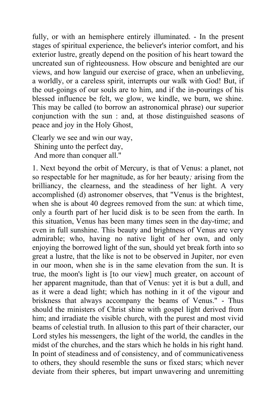fully, or with an hemisphere entirely illuminated. - In the present stages of spiritual experience, the believer's interior comfort, and his exterior lustre, greatly depend on the position of his heart toward the uncreated sun of righteousness. How obscure and benighted are our views, and how languid our exercise of grace, when an unbelieving, a worldly, or a careless spirit, interrupts our walk with God! But, if the out-goings of our souls are to him, and if the in-pourings of his blessed influence be felt, we glow, we kindle, we burn, we shine. This may be called (to borrow an astronomical phrase) our superior conjunction with the sun : and, at those distinguished seasons of peace and joy in the Holy Ghost,

Clearly we see and win our way, Shining unto the perfect day, And more than conquer all."

1. Next beyond the orbit of Mercury, is that of Venus: a planet, not so respectable for her magnitude, as for her beauty*;* arising from the brilliancy, the clearness, and the steadiness of her light. A very accomplished (d) astronomer observes, that "Venus is the brightest, when she is about 40 degrees removed from the sun: at which time, only a fourth part of her lucid disk is to be seen from the earth. In this situation, Venus has been many times seen in the day-time; and even in full sunshine. This beauty and brightness of Venus are very admirable; who, having no native light of her own, and only enjoying the borrowed light of the sun, should yet break forth into so great a lustre, that the like is not to be observed in Jupiter, nor even in our moon, when she is in the same elevation from the sun. It is true, the moon's light is [to our view] much greater, on account of her apparent magnitude, than that of Venus: yet it is but a dull, and as it were a dead light; which has nothing in it of the vigour and briskness that always accompany the beams of Venus." - Thus should the ministers of Christ shine with gospel light derived from him; and irradiate the visible church, with the purest and most vivid beams of celestial truth. In allusion to this part of their character, our Lord styles his messengers, the light of the world, the candles in the midst of the churches, and the stars which he holds in his right hand. In point of steadiness and of consistency, and of communicativeness to others, they should resemble the suns or fixed stars; which never deviate from their spheres, but impart unwavering and unremitting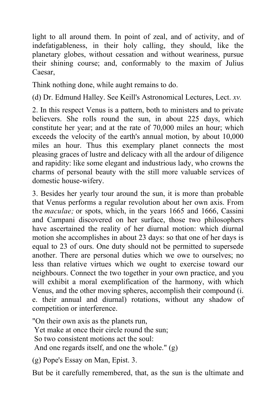light to all around them. In point of zeal, and of activity, and of indefatigableness, in their holy calling, they should, like the planetary globes, without cessation and without weariness, pursue their shining course; and, conformably to the maxim of Julius Caesar,

Think nothing done, while aught remains to do.

(d) Dr. Edmund Halley. See Keill's Astronomical Lectures, Lect. *xv.*

2. In this respect Venus is a pattern, both to ministers and to private believers. She rolls round the sun, in about 225 days, which constitute her year; and at the rate of 70,000 miles an hour; which exceeds the velocity of the earth's annual motion, by about 10,000 miles an hour. Thus this exemplary planet connects the most pleasing graces of lustre and delicacy with all the ardour of diligence and rapidity: like some elegant and industrious lady, who crowns the charms of personal beauty with the still more valuable services of domestic house-wifery.

3. Besides her yearly tour around the sun, it is more than probable that Venus performs a regular revolution about her own axis. From the *maculae;* or spots, which, in the years 1665 and 1666, Cassini and Campani discovered on her surface, those two philosophers have ascertained the reality of her diurnal motion: which diurnal motion she accomplishes in about 23 days: so that one of her days is equal to 23 of ours. One duty should not be permitted to supersede another. There are personal duties which we owe to ourselves; no less than relative virtues which we ought to exercise toward our neighbours. Connect the two together in your own practice, and you will exhibit a moral exemplification of the harmony, with which Venus, and the other moving spheres, accomplish their compound (i. e. their annual and diurnal) rotations, without any shadow of competition or interference.

"On their own axis as the planets run,

Yet make at once their circle round the sun;

So two consistent motions act the soul:

And one regards itself, and one the whole." (g)

(g) Pope's Essay on Man, Epist. 3.

But be it carefully remembered, that, as the sun is the ultimate and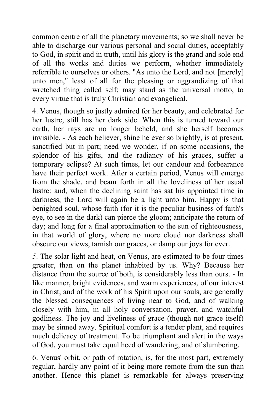common centre of all the planetary movements; so we shall never be able to discharge our various personal and social duties, acceptably to God, in spirit and in truth, until his glory is the grand and sole end of all the works and duties we perform, whether immediately referrible to ourselves or others. "As unto the Lord, and not [merely] unto men," least of all for the pleasing or aggrandizing of that wretched thing called self; may stand as the universal motto, to every virtue that is truly Christian and evangelical.

4. Venus, though so justly admired for her beauty, and celebrated for her lustre, still has her dark side. When this is turned toward our earth, her rays are no longer beheld, and she herself becomes invisible. - As each believer, shine he ever so brightly, is at present, sanctified but in part; need we wonder, if on some occasions, the splendor of his gifts, and the radiancy of his graces, suffer a temporary eclipse? At such times, let our candour and forbearance have their perfect work. After a certain period, Venus will emerge from the shade, and beam forth in all the loveliness of her usual lustre: and, when the declining saint has sat his appointed time in darkness, the Lord will again be a light unto him. Happy is that benighted soul, whose faith (for it is the peculiar business of faith's eye, to see in the dark) can pierce the gloom; anticipate the return of day; and long for a final approximation to the sun of righteousness, in that world of glory, where no more cloud nor darkness shall obscure our views, tarnish our graces, or damp our joys for ever.

*5.* The solar light and heat, on Venus, are estimated to be four times greater, than on the planet inhabited by us. Why? Because her distance from the source of both, is considerably less than ours. - In like manner, bright evidences, and warm experiences, of our interest in Christ, and of the work of his Spirit upon our souls, are generally the blessed consequences of living near to God, and of walking closely with him, in all holy conversation, prayer, and watchful godliness. The joy and liveliness of grace (though not grace itself) may be sinned away. Spiritual comfort is a tender plant, and requires much delicacy of treatment. To be triumphant and alert in the ways of God, you must take equal heed of wandering, and of slumbering.

6. Venus' orbit, or path of rotation, is, for the most part, extremely regular, hardly any point of it being more remote from the sun than another. Hence this planet is remarkable for always preserving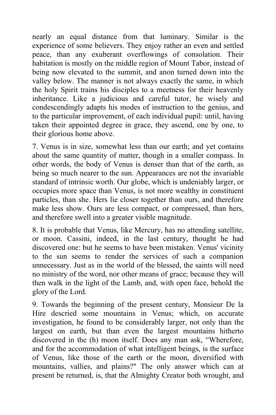nearly an equal distance from that luminary. Similar is the experience of some believers. They enjoy rather an even and settled peace, than any exuberant overflowings of consolation. Their habitation is mostly on the middle region of Mount Tabor, instead of being now elevated to the summit, and anon turned down into the valley below. The manner is not always exactly the same, in which the holy Spirit trains his disciples to a meetness for their heavenly inheritance. Like a judicious and careful tutor, he wisely and condescendingly adapts his modes of instruction to the genius, and to the particular improvement, of each individual pupil: until, having taken their appointed degree in grace, they ascend, one by one, to their glorious home above.

7. Venus is in size, somewhat less than our earth; and yet contains about the same quantity of matter, though in a smaller compass. In other words, the body of Venus is denser than that of the earth, as being so much nearer to the sun. Appearances are not the invariable standard of intrinsic worth. Our globe, which is undeniably larger, or occupies more space than Venus, is not more wealthy in constituent particles, than she. Hers lie closer together than ours, and therefore make less show. Ours are less compact, or compressed, than hers, and therefore swell into a greater visible magnitude.

8. It is probable that Venus, like Mercury, has no attending satellite, or moon. Cassini, indeed, in the last century, thought he had discovered one: but he seems to have been mistaken. Venus' vicinity to the sun seems to render the services of such a companion unnecessary. Just as in the world of the blessed, the saints will need no ministry of the word, nor other means of grace; because they will then walk in the light of the Lamb, and, with open face, behold the glory of the Lord.

9. Towards the beginning of the present century, Monsieur De la Hire descried some mountains in Venus; which, on accurate investigation, he found to be considerably larger, not only than the largest on earth, but than even the largest mountains hitherto discovered in the (h) moon itself. Does any man ask, "Wherefore, and for the accommodation of what intelligent beings, is the surface of Venus, like those of the earth or the moon, diversified with mountains, vallies, and plains?" The only answer which can at present be returned, is, that the Almighty Creator both wrought, and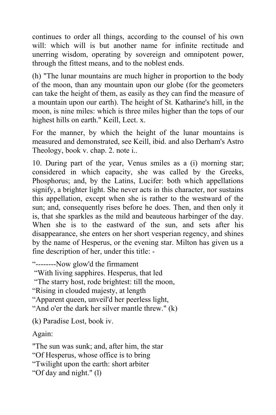continues to order all things, according to the counsel of his own will: which will is but another name for infinite rectitude and unerring wisdom, operating by sovereign and omnipotent power, through the fittest means, and to the noblest ends.

(h) "The lunar mountains are much higher in proportion to the body of the moon, than any mountain upon our globe (for the geometers can take the height of them, as easily as they can find the measure of a mountain upon our earth). The height of St. Katharine's hill, in the moon, is nine miles: which is three miles higher than the tops of our highest hills on earth." Keill, Lect. x.

For the manner, by which the height of the lunar mountains is measured and demonstrated, see Keill, ibid. and also Derham's Astro Theology, book v. chap. 2. note i..

10. During part of the year, Venus smiles as a (i) morning star; considered in which capacity, she was called by the Greeks, Phosphorus; and, by the Latins, Lucifer: both which appellations signify, a brighter light. She never acts in this character, nor sustains this appellation, except when she is rather to the westward of the sun; and, consequently rises before he does. Then, and then only it is, that she sparkles as the mild and beauteous harbinger of the day. When she is to the eastward of the sun, and sets after his disappearance, she enters on her short vesperian regency, and shines by the name of Hesperus, or the evening star. Milton has given us a fine description of her, under this title: -

"--------Now glow'd the firmament

"With living sapphires. Hesperus, that led

"The starry host, rode brightest: till the moon,

"Rising in clouded majesty, at length

"Apparent queen, unveil'd her peerless light,

"And o'er the dark her silver mantle threw." (k)

(k) Paradise Lost, book iv.

Again:

"The sun was sunk; and, after him, the star "Of Hesperus, whose office is to bring "Twilight upon the earth: short arbiter "Of day and night." (l)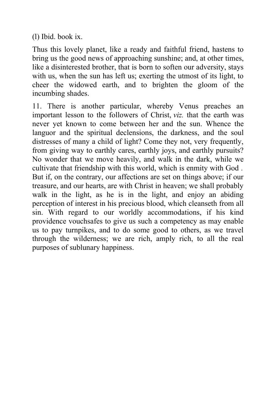(l) Ibid. book ix.

Thus this lovely planet, like a ready and faithful friend, hastens to bring us the good news of approaching sunshine; and, at other times, like a disinterested brother, that is born to soften our adversity, stays with us, when the sun has left us; exerting the utmost of its light, to cheer the widowed earth, and to brighten the gloom of the incumbing shades.

11. There is another particular, whereby Venus preaches an important lesson to the followers of Christ, *viz.* that the earth was never yet known to come between her and the sun. Whence the languor and the spiritual declensions, the darkness, and the soul distresses of many a child of light? Come they not, very frequently, from giving way to earthly cares, earthly joys, and earthly pursuits? No wonder that we move heavily, and walk in the dark, while we cultivate that friendship with this world, which is enmity with God *.* But if, on the contrary, our affections are set on things above; if our treasure, and our hearts, are with Christ in heaven; we shall probably walk in the light, as he is in the light, and enjoy an abiding perception of interest in his precious blood, which cleanseth from all sin. With regard to our worldly accommodations, if his kind providence vouchsafes to give us such a competency as may enable us to pay turnpikes, and to do some good to others, as we travel through the wilderness; we are rich, amply rich, to all the real purposes of sublunary happiness.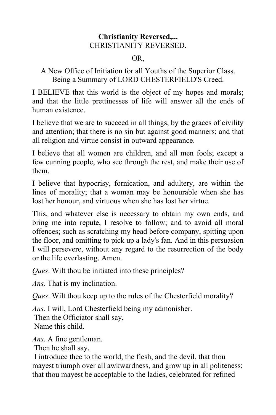# **Christianity Reversed,...** CHRISTIANITY REVERSED.

#### OR,

# A New Office of Initiation for all Youths of the Superior Class. Being a Summary of LORD CHESTERFIELD'S Creed.

I BELIEVE that this world is the object of my hopes and morals; and that the little prettinesses of life will answer all the ends of human existence.

I believe that we are to succeed in all things, by the graces of civility and attention; that there is no sin but against good manners; and that all religion and virtue consist in outward appearance.

I believe that all women are children, and all men fools; except a few cunning people, who see through the rest, and make their use of them.

I believe that hypocrisy, fornication, and adultery, are within the lines of morality; that a woman may be honourable when she has lost her honour, and virtuous when she has lost her virtue.

This, and whatever else is necessary to obtain my own ends, and bring me into repute, I resolve to follow; and to avoid all moral offences; such as scratching my head before company, spitting upon the floor, and omitting to pick up a lady's fan. And in this persuasion I will persevere, without any regard to the resurrection of the body or the life everlasting. Amen.

*Ques*. Wilt thou be initiated into these principles?

*Ans*. That is my inclination.

*Ques*. Wilt thou keep up to the rules of the Chesterfield morality?

*Ans*. I will, Lord Chesterfield being my admonisher. Then the Officiator shall say,

Name this child.

*Ans*. A fine gentleman.

Then he shall say,

 I introduce thee to the world, the flesh, and the devil, that thou mayest triumph over all awkwardness, and grow up in all politeness; that thou mayest be acceptable to the ladies, celebrated for refined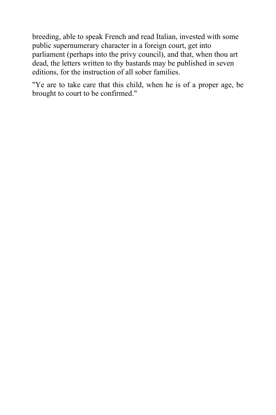breeding, able to speak French and read Italian, invested with some public supernumerary character in a foreign court, get into parliament (perhaps into the privy council), and that, when thou art dead, the letters written to thy bastards may be published in seven editions, for the instruction of all sober families.

"Ye are to take care that this child, when he is of a proper age, be brought to court to be confirmed."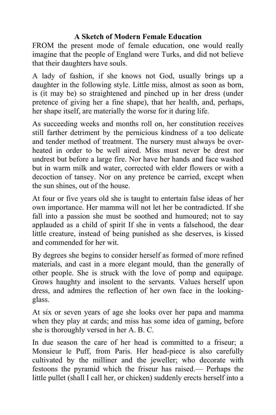# **A Sketch of Modern Female Education**

FROM the present mode of female education, one would really imagine that the people of England were Turks, and did not believe that their daughters have souls.

A lady of fashion, if she knows not God, usually brings up a daughter in the following style. Little miss, almost as soon as born, is (it may be) so straightened and pinched up in her dress (under pretence of giving her a fine shape), that her health, and, perhaps, her shape itself, are materially the worse for it during life.

As succeeding weeks and months roll on, her constitution receives still farther detriment by the pernicious kindness of a too delicate and tender method of treatment. The nursery must always be overheated in order to be well aired. Miss must never be drest nor undrest but before a large fire. Nor have her hands and face washed but in warm milk and water, corrected with elder flowers or with a decoction of tansey. Nor on any pretence be carried, except when the sun shines, out of the house.

At four or five years old she is taught to entertain false ideas of her own importance. Her mamma will not let her be contradicted. If she fall into a passion she must be soothed and humoured; not to say applauded as a child of spirit If she in vents a falsehood, the dear little creature, instead of being punished as she deserves, is kissed and commended for her wit.

By degrees she begins to consider herself as formed of more refined materials, and cast in a more elegant mould, than the generally of other people. She is struck with the love of pomp and equipage. Grows haughty and insolent to the servants. Values herself upon dress, and admires the reflection of her own face in the lookingglass.

At six or seven years of age she looks over her papa and mamma when they play at cards; and miss has some idea of gaming, before she is thoroughly versed in her A. B. C.

In due season the care of her head is committed to a friseur; a Monsieur le Puff, from Paris. Her head-piece is also carefully cultivated by the milliner and the jeweller; who decorate with festoons the pyramid which the friseur has raised.— Perhaps the little pullet (shall I call her, or chicken) suddenly erects herself into a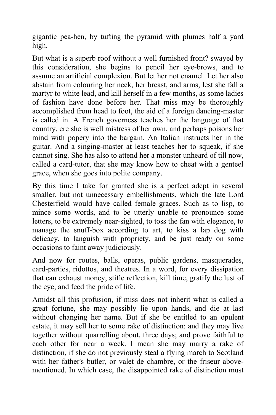gigantic pea-hen, by tufting the pyramid with plumes half a yard high.

But what is a superb roof without a well furnished front? swayed by this consideration, she begins to pencil her eye-brows, and to assume an artificial complexion. But let her not enamel. Let her also abstain from colouring her neck, her breast, and arms, lest she fall a martyr to white lead, and kill herself in a few months, as some ladies of fashion have done before her. That miss may be thoroughly accomplished from head to foot, the aid of a foreign dancing-master is called in. A French governess teaches her the language of that country, ere she is well mistress of her own, and perhaps poisons her mind with popery into the bargain. An Italian instructs her in the guitar. And a singing-master at least teaches her to squeak, if she cannot sing. She has also to attend her a monster unheard of till now, called a card-tutor, that she may know how to cheat with a genteel grace, when she goes into polite company.

By this time I take for granted she is a perfect adept in several smaller, but not unnecessary embellishments, which the late Lord Chesterfield would have called female graces. Such as to lisp, to mince some words, and to be utterly unable to pronounce some letters, to be extremely near-sighted, to toss the fan with elegance, to manage the snuff-box according to art, to kiss a lap dog with delicacy, to languish with propriety, and be just ready on some occasions to faint away judiciously.

And now for routes, balls, operas, public gardens, masquerades, card-parties, ridottos, and theatres. In a word, for every dissipation that can exhaust money, stifle reflection, kill time, gratify the lust of the eye, and feed the pride of life.

Amidst all this profusion, if miss does not inherit what is called a great fortune, she may possibly lie upon hands, and die at last without changing her name. But if she be entitled to an opulent estate, it may sell her to some rake of distinction: and they may live together without quarrelling about, three days; and prove faithful to each other for near a week. I mean she may marry a rake of distinction, if she do not previously steal a flying march to Scotland with her father's butler, or valet de chambre, or the friseur abovementioned. In which case, the disappointed rake of distinction must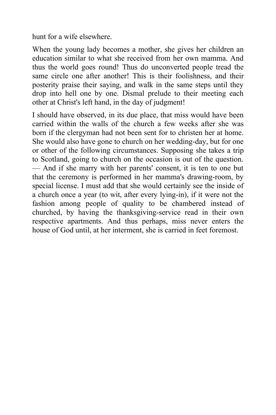hunt for a wife elsewhere.

When the young lady becomes a mother, she gives her children an education similar to what she received from her own mamma. And thus the world goes round! Thus do unconverted people tread the same circle one after another! This is their foolishness, and their posterity praise their saying, and walk in the same steps until they drop into hell one by one. Dismal prelude to their meeting each other at Christ's left hand, in the day of judgment!

I should have observed, in its due place, that miss would have been carried within the walls of the church a few weeks after she was born if the clergyman had not been sent for to christen her at home. She would also have gone to church on her wedding-day, but for one or other of the following circumstances. Supposing she takes a trip to Scotland, going to church on the occasion is out of the question. — And if she marry with her parents' consent, it is ten to one but that the ceremony is performed in her mamma's drawing-room, by special license. I must add that she would certainly see the inside of a church once a year (to wit, after every lying-in), if it were not the fashion among people of quality to be chambered instead of churched, by having the thanksgiving-service read in their own respective apartments. And thus perhaps, miss never enters the house of God until, at her interment, she is carried in feet foremost.